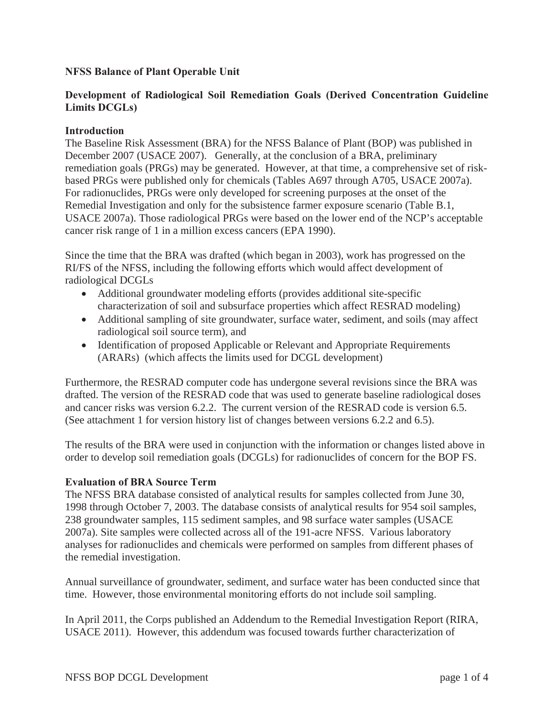# **NFSS Balance of Plant Operable Unit**

# **Development of Radiological Soil Remediation Goals (Derived Concentration Guideline** Limits DCGLs)

## **Introduction**

The Baseline Risk Assessment (BRA) for the NFSS Balance of Plant (BOP) was published in December 2007 (USACE 2007). Generally, at the conclusion of a BRA, preliminary remediation goals (PRGs) may be generated. However, at that time, a comprehensive set of riskbased PRGs were published only for chemicals (Tables A697 through A705, USACE 2007a). For radionuclides, PRGs were only developed for screening purposes at the onset of the Remedial Investigation and only for the subsistence farmer exposure scenario (Table B.1, USACE 2007a). Those radiological PRGs were based on the lower end of the NCP's acceptable cancer risk range of 1 in a million excess cancers (EPA 1990).

Since the time that the BRA was drafted (which began in 2003), work has progressed on the RI/FS of the NFSS, including the following efforts which would affect development of radiological DCGLs

- Additional groundwater modeling efforts (provides additional site-specific characterization of soil and subsurface properties which affect RESRAD modeling)
- Additional sampling of site groundwater, surface water, sediment, and soils (may affect radiological soil source term), and
- Identification of proposed Applicable or Relevant and Appropriate Requirements (ARARs) (which affects the limits used for DCGL development)

Furthermore, the RESRAD computer code has undergone several revisions since the BRA was drafted. The version of the RESRAD code that was used to generate baseline radiological doses and cancer risks was version 6.2.2. The current version of the RESRAD code is version 6.5. (See attachment 1 for version history list of changes between versions 6.2.2 and 6.5).

The results of the BRA were used in conjunction with the information or changes listed above in order to develop soil remediation goals (DCGLs) for radionuclides of concern for the BOP FS.

## **Evaluation of BRA Source Term**

The NFSS BRA database consisted of analytical results for samples collected from June 30, 1998 through October 7, 2003. The database consists of analytical results for 954 soil samples, 238 groundwater samples, 115 sediment samples, and 98 surface water samples (USACE 2007a). Site samples were collected across all of the 191-acre NFSS. Various laboratory analyses for radionuclides and chemicals were performed on samples from different phases of the remedial investigation.

Annual surveillance of groundwater, sediment, and surface water has been conducted since that time. However, those environmental monitoring efforts do not include soil sampling.

In April 2011, the Corps published an Addendum to the Remedial Investigation Report (RIRA, USACE 2011). However, this addendum was focused towards further characterization of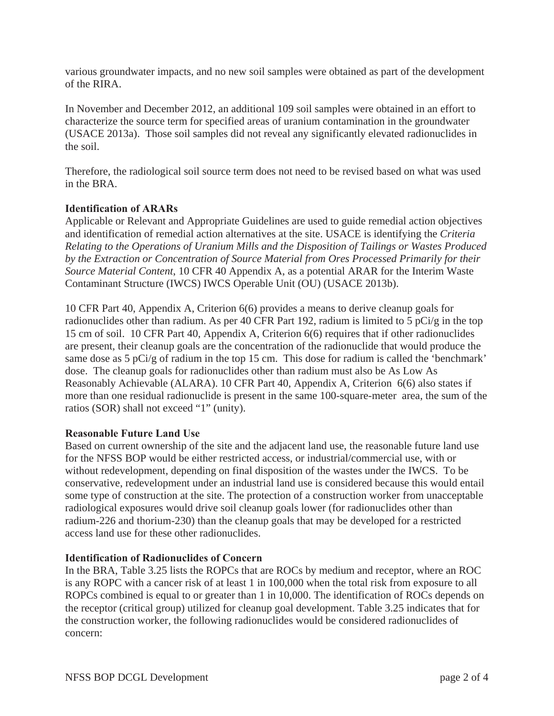various groundwater impacts, and no new soil samples were obtained as part of the development of the RIRA.

In November and December 2012, an additional 109 soil samples were obtained in an effort to characterize the source term for specified areas of uranium contamination in the groundwater (USACE 2013a). Those soil samples did not reveal any significantly elevated radionuclides in the soil.

Therefore, the radiological soil source term does not need to be revised based on what was used in the BRA.

## **Identification of ARARs**

Applicable or Relevant and Appropriate Guidelines are used to guide remedial action objectives and identification of remedial action alternatives at the site. USACE is identifying the *Criteria Relating to the Operations of Uranium Mills and the Disposition of Tailings or Wastes Produced by the Extraction or Concentration of Source Material from Ores Processed Primarily for their Source Material Content*, 10 CFR 40 Appendix A, as a potential ARAR for the Interim Waste Contaminant Structure (IWCS) IWCS Operable Unit (OU) (USACE 2013b).

10 CFR Part 40, Appendix A, Criterion 6(6) provides a means to derive cleanup goals for radionuclides other than radium. As per 40 CFR Part 192, radium is limited to 5 pCi/g in the top 15 cm of soil. 10 CFR Part 40, Appendix A, Criterion 6(6) requires that if other radionuclides are present, their cleanup goals are the concentration of the radionuclide that would produce the same dose as 5 pCi/g of radium in the top 15 cm. This dose for radium is called the 'benchmark' dose. The cleanup goals for radionuclides other than radium must also be As Low As Reasonably Achievable (ALARA). 10 CFR Part 40, Appendix A, Criterion 6(6) also states if more than one residual radionuclide is present in the same 100-square-meter area, the sum of the ratios (SOR) shall not exceed "1" (unity).

## **Reasonable Future Land Use**

Based on current ownership of the site and the adjacent land use, the reasonable future land use for the NFSS BOP would be either restricted access, or industrial/commercial use, with or without redevelopment, depending on final disposition of the wastes under the IWCS. To be conservative, redevelopment under an industrial land use is considered because this would entail some type of construction at the site. The protection of a construction worker from unacceptable radiological exposures would drive soil cleanup goals lower (for radionuclides other than radium-226 and thorium-230) than the cleanup goals that may be developed for a restricted access land use for these other radionuclides.

# **Identification of Radionuclides of Concern**

In the BRA, Table 3.25 lists the ROPCs that are ROCs by medium and receptor, where an ROC is any ROPC with a cancer risk of at least 1 in 100,000 when the total risk from exposure to all ROPCs combined is equal to or greater than 1 in 10,000. The identification of ROCs depends on the receptor (critical group) utilized for cleanup goal development. Table 3.25 indicates that for the construction worker, the following radionuclides would be considered radionuclides of concern: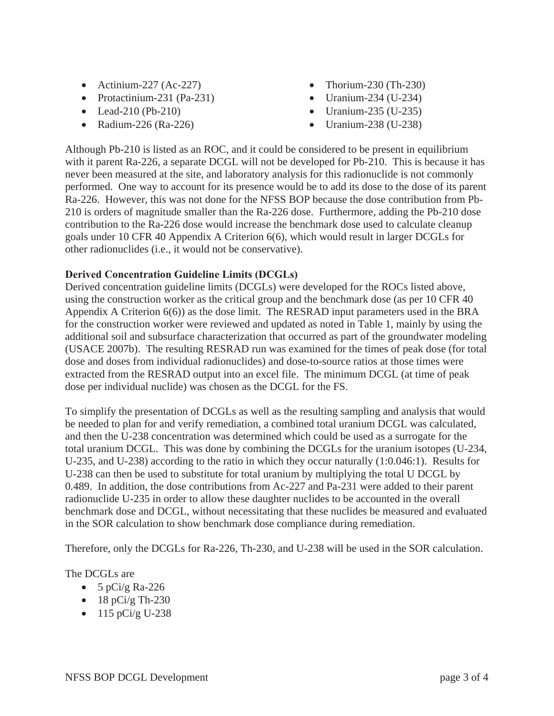- Actinium-227 (Ac-227)
- Protactinium-231 (Pa-231)
- Lead-210 (Pb-210)
- Radium-226 (Ra-226)
- Thorium-230 (Th-230)
- Uranium-234 (U-234)
- Uranium-235 (U-235)
- $\bullet$  Uranium-238 (U-238)

Although Pb-210 is listed as an ROC, and it could be considered to be present in equilibrium with it parent Ra-226, a separate DCGL will not be developed for Pb-210. This is because it has never been measured at the site, and laboratory analysis for this radionuclide is not commonly performed. One way to account for its presence would be to add its dose to the dose of its parent Ra-226. However, this was not done for the NFSS BOP because the dose contribution from Pb-210 is orders of magnitude smaller than the Ra-226 dose. Furthermore, adding the Pb-210 dose contribution to the Ra-226 dose would increase the benchmark dose used to calculate cleanup goals under 10 CFR 40 Appendix A Criterion 6(6), which would result in larger DCGLs for other radionuclides (i.e., it would not be conservative).

## **Derived Concentration Guideline Limits (DCGLs)**

Derived concentration guideline limits (DCGLs) were developed for the ROCs listed above, using the construction worker as the critical group and the benchmark dose (as per 10 CFR 40 Appendix A Criterion 6(6)) as the dose limit. The RESRAD input parameters used in the BRA for the construction worker were reviewed and updated as noted in Table 1, mainly by using the additional soil and subsurface characterization that occurred as part of the groundwater modeling (USACE 2007b). The resulting RESRAD run was examined for the times of peak dose (for total dose and doses from individual radionuclides) and dose-to-source ratios at those times were extracted from the RESRAD output into an excel file. The minimum DCGL (at time of peak dose per individual nuclide) was chosen as the DCGL for the FS.

To simplify the presentation of DCGLs as well as the resulting sampling and analysis that would be needed to plan for and verify remediation, a combined total uranium DCGL was calculated, and then the U-238 concentration was determined which could be used as a surrogate for the total uranium DCGL. This was done by combining the DCGLs for the uranium isotopes (U-234, U-235, and U-238) according to the ratio in which they occur naturally (1:0.046:1). Results for U-238 can then be used to substitute for total uranium by multiplying the total U DCGL by 0.489. In addition, the dose contributions from Ac-227 and Pa-231 were added to their parent radionuclide U-235 in order to allow these daughter nuclides to be accounted in the overall benchmark dose and DCGL, without necessitating that these nuclides be measured and evaluated in the SOR calculation to show benchmark dose compliance during remediation.

Therefore, only the DCGLs for Ra-226, Th-230, and U-238 will be used in the SOR calculation.

# The DCGLs are

- $\bullet$  5 pCi/g Ra-226
- $\bullet$  18 pCi/g Th-230
- $\bullet$  115 pCi/g U-238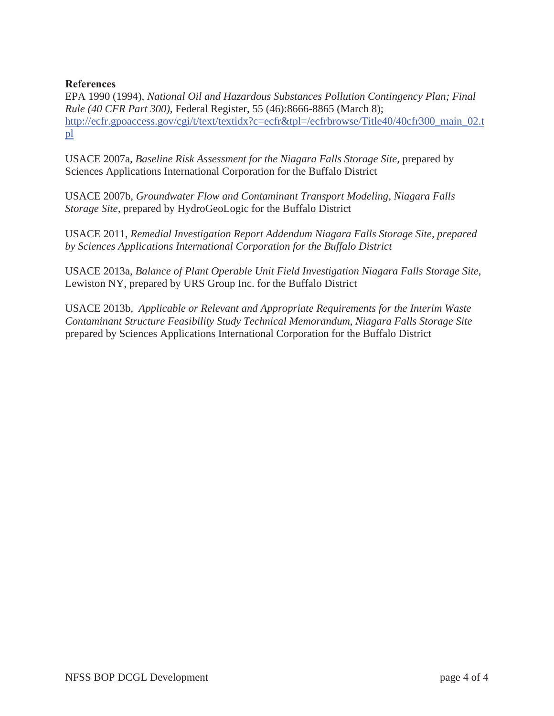# **References**

EPA 1990 (1994), *National Oil and Hazardous Substances Pollution Contingency Plan; Final Rule (40 CFR Part 300)*, Federal Register, 55 (46):8666-8865 (March 8); http://ecfr.gpoaccess.gov/cgi/t/text/textidx?c=ecfr&tpl=/ecfrbrowse/Title40/40cfr300\_main\_02.t pl

USACE 2007a, *Baseline Risk Assessment for the Niagara Falls Storage Site*, prepared by Sciences Applications International Corporation for the Buffalo District

USACE 2007b, *Groundwater Flow and Contaminant Transport Modeling, Niagara Falls Storage Site,* prepared by HydroGeoLogic for the Buffalo District

USACE 2011, *Remedial Investigation Report Addendum Niagara Falls Storage Site, prepared by Sciences Applications International Corporation for the Buffalo District* 

USACE 2013a, *Balance of Plant Operable Unit Field Investigation Niagara Falls Storage Site*, Lewiston NY, prepared by URS Group Inc. for the Buffalo District

USACE 2013b*, Applicable or Relevant and Appropriate Requirements for the Interim Waste Contaminant Structure Feasibility Study Technical Memorandum*, *Niagara Falls Storage Site* prepared by Sciences Applications International Corporation for the Buffalo District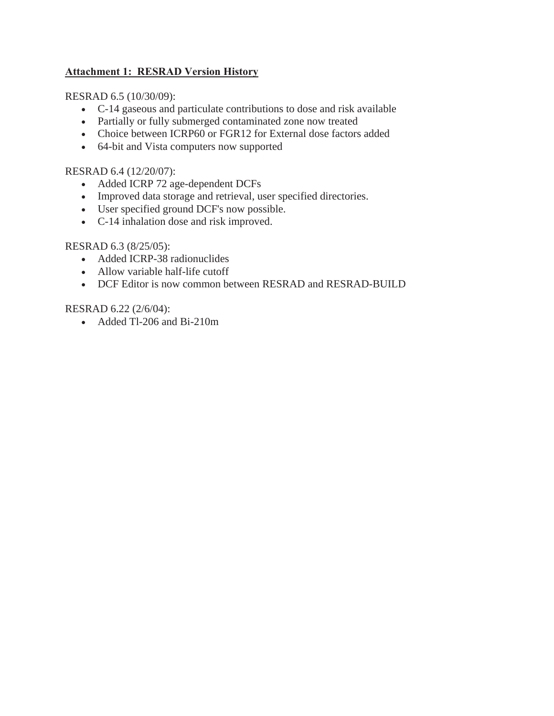# **Attachment 1: RESRAD Version History**

# RESRAD 6.5 (10/30/09):

- C-14 gaseous and particulate contributions to dose and risk available
- Partially or fully submerged contaminated zone now treated
- Choice between ICRP60 or FGR12 for External dose factors added
- 64-bit and Vista computers now supported

# RESRAD 6.4 (12/20/07):

- Added ICRP 72 age-dependent DCFs
- Improved data storage and retrieval, user specified directories.
- User specified ground DCF's now possible.
- C-14 inhalation dose and risk improved.

# RESRAD 6.3 (8/25/05):

- Added ICRP-38 radionuclides
- Allow variable half-life cutoff
- DCF Editor is now common between RESRAD and RESRAD-BUILD

# RESRAD 6.22 (2/6/04):

• Added Tl-206 and Bi-210m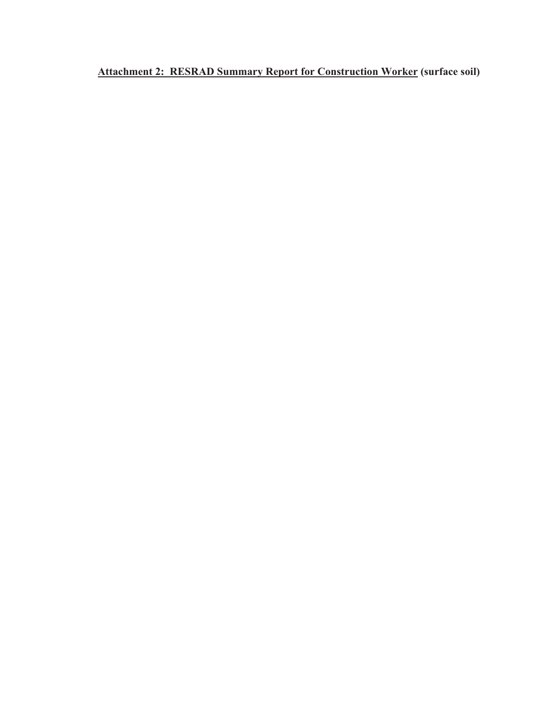**Attachment 2: RESRAD Summary Report for Construction Worker (surface soil)**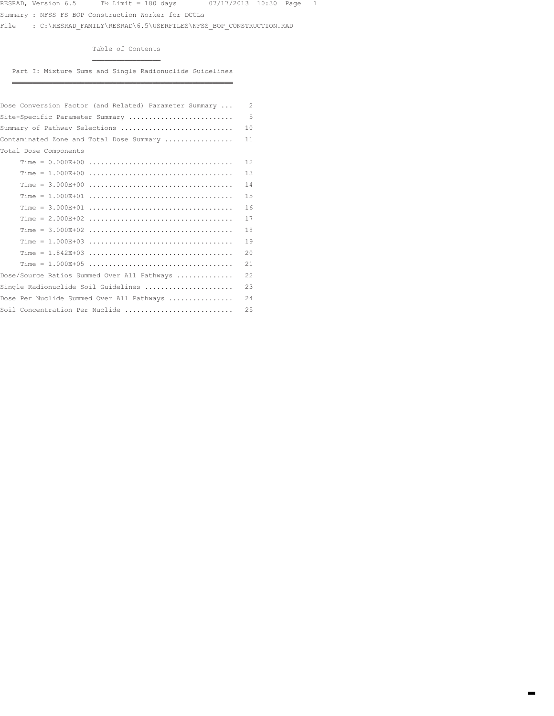Summary : NFSS FS BOP Construction Worker for DCGLs

¶¶¶¶¶¶¶¶¶¶¶¶¶¶¶¶¶

File : C:\RESRAD\_FAMILY\RESRAD\6.5\USERFILES\NFSS\_BOP\_CONSTRUCTION.RAD

Table of Contents

Part I: Mixture Sums and Single Radionuclide Guidelines ÁÁÁÁÁÁÁÁÁÁÁÁÁÁÁÁÁÁÁÁÁÁÁÁÁÁÁÁÁÁÁÁÁÁÁÁÁÁÁÁÁÁÁÁÁÁÁÁÁÁÁÁÁÁÁ

| Dose Conversion Factor (and Related) Parameter Summary | $\overline{c}$ |
|--------------------------------------------------------|----------------|
| Site-Specific Parameter Summary                        | 5              |
| Summary of Pathway Selections                          | 10             |
| Contaminated Zone and Total Dose Summary               | 11             |
| Total Dose Components                                  |                |
|                                                        | 12             |
|                                                        | 13             |
|                                                        | 14             |
|                                                        | 15             |
|                                                        | 16             |
|                                                        | 17             |
|                                                        | 18             |
|                                                        | 19             |
|                                                        | 20             |
|                                                        | 21             |
| Dose/Source Ratios Summed Over All Pathways            | 22             |
| Single Radionuclide Soil Guidelines                    | 23             |
| Dose Per Nuclide Summed Over All Pathways              | 24             |
| Soil Concentration Per Nuclide                         | 25             |
|                                                        |                |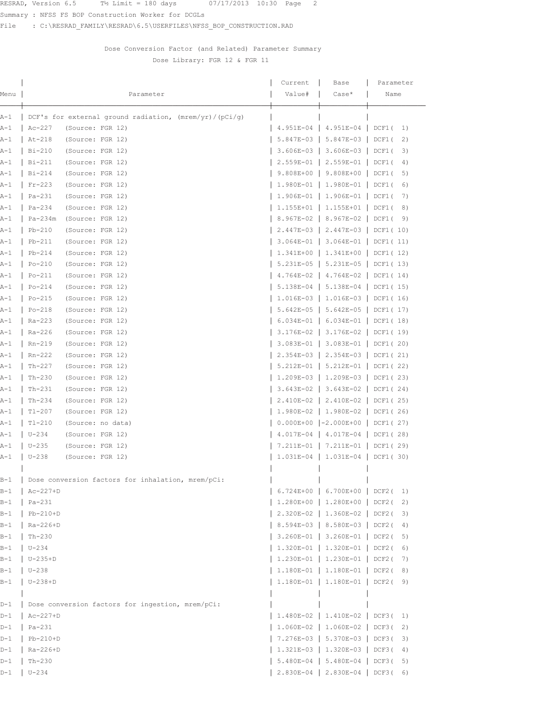Summary : NFSS FS BOP Construction Worker for DCGLs

File : C:\RESRAD\_FAMILY\RESRAD\6.5\USERFILES\NFSS\_BOP\_CONSTRUCTION.RAD

## Dose Conversion Factor (and Related) Parameter Summary Dose Library: FGR 12 & FGR 11

|       |                                                          | Current                       | Base                                 | Parameter         |
|-------|----------------------------------------------------------|-------------------------------|--------------------------------------|-------------------|
| Menu  | Parameter                                                | Value#                        | $Case*$                              | Name              |
|       |                                                          |                               |                                      |                   |
| A-1   | DCF's for external ground radiation, $(mrem/yr)/(pci/q)$ |                               |                                      |                   |
| A-1   | $Ac-227$<br>(Source: FGR 12)                             |                               | 4.951E-04   4.951E-04   DCF1(        | 1)                |
| A-1   | At-218<br>(Source: FGR 12)                               |                               | $5.847E-03$   5.847E-03              | DCF1(<br>2)       |
| A-1   | Bi-210<br>(Source: FGR 12)                               |                               | 3.606E-03   3.606E-03   DCF1(        | 3)                |
| A-1   | $Bi-211$<br>(Source: FGR 12)                             |                               | 2.559E-01   2.559E-01                | DCF1(<br>4)       |
| A-1   | $Bi-214$<br>(Source: FGR 12)                             |                               | 9.808E+00   9.808E+00                | DCF1(<br>5)       |
| A-1   | $Fr-223$<br>(Source: FGR 12)                             |                               | $1.980E-01$   1.980E-01              | DCF1(<br>6)       |
| A-1   | Pa-231<br>(Source: FGR 12)                               |                               | 1.906E-01   1.906E-01                | DCF1(<br>7)       |
| A-1   | $Pa-234$<br>(Source: FGR 12)                             |                               | $1.155E+01$   1.155E+01   DCF1(      | 8)                |
| A-1   | $Pa-234m$<br>(Source: FGR 12)                            |                               | 8.967E-02   8.967E-02                | DCF1 (<br>9)      |
| A-1   | $Pb-210$<br>(Source: FGR 12)                             |                               | $2.447E-03$   2.447E-03              | DCF1 ( 10)        |
| A-1   | $Pb-211$<br>(Source: FGR 12)                             |                               | $3.064E-01$   3.064E-01   DCF1(11)   |                   |
| A-1   | $Pb-214$<br>(Source: FGR 12)                             |                               | $1.341E+00$   1.341E+00   DCF1(12)   |                   |
| A-1   | (Source: FGR 12)<br>$Po-210$                             |                               | $5.231E-05$   $5.231E-05$   DCF1(13) |                   |
| A-1   | Po-211<br>(Source: FGR 12)                               |                               | $4.764E-02$   $4.764E-02$   DCF1(14) |                   |
| A-1   | (Source: FGR 12)<br>Po-214                               |                               | $5.138E-04$   $5.138E-04$   DCF1(15) |                   |
| A-1   | (Source: FGR 12)<br>$Po-215$                             |                               | $1.016E-03$   1.016E-03   DCF1(16)   |                   |
| A-1   | $Po-218$<br>(Source: FGR 12)                             |                               | $5.642E-05$   $5.642E-05$   DCF1(17) |                   |
| A-1   | Ra-223<br>(Source: FGR 12)                               |                               | $6.034E-01$   $6.034E-01$   DCF1(18) |                   |
| A-1   | Ra-226<br>(Source: FGR 12)                               |                               | $3.176E-02$   3.176E-02   DCF1(19)   |                   |
| A-1   | Rn-219<br>(Source: FGR 12)                               |                               | 3.083E-01   3.083E-01   DCF1(20)     |                   |
| A-1   | $Rn-222$<br>(Source: FGR 12)                             |                               | 2.354E-03   2.354E-03   DCF1(21)     |                   |
| A-1   | $Th-227$<br>(Source: FGR 12)                             |                               | $5.212E-01$   $5.212E-01$   DCF1(22) |                   |
| A-1   | $Th-230$<br>(Source: FGR 12)                             |                               | $1.209E-03$   1.209E-03   DCF1(23)   |                   |
| A-1   | Th-231<br>(Source: FGR 12)                               |                               | $3.643E-02$   3.643E-02              | $\vert$ DCF1 (24) |
| A-1   | Th-234<br>(Source: FGR 12)                               |                               | 2.410E-02   2.410E-02   DCF1(25)     |                   |
| A-1   | $T1-207$<br>(Source: FGR 12)                             |                               | 1.980E-02   1.980E-02   DCF1(26)     |                   |
| A-1   | T1-210<br>(Source: no data)                              |                               | $0.000E+00$  -2.000E+00              | DCF1 $(27)$       |
| A-1   | $U - 234$<br>(Source: FGR 12)                            |                               | $4.017E-04$   $4.017E-04$   DCF1(28) |                   |
| A-1   | $U - 235$<br>(Source: FGR 12)                            |                               | 7.211E-01   7.211E-01   DCF1(29)     |                   |
| A-1   | $U - 238$<br>(Source: FGR 12)                            |                               | $1.031E-04$   1.031E-04   DCF1(30)   |                   |
| B-1   | Dose conversion factors for inhalation, mrem/pCi:        |                               |                                      |                   |
| $B-1$ | $Ac-227+D$                                               |                               | 6.724E+00   6.700E+00   DCF2(        | 1)                |
| B-1   | $Pa-231$                                                 |                               | 1.280E+00   1.280E+00   DCF2(        | 2)                |
| $B-1$ | $Pb-210+D$                                               |                               | 2.320E-02   1.360E-02   DCF2(        | 3)                |
| $B-1$ | Ra-226+D                                                 | 8.594E-03   8.580E-03   DCF2( |                                      | 4)                |
| $B-1$ | $Th-230$                                                 |                               | 3.260E-01   3.260E-01   DCF2(        | 5)                |
| B-1   | $U - 234$                                                |                               | $1.320E-01$   $1.320E-01$   DCF2(    | 6)                |
| B-1   | $U-235+D$                                                |                               | 1.230E-01   1.230E-01   DCF2(        | 7)                |
| $B-1$ | $U - 238$                                                |                               | $1.180E-01$   $1.180E-01$   DCF2(    | 8)                |
| $B-1$ | $U-238+D$                                                |                               | 1.180E-01   1.180E-01   DCF2(        | 9)                |
|       |                                                          |                               |                                      |                   |
| $D-1$ | Dose conversion factors for ingestion, mrem/pCi:         |                               |                                      |                   |
| $D-1$ | $Ac-227+D$                                               |                               | $1.480E-02$   1.410E-02   DCF3(      | 1)                |
| D-1   | $Pa-231$                                                 |                               | $1.060E-02$   $1.060E-02$   DCF3(    | 2)                |
| $D-1$ | $Pb-210+D$                                               |                               | 7.276E-03   5.370E-03   DCF3(        | 3)                |
| $D-1$ | Ra-226+D                                                 |                               | $1.321E-03$   $1.320E-03$   DCF3(    | 4)                |
| $D-1$ | $Th-230$                                                 |                               | 5.480E-04   5.480E-04   DCF3(        | 5)                |
| D-1   | $U - 234$                                                |                               | $2.830E-04$   2.830E-04   DCF3(6)    |                   |
|       |                                                          |                               |                                      |                   |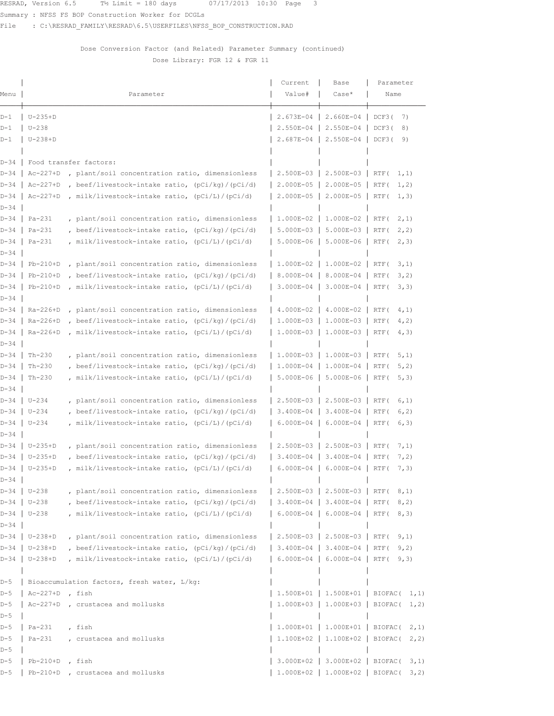Summary : NFSS FS BOP Construction Worker for DCGLs

File : C:\RESRAD\_FAMILY\RESRAD\6.5\USERFILES\NFSS\_BOP\_CONSTRUCTION.RAD

## Dose Conversion Factor (and Related) Parameter Summary (continued) Dose Library: FGR 12 & FGR 11

| Menu         |                   | Parameter                                         | Current<br>Value#       | Base<br>$Case*$           | Parameter<br>Name                                             |
|--------------|-------------------|---------------------------------------------------|-------------------------|---------------------------|---------------------------------------------------------------|
|              |                   |                                                   |                         |                           |                                                               |
| D-1          | $U-235+D$         |                                                   | 2.673E-04               | 2.660E-04                 | DCF3(<br>7)                                                   |
| $D-1$        | $U - 238$         |                                                   | 2.550E-04               | $2.550E - 04$             | DCF3(<br>8)                                                   |
| D-1          | $U-238+D$         |                                                   | $2.687E - 04$           | 2.550E-04                 | DCF3(<br>9)                                                   |
| $D - 34$     |                   | Food transfer factors:                            |                         |                           |                                                               |
| $D - 34$     | $Ac-227+D$        | plant/soil concentration ratio, dimensionless     |                         | 2.500E-03   2.500E-03     | RTF (<br>1, 1)                                                |
| $D - 34$     | $Ac-227+D$        | , beef/livestock-intake ratio, (pCi/kg)/(pCi/d)   | 2.000E-05               | 2.000E-05                 | RTF (<br>1, 2)                                                |
| $D - 34$     | $Ac-227+D$        | , milk/livestock-intake ratio, $(pCi/L)/(pCi/d)$  | $2.000E-05$             | 2.000E-05                 | RTF (<br>1, 3)                                                |
| $D-34$       |                   |                                                   |                         |                           |                                                               |
| $D-34$       | Pa-231            | , plant/soil concentration ratio, dimensionless   | $1.000E-02$   1.000E-02 |                           | RTF (<br>2, 1)                                                |
| D-34         | $Pa-231$          | , beef/livestock-intake ratio, $(pCi/kg)/(pCi/d)$ |                         | $5.000E-03$   $5.000E-03$ | RTF (<br>2, 2)                                                |
| D-34<br>D-34 | $Pa-231$          | , milk/livestock-intake ratio, (pCi/L)/(pCi/d)    | $5.000E-06$             | 5.000E-06                 | RTF (<br>2, 3)                                                |
| D-34         | $Pb-210+D$        | , plant/soil concentration ratio, dimensionless   | 1.000E-02               | 1.000E-02                 | RTF (<br>3, 1)                                                |
| $D - 34$     | $Pb-210+D$        | , beef/livestock-intake ratio, $(pCi/kg)/(pCi/d)$ | $8.000E - 04$           | 8.000E-04                 | RTF (<br>3, 2)                                                |
| $D - 34$     | $Pb-210+D$        | , milk/livestock-intake ratio, (pCi/L)/(pCi/d)    | $3.000E-04$             | 3.000E-04                 | RTF (<br>3, 3)                                                |
| $D-34$       |                   |                                                   |                         |                           |                                                               |
| $D - 34$     | Ra-226+D          | , plant/soil concentration ratio, dimensionless   | 4.000E-02               | 4.000E-02                 | RTF (<br>4, 1)                                                |
| $D - 34$     | Ra-226+D          | , beef/livestock-intake ratio, $(pCi/kg)/(pCi/d)$ | $1.000E-03$             | 1.000E-03                 | RTF (<br>4, 2)                                                |
| D-34         | $Ra-226+D$        | , milk/livestock-intake ratio, (pCi/L)/(pCi/d)    | $1.000E-03$             | 1.000E-03                 | RTF (<br>4, 3)                                                |
| D-34         |                   |                                                   |                         |                           |                                                               |
| D-34         | $Th-230$          | , plant/soil concentration ratio, dimensionless   |                         | $1.000E-03$   1.000E-03   | 5, 1)<br>RTF (                                                |
| $D - 34$     | $Th-230$          | , beef/livestock-intake ratio, (pCi/kg)/(pCi/d)   | 1.000E-04               | 1.000E-04                 | RTF (<br>5, 2)                                                |
| $D - 34$     | $Th-230$          | , milk/livestock-intake ratio, (pCi/L)/(pCi/d)    | 5.000E-06               | 5.000E-06                 | RTF (<br>5, 3)                                                |
| D-34         |                   |                                                   |                         |                           |                                                               |
| $D-34$       | $U - 234$         | , plant/soil concentration ratio, dimensionless   | $2.500E-03$             | 2.500E-03                 | RTF (<br>6, 1)                                                |
| $D - 34$     | $U - 234$         | , beef/livestock-intake ratio, $(pCi/kg)/(pCi/d)$ | $3.400E-04$             | 3.400E-04                 | RTF (<br>6, 2)                                                |
| $D - 34$     | $U - 234$         | , milk/livestock-intake ratio, (pCi/L)/(pCi/d)    | $6.000E - 04$           | 6.000E-04                 | RTF (<br>6, 3)                                                |
| $D-34$       |                   |                                                   |                         |                           |                                                               |
| D-34         | $U-235+D$         | , plant/soil concentration ratio, dimensionless   | $2.500E-03$             | 2.500E-03                 | 7, 1)<br>RTF (                                                |
| D-34         | $U-235+D$         | , beef/livestock-intake ratio, $(pCi/kg)/(pCi/d)$ | $3.400E - 04$           | 3.400E-04                 | RTF (<br>7, 2)                                                |
| D-34<br>D-34 | $U-235+D$         | , milk/livestock-intake ratio, (pCi/L)/(pCi/d)    | $6.000E - 04$           | 6.000E-04                 | RTF (<br>7, 3)                                                |
| $D-34$       | $U - 238$         | , plant/soil concentration ratio, dimensionless   |                         | 2.500E-03   2.500E-03     | RTF (<br>8, 1)                                                |
| $D - 34$     | $U - 238$         | , beef/livestock-intake ratio, $(pCi/kg)/(pCi/d)$ |                         | $3.400E-04$   3.400E-04   | RTF (<br>8, 2)                                                |
| $D-34$       | $U - 238$         | , milk/livestock-intake ratio, (pCi/L)/(pCi/d)    |                         | $6.000E-04$   6.000E-04   | RTF (<br>8, 3)                                                |
| $D-34$       |                   |                                                   |                         |                           |                                                               |
| $D-34$       | $U-238+D$         | , plant/soil concentration ratio, dimensionless   |                         | 2.500E-03   2.500E-03     | 9, 1)<br>RTF (                                                |
| $D - 34$     | $U-238+D$         | , beef/livestock-intake ratio, (pCi/kg)/(pCi/d)   |                         | 3.400E-04   3.400E-04     | RTF (<br>9, 2)                                                |
| $D - 34$     | $U-238+D$         | , milk/livestock-intake ratio, (pCi/L)/(pCi/d)    |                         | $6.000E-04$   6.000E-04   | RTF (<br>9, 3)                                                |
|              |                   |                                                   |                         |                           |                                                               |
| $D-5$        |                   | Bioaccumulation factors, fresh water, L/kg:       |                         |                           |                                                               |
| $D-5$        | $Ac-227+D$ , fish |                                                   |                         |                           | $1.500E+01$   1.500E+01   BIOFAC( 1,1)                        |
| $D-5$        |                   | Ac-227+D, crustacea and mollusks                  |                         |                           | $1.000E+03$   1.000E+03   BIOFAC( 1,2)                        |
| $D-5$        |                   |                                                   |                         |                           |                                                               |
| $D-5$        | $Pa-231$          | , fish                                            |                         | $1.000E+01$   1.000E+01   | BIOFAC (<br>2, 1)                                             |
| D-5          | $Pa-231$          | , crustacea and mollusks                          |                         | 1.100E+02   1.100E+02     | BIOFAC (<br>2, 2)                                             |
| $D-5$        |                   |                                                   |                         |                           |                                                               |
| $D-5$        | $Pb-210+D$        | , fish                                            |                         | 3.000E+02   3.000E+02     | BIOFAC (<br>3, 1)<br>$1.000E+02$   $1.000E+02$   BIOFAC( 3,2) |
| D-5          |                   | Pb-210+D, crustacea and mollusks                  |                         |                           |                                                               |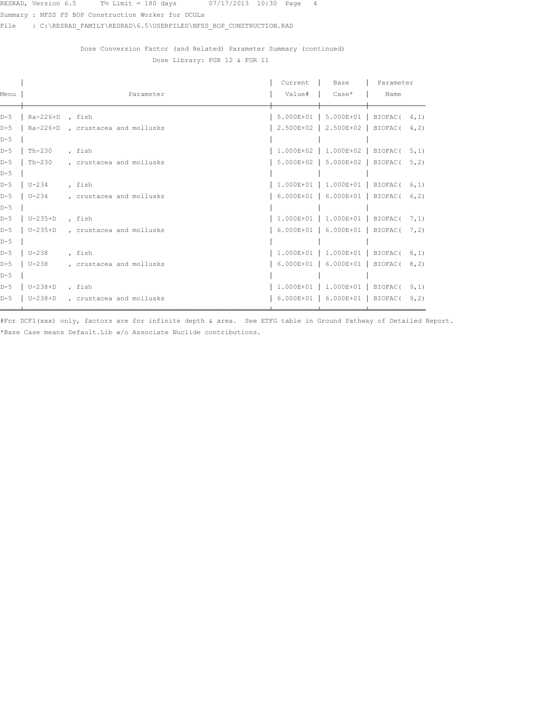Summary : NFSS FS BOP Construction Worker for DCGLs

File : C:\RESRAD\_FAMILY\RESRAD\6.5\USERFILES\NFSS\_BOP\_CONSTRUCTION.RAD

## Dose Conversion Factor (and Related) Parameter Summary (continued) Dose Library: FGR 12 & FGR 11

|       |                   |                                  | Current        | Base                                     | Parameter       |       |
|-------|-------------------|----------------------------------|----------------|------------------------------------------|-----------------|-------|
| Menu  |                   | Parameter                        | Value#   Case* |                                          | Name            |       |
| $D-5$ | $Ra-226+D$ , fish |                                  |                | $5.000E+01$   $5.000E+01$   BIOFAC( 4,1) |                 |       |
| $D-5$ |                   | Ra-226+D, crustacea and mollusks | 2.500E+02      | $2.500E+02$                              | BIOFAC $(4, 2)$ |       |
| $D-5$ |                   |                                  |                |                                          |                 |       |
| $D-5$ | $Th-230$          | , fish                           |                | $1.000E+02$   1.000E+02   BIOFAC( 5,1)   |                 |       |
| $D-5$ | Th-230            | , crustacea and mollusks         |                | 5.000E+02   5.000E+02   BIOFAC(          |                 | 5, 2) |
| $D-5$ |                   |                                  |                |                                          |                 |       |
| $D-5$ | $U - 234$         | , fish                           |                | $1.000E+01$   $1.000E+01$   BIOFAC( 6,1) |                 |       |
| $D-5$ | $U-234$           | , crustacea and mollusks         |                | 6.000E+01   6.000E+01   BIOFAC( 6,2)     |                 |       |
| $D-5$ |                   |                                  |                |                                          |                 |       |
| $D-5$ | U-235+D           | , fish                           |                | $1.000E+01$   1.000E+01   BIOFAC( 7,1)   |                 |       |
| $D-5$ | U-235+D           | , crustacea and mollusks         |                | 6.000E+01   6.000E+01   BIOFAC( 7,2)     |                 |       |
| $D-5$ |                   |                                  |                |                                          |                 |       |
| $D-5$ | U-238             | , fish                           |                | $1.000E+01$   $1.000E+01$   BIOFAC( 8,1) |                 |       |
| $D-5$ | $U-238$           | , crustacea and mollusks         |                | 6.000E+01   6.000E+01   BIOFAC( 8,2)     |                 |       |
| $D-5$ |                   |                                  |                |                                          |                 |       |
| $D-5$ | $U-238+D$         | , fish                           |                | $1.000E+01$   1.000E+01   BIOFAC( 9,1)   |                 |       |
| $D-5$ | $U-238+D$         | , crustacea and mollusks         |                | $6.000E+01$   $6.000E+01$   BIOFAC(      |                 | 9, 2) |

#For DCF1(xxx) only, factors are for infinite depth & area. See ETFG table in Ground Pathway of Detailed Report. \*Base Case means Default. Lib w/o Associate Nuclide contributions.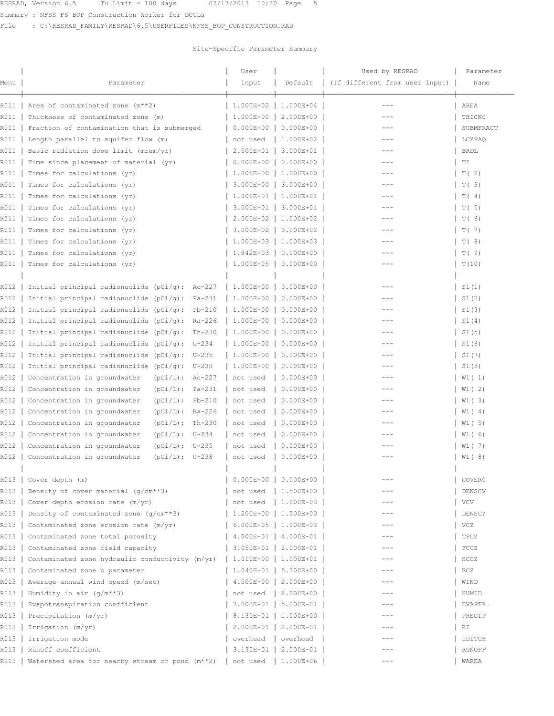Summary : NFSS FS BOP Construction Worker for DCGLs

File : C:\RESRAD\_FAMILY\RESRAD\6.5\USERFILES\NFSS\_BOP\_CONSTRUCTION.RAD

## Site-Specific Parameter Summary

|              |                                                                    | User                   |               | Used by RESRAD                 | Parameter          |
|--------------|--------------------------------------------------------------------|------------------------|---------------|--------------------------------|--------------------|
| Menu         | Parameter                                                          | Input                  | Default       | (If different from user input) | Name               |
| R011         | Area of contaminated zone (m**2)                                   | 1.000E+02              | 1.000E+04     | $---$                          | AREA               |
| R011         | Thickness of contaminated zone (m)                                 | 1.000E+00              | 2.000E+00     | ---                            | THICK0             |
| R011         | Fraction of contamination that is submerged                        | $0.000E + 00$          | $0.000E + 00$ | ---                            | SUBMFRACT          |
| R011         | Length parallel to aquifer flow (m)                                | not used               | 1.000E+02     |                                | LCZPAQ             |
| R011         | Basic radiation dose limit (mrem/yr)                               | 2.500E+01              | 3.000E+01     | $---$                          | <b>BRDL</b>        |
| R011         | Time since placement of material (yr)                              | $0.000E + 00$          | $0.000E + 00$ | $---$                          | TΙ                 |
| R011         | Times for calculations (yr)                                        | 1.000E+00              | 1.000E+00     | $---$                          | T(2)               |
| R011         | Times for calculations (yr)                                        | 3.000E+00              | 3.000E+00     | $---$                          | T(3)               |
| R011         | Times for calculations (yr)                                        | $1.000E + 01$          | 1.000E+01     | $---$                          | T(4)               |
| R011         | Times for calculations (yr)                                        | 3.000E+01              | 3.000E+01     |                                | T(5)               |
| R011         | Times for calculations (yr)                                        | $2.000E + 02$          | 1.000E+02     | $---$                          | T(6)               |
| R011         | Times for calculations (yr)                                        | 3.000E+02              | 3.000E+02     | $---$                          | T(7)               |
| R011         | Times for calculations (yr)                                        | 1.000E+03              | 1.000E+03     | ---                            | T(8)               |
| R011         | Times for calculations (yr)                                        | 1.842E+03              | $0.000E + 00$ | $--$                           | T(9)               |
| R011         |                                                                    | $1.000E + 05$          | $0.000E + 00$ |                                |                    |
|              | Times for calculations (yr)                                        |                        |               |                                | T(10)              |
|              |                                                                    |                        |               |                                |                    |
| R012         | Initial principal radionuclide ( $pCi/q$ ): Ac-227                 | 1.000E+00              | $0.000E + 00$ | $---$                          | S1(1)              |
| R012         | Initial principal radionuclide $(pCi/g)$ :<br>Pa-231               | 1.000E+00              | $0.000E + 00$ |                                | S1(2)              |
| R012         | Initial principal radionuclide $(pCi/g)$ :<br>Pb-210               | 1.000E+00              | $0.000E + 00$ | ---                            | S1(3)              |
| R012         | Initial principal radionuclide $(pCi/q)$ :<br>Ra-226               | 1.000E+00              | $0.000E + 00$ |                                | S1(4)              |
| R012         | Initial principal radionuclide $(pCi/g)$ :<br>$Th-230$             | 1.000E+00              | $0.000E + 00$ |                                | S1(5)              |
| R012         | Initial principal radionuclide $(pCi/q)$ :<br>U-234                | 1.000E+00              | $0.000E + 00$ |                                | S1(6)              |
| R012         | Initial principal radionuclide ( $pCi/g$ ): U-235                  | 1.000E+00              | $0.000E + 00$ | $---$                          | S1(7)              |
| R012         | Initial principal radionuclide ( $pCi/g$ ): U-238                  | 1.000E+00              | $0.000E + 00$ | ---                            | S1(8)              |
| R012         | Concentration in groundwater<br>$(pCi/L): Ac-227$                  | not used               | $0.000E + 00$ | $---$                          | W1(1)              |
| R012         | Concentration in groundwater<br>$(pCi/L): Pa-231$                  | not used               | $0.000E + 00$ |                                | W1(2)              |
| R012         | Concentration in groundwater<br>$(pCi/L): Pb-210$                  | not used               | $0.000E + 00$ | $---$                          | W1(3)              |
| R012         | Concentration in groundwater<br>$(pCi/L): Ra-226$                  | not used               | $0.000E + 00$ | $---$                          | $W1$ (4)           |
| R012         | Concentration in groundwater<br>$(pCi/L): Th-230$                  | not used               | $0.000E + 00$ | $---$                          | $W1$ (5)           |
| R012         | Concentration in groundwater<br>$(pCi/L): U-234$                   | not used               | $0.000E + 00$ | $---$                          | W1(6)              |
| R012         | Concentration in groundwater<br>$(pCi/L): U-235$                   | not used               | $0.000E + 00$ | $---$                          | W1(7)              |
| R012         | Concentration in groundwater<br>$(pCi/L): U-238$                   | not used               | $0.000E + 00$ |                                | W1 ( 8)            |
| R013         | Cover depth (m)                                                    | $0.000E + 00$          | $0.000E + 00$ |                                | COVER0             |
| R013         | Density of cover material (g/cm**3)                                | not used               | 1.500E+00     |                                | DENSCV             |
| R013         | Cover depth erosion rate (m/yr)                                    | not used               | 1.000E-03     | ---                            | <b>VCV</b>         |
| R013         | Density of contaminated zone $(q/cm**3)$                           | 1.200E+00              | 1.500E+00     |                                | DENSCZ             |
| R013         | Contaminated zone erosion rate (m/yr)                              | $6.000E-05$            | 1.000E-03     | $---$                          | VCZ                |
| R013         | Contaminated zone total porosity                                   | $4.500E-01$            | 4.000E-01     | $---$                          | TPCZ               |
| R013         | Contaminated zone field capacity                                   | 3.050E-01              | 2.000E-01     |                                | FCCZ               |
| R013         | Contaminated zone hydraulic conductivity (m/yr)                    | 1.010E+00              | 1.000E+01     | $---$                          | HCCZ               |
|              |                                                                    |                        | 5.300E+00     | ---                            |                    |
| R013<br>R013 | Contaminated zone b parameter<br>Average annual wind speed (m/sec) | 1.040E+01<br>4.500E+00 | 2.000E+00     |                                | <b>BCZ</b><br>WIND |
| R013         |                                                                    |                        | 8.000E+00     | $---$                          |                    |
| R013         | Humidity in air $(g/m**3)$                                         | not used               | 5.000E-01     | $-- -$                         | HUMID              |
|              | Evapotranspiration coefficient                                     | 7.000E-01              |               |                                | <b>EVAPTR</b>      |
| R013         | Precipitation (m/yr)                                               | 8.130E-01              | 1.000E+00     | ---                            | PRECIP             |
| R013         | Irrigation (m/yr)                                                  | 2.000E-01              | 2.000E-01     | ---                            | RI                 |
| R013         | Irrigation mode                                                    | overhead               | overhead      |                                | IDITCH             |
| R013         | Runoff coefficient                                                 | 3.130E-01              | 2.000E-01     | ---                            | RUNOFF             |
| R013         | Watershed area for nearby stream or pond (m**2)                    | not used               | 1.000E+06     | $---$                          | WAREA              |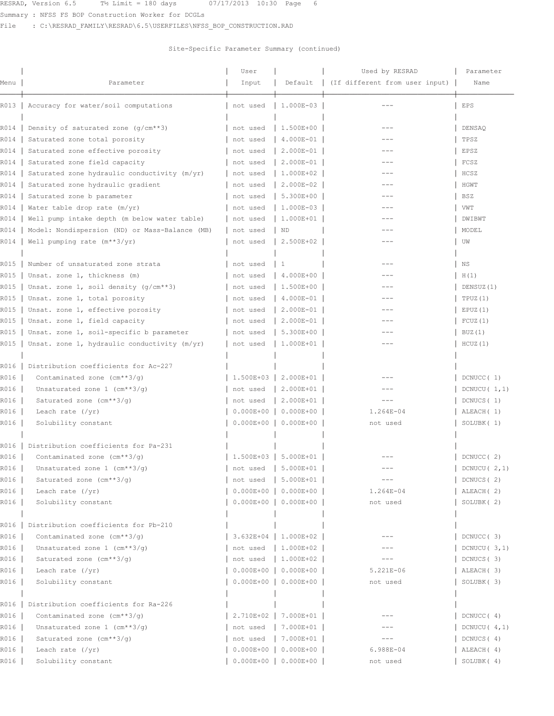Summary : NFSS FS BOP Construction Worker for DCGLs

File : C:\RESRAD\_FAMILY\RESRAD\6.5\USERFILES\NFSS\_BOP\_CONSTRUCTION.RAD

|                |                                                 | User                    |                                                  | Used by RESRAD                 | Parameter                        |  |
|----------------|-------------------------------------------------|-------------------------|--------------------------------------------------|--------------------------------|----------------------------------|--|
| Menu           | Parameter                                       |                         | Default                                          | (If different from user input) | Name                             |  |
|                | R013   Accuracy for water/soil computations     | not used                | 1.000E-03                                        |                                | EPS                              |  |
| R014           | Density of saturated zone $(q/cm**3)$           | not used                | 1.500E+00                                        | $- - -$                        | DENSAQ                           |  |
| R014           | Saturated zone total porosity                   | not used                | 4.000E-01                                        |                                | TPSZ                             |  |
| R014           | Saturated zone effective porosity               | not used                | 2.000E-01                                        | $---$                          | EPSZ                             |  |
| R014           | Saturated zone field capacity                   | not used                | $2.000E-01$                                      | $- - -$                        | FCSZ                             |  |
| R014           | Saturated zone hydraulic conductivity (m/yr)    | not used                | $1.000E + 02$                                    |                                | HCSZ                             |  |
| R014           | Saturated zone hydraulic gradient               | not used                | 2.000E-02                                        | $---$                          | HGWT                             |  |
| R014           | Saturated zone b parameter                      | not used                | $5.300E+00$                                      | $---$                          | <b>BSZ</b>                       |  |
| R014           | Water table drop rate (m/yr)                    | not used                | $1.000E-03$                                      |                                | VWT                              |  |
| R014           | Well pump intake depth (m below water table)    | not used                | 1.000E+01                                        | $---$                          | DWIBWT                           |  |
| R014           | Model: Nondispersion (ND) or Mass-Balance (MB)  | not used                | ND                                               |                                | MODEL                            |  |
| R014           | Well pumping rate $(m**3/yr)$                   | not used                | 2.500E+02                                        | $---$                          | UW                               |  |
|                |                                                 |                         |                                                  |                                |                                  |  |
|                |                                                 |                         |                                                  |                                |                                  |  |
| R015           | Number of unsaturated zone strata               | not used                | -1                                               |                                | ΝS                               |  |
| R015           | Unsat. zone 1, thickness (m)                    | not used                | 4.000E+00                                        |                                | H(1)                             |  |
| R015           | Unsat. zone 1, soil density $(g/cm**3)$         | not used                | 1.500E+00                                        |                                | DENSUZ(1)                        |  |
| R015           | Unsat. zone 1, total porosity                   | not used                | $4.000E-01$                                      |                                | TPUZ(1)                          |  |
| R015           | Unsat. zone 1, effective porosity               | not used                | 2.000E-01                                        |                                | EPUZ(1)                          |  |
| R015           | Unsat. zone 1, field capacity                   | not used                | $  2.000E - 01  $                                |                                | FCUZ(1)                          |  |
| R015           | Unsat. zone 1, soil-specific b parameter        | not used                | 5.300E+00                                        |                                | BUZ(1)                           |  |
| R015           | Unsat. zone 1, hydraulic conductivity (m/yr)    | not used                | 1.000E+01                                        | $---$                          | HCUZ(1)                          |  |
| R016           | Distribution coefficients for Ac-227            |                         |                                                  |                                |                                  |  |
| R016           | Contaminated zone $(cm**3/q)$                   |                         | 1.500E+03 2.000E+01                              |                                | DCNUCC(1)                        |  |
| R016           | Unsaturated zone $1$ (cm**3/g)                  | not used                | 2.000E+01                                        |                                | DCNUCU $(1,1)$                   |  |
| R016           | Saturated zone (cm**3/g)                        | not used                | 2.000E+01                                        | $---$                          | DCNUCS (1)                       |  |
| R016           | Leach rate $(\frac{yr}{r})$                     | $0.000E + 00$           | $0.000E + 00$                                    | 1.264E-04                      | ALEACH (1)                       |  |
| R016           | Solubility constant                             | $0.000E + 00$           | $0.000E + 00$                                    | not used                       | SOLUBK (1)                       |  |
| R016           | Distribution coefficients for Pa-231            |                         |                                                  |                                |                                  |  |
| R016           | Contaminated zone $(\text{cm}^{**}3/q)$         | $1.500E+03$   5.000E+01 |                                                  |                                | DCNUCC (2)                       |  |
| R016           | Unsaturated zone 1 (cm**3/g)                    | not used   5.000E+01    |                                                  |                                | $\begin{bmatrix}$ DCNUCU ( 2, 1) |  |
| R016           | Saturated zone (cm**3/q)                        |                         | not used   5.000E+01                             | $---$                          | DCNUCS (2)                       |  |
| R016           | Leach rate $(\sqrt{yr})$                        |                         | $0.000E+00$   0.000E+00                          | 1.264E-04                      | ALEACH (2)                       |  |
| R016           | Solubility constant                             |                         | $0.000E+00$ 0.000E+00                            | not used                       | SOLUBK (2)                       |  |
|                |                                                 |                         |                                                  |                                |                                  |  |
| R016           | Distribution coefficients for Pb-210            |                         |                                                  |                                |                                  |  |
| R016           | Contaminated zone $(\text{cm}^{**}3/q)$         |                         | 3.632E+04   1.000E+02                            |                                | DCNUCC (3)                       |  |
| R016           | Unsaturated zone $1$ (cm**3/q)                  | not used                | $1.000E+02$                                      |                                | DCNUCU $(3,1)$                   |  |
| R016           | Saturated zone $(cm**3/q)$                      | not used                | $1.000E+02$                                      | $---$                          | DCNUCS (3)                       |  |
| R016  <br>R016 | Leach rate $(\sqrt{vr})$<br>Solubility constant |                         | $0.000E+00$ 0.000E+00<br>$0.000E+00$   0.000E+00 | 5.221E-06<br>not used          | ALEACH (3)<br>SOLUBK (3)         |  |
|                |                                                 |                         |                                                  |                                |                                  |  |
| R016           | Distribution coefficients for Ra-226            |                         |                                                  |                                |                                  |  |
| R016           | Contaminated zone (cm**3/g)                     |                         | 2.710E+02   7.000E+01                            |                                | DCNUCC (4)                       |  |
| R016           | Unsaturated zone $1$ (cm**3/g)                  | not used                | $7.000E+01$                                      |                                | DCNUCU $(4,1)$                   |  |
| R016           | Saturated zone (cm**3/g)                        | not used                | $7.000E+01$                                      | $---$                          | DCNUCS (4)                       |  |
| R016           | Leach rate $(\gamma r)$                         |                         | $0.000E+00$ $0.000E+00$                          | 6.988E-04                      | ALEACH (4)                       |  |
| R016           | Solubility constant                             |                         | $0.000E+00$ 0.000E+00                            | not used                       | SOLUBK (4)                       |  |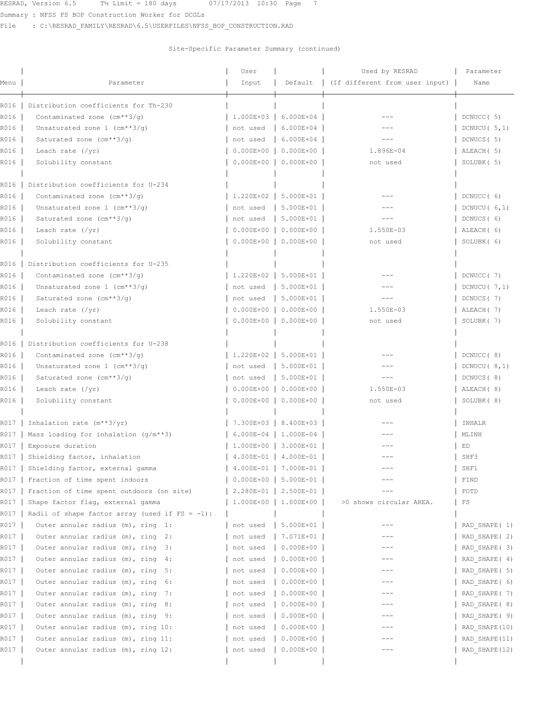RESRAD, Version 6.5  $\frac{1}{2}$  Limit = 180 days  $\frac{07}{17}{2013}$  10:30 Page 7

Summary : NFSS FS BOP Construction Worker for DCGLs

File : C:\RESRAD\_FAMILY\RESRAD\6.5\USERFILES\NFSS\_BOP\_CONSTRUCTION.RAD

|      |                                                   | User          |                           | Used by RESRAD                 | Parameter       |
|------|---------------------------------------------------|---------------|---------------------------|--------------------------------|-----------------|
| Menu | Parameter                                         | Input         | Default                   | (If different from user input) | Name            |
| R016 | Distribution coefficients for Th-230              |               |                           |                                |                 |
| R016 | Contaminated zone $(cm**3/q)$                     | $1.000E + 03$ | 6.000E+04                 |                                | DCNUCC (5)      |
| R016 | Unsaturated zone 1 (cm**3/g)                      | not used      | 6.000E+04                 | $-- -$                         | DCNUCU $(5,1)$  |
| R016 | Saturated zone $(cm**3/q)$                        | not used      | $6.000E + 04$             | $---$                          | DCNUCS (5)      |
| R016 | Leach rate $(\sqrt{yr})$                          | $0.000E + 00$ | $0.000E + 00$             | 1.896E-04                      | ALEACH (5)      |
| R016 | Solubility constant                               | $0.000E + 00$ | $0.000E + 00$             | not used                       | SOLUBK (5)      |
| R016 | Distribution coefficients for U-234               |               |                           |                                |                 |
| R016 | Contaminated zone $(cm**3/q)$                     | $1.220E+02$   | 5.000E+01                 |                                | DCNUCC (6)      |
| R016 | Unsaturated zone $1$ (cm**3/g)                    | not used      | 5.000E+01                 |                                | DCNUCU $(6, 1)$ |
| R016 | Saturated zone $(cm**3/q)$                        | not used      | 5.000E+01                 | $---$                          | DCNUCS (6)      |
| R016 | Leach rate $(\sqrt{yr})$                          | $0.000E + 00$ | $0.000E + 00$             | 1.550E-03                      | ALEACH (6)      |
| R016 | Solubility constant                               | $0.000E + 00$ | $0.000E + 00$             | not used                       | SOLUBK (6)      |
| R016 | Distribution coefficients for U-235               |               |                           |                                |                 |
| R016 | Contaminated zone $(\text{cm}^{**}3/q)$           | $1.220E+02$   | 5.000E+01                 | $---$                          | DCNUCC (7)      |
| R016 | Unsaturated zone $1$ (cm**3/q)                    | not used      | 5.000E+01                 | $- - -$                        | DCNUCU $(7, 1)$ |
| R016 | Saturated zone (cm**3/g)                          | not used      | 5.000E+01                 | $- - -$                        | DCNUCS (7)      |
| R016 | Leach rate $(\sqrt{yr})$                          | $0.000E + 00$ | $0.000E + 00$             | 1.550E-03                      | ALEACH (7)      |
| R016 | Solubility constant                               | $0.000E + 00$ | $0.000E + 00$             | not used                       | SOLUBK (7)      |
| R016 | Distribution coefficients for U-238               |               |                           |                                |                 |
| R016 | Contaminated zone (cm**3/g)                       | $1.220E+02$   | 5.000E+01                 |                                | DCNUCC (8)      |
| R016 | Unsaturated zone $1$ (cm**3/q)                    | not used      | 5.000E+01                 |                                | DCNUCU $(8,1)$  |
| R016 | Saturated zone (cm**3/g)                          | not used      | 5.000E+01                 | $---$                          | DCNUCS (8)      |
| R016 | Leach rate $(\sqrt{yr})$                          | $0.000E + 00$ | $0.000E + 00$             | 1.550E-03                      | ALEACH (8)      |
| R016 | Solubility constant                               | $0.000E + 00$ | $0.000E + 00$             | not used                       | SOLUBK (8)      |
| R017 | Inhalation rate $(m**3/yr)$                       | 7.300E+03     | 8.400E+03                 |                                | INHALR          |
| R017 | Mass loading for inhalation $(g/m**3)$            |               | $6.000E-04$   1.000E-04   | $---$                          | MLINH           |
| R017 | Exposure duration                                 |               | 1.000E+00 3.000E+01       |                                | ED              |
| R017 | Shielding factor, inhalation                      |               | $4.000E-01$   $4.000E-01$ |                                | SHF3            |
|      | R017   Shielding factor, external gamma           |               | 4.000E-01   7.000E-01     | $---$                          | SHF1            |
| R017 | Fraction of time spent indoors                    | $0.000E + 00$ | 5.000E-01                 |                                | FIND            |
| R017 | Fraction of time spent outdoors (on site)         | $2.280E-01$   | 2.500E-01                 |                                | FOTD            |
| R017 | Shape factor flag, external gamma                 | $1.000E + 00$ | $1.000E + 00$             | >0 shows circular AREA.        | FS              |
| R017 | Radii of shape factor array (used if $FS = -1$ ): |               |                           |                                |                 |
| R017 | Outer annular radius (m), ring 1:                 | not used      | $5.000E + 01$             |                                | RAD SHAPE (1)   |
| R017 | Outer annular radius (m), ring 2:                 | not used      | $7.071E+01$               | $---$                          | RAD SHAPE (2)   |
| R017 | Outer annular radius (m), ring 3:                 | not used      | $0.000E + 00$             |                                | RAD SHAPE (3)   |
| R017 | Outer annular radius (m), ring 4:                 | not used      | $0.000E + 00$             | $---$                          | RAD SHAPE (4)   |
| R017 | Outer annular radius (m), ring 5:                 | not used      | $0.000E + 00$             | $---$                          | RAD SHAPE ( 5)  |
| R017 | Outer annular radius (m), ring 6:                 | not used      | $0.000E + 00$             |                                | RAD SHAPE ( 6)  |
| R017 | Outer annular radius (m), ring<br>7:              | not used      | $0.000E + 00$             | $---$                          | RAD SHAPE (7)   |
| R017 | Outer annular radius (m), ring<br>8:              | not used      | $0.000E + 00$             |                                | RAD SHAPE ( 8)  |
| R017 | Outer annular radius (m), ring 9:                 | not used      | $0.000E + 00$             | $---$                          | RAD SHAPE ( 9)  |
| R017 | Outer annular radius (m), ring 10:                | not used      | $0.000E + 00$             |                                | RAD SHAPE (10)  |
| R017 | Outer annular radius (m), ring 11:                | not used      | $0.000E + 00$             |                                | RAD SHAPE (11)  |
| R017 | Outer annular radius (m), ring 12:                | not used      | $0.000E + 00$             |                                | RAD SHAPE (12)  |
|      |                                                   |               |                           |                                |                 |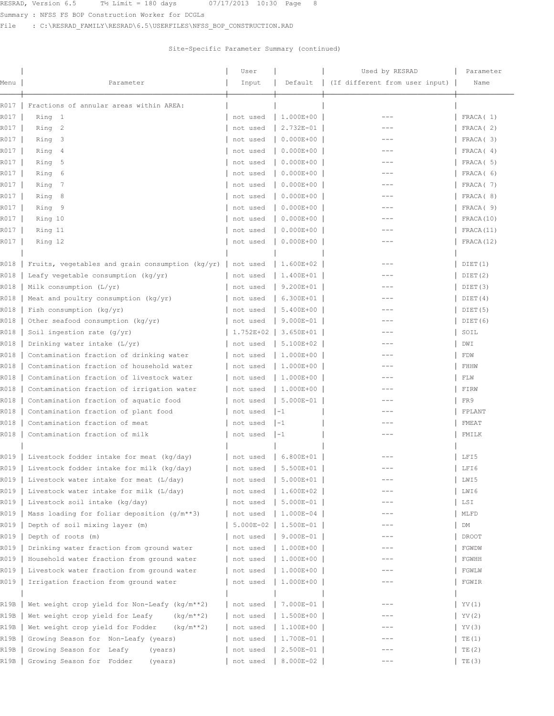Summary : NFSS FS BOP Construction Worker for DCGLs

File : C:\RESRAD\_FAMILY\RESRAD\6.5\USERFILES\NFSS\_BOP\_CONSTRUCTION.RAD

|              |                                                      | User                 |                                | Used by RESRAD                 | Parameter            |
|--------------|------------------------------------------------------|----------------------|--------------------------------|--------------------------------|----------------------|
| Menu         | Parameter                                            | Input                | Default                        | (If different from user input) | Name                 |
|              |                                                      |                      |                                |                                |                      |
| R017<br>R017 | Fractions of annular areas within AREA:<br>Ring 1    |                      | 1.000E+00                      |                                | FRACA(1)             |
| R017         | Ring 2                                               | not used<br>not used | 2.732E-01                      | $- - -$                        | FRACA(2)             |
|              |                                                      |                      |                                |                                |                      |
| R017         | Ring 3                                               | not used             | $0.000E + 00$                  | $---$                          | FRACA (3)            |
| R017<br>R017 | Ring 4                                               | not used             | $0.000E + 00$<br>$0.000E + 00$ | $---$                          | FRACA(4)<br>FRACA(5) |
|              | Ring<br>5                                            | not used             |                                | $---$                          | FRACA ( 6)           |
| R017         | 6<br>Ring                                            | not used             | $0.000E + 00$                  | $---$                          |                      |
| R017         | Ring<br>7                                            | not used             | $0.000E + 00$                  |                                | FRACA (7)            |
| R017         | 8<br>Ring                                            | not used             | $0.000E + 00$                  | $---$                          | FRACA (8)            |
| R017         | Ring 9                                               | not used             | $0.000E + 00$                  |                                | FRACA (9)            |
| R017         | Ring 10                                              | not used             | $0.000E + 00$                  | $---$                          | FRACA(10)            |
| R017         | Ring 11                                              | not used             | $0.000E + 00$                  | $---$                          | FRACA (11)           |
| R017         | Ring 12                                              | not used             | $0.000E + 00$                  | $---$                          | FRACA (12)           |
| R018         | Fruits, vegetables and grain consumption ( $kg/yr$ ) | not used             | 1.600E+02                      |                                | DIET(1)              |
| R018         | Leafy vegetable consumption $(kq/yr)$                | not used             | 1.400E+01                      | ---                            | DIET(2)              |
| R018         | Milk consumption (L/yr)                              | not used             | 9.200E+01                      | $---$                          | DIET(3)              |
| R018         | Meat and poultry consumption (kg/yr)                 | not used             | 6.300E+01                      |                                | DIET(4)              |
| R018         | Fish consumption ( $kg/yr$ )                         | not used             | 5.400E+00                      | $---$                          | DIET(5)              |
| R018         | Other seafood consumption (kg/yr)                    | not used             | 9.000E-01                      | $- - -$                        | DIET (6)             |
| R018         | Soil ingestion rate $(g/yr)$                         | 1.752E+02            | $3.650E + 01$                  |                                | SOIL                 |
| R018         | Drinking water intake (L/yr)                         | not used             | 5.100E+02                      | $- - -$                        | DWI                  |
| R018         | Contamination fraction of drinking water             | not used             | 1.000E+00                      | $- - -$                        | FDW                  |
| R018         | Contamination fraction of household water            | not used             | 1.000E+00                      | ---                            | FHHW                 |
| R018         | Contamination fraction of livestock water            | not used             | 1.000E+00                      | $---$                          | FLW                  |
| R018         | Contamination fraction of irrigation water           | not used             | 1.000E+00                      |                                | FIRW                 |
| R018         | Contamination fraction of aquatic food               | not used             | $5.000E-01$                    | $---$                          | FR9                  |
| R018         | Contamination fraction of plant food                 | not used             | $1 - 1$                        | $- - -$                        | FPLANT               |
| R018         | Contamination fraction of meat                       | not used             | $1 - 1$                        | $---$                          | FMEAT                |
| R018         | Contamination fraction of milk                       | not used             | $1 - 1$                        | $---$                          | FMILK                |
|              |                                                      |                      |                                |                                |                      |
|              | R019   Livestock fodder intake for meat (kg/day)     | not used             | $  6.800E + 01$                |                                | LFI5                 |
|              | R019   Livestock fodder intake for milk (kg/day)     |                      | not used   5.500E+01           | $--$                           | LFI6                 |
| R019         | Livestock water intake for meat (L/day)              | not used             | 5.000E+01                      |                                | LWI5                 |
| R019         | Livestock water intake for milk (L/day)              | not used             | 1.600E+02                      |                                | LWI 6                |
| R019         | Livestock soil intake (kg/day)                       | not used             | 5.000E-01                      |                                | LSI                  |
| R019         | Mass loading for foliar deposition (g/m**3)          | not used             | 1.000E-04                      |                                | MLFD                 |
| R019         | Depth of soil mixing layer (m)                       | $5.000E-02$          | 1.500E-01                      | $---$                          | DM                   |
| R019         | Depth of roots (m)                                   | not used             | 9.000E-01                      | $---$                          | <b>DROOT</b>         |
| R019         | Drinking water fraction from ground water            | not used             | 1.000E+00                      |                                | FGWDW                |
| R019         | Household water fraction from ground water           | not used             | 1.000E+00                      | $---$                          | FGWHH                |
|              | Livestock water fraction from ground water           |                      | 1.000E+00                      |                                | FGWLW                |
| R019<br>R019 | Irrigation fraction from ground water                | not used<br>not used | 1.000E+00                      |                                | FGWIR                |
|              |                                                      |                      |                                |                                |                      |
| R19B         | Wet weight crop yield for Non-Leafy (kg/m**2)        | not used             | 7.000E-01                      |                                | YY(1)                |
| R19B         | Wet weight crop yield for Leafy<br>$(kq/m**2)$       | not used             | 1.500E+00                      | ---                            | YV (2)               |
| R19B         | Wet weight crop yield for Fodder<br>$(kq/m**2)$      | not used             | 1.100E+00                      |                                | YV (3)               |
| R19B         | Growing Season for Non-Leafy (years)                 | not used             | 1.700E-01                      |                                | TE(1)                |
| R19B         | Growing Season for Leafy<br>(years)                  | not used             | 2.500E-01                      |                                | TE(2)                |
| R19B         | Growing Season for Fodder<br>(years)                 | not used             | 8.000E-02                      | $---$                          | TE(3)                |
|              |                                                      |                      |                                |                                |                      |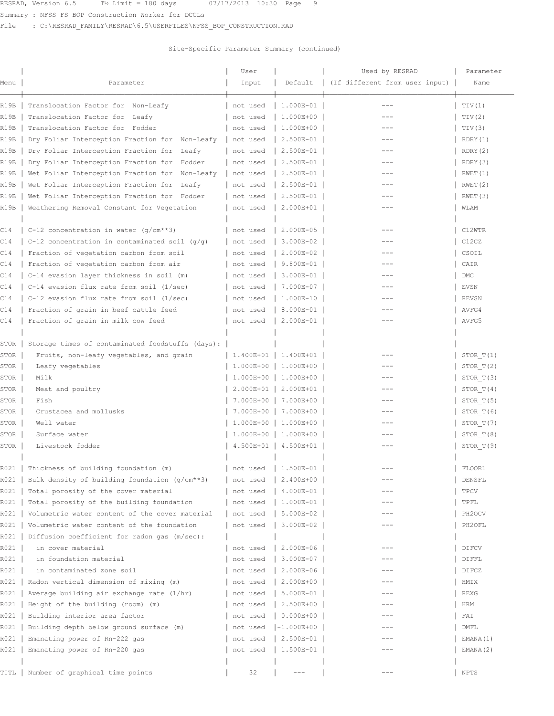Summary : NFSS FS BOP Construction Worker for DCGLs

File : C:\RESRAD\_FAMILY\RESRAD\6.5\USERFILES\NFSS\_BOP\_CONSTRUCTION.RAD

| Menu        | Parameter                                        | User<br>Input          | Default          | Used by RESRAD<br>(If different from user input) | Parameter<br>Name   |
|-------------|--------------------------------------------------|------------------------|------------------|--------------------------------------------------|---------------------|
|             |                                                  |                        |                  |                                                  |                     |
| R19B        | Translocation Factor for Non-Leafy               | not used               | 1.000E-01        | $---$                                            | TIV(1)              |
| R19B        | Translocation Factor for Leafy                   | not used               | 1.000E+00        |                                                  | TIV(2)              |
| R19B        | Translocation Factor for Fodder                  | not used               | 1.000E+00        | $---$                                            | TIV(3)              |
| R19B        | Dry Foliar Interception Fraction for Non-Leafy   | not used               | 2.500E-01        | $---$                                            | RDRY (1)            |
| R19B        | Dry Foliar Interception Fraction for Leafy       | not used               | 2.500E-01        |                                                  | RDRY (2)            |
| R19B        | Dry Foliar Interception Fraction for Fodder      | not used               | 2.500E-01        | $---$                                            | RDRY (3)            |
| R19B        | Wet Foliar Interception Fraction for Non-Leafy   | not used               | 2.500E-01        | $---$                                            | RWET(1)             |
| R19B        | Wet Foliar Interception Fraction for Leafy       | not used               | 2.500E-01        |                                                  | RWET(2)             |
| R19B        | Wet Foliar Interception Fraction for Fodder      | not used               | 2.500E-01        | $---$                                            | RWET (3)            |
| R19B        | Weathering Removal Constant for Vegetation       | not used               | 2.000E+01        | $---$                                            | WLAM                |
| C14         | C-12 concentration in water $(g/cm**3)$          | not used               | 2.000E-05        | $---$                                            | C12WTR              |
| C14         | C-12 concentration in contaminated soil $(q/q)$  | not used               | 3.000E-02        |                                                  | C12CZ               |
| C14         | Fraction of vegetation carbon from soil          | not used               | 2.000E-02        | $---$                                            | CSOIL               |
| C14         | Fraction of vegetation carbon from air           | not used               | 9.800E-01        | $---$                                            | CAIR                |
| C14         | C-14 evasion layer thickness in soil (m)         | not used               | 3.000E-01        |                                                  | <b>DMC</b>          |
| C14         | C-14 evasion flux rate from soil (1/sec)         | not used               | 7.000E-07        | $---$                                            | EVSN                |
| C14         | C-12 evasion flux rate from soil (1/sec)         | not used               | 1.000E-10        |                                                  | <b>REVSN</b>        |
| C14         | Fraction of grain in beef cattle feed            | not used               | 8.000E-01        |                                                  | AVFG4               |
| C14         | Fraction of grain in milk cow feed               | not used               | 2.000E-01        | $---$                                            | AVFG5               |
|             |                                                  |                        |                  |                                                  |                     |
| <b>STOR</b> | Storage times of contaminated foodstuffs (days): |                        |                  |                                                  |                     |
| STOR        | Fruits, non-leafy vegetables, and grain          | 1.400E+01              | 1.400E+01        |                                                  | STOR T(1)           |
| STOR        | Leafy vegetables                                 | 1.000E+00              | 1.000E+00        |                                                  | STOR T(2)           |
| STOR        | Milk                                             | 1.000E+00              | 1.000E+00        | $---$                                            | STOR T(3)           |
| STOR        | Meat and poultry                                 | 2.000E+01              | 2.000E+01        | $---$                                            | STOR $T(4)$         |
| STOR        | Fish                                             | 7.000E+00              | 7.000E+00        | $- - -$                                          | STOR T(5)           |
| STOR        | Crustacea and mollusks                           | 7.000E+00              | 7.000E+00        | $---$                                            | STOR T(6)           |
| STOR        | Well water                                       | 1.000E+00              | 1.000E+00        | $---$                                            | STOR T(7)           |
| STOR        | Surface water                                    | 1.000E+00              | 1.000E+00        |                                                  | STOR T(8)           |
| STOR        | Livestock fodder                                 | $4.500E+01$            | 4.500E+01        | $---$                                            | STOR T(9)           |
|             | R021   Thickness of building foundation (m)      | not used   $1.500E-01$ |                  |                                                  | FLOOR1              |
| R021        | Bulk density of building foundation (g/cm**3)    | not used               | 2.400E+00        |                                                  | DENSFL              |
| R021        | Total porosity of the cover material             | not used               | 4.000E-01        |                                                  | TPCV                |
| R021        | Total porosity of the building foundation        | not used               | 1.000E-01        | ---                                              | TPFL                |
| R021        | Volumetric water content of the cover material   | not used               | 5.000E-02        | $---$                                            | PH <sub>2</sub> OCV |
| R021        | Volumetric water content of the foundation       | not used               | $3.000E - 02$    |                                                  | PH2OFL              |
| R021        | Diffusion coefficient for radon gas (m/sec):     |                        |                  |                                                  |                     |
| R021        | in cover material                                | not used               | 2.000E-06        |                                                  | DIFCV               |
| R021        | in foundation material                           | not used               | 3.000E-07        |                                                  | DIFFL               |
| R021        | in contaminated zone soil                        | not used               | 2.000E-06        | $- - -$                                          | DIFCZ               |
| R021        | Radon vertical dimension of mixing (m)           | not used               | 2.000E+00        | $- - -$                                          | HMIX                |
| R021        | Average building air exchange rate (1/hr)        | not used               | 5.000E-01        | ---                                              | REXG                |
| R021        | Height of the building (room) (m)                | not used               | 2.500E+00        | ---                                              | HRM                 |
| R021        | Building interior area factor                    | not used               | $0.000E + 00$    |                                                  | FAI                 |
| R021        | Building depth below ground surface (m)          | not used               | $[-1.000E + 00]$ |                                                  | DMFL                |
| R021        | Emanating power of Rn-222 gas                    | not used               | 2.500E-01        |                                                  | EMANA(1)            |
| R021        | Emanating power of Rn-220 gas                    | not used               | 1.500E-01        |                                                  | EMANA (2)           |
|             |                                                  |                        |                  |                                                  |                     |
| TITL        | Number of graphical time points                  | 32                     | $---$            | $---$                                            | NPTS                |
|             |                                                  |                        |                  |                                                  |                     |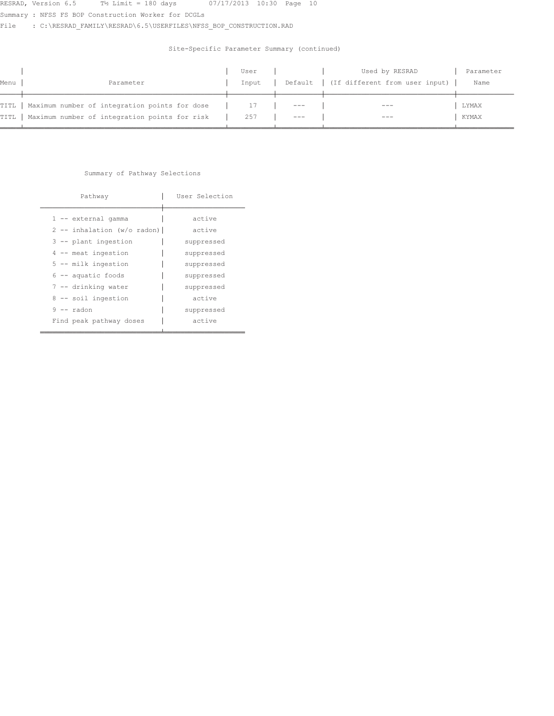Summary : NFSS FS BOP Construction Worker for DCGLs

File : C:\RESRAD\_FAMILY\RESRAD\6.5\USERFILES\NFSS\_BOP\_CONSTRUCTION.RAD

## Site-Specific Parameter Summary (continued)

|      |                                                      | User  |       | Used by RESRAD                           | Parameter |
|------|------------------------------------------------------|-------|-------|------------------------------------------|-----------|
| Menu | Parameter                                            | Input |       | Default   (If different from user input) | Name      |
|      |                                                      |       |       |                                          |           |
|      | TITL   Maximum number of integration points for dose |       | $---$ | $---$                                    | LYMAX     |
|      | TITL   Maximum number of integration points for risk | 257   |       | $- - -$                                  | KYMAX     |
|      |                                                      |       |       |                                          |           |

### Summary of Pathway Selections

| Pathway                                                                                                                                                                                                            | User Selection                                                                                                 |
|--------------------------------------------------------------------------------------------------------------------------------------------------------------------------------------------------------------------|----------------------------------------------------------------------------------------------------------------|
| 1 -- external gamma<br>$2$ -- inhalation (w/o radon)<br>3 -- plant ingestion<br>$4$ -- meat ingestion<br>$5$ -- milk ingestion<br>$6 -$ aquatic foods<br>7 -- drinking water<br>8 -- soil ingestion<br>$9 -$ radon | active<br>active<br>suppressed<br>suppressed<br>suppressed<br>suppressed<br>suppressed<br>active<br>suppressed |
| Find peak pathway doses                                                                                                                                                                                            | active                                                                                                         |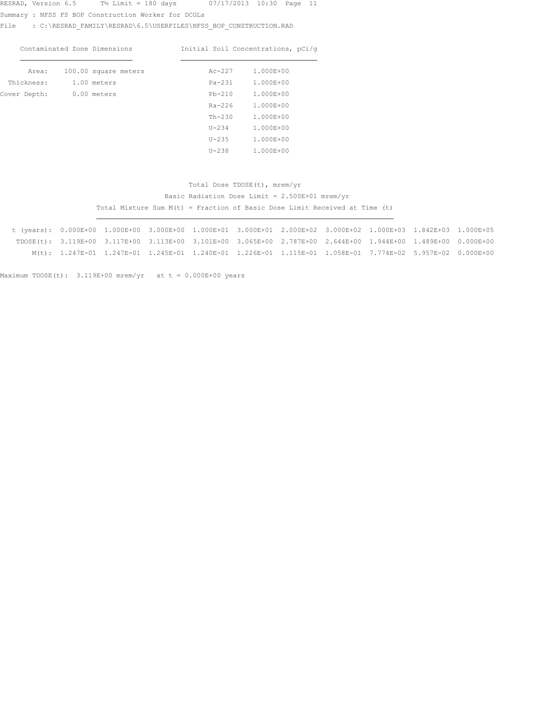Summary : NFSS FS BOP Construction Worker for DCGLs

File : C:\RESRAD\_FAMILY\RESRAD\6.5\USERFILES\NFSS\_BOP\_CONSTRUCTION.RAD

| Contaminated Zone Dimensions |                      |  |  | Initial Soil Concentrations, pCi/q |        |  |           |  |  |
|------------------------------|----------------------|--|--|------------------------------------|--------|--|-----------|--|--|
| Area:                        | 100.00 square meters |  |  |                                    | Ac-227 |  | 1.000E+00 |  |  |

| $\cdots$     | too: bodded meete | $\cdots$ $\cdots$ |           |  |
|--------------|-------------------|-------------------|-----------|--|
| Thickness:   | 1.00 meters       | $Pa-231$          | 1.000E+00 |  |
| Cover Depth: | 0.00 meters       | $Pb-210$          | 1.000E+00 |  |
|              |                   | $Ra-226$          | 1.000E+00 |  |
|              |                   | $Th-230$          | 1.000E+00 |  |
|              |                   | $U - 234$         | 1.000E+00 |  |
|              |                   | $U-235$           | 1.000E+00 |  |
|              |                   | $U - 238$         | 1.000E+00 |  |

## Total Dose TDOSE(t), mrem/yr Basic Radiation Dose Limit =  $2.500E+01$  mrem/yr Total Mixture Sum M(t) = Fraction of Basic Dose Limit Received at Time (t)

 $t$  (years):  $0.000E+00$   $1.000E+00$   $3.000E+00$   $1.000E+01$   $3.000E+01$   $2.000E+02$   $3.000E+02$   $1.000E+03$   $1.842E+03$   $1.000E+05$  $TDOSE(t)$ : 3.119E+00 3.117E+00 3.113E+00 3.101E+00 3.065E+00 2.787E+00 2.644E+00 1.944E+00 1.489E+00 0.000E+00  $\texttt{M(t)}: \quad 1.247\texttt{E}-01 \quad 1.247\texttt{E}-01 \quad 1.245\texttt{E}-01 \quad 1.240\texttt{E}-01 \quad 1.226\texttt{E}-01 \quad 1.115\texttt{E}-01 \quad 1.058\texttt{E}-01 \quad 7.774\texttt{E}-02 \quad 5.957\texttt{E}-02 \quad 0.000\texttt{E}+00 \quad 0.000\texttt{E}+00 \quad 0.000\texttt{E}+00 \quad 0.000\texttt{E}+00$ 

¶¶¶¶¶¶¶¶¶¶¶¶¶¶¶¶¶¶¶¶¶¶¶¶¶¶¶¶¶¶¶¶¶¶¶¶¶¶¶¶¶¶¶¶¶¶¶¶¶¶¶¶¶¶¶¶¶¶¶¶¶¶¶¶¶¶¶¶¶¶¶¶¶¶

```
Maximum TDOSE(t): 3.119E+00 mrem/yr at t = 0.000E+00 years
```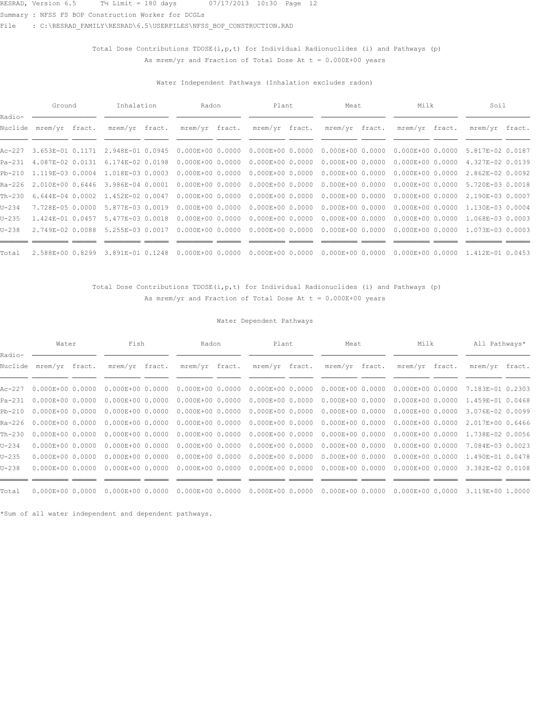Summary : NFSS FS BOP Construction Worker for DCGLs

File : C:\RESRAD\_FAMILY\RESRAD\6.5\USERFILES\NFSS\_BOP\_CONSTRUCTION.RAD

## Total Dose Contributions TDOSE( $i, p, t$ ) for Individual Radionuclides (i) and Pathways (p) As mrem/yr and Fraction of Total Dose At  $t = 0.000E+00$  years

### Water Independent Pathways (Inhalation excludes radon)

|                   | Ground                  | Inhalation       | Radon                | Plant                | Meat                 | Milk                              | Soil             |  |
|-------------------|-------------------------|------------------|----------------------|----------------------|----------------------|-----------------------------------|------------------|--|
| Radio-<br>Nuclide | mrem/yr fract.          | mrem/yr fract.   | mrem/yr fract.       | mrem/yr fract.       | mrem/yr fract.       | mrem/yr fract.                    | mrem/yr fract.   |  |
| Ac-227            | 3.653E-01 0.1171        | 2.948E-01 0.0945 | $0.000E + 0000.0000$ | $0.000E + 0000.0000$ |                      | $0.000E+000.0000000000E+00000000$ | 5.817E-02 0.0187 |  |
| Pa-231            | 4.087E-02 0.0131        | 6.174E-02 0.0198 | $0.000E + 0000.0000$ | $0.000E + 00 0.0000$ | $0.000E + 0000.0000$ | $0.000E+000.0000$                 | 4.327E-02 0.0139 |  |
|                   | Pb-210 1.119E-03 0.0004 | 1.018E-03 0.0003 | $0.000E + 0000.0000$ | $0.000E + 0000.0000$ |                      | $0.000E+000.0000000000E+00000000$ | 2.862E-02 0.0092 |  |
| Ra-226            | 2.010E+00 0.6446        | 3.986E-04 0.0001 | $0.000E + 0000.0000$ | $0.000E + 0000.0000$ |                      | $0.000E+000.0000000000E+00000000$ | 5.720E-03 0.0018 |  |
| $Th-230$          | $6.644E-04$ 0.0002      | 1.452E-02 0.0047 | $0.000E + 0000.0000$ | $0.000E + 0000.0000$ | $0.000E + 0000.0000$ | $0.000E + 0000.0000$              | 2.190E-03 0.0007 |  |
| $U - 234$         | 7.728E-05 0.0000        | 5.877E-03 0.0019 | $0.000E + 0000.0000$ | $0.000E + 0000.0000$ |                      | $0.000E+000.0000000000E+00000000$ | 1.130E-03 0.0004 |  |
| $U-235$           | 1.424E-01 0.0457        | 5.477E-03 0.0018 | $0.000E + 0000.0000$ | $0.000E + 0000.0000$ |                      | $0.000E+000.0000000000E+00000000$ | 1.068E-03 0.0003 |  |
| $U - 238$         | 2.749E-02 0.0088        | 5.255E-03 0.0017 | $0.000E + 0000.0000$ | $0.000E + 0000.0000$ |                      | $0.000E+000.000000000E+00000000$  | 1.073E-03 0.0003 |  |
| Total             | 2.588E+00 0.8299        | 3.891E-01 0.1248 | $0.000E + 0000.0000$ | $0.000E + 0000.0000$ | $0.000E + 0000.0000$ | $0.000E + 0000.0000$              | 1.412E-01 0.0453 |  |

## Total Dose Contributions TDOSE(i, p, t) for Individual Radionuclides (i) and Pathways (p) As mrem/yr and Fraction of Total Dose At  $t = 0.000E+00$  years

### Water Dependent Pathways

|                   | Water                     | Fish                 | Radon                | Plant                | Meat                 | Milk                              | All Pathways*    |  |
|-------------------|---------------------------|----------------------|----------------------|----------------------|----------------------|-----------------------------------|------------------|--|
| Radio-<br>Nuclide | mrem/yr fract.            | mrem/yr fract.       | mrem/yr fract.       | mrem/yr fract.       | mrem/yr fract.       | mrem/yr fract.                    | mrem/yr fract.   |  |
|                   | Ac-227  0.000E+00  0.0000 | $0.000E+0000.0000$   | $0.000E+0000.0000$   | $0.000E + 0000.0000$ | $0.000E + 0000.0000$ | $0.000E+000.0000$                 | 7.183E-01 0.2303 |  |
|                   | Pa-231 0.000E+00 0.0000   | $0.000E+0000.0000$   | $0.000E + 00 0.0000$ | $0.000E + 0000.0000$ | $0.000E + 0000.0000$ | $0.000E+000.0000$                 | 1.459E-01 0.0468 |  |
|                   | Pb-210 0.000E+00 0.0000   | $0.000E+0000.0000$   | $0.000E + 00 0.0000$ | $0.000E+000.0000$    |                      | $0.000E+000.0000000000E+00000000$ | 3.076E-02 0.0099 |  |
|                   | Ra-226 0.000E+00 0.0000   | $0.000E+0000.0000$   | $0.000E + 00 0.0000$ | $0.000E + 0000.0000$ | $0.000E + 0000.0000$ | $0.000E+000.0000$                 | 2.017E+00 0.6466 |  |
| Th-230            | $0.000E + 0000.0000$      | $0.000E+0000.0000$   | $0.000E + 00 0.0000$ | $0.000E + 00 0.0000$ | $0.000E + 00 0.0000$ | $0.000E + 00 0.0000$              | 1.738E-02 0.0056 |  |
| $U - 234$         | $0.000E + 0000.0000$      | $0.000E+0000.0000$   | $0.000E + 0000.0000$ | $0.000E + 0000.0000$ | $0.000E + 0000.0000$ | $0.000E + 0000.0000$              | 7.084E-03 0.0023 |  |
| $U - 235$         | $0.000E + 0000.0000$      | $0.000E+0000.0000$   | $0.000E + 00 0.0000$ | $0.000E + 0000.0000$ | $0.000E + 0000.0000$ | $0.000E+0000.0000$                | 1.490E-01 0.0478 |  |
| $U - 238$         | $0.000E + 00 0.0000$      | $0.000E + 00 0.0000$ | $0.000E+000.0000$    | $0.000E + 0000.0000$ | $0.000E + 0000.0000$ | $0.000E+0000.0000$                | 3.382E-02 0.0108 |  |
|                   |                           |                      |                      |                      |                      |                                   |                  |  |
| Total             | $0.000E + 0000.0000$      | $0.000E + 0000.0000$ | $0.000E + 0000.0000$ | $0.000E + 0000.0000$ | $0.000E + 0000.0000$ | $0.000E+000.0000$                 | 3.119E+00 1.0000 |  |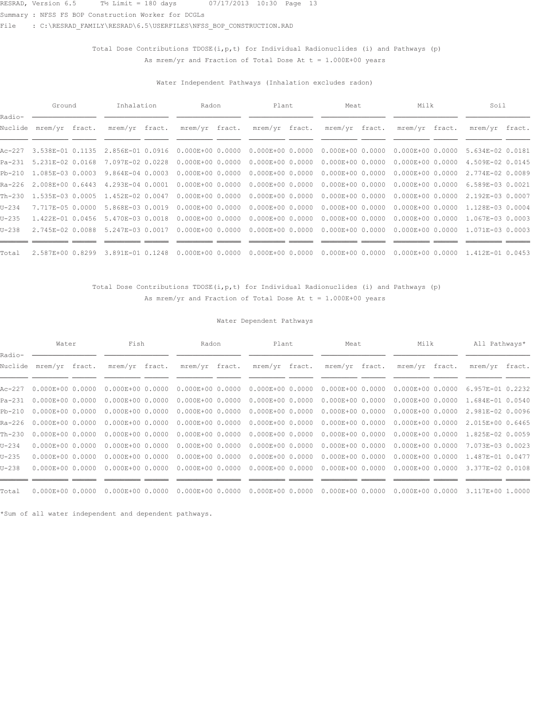Summary : NFSS FS BOP Construction Worker for DCGLs

File : C:\RESRAD\_FAMILY\RESRAD\6.5\USERFILES\NFSS\_BOP\_CONSTRUCTION.RAD

## Total Dose Contributions TDOSE( $i, p, t$ ) for Individual Radionuclides (i) and Pathways (p) As mrem/yr and Fraction of Total Dose At  $t = 1.000E+00$  years

### Water Independent Pathways (Inhalation excludes radon)

|                   | Ground                  | Inhalation       | Radon                                                   | Plant                | Meat                 | Milk                              | Soil             |  |
|-------------------|-------------------------|------------------|---------------------------------------------------------|----------------------|----------------------|-----------------------------------|------------------|--|
| Radio-<br>Nuclide | mrem/yr fract.          | mrem/yr fract.   | mrem/yr fract.                                          | mrem/yr fract.       | mrem/yr fract.       | mrem/yr fract.                    | mrem/yr fract.   |  |
| Ac-227            |                         |                  | 3.538E-01  0.1135  2.856E-01  0.0916  0.000E+00  0.0000 | $0.000E + 0000.0000$ |                      | $0.000E+000.0000000000E+00000000$ | 5.634E-02 0.0181 |  |
| Pa-231            | 5.231E-02 0.0168        | 7.097E-02 0.0228 | $0.000E+0000.0000$                                      | $0.000E + 00 0.0000$ | $0.000E + 0000.0000$ | $0.000E+000.0000$                 | 4.509E-02 0.0145 |  |
|                   | Pb-210 1.085E-03 0.0003 | 9.864E-04 0.0003 | $0.000E + 0000.0000$                                    | $0.000E + 0000.0000$ |                      | $0.000E+000.0000000000E+00000000$ | 2.774E-02 0.0089 |  |
| Ra-226            | 2.008E+00 0.6443        | 4.293E-04 0.0001 | $0.000E + 0000.0000$                                    | $0.000E + 0000.0000$ |                      | $0.000E+000.0000000000E+00000000$ | 6.589E-03 0.0021 |  |
| Th-230            | 1.535E-03 0.0005        | 1.452E-02 0.0047 | $0.000E + 0000.0000$                                    | $0.000E + 0000.0000$ | $0.000E + 0000.0000$ | $0.000E + 0000.0000$              | 2.192E-03 0.0007 |  |
| $U - 234$         | 7.717E-05 0.0000        | 5.868E-03 0.0019 | $0.000E + 0000.0000$                                    | $0.000E + 0000.0000$ |                      | $0.000E+000.000000000E+00000000$  | 1.128E-03 0.0004 |  |
| $U-235$           | 1.422E-01 0.0456        | 5.470E-03 0.0018 | $0.000E + 0000.0000$                                    | $0.000E + 0000.0000$ |                      | $0.000E+000.0000000000E+00000000$ | 1.067E-03 0.0003 |  |
| $U - 238$         | 2.745E-02 0.0088        | 5.247E-03 0.0017 | $0.000E + 0000.0000$                                    | $0.000E + 0000.0000$ |                      | $0.000E+000.000000000E+00000000$  | 1.071E-03 0.0003 |  |
| Total             | 2.587E+00 0.8299        | 3.891E-01 0.1248 | $0.000E + 0000.0000$                                    | $0.000E + 0000.0000$ | $0.000E + 0000.0000$ | $0.000E + 0000.0000$              | 1.412E-01 0.0453 |  |

### Total Dose Contributions TDOSE(i, p, t) for Individual Radionuclides (i) and Pathways (p) As mrem/yr and Fraction of Total Dose At  $t = 1.000E+00$  years

### Water Dependent Pathways

|                   | Water                     | Fish                 | Radon                | Plant                | Meat                              | Milk                 | All Pathways*    |  |
|-------------------|---------------------------|----------------------|----------------------|----------------------|-----------------------------------|----------------------|------------------|--|
| Radio-<br>Nuclide | mrem/yr fract.            | mrem/yr fract.       | mrem/yr fract.       | mrem/yr fract.       | mrem/yr fract.                    | mrem/yr fract.       | mrem/yr fract.   |  |
|                   | Ac-227  0.000E+00  0.0000 | $0.000E+0000.0000$   | $0.000E+0000.0000$   | $0.000E + 0000.0000$ | $0.000E + 0000.0000$              | $0.000E+000.0000$    | 6.957E-01 0.2232 |  |
|                   | Pa-231 0.000E+00 0.0000   | $0.000E+0000.0000$   | $0.000E + 00 0.0000$ | $0.000E + 0000.0000$ | $0.000E + 0000.0000$              | $0.000E+000.0000$    | 1.684E-01 0.0540 |  |
|                   | Pb-210 0.000E+00 0.0000   | $0.000E+0000.0000$   | $0.000E + 00 0.0000$ | $0.000E+000.0000$    | $0.000E+000.0000000000E+00000000$ |                      | 2.981E-02 0.0096 |  |
|                   | Ra-226 0.000E+00 0.0000   | $0.000E+0000.0000$   | $0.000E + 00 0.0000$ | $0.000E + 0000.0000$ | $0.000E + 0000.0000$              | $0.000E+000.0000$    | 2.015E+00 0.6465 |  |
| Th-230            | $0.000E + 0000.0000$      | $0.000E+0000.0000$   | $0.000E + 00 0.0000$ | $0.000E + 00 0.0000$ | $0.000E + 00 0.0000$              | $0.000E + 00 0.0000$ | 1.825E-02 0.0059 |  |
| $U - 234$         | $0.000E + 0000.0000$      | $0.000E+0000.0000$   | $0.000E + 0000.0000$ | $0.000E + 0000.0000$ | $0.000E + 0000.0000$              | $0.000E + 0000.0000$ | 7.073E-03 0.0023 |  |
| $U - 235$         | $0.000E + 0000.0000$      | $0.000E+0000.0000$   | $0.000E + 00 0.0000$ | $0.000E + 0000.0000$ | $0.000E + 0000.0000$              | $0.000E+0000.0000$   | 1.487E-01 0.0477 |  |
| $U - 238$         | $0.000E + 00 0.0000$      | $0.000E + 00 0.0000$ | $0.000E+000.0000$    | $0.000E + 0000.0000$ | $0.000E + 0000.0000$              | $0.000E + 00 0.0000$ | 3.377E-02 0.0108 |  |
|                   |                           |                      |                      |                      |                                   |                      |                  |  |
| Total             | $0.000E + 0000.0000$      | $0.000E + 0000.0000$ | $0.000E + 0000.0000$ | $0.000E + 0000.0000$ | $0.000E + 0000.0000$              | $0.000E+000.0000$    | 3.117E+00 1.0000 |  |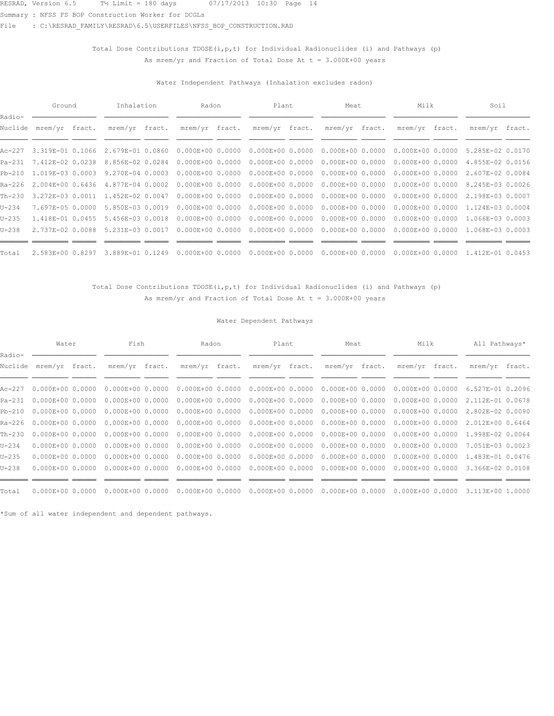Summary : NFSS FS BOP Construction Worker for DCGLs

File : C:\RESRAD\_FAMILY\RESRAD\6.5\USERFILES\NFSS\_BOP\_CONSTRUCTION.RAD

## Total Dose Contributions TDOSE( $i, p, t$ ) for Individual Radionuclides (i) and Pathways (p) As mrem/yr and Fraction of Total Dose At  $t = 3.000E+00$  years

### Water Independent Pathways (Inhalation excludes radon)

|                   | Ground                  | Inhalation       | Radon                | Plant                | Meat                 | Milk                              | Soil             |  |
|-------------------|-------------------------|------------------|----------------------|----------------------|----------------------|-----------------------------------|------------------|--|
| Radio-<br>Nuclide | mrem/yr fract.          | mrem/yr fract.   | mrem/yr fract.       | mrem/yr fract.       | mrem/yr fract.       | mrem/yr fract.                    | mrem/yr fract.   |  |
|                   | Ac-227 3.319E-01 0.1066 | 2.679E-01 0.0860 | $0.000E + 0000.0000$ | $0.000E + 0000.0000$ |                      | $0.000E+000.0000000000E+00000000$ | 5.285E-02 0.0170 |  |
|                   | Pa-231 7.412E-02 0.0238 | 8.856E-02 0.0284 | $0.000E + 0000.0000$ | $0.000E + 0000.0000$ | $0.000E + 0000.0000$ | $0.000E+0000.0000$                | 4.855E-02 0.0156 |  |
|                   | Pb-210 1.019E-03 0.0003 | 9.270E-04 0.0003 | $0.000E + 0000.0000$ | $0.000E + 0000.0000$ |                      | $0.000E+000.0000000000E+00000000$ | 2.607E-02 0.0084 |  |
| Ra-226            | 2.004E+00 0.6436        | 4.877E-04 0.0002 | $0.000E + 0000.0000$ | $0.000E + 0000.0000$ |                      | $0.000E+000.0000000000E+00000000$ | 8.245E-03 0.0026 |  |
| Th-230            | 3.272E-03 0.0011        | 1.452E-02 0.0047 | $0.000E + 0000.0000$ | $0.000E + 0000.0000$ | $0.000E + 00 0.0000$ | $0.000E + 0000.0000$              | 2.198E-03 0.0007 |  |
| $U - 234$         | 7.697E-05 0.0000        | 5.850E-03 0.0019 | $0.000E + 0000.0000$ | $0.000E + 0000.0000$ |                      | $0.000E+000.000000000E+00000000$  | 1.124E-03 0.0004 |  |
| $U-235$           | 1.418E-01 0.0455        | 5.456E-03 0.0018 | $0.000E + 0000.0000$ | $0.000E + 0000.0000$ |                      | $0.000E+000.0000000000E+00000000$ | 1.066E-03 0.0003 |  |
| $U - 238$         | 2.737E-02 0.0088        | 5.231E-03 0.0017 | $0.000E + 0000.0000$ | $0.000E + 0000.0000$ |                      | $0.000E+000.000000000E+00000000$  | 1.068E-03 0.0003 |  |
| Total             | 2.583E+00 0.8297        | 3.889E-01 0.1249 | $0.000E + 0000.0000$ | $0.000E + 0000.0000$ | $0.000E + 00 0.0000$ | $0.000E + 0000.0000$              | 1.412E-01 0.0453 |  |

## Total Dose Contributions TDOSE(i, p, t) for Individual Radionuclides (i) and Pathways (p) As mrem/yr and Fraction of Total Dose At  $t = 3.000E+00$  years

### Water Dependent Pathways

|                   | Water                     | Fish                 | Radon                | Plant                | Meat                 | Milk                 | All Pathways*    |  |
|-------------------|---------------------------|----------------------|----------------------|----------------------|----------------------|----------------------|------------------|--|
| Radio-<br>Nuclide | mrem/yr fract.            | mrem/yr fract.       | mrem/yr fract.       | mrem/yr fract.       | mrem/yr fract.       | mrem/yr fract.       | mrem/yr fract.   |  |
|                   | Ac-227  0.000E+00  0.0000 | $0.000E+0000.0000$   | $0.000E + 0000.0000$ | $0.000E + 0000.0000$ | $0.000E + 0000.0000$ | $0.000E + 00 0.0000$ | 6.527E-01 0.2096 |  |
| Pa-231            | $0.000E+0000.0000$        | $0.000E + 00 0.0000$ | $0.000E + 00 0.0000$ | $0.000E + 00 0.0000$ | $0.000E + 0000.0000$ | $0.000E + 00 0.0000$ | 2.112E-01 0.0678 |  |
| $Pb-210$          | $0.000E + 0000.0000$      | $0.000E+0000.0000$   | $0.000E + 00 0.0000$ | $0.000E + 0000.0000$ | $0.000E+000.0000$    | $0.000E + 00 0.0000$ | 2.802E-02 0.0090 |  |
|                   | Ra-226 0.000E+00 0.0000   | $0.000E+0000.0000$   | $0.000E + 00 0.0000$ | $0.000E + 00 0.0000$ | $0.000E + 00 0.0000$ | $0.000E + 00 0.0000$ | 2.012E+00 0.6464 |  |
| Th-230            | $0.000E + 0000.0000$      | $0.000E+0000.0000$   | $0.000E+0000.0000$   | $0.000E+0000.0000$   | $0.000E + 00 0.0000$ | $0.000E + 00 0.0000$ | 1.998E-02 0.0064 |  |
| $U - 234$         | $0.000E + 0000.0000$      | $0.000E+0000.0000$   | $0.000E+000.0000$    | $0.000E + 0000.0000$ | $0.000E+000.0000$    | $0.000E + 0000.0000$ | 7.051E-03 0.0023 |  |
| $U-235$           | $0.000E + 0000.0000$      | $0.000E+0000.0000$   | $0.000E + 00 0.0000$ | $0.000E + 00 0.0000$ | $0.000E + 0000.0000$ | $0.000E + 00 0.0000$ | 1.483E-01 0.0476 |  |
| $U - 238$         | $0.000E + 0000.0000$      | $0.000E + 00 0.0000$ | $0.000E + 0000.0000$ | $0.000E + 0000.0000$ | $0.000E + 0000.0000$ | $0.000E + 00 0.0000$ | 3.366E-02 0.0108 |  |
|                   |                           |                      |                      |                      |                      |                      |                  |  |
| Total             | $0.000E + 0000.0000$      | $0.000E + 0000.0000$ | $0.000E+000.0000$    | $0.000E+000.0000$    | $0.000E+000.0000$    | $0.000E + 0000.0000$ | 3.113E+00 1.0000 |  |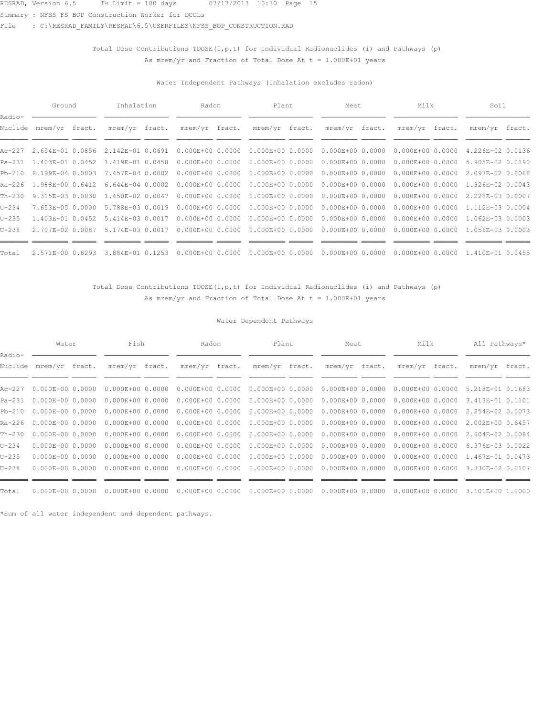Summary : NFSS FS BOP Construction Worker for DCGLs

File : C:\RESRAD\_FAMILY\RESRAD\6.5\USERFILES\NFSS\_BOP\_CONSTRUCTION.RAD

## Total Dose Contributions TDOSE( $i, p, t$ ) for Individual Radionuclides (i) and Pathways (p) As mrem/yr and Fraction of Total Dose At  $t = 1.000E+01$  years

### Water Independent Pathways (Inhalation excludes radon)

|                   | Ground                  | Inhalation                               | Radon                | Plant                | Meat                              | Milk                              | Soil             |  |
|-------------------|-------------------------|------------------------------------------|----------------------|----------------------|-----------------------------------|-----------------------------------|------------------|--|
| Radio-<br>Nuclide | mrem/yr fract.          | mrem/yr fract.                           | mrem/yr fract.       | mrem/yr fract.       | mrem/yr fract.                    | mrem/yr fract.                    | mrem/yr fract.   |  |
|                   |                         | Ac-227 2.654E-01 0.0856 2.142E-01 0.0691 | $0.000E + 0000.0000$ | $0.000E + 0000.0000$ |                                   | $0.000E+000.0000000000E+00000000$ | 4.226E-02 0.0136 |  |
|                   | Pa-231 1.403E-01 0.0452 | 1.419E-01 0.0458                         | $0.000E + 0000.0000$ | $0.000E + 00 0.0000$ | $0.000E + 0000.0000$              | $0.000E+000.0000$                 | 5.905E-02 0.0190 |  |
|                   | Pb-210 8.199E-04 0.0003 | 7.457E-04 0.0002                         | $0.000E + 0000.0000$ | $0.000E + 0000.0000$ |                                   | $0.000E+000.0000000000E+00000000$ | 2.097E-02 0.0068 |  |
|                   | Ra-226 1.988E+00 0.6412 | $6.644E-04$ 0.0002                       | $0.000E + 0000.0000$ | $0.000E + 0000.0000$ |                                   | $0.000E+000.0000000000E+00000000$ | 1.326E-02 0.0043 |  |
| Th-230            | 9.315E-03 0.0030        | 1.450E-02 0.0047                         | $0.000E + 0000.0000$ | $0.000E + 0000.0000$ | $0.000E + 00 0.0000$              | $0.000E + 0000.0000$              | 2.228E-03 0.0007 |  |
| $U - 234$         | 7.653E-05 0.0000        | 5.788E-03 0.0019                         | $0.000E + 0000.0000$ | $0.000E + 0000.0000$ |                                   | $0.000E+000.000000000E+00000000$  | 1.112E-03 0.0004 |  |
| $U-235$           | 1.403E-01 0.0452        | 5.414E-03 0.0017                         | $0.000E + 0000.0000$ | $0.000E + 0000.0000$ | $0.000E+000.0000000000E+00000000$ |                                   | 1.062E-03 0.0003 |  |
| $U - 238$         | 2.707E-02 0.0087        | 5.174E-03 0.0017                         | $0.000E + 0000.0000$ | $0.000E + 0000.0000$ |                                   | $0.000E+000.000000000E+00000000$  | 1.056E-03 0.0003 |  |
| Total             | 2.571E+00 0.8293        | 3.884E-01 0.1253                         | $0.000E + 0000.0000$ | $0.000E + 0000.0000$ | $0.000E + 00 0.0000$              | $0.000E + 0000.0000$              | 1.410E-01 0.0455 |  |

### Total Dose Contributions TDOSE(i, p, t) for Individual Radionuclides (i) and Pathways (p) As mrem/yr and Fraction of Total Dose At  $t = 1.000E+01$  years

### Water Dependent Pathways

|                   | Water                     | Fish                 | Radon                | Plant                | Meat                 | Milk                 | All Pathways*    |  |
|-------------------|---------------------------|----------------------|----------------------|----------------------|----------------------|----------------------|------------------|--|
| Radio-<br>Nuclide | mrem/yr fract.            | mrem/yr fract.       | mrem/yr fract.       | mrem/yr fract.       | mrem/yr fract.       | mrem/yr fract.       | mrem/yr fract.   |  |
|                   | Ac-227  0.000E+00  0.0000 | $0.000E+00 0.0000$   | $0.000E + 00 0.0000$ | $0.000E + 0000.0000$ | $0.000E + 0000.0000$ | $0.000E + 00 0.0000$ | 5.218E-01 0.1683 |  |
| Pa-231            | $0.000E+0000.0000$        | $0.000E + 00 0.0000$ | $0.000E + 00 0.0000$ | $0.000E + 00 0.0000$ | $0.000E + 00 0.0000$ | $0.000E + 00 0.0000$ | 3.413E-01 0.1101 |  |
| $Pb-210$          | $0.000E + 0000.0000$      | $0.000E+0000.0000$   | $0.000E + 00 0.0000$ | $0.000E + 0000.0000$ | $0.000E + 0000.0000$ | $0.000E + 0000.0000$ | 2.254E-02 0.0073 |  |
|                   | Ra-226 0.000E+00 0.0000   | $0.000E+0000.0000$   | $0.000E + 00 0.0000$ | $0.000E + 00 0.0000$ | $0.000E + 00 0.0000$ | $0.000E + 0000.0000$ | 2.002E+00 0.6457 |  |
| Th-230            | $0.000E + 0000.0000$      | $0.000E+0000.0000$   | $0.000E+0000.0000$   | $0.000E+0000.0000$   | $0.000E + 00 0.0000$ | $0.000E + 0000.0000$ | 2.604E-02 0.0084 |  |
| $U - 234$         | $0.000E + 0000.0000$      | $0.000E+0000.0000$   | $0.000E+000.0000$    | $0.000E + 0000.0000$ | $0.000E+000.0000$    | $0.000E+0000.0000$   | 6.976E-03 0.0022 |  |
| $U-235$           | $0.000E + 0000.0000$      | $0.000E+0000.0000$   | $0.000E + 00 0.0000$ | $0.000E + 00 0.0000$ | $0.000E + 00 0.0000$ | $0.000E + 0000.0000$ | 1.467E-01 0.0473 |  |
| $U - 238$         | $0.000E + 0000.0000$      | $0.000E + 00 0.0000$ | $0.000E + 0000.0000$ | $0.000E + 0000.0000$ | $0.000E + 00 0.0000$ | $0.000E + 00 0.0000$ | 3.330E-02 0.0107 |  |
|                   |                           |                      |                      |                      |                      |                      |                  |  |
| Total             | $0.000E + 0000.0000$      | $0.000E + 0000.0000$ | $0.000E+000.0000$    | $0.000E+000.0000$    | $0.000E+000.0000$    | $0.000E + 0000.0000$ | 3.101E+00 1.0000 |  |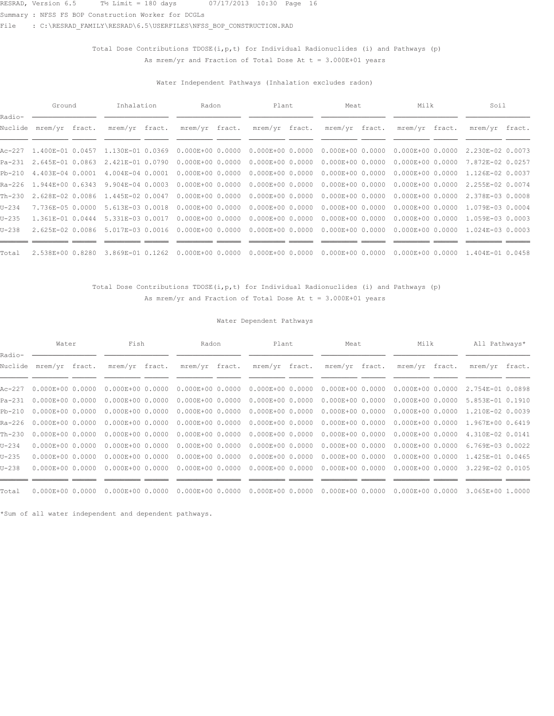Summary : NFSS FS BOP Construction Worker for DCGLs

File : C:\RESRAD\_FAMILY\RESRAD\6.5\USERFILES\NFSS\_BOP\_CONSTRUCTION.RAD

## Total Dose Contributions TDOSE( $i, p, t$ ) for Individual Radionuclides (i) and Pathways (p) As mrem/yr and Fraction of Total Dose At  $t = 3.000E+01$  years

### Water Independent Pathways (Inhalation excludes radon)

|                   | Ground                  | Inhalation       | Radon                | Plant                | Meat                 | Milk                              | Soil             |  |
|-------------------|-------------------------|------------------|----------------------|----------------------|----------------------|-----------------------------------|------------------|--|
| Radio-<br>Nuclide | mrem/yr fract.          | mrem/yr fract.   | mrem/yr fract.       | mrem/yr fract.       | mrem/yr fract.       | mrem/yr fract.                    | mrem/yr fract.   |  |
|                   | Ac-227 1.400E-01 0.0457 | 1.130E-01 0.0369 | $0.000E + 0000.0000$ | $0.000E + 0000.0000$ |                      | $0.000E+000.0000000000E+00000000$ | 2.230E-02 0.0073 |  |
| $Pa-231$          | 2.645E-01 0.0863        | 2.421E-01 0.0790 | $0.000E + 0000.0000$ | $0.000E + 00 0.0000$ | $0.000E + 00 0.0000$ | $0.000E+0000.0000$                | 7.872E-02 0.0257 |  |
|                   | Pb-210 4.403E-04 0.0001 | 4.004E-04 0.0001 | $0.000E + 0000.0000$ | $0.000E + 0000.0000$ |                      | $0.000E+000.0000000000E+00000000$ | 1.126E-02 0.0037 |  |
|                   | Ra-226 1.944E+00 0.6343 | 9.904E-04 0.0003 | $0.000E + 0000.0000$ | $0.000E + 0000.0000$ |                      | $0.000E+000.0000000000E+00000000$ | 2.255E-02 0.0074 |  |
| Th-230            | 2.628E-02 0.0086        | 1.445E-02 0.0047 | $0.000E + 0000.0000$ | $0.000E + 0000.0000$ | $0.000E + 0000.0000$ | $0.000E + 0000.0000$              | 2.378E-03 0.0008 |  |
| $U - 234$         | 7.736E-05 0.0000        | 5.613E-03 0.0018 | $0.000E + 0000.0000$ | $0.000E + 0000.0000$ |                      | $0.000E+000.000000000E+00000000$  | 1.079E-03 0.0004 |  |
| $U-235$           | 1.361E-01 0.0444        | 5.331E-03 0.0017 | $0.000E + 0000.0000$ | $0.000E + 0000.0000$ |                      | $0.000E+000.0000000000E+00000000$ | 1.059E-03 0.0003 |  |
| $U - 238$         | 2.625E-02 0.0086        | 5.017E-03 0.0016 | $0.000E + 0000.0000$ | $0.000E + 0000.0000$ |                      | $0.000E+000.000000000E+00000000$  | 1.024E-03 0.0003 |  |
| Total             | 2.538E+00 0.8280        | 3.869E-01 0.1262 | $0.000E + 0000.0000$ | $0.000E + 0000.0000$ | $0.000E + 0000.0000$ | $0.000E + 0000.0000$              | 1.404E-01 0.0458 |  |

### Total Dose Contributions TDOSE(i, p, t) for Individual Radionuclides (i) and Pathways (p) As mrem/yr and Fraction of Total Dose At  $t = 3.000E+01$  years

### Water Dependent Pathways

|                   | Water                     | Fish                 | Radon                | Plant                | Meat                              | Milk                 | All Pathways*    |  |
|-------------------|---------------------------|----------------------|----------------------|----------------------|-----------------------------------|----------------------|------------------|--|
| Radio-<br>Nuclide | mrem/yr fract.            | mrem/yr fract.       | mrem/yr fract.       | mrem/yr fract.       | mrem/yr fract.                    | mrem/yr fract.       | mrem/yr fract.   |  |
|                   | Ac-227  0.000E+00  0.0000 | $0.000E+0000.0000$   | $0.000E+0000.0000$   | $0.000E + 0000.0000$ | $0.000E + 0000.0000$              | $0.000E+000.0000$    | 2.754E-01 0.0898 |  |
|                   | Pa-231 0.000E+00 0.0000   | $0.000E+0000.0000$   | $0.000E + 00 0.0000$ | $0.000E + 0000.0000$ | $0.000E + 0000.0000$              | $0.000E + 00 0.0000$ | 5.853E-01 0.1910 |  |
|                   | Pb-210 0.000E+00 0.0000   | $0.000E+0000.0000$   | $0.000E + 00 0.0000$ | $0.000E + 0000.0000$ | $0.000E+000.0000000000E+00000000$ |                      | 1.210E-02 0.0039 |  |
|                   | Ra-226 0.000E+00 0.0000   | $0.000E+0000.0000$   | $0.000E + 00 0.0000$ | $0.000E + 0000.0000$ | $0.000E + 0000.0000$              | $0.000E + 0000.0000$ | 1.967E+00 0.6419 |  |
| Th-230            | $0.000E + 0000.0000$      | $0.000E+0000.0000$   | $0.000E + 00 0.0000$ | $0.000E+0000.0000$   | $0.000E + 00 0.0000$              | $0.000E + 0000.0000$ | 4.310E-02 0.0141 |  |
| $U - 234$         | $0.000E + 0000.0000$      | $0.000E+0000.0000$   | $0.000E + 0000.0000$ | $0.000E + 0000.0000$ | $0.000E + 0000.0000$              | $0.000E+000.0000$    | 6.769E-03 0.0022 |  |
| $U - 235$         | $0.000E + 0000.0000$      | $0.000E+0000.0000$   | $0.000E + 00 0.0000$ | $0.000E + 0000.0000$ | $0.000E + 0000.0000$              | $0.000E + 0000.0000$ | 1.425E-01 0.0465 |  |
| $U - 238$         | $0.000E + 00 0.0000$      | $0.000E + 00 0.0000$ | $0.000E+000.0000$    | $0.000E + 0000.0000$ | $0.000E + 0000.0000$              | $0.000E+0000.0000$   | 3.229E-02 0.0105 |  |
|                   |                           |                      |                      |                      |                                   |                      |                  |  |
| Total             | $0.000E + 0000.0000$      | $0.000E + 0000.0000$ | $0.000E + 0000.0000$ | $0.000E + 0000.0000$ | $0.000E + 0000.0000$              | $0.000E+000.0000$    | 3.065E+00 1.0000 |  |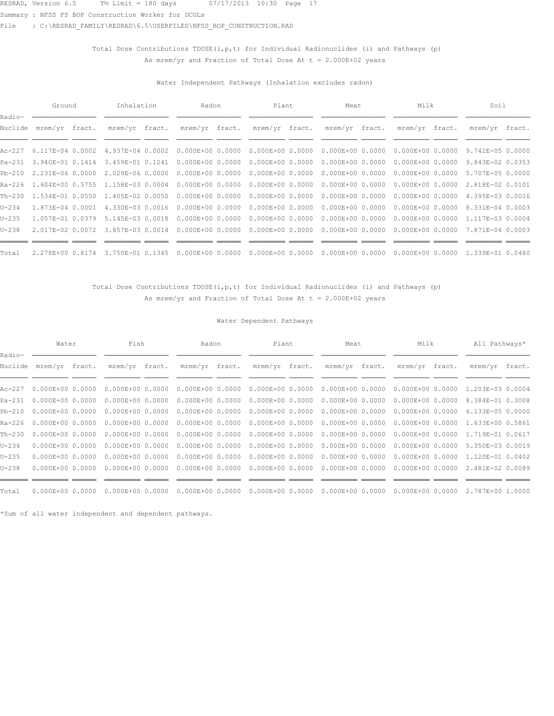Summary : NFSS FS BOP Construction Worker for DCGLs

File : C:\RESRAD\_FAMILY\RESRAD\6.5\USERFILES\NFSS\_BOP\_CONSTRUCTION.RAD

## Total Dose Contributions TDOSE( $i, p, t$ ) for Individual Radionuclides (i) and Pathways (p) As mrem/yr and Fraction of Total Dose At  $t = 2.000E+02$  years

### Water Independent Pathways (Inhalation excludes radon)

|                   | Ground                  | Inhalation                               | Radon                             | Plant                | Meat                 | Milk                              | Soil             |  |
|-------------------|-------------------------|------------------------------------------|-----------------------------------|----------------------|----------------------|-----------------------------------|------------------|--|
| Radio-<br>Nuclide | mrem/yr fract.          | mrem/yr fract.                           | mrem/yr fract.                    | mrem/yr fract.       | mrem/yr fract.       | mrem/yr fract.                    | mrem/yr fract.   |  |
|                   | Ac-227 6.117E-04 0.0002 | 4.937E-04 0.0002                         | $0.000E + 0000.0000$              | $0.000E + 0000.0000$ | $0.000E + 0000.0000$ | $0.000E+000.0000$                 | 9.741E-05 0.0000 |  |
| Pa-231            | 3.940E-01 0.1414        | 3.459E-01 0.1241                         | $0.000E+0000.0000$                | $0.000E + 00 0.0000$ | $0.000E + 0000.0000$ | $0.000E + 0000.0000$              | 9.843E-02 0.0353 |  |
| $Pb-210$          | 2.231E-06 0.0000        | 2.029E-06 0.0000                         | $0.000E + 0000.0000$              | $0.000E+000.0000$    |                      | $0.000E+000.0000000000E+00000000$ | 5.707E-05 0.0000 |  |
|                   |                         | Ra-226 1.604E+00 0.5755 1.158E-03 0.0004 | $0.000E+0000.0000$                | $0.000E + 0000.0000$ | $0.000E+000.0000$    | $0.000E + 0000.0000$              | 2.818E-02 0.0101 |  |
|                   | Th-230 1.534E-01 0.0550 | 1.405E-02 0.0050                         | $0.000E + 0000.0000$              | $0.000E + 00 0.0000$ | $0.000E + 0000.0000$ | $0.000E + 0000.0000$              | 4.395E-03 0.0016 |  |
| $U - 234$         | 1.873E-04 0.0001        |                                          | 4.330E-03 0.0016 0.000E+00 0.0000 | $0.000E + 0000.0000$ |                      | $0.000E+000.0000000000E+00000000$ | 8.331E-04 0.0003 |  |
| $U-235$           | 1.057E-01 0.0379        | 5.145E-03 0.0018                         | $0.000E + 0000.0000$              | $0.000E + 000.0000$  | $0.000E + 0000.0000$ | $0.000E + 0000.0000$              | 1.117E-03 0.0004 |  |
| $U - 238$         | 2.017E-02 0.0072        | 3.857E-03 0.0014                         | $0.000E + 0000.0000$              | $0.000E + 0000.0000$ | $0.000E + 0000.0000$ | $0.000E+0000.0000$                | 7.871E-04 0.0003 |  |
| Total             | 2.278E+00 0.8174        | 3.750E-01 0.1345                         | $0.000E + 0000.0000$              | $0.000E + 0000.0000$ | $0.000E + 0000.0000$ | $0.000E + 0000.0000$              | 1.339E-01 0.0480 |  |

## Total Dose Contributions TDOSE(i, p, t) for Individual Radionuclides (i) and Pathways (p) As mrem/yr and Fraction of Total Dose At  $t = 2.000E+02$  years

### Water Dependent Pathways

|                   | Water                     | Fish                 | Radon                | Plant                | Meat                 | Milk                 | All Pathways*    |  |
|-------------------|---------------------------|----------------------|----------------------|----------------------|----------------------|----------------------|------------------|--|
| Radio-<br>Nuclide | mrem/yr fract.            | mrem/yr fract.       | mrem/yr fract.       | mrem/yr fract.       | mrem/yr fract.       | mrem/yr fract.       | mrem/yr fract.   |  |
|                   | Ac-227  0.000E+00  0.0000 | $0.000E+0000.0000$   | $0.000E+0000.0000$   | $0.000E + 0000.0000$ | $0.000E + 0000.0000$ | $0.000E+000.0000$    | 1.203E-03 0.0004 |  |
|                   | Pa-231 0.000E+00 0.0000   | $0.000E+0000.0000$   | $0.000E + 00 0.0000$ | $0.000E + 0000.0000$ | $0.000E + 0000.0000$ | $0.000E + 0000.0000$ | 8.384E-01 0.3008 |  |
|                   | Pb-210 0.000E+00 0.0000   | $0.000E+0000.0000$   | $0.000E + 00 0.0000$ | $0.000E+000.0000$    | $0.000E + 0000.0000$ | $0.000E + 0000.0000$ | 6.133E-05 0.0000 |  |
|                   | Ra-226 0.000E+00 0.0000   | $0.000E+0000.0000$   | $0.000E + 00 0.0000$ | $0.000E + 0000.0000$ | $0.000E + 0000.0000$ | $0.000E+000.0000$    | 1.633E+00 0.5861 |  |
| Th-230            | $0.000E + 0000.0000$      | $0.000E+0000.0000$   | $0.000E + 00 0.0000$ | $0.000E+000.0000$    | $0.000E + 00 0.0000$ | $0.000E + 0000.0000$ | 1.719E-01 0.0617 |  |
| $U - 234$         | $0.000E + 0000.0000$      | $0.000E+0000.0000$   | $0.000E + 0000.0000$ | $0.000E + 0000.0000$ | $0.000E + 0000.0000$ | $0.000E + 0000.0000$ | 5.350E-03 0.0019 |  |
| $U - 235$         | $0.000E + 0000.0000$      | $0.000E+0000.0000$   | $0.000E + 00 0.0000$ | $0.000E + 0000.0000$ | $0.000E + 0000.0000$ | $0.000E + 0000.0000$ | 1.120E-01 0.0402 |  |
| $U - 238$         | $0.000E + 00 0.0000$      | $0.000E + 00 0.0000$ | $0.000E+000.0000$    | $0.000E + 0000.0000$ | $0.000E + 0000.0000$ | $0.000E + 0000.0000$ | 2.481E-02 0.0089 |  |
|                   |                           |                      |                      |                      |                      |                      |                  |  |
| Total             | $0.000E + 0000.0000$      | $0.000E + 0000.0000$ | $0.000E + 0000.0000$ | $0.000E + 0000.0000$ | $0.000E + 0000.0000$ | $0.000E+000.0000$    | 2.787E+00 1.0000 |  |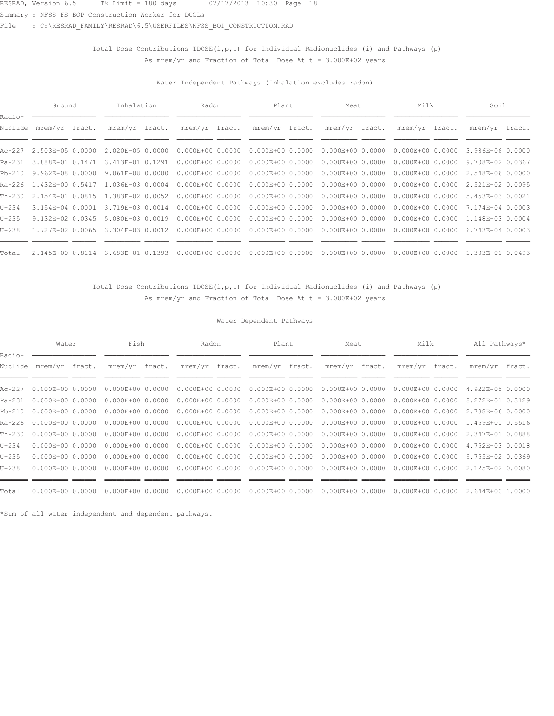Summary : NFSS FS BOP Construction Worker for DCGLs

File : C:\RESRAD\_FAMILY\RESRAD\6.5\USERFILES\NFSS\_BOP\_CONSTRUCTION.RAD

## Total Dose Contributions TDOSE( $i, p, t$ ) for Individual Radionuclides (i) and Pathways (p) As mrem/yr and Fraction of Total Dose At  $t = 3.000E+02$  years

### Water Independent Pathways (Inhalation excludes radon)

|                   | Ground           | Inhalation                               | Radon                | Plant                | Meat                 | Milk                              | Soil             |  |
|-------------------|------------------|------------------------------------------|----------------------|----------------------|----------------------|-----------------------------------|------------------|--|
| Radio-<br>Nuclide | mrem/yr fract.   | mrem/yr fract.                           | mrem/yr fract.       | mrem/yr fract.       | mrem/yr fract.       | mrem/yr fract.                    | mrem/yr fract.   |  |
| Ac-227            | 2.503E-05 0.0000 | 2.020E-05 0.0000                         | $0.000E + 0000.0000$ | $0.000E + 00 0.0000$ | $0.000E + 0000.0000$ | $0.000E+0000.0000$                | 3.986E-06 0.0000 |  |
| Pa-231            | 3.888E-01 0.1471 | 3.413E-01 0.1291                         | $0.000E+0000.0000$   | $0.000E + 00 0.0000$ | $0.000E + 0000.0000$ | $0.000E+0000.0000$                | 9.708E-02 0.0367 |  |
| $Pb-210$          | 9.962E-08 0.0000 | 9.061E-08 0.0000                         | $0.000E + 0000.0000$ | $0.000E + 0000.0000$ |                      | $0.000E+000.0000000000E+00000000$ | 2.548E-06 0.0000 |  |
|                   |                  | Ra-226 1.432E+00 0.5417 1.036E-03 0.0004 | $0.000E + 0000.0000$ | $0.000E + 0000.0000$ |                      | $0.000E+000.0000000000E+00000000$ | 2.521E-02 0.0095 |  |
| $Th-230$          | 2.154E-01 0.0815 | 1.383E-02 0.0052                         | $0.000E + 0000.0000$ | $0.000E + 00 0.0000$ | $0.000E + 0000.0000$ | $0.000E + 0000.0000$              | 5.453E-03 0.0021 |  |
| $U - 234$         | 3.154E-04 0.0001 | 3.719E-03 0.0014                         | $0.000E+0000.0000$   | $0.000E + 0000.0000$ |                      | $0.000E+000.0000000000E+00000000$ | 7.174E-04 0.0003 |  |
| $U - 235$         | 9.132E-02 0.0345 | 5.080E-03 0.0019                         | $0.000E + 0000.0000$ | $0.000E + 0000.0000$ |                      | $0.000E+000.0000000000E+00000000$ | 1.148E-03 0.0004 |  |
| $U - 238$         | 1.727E-02 0.0065 | 3.304E-03 0.0012                         | $0.000E + 0000.0000$ | $0.000E + 0000.0000$ | $0.000E+0000.0000$   | $0.000E + 0000.0000$              | 6.743E-04 0.0003 |  |
| Total             | 2.145E+00 0.8114 | 3.683E-01 0.1393                         | $0.000E + 0000.0000$ | $0.000E + 0000.0000$ | $0.000E + 0000.0000$ | $0.000E + 0000.0000$              | 1.303E-01 0.0493 |  |

## Total Dose Contributions TDOSE(i, p, t) for Individual Radionuclides (i) and Pathways (p) As mrem/yr and Fraction of Total Dose At  $t = 3.000E+02$  years

### Water Dependent Pathways

|                   | Water                     | Fish                 | Radon                | Plant                | Meat                 | Milk                 | All Pathways*    |  |
|-------------------|---------------------------|----------------------|----------------------|----------------------|----------------------|----------------------|------------------|--|
| Radio-<br>Nuclide | mrem/yr fract.            | mrem/yr fract.       | mrem/yr fract.       | mrem/yr fract.       | mrem/yr fract.       | mrem/yr fract.       | mrem/yr fract.   |  |
|                   | Ac-227  0.000E+00  0.0000 | $0.000E+00 0.0000$   | $0.000E + 0000.0000$ | $0.000E + 0000.0000$ | $0.000E + 0000.0000$ | $0.000E + 0000.0000$ | 4.922E-05 0.0000 |  |
| Pa-231            | $0.000E + 0000.0000$      | $0.000E + 00 0.0000$ | $0.000E + 00 0.0000$ | $0.000E + 00 0.0000$ | $0.000E + 0000.0000$ | $0.000E + 00 0.0000$ | 8.272E-01 0.3129 |  |
| $Pb-210$          | $0.000E + 0000.0000$      | $0.000E+0000.0000$   | $0.000E + 00 0.0000$ | $0.000E + 0000.0000$ | $0.000E+0000.0000$   | $0.000E + 0000.0000$ | 2.738E-06 0.0000 |  |
|                   | Ra-226 0.000E+00 0.0000   | $0.000E+0000.0000$   | $0.000E + 00 0.0000$ | $0.000E + 00 0.0000$ | $0.000E + 00 0.0000$ | $0.000E + 0000.0000$ | 1.459E+00 0.5516 |  |
| Th-230            | $0.000E + 0000.0000$      | $0.000E+0000.0000$   | $0.000E+0000.0000$   | $0.000E+0000.0000$   | $0.000E + 00 0.0000$ | $0.000E + 00 0.0000$ | 2.347E-01 0.0888 |  |
| $U - 234$         | $0.000E + 0000.0000$      | $0.000E+0000.0000$   | $0.000E+000.0000$    | $0.000E + 0000.0000$ | $0.000E+0000.0000$   | $0.000E+0000.0000$   | 4.752E-03 0.0018 |  |
| $U-235$           | $0.000E + 0000.0000$      | $0.000E+0000.0000$   | $0.000E + 00 0.0000$ | $0.000E + 00 0.0000$ | $0.000E + 00 0.0000$ | $0.000E + 0000.0000$ | 9.755E-02 0.0369 |  |
| $U - 238$         | $0.000E + 0000.0000$      | $0.000E + 00 0.0000$ | $0.000E + 0000.0000$ | $0.000E + 0000.0000$ | $0.000E + 0000.0000$ | $0.000E + 00 0.0000$ | 2.125E-02 0.0080 |  |
|                   |                           |                      |                      |                      |                      |                      |                  |  |
| Total             | $0.000E + 0000.0000$      | $0.000E + 0000.0000$ | $0.000E+000.0000$    | $0.000E+000.0000$    | $0.000E+000.0000$    | $0.000E+000.0000$    | 2.644E+00 1.0000 |  |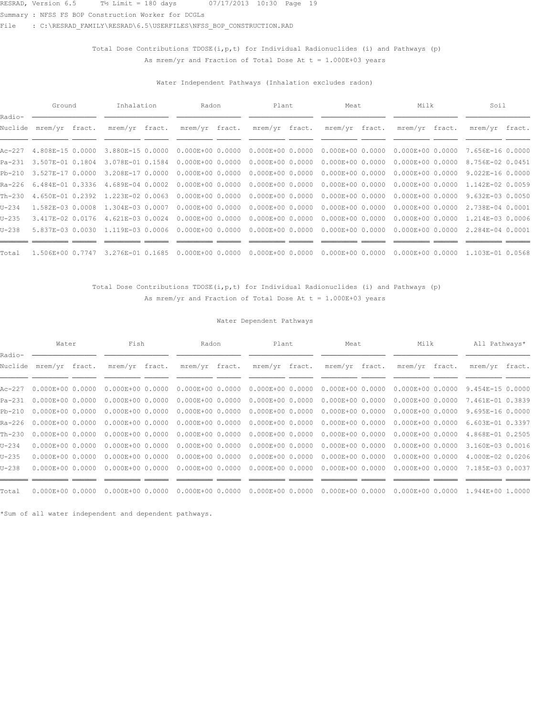Summary : NFSS FS BOP Construction Worker for DCGLs

File : C:\RESRAD\_FAMILY\RESRAD\6.5\USERFILES\NFSS\_BOP\_CONSTRUCTION.RAD

## Total Dose Contributions TDOSE( $i, p, t$ ) for Individual Radionuclides (i) and Pathways (p) As mrem/yr and Fraction of Total Dose At  $t = 1.000E+03$  years

### Water Independent Pathways (Inhalation excludes radon)

|                   | Ground           | Inhalation       | Radon                | Plant                | Meat                              | Milk                 | Soil              |  |
|-------------------|------------------|------------------|----------------------|----------------------|-----------------------------------|----------------------|-------------------|--|
| Radio-<br>Nuclide | mrem/yr fract.   | mrem/yr fract.   | mrem/yr fract.       | mrem/yr fract.       | mrem/yr fract.                    | mrem/yr fract.       | mrem/yr fract.    |  |
| Ac-227            | 4.808E-15 0.0000 | 3.880E-15 0.0000 | $0.000E + 00 0.0000$ | $0.000E + 0000.0000$ | $0.000E + 0000.0000$              | $0.000E + 0000.0000$ | 7.656E-16 0.0000  |  |
| $Pa-231$          | 3.507E-01 0.1804 | 3.078E-01 0.1584 | $0.000E+0000.0000$   | $0.000E + 00 0.0000$ | $0.000E + 0000.0000$              | $0.000E + 0000.0000$ | 8.756E-02 0.0451  |  |
| $Pb-210$          | 3.527E-17 0.0000 | 3.208E-17 0.0000 | $0.000E + 0000.0000$ | $0.000E+000.0000$    | $0.000E+000.0000000000E+00000000$ |                      | $9.022E-160.0000$ |  |
| Ra-226            | 6.484E-01 0.3336 | 4.689E-04 0.0002 | $0.000E + 0000.0000$ | $0.000E + 0000.0000$ | $0.000E+000.0000$                 | $0.000E + 0000.0000$ | 1.142E-02 0.0059  |  |
| Th-230            | 4.650E-01 0.2392 | 1.223E-02 0.0063 | $0.000E + 0000.0000$ | $0.000E + 0000.0000$ | $0.000E + 0000.0000$              | $0.000E + 0000.0000$ | 9.632E-03 0.0050  |  |
| $U - 234$         | 1.582E-03 0.0008 | 1.304E-03 0.0007 | $0.000E+0000.0000$   | $0.000E + 0000.0000$ | $0.000E+000.0000000000E+00000000$ |                      | 2.738E-04 0.0001  |  |
| $U-235$           | 3.417E-02 0.0176 | 4.621E-03 0.0024 | $0.000E + 0000.0000$ | $0.000E + 000.0000$  | $0.000E + 0000.0000$              | $0.000E + 0000.0000$ | 1.214E-03 0.0006  |  |
| $U - 238$         | 5.837E-03 0.0030 | 1.119E-03 0.0006 | $0.000E + 0000.0000$ | $0.000E + 0000.0000$ | $0.000E + 0000.0000$              | $0.000E + 0000.0000$ | 2.284E-04 0.0001  |  |
| Total             | 1.506E+00 0.7747 | 3.276E-01 0.1685 | $0.000E + 0000.0000$ | $0.000E + 0000.0000$ | $0.000E + 0000.0000$              | $0.000E + 0000.0000$ | 1.103E-01 0.0568  |  |

## Total Dose Contributions TDOSE(i, p, t) for Individual Radionuclides (i) and Pathways (p) As mrem/yr and Fraction of Total Dose At  $t = 1.000E+03$  years

### Water Dependent Pathways

|                   | Water                     | Fish                 | Radon                | Plant                | Meat                 | Milk                 | All Pathways*    |  |
|-------------------|---------------------------|----------------------|----------------------|----------------------|----------------------|----------------------|------------------|--|
| Radio-<br>Nuclide | mrem/yr fract.            | mrem/yr fract.       | mrem/yr fract.       | mrem/yr fract.       | mrem/yr fract.       | mrem/yr fract.       | mrem/yr fract.   |  |
|                   | Ac-227  0.000E+00  0.0000 | $0.000E+0000.0000$   | $0.000E + 00 0.0000$ | $0.000E + 0000.0000$ | $0.000E + 0000.0000$ | $0.000E + 0000.0000$ | 9.454E-15 0.0000 |  |
| Pa-231            | $0.000E + 0000.0000$      | $0.000E + 00 0.0000$ | $0.000E + 00 0.0000$ | $0.000E + 00 0.0000$ | $0.000E + 00 0.0000$ | $0.000E + 00 0.0000$ | 7.461E-01 0.3839 |  |
| $Pb-210$          | $0.000E + 0000.0000$      | $0.000E+0000.0000$   | $0.000E + 00 0.0000$ | $0.000E + 0000.0000$ | $0.000E+0000.0000$   | $0.000E + 00 0.0000$ | 9.695E-16 0.0000 |  |
|                   | Ra-226 0.000E+00 0.0000   | $0.000E+0000.0000$   | $0.000E + 00 0.0000$ | $0.000E + 00 0.0000$ | $0.000E + 00 0.0000$ | $0.000E+0000.0000$   | 6.603E-01 0.3397 |  |
| Th-230            | $0.000E + 0000.0000$      | $0.000E+0000.0000$   | $0.000E + 00 0.0000$ | $0.000E+0000.0000$   | $0.000E + 00 0.0000$ | $0.000E + 00 0.0000$ | 4.868E-01 0.2505 |  |
| $U - 234$         | $0.000E + 0000.0000$      | $0.000E+0000.0000$   | $0.000E+000.0000$    | $0.000E + 0000.0000$ | $0.000E+000.0000$    | $0.000E+0000.0000$   | 3.160E-03 0.0016 |  |
| $U-235$           | $0.000E + 0000.0000$      | $0.000E+0000.0000$   | $0.000E + 00 0.0000$ | $0.000E + 00 0.0000$ | $0.000E + 00 0.0000$ | $0.000E + 0000.0000$ | 4.000E-02 0.0206 |  |
| $U - 238$         | $0.000E + 0000.0000$      | $0.000E + 00 0.0000$ | $0.000E + 0000.0000$ | $0.000E + 0000.0000$ | $0.000E + 00 0.0000$ | $0.000E + 00 0.0000$ | 7.185E-03 0.0037 |  |
|                   |                           |                      |                      |                      |                      |                      |                  |  |
| Total             | $0.000E + 0000.0000$      | $0.000E + 0000.0000$ | $0.000E+000.0000$    | $0.000E + 0000.0000$ | $0.000E+000.0000$    | $0.000E+000.0000$    | 1.944E+00 1.0000 |  |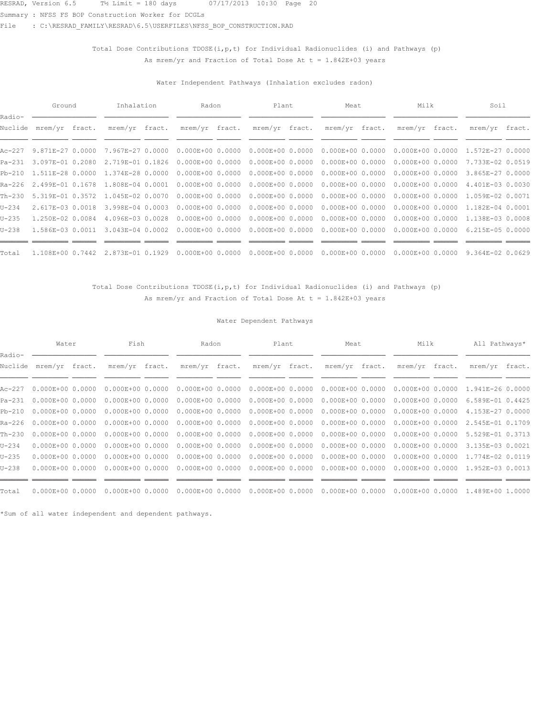Summary : NFSS FS BOP Construction Worker for DCGLs

File : C:\RESRAD\_FAMILY\RESRAD\6.5\USERFILES\NFSS\_BOP\_CONSTRUCTION.RAD

## Total Dose Contributions TDOSE( $i, p, t$ ) for Individual Radionuclides (i) and Pathways (p) As mrem/yr and Fraction of Total Dose At  $t = 1.842E+03$  years

### Water Independent Pathways (Inhalation excludes radon)

|             | Ground                  | Inhalation                        | Radon                | Plant                | Meat                                                       | Milk                 | Soil                              |  |
|-------------|-------------------------|-----------------------------------|----------------------|----------------------|------------------------------------------------------------|----------------------|-----------------------------------|--|
| Radio-      | Nuclide mrem/yr fract.  | mrem/yr fract.                    | mrem/yr fract.       | mrem/yr fract.       | mrem/yr fract.                                             | mrem/yr fract.       | mrem/yr fract.                    |  |
|             | Ac-227 9.871E-27 0.0000 | 7.967E-27 0.0000                  | $0.000E + 0000.0000$ | $0.000E + 0000.0000$ | $0.000E+000.0000$                                          | $0.000E + 0000.0000$ | 1.572E-27 0.0000                  |  |
| Pa-231      | 3.097E-01 0.2080        | 2.719E-01 0.1826                  | $0.000E + 0000.0000$ | $0.000E + 0000.0000$ | $0.000E+000.0000$                                          | $0.000E + 0000.0000$ | 7.733E-02 0.0519                  |  |
|             | Pb-210 1.511E-28 0.0000 | 1.374E-28 0.0000                  | $0.000E + 0000.0000$ |                      | $0.000E+00$ 0.0000 0.000E+00 0.0000 0.000E+00 0.0000       |                      | 3.865E-27 0.0000                  |  |
| Ra-226      |                         | 2.499E-01 0.1678 1.808E-04 0.0001 | $0.000E+0000.0000$   | $0.000E + 0000.0000$ | $0.000E+000.0000$                                          | $0.000E + 0000.0000$ | 4.401E-03 0.0030                  |  |
| $Th - 2.30$ | 5.319E-01 0.3572        | 1.045E-02 0.0070                  | $0.000E + 0000.0000$ | $0.000E + 0000.0000$ | $0.000E + 0000.0000$                                       | $0.000E + 0000.0000$ | 1.059E-02 0.0071                  |  |
| $U - 234$   | 2.617E-03 0.0018        | 3.998E-04 0.0003                  | $0.000E + 0000.0000$ |                      | $0.000E+00$ 0.0000 0.000 $E+00$ 0.0000 0.000 $E+00$ 0.0000 |                      | 1.182E-04 0.0001                  |  |
| $U - 235$   | 1.250E-02 0.0084        | 4.096E-03 0.0028                  | $0.000E + 0000.0000$ | $0.000E + 0000.0000$ | $0.000E+000.0000$                                          |                      | $0.000E+000.000001.138E-030.0008$ |  |
| $U - 238$   | 1.586E-03 0.0011        | 3.043E-04 0.0002                  | $0.000E + 0000.0000$ | $0.000E + 0000.0000$ | $0.000E + 0000.0000$                                       | $0.000E + 0000.0000$ | 6.215E-05 0.0000                  |  |
| Total       |                         | 1.108E+00 0.7442 2.873E-01 0.1929 | $0.000E + 0000.0000$ | $0.000E + 000.0000$  | $0.000E+000.0000$                                          | $0.000E + 0000.0000$ | 9.364E-02 0.0629                  |  |

## Total Dose Contributions TDOSE(i, p, t) for Individual Radionuclides (i) and Pathways (p) As mrem/yr and Fraction of Total Dose At  $t = 1.842E+03$  years

### Water Dependent Pathways

|                   | Water                     | Fish                 | Radon                | Plant                | Meat                 | Milk                 | All Pathways*    |  |
|-------------------|---------------------------|----------------------|----------------------|----------------------|----------------------|----------------------|------------------|--|
| Radio-<br>Nuclide | mrem/yr fract.            | mrem/yr fract.       | mrem/yr fract.       | mrem/yr fract.       | mrem/yr fract.       | mrem/yr fract.       | mrem/yr fract.   |  |
|                   | Ac-227  0.000E+00  0.0000 | $0.000E+00 0.0000$   | $0.000E + 0000.0000$ | $0.000E + 0000.0000$ | $0.000E + 0000.0000$ | $0.000E + 00 0.0000$ | 1.941E-26 0.0000 |  |
| Pa-231            | $0.000E+0000.0000$        | $0.000E + 00 0.0000$ | $0.000E + 00 0.0000$ | $0.000E + 00 0.0000$ | $0.000E + 0000.0000$ | $0.000E + 00 0.0000$ | 6.589E-01 0.4425 |  |
| $Pb-210$          | $0.000E + 0000.0000$      | $0.000E+0000.0000$   | $0.000E + 00 0.0000$ | $0.000E + 0000.0000$ | $0.000E + 0000.0000$ | $0.000E + 0000.0000$ | 4.153E-27 0.0000 |  |
|                   | Ra-226 0.000E+00 0.0000   | $0.000E+0000.0000$   | $0.000E + 00 0.0000$ | $0.000E + 00 0.0000$ | $0.000E + 00 0.0000$ | $0.000E + 00 0.0000$ | 2.545E-01 0.1709 |  |
| Th-230            | $0.000E + 0000.0000$      | $0.000E+0000.0000$   | $0.000E + 00 0.0000$ | $0.000E+0000.0000$   | $0.000E + 00 0.0000$ | $0.000E+0000.0000$   | 5.529E-01 0.3713 |  |
| $U - 234$         | $0.000E + 0000.0000$      | $0.000E+0000.0000$   | $0.000E+000.0000$    | $0.000E + 0000.0000$ | $0.000E+000.0000$    | $0.000E+0000.0000$   | 3.135E-03 0.0021 |  |
| $U-235$           | $0.000E + 0000.0000$      | $0.000E+0000.0000$   | $0.000E + 00 0.0000$ | $0.000E + 00 0.0000$ | $0.000E + 0000.0000$ | $0.000E+0000.0000$   | 1.774E-02 0.0119 |  |
| $U - 238$         | $0.000E + 0000.0000$      | $0.000E + 00 0.0000$ | $0.000E + 0000.0000$ | $0.000E + 0000.0000$ | $0.000E + 0000.0000$ | $0.000E + 00 0.0000$ | 1.952E-03 0.0013 |  |
|                   |                           |                      |                      |                      |                      |                      |                  |  |
| Total             | $0.000E + 0000.0000$      | $0.000E + 0000.0000$ | $0.000E+000.0000$    | $0.000E+000.0000$    | $0.000E+000.0000$    | $0.000E+000.0000$    | 1.489E+00 1.0000 |  |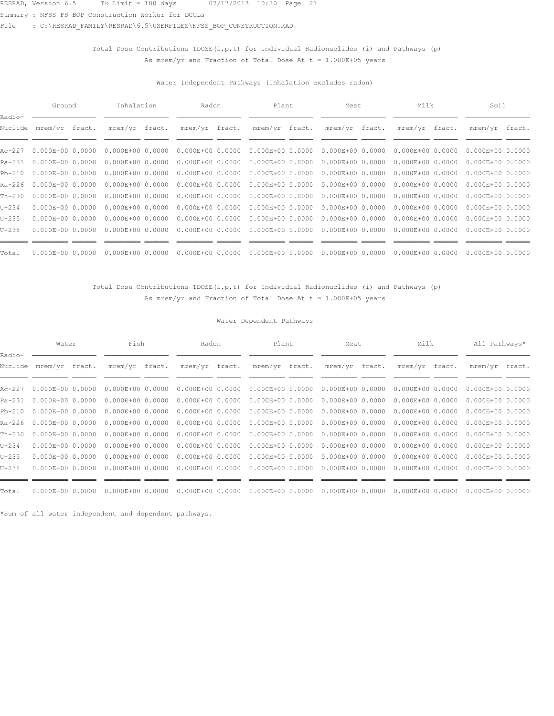Summary : NFSS FS BOP Construction Worker for DCGLs

File : C:\RESRAD\_FAMILY\RESRAD\6.5\USERFILES\NFSS\_BOP\_CONSTRUCTION.RAD

## Total Dose Contributions TDOSE( $i, p, t$ ) for Individual Radionuclides (i) and Pathways (p) As mrem/yr and Fraction of Total Dose At  $t = 1.000E+05$  years

### Water Independent Pathways (Inhalation excludes radon)

|                   | Ground               | Inhalation           | Radon                | Plant                | Meat                 | Milk                 | Soil                 |  |
|-------------------|----------------------|----------------------|----------------------|----------------------|----------------------|----------------------|----------------------|--|
| Radio-<br>Nuclide | mrem/yr fract.       | mrem/yr fract.       | mrem/yr fract.       | mrem/yr fract.       | mrem/yr fract.       | mrem/yr fract.       | mrem/yr fract.       |  |
| Ac-227            | $0.000E + 0000.0000$ | $0.000E+0000.0000$   | $0.000E + 00 0.0000$ | $0.000E + 0000.0000$ | $0.000E + 00 0.0000$ | $0.000E + 0000.0000$ | $0.000E + 00 0.0000$ |  |
| $Pa-231$          | $0.000E + 0000.0000$ | $0.000E+0000.0000$   | $0.000E+0000.0000$   | $0.000E + 0000.0000$ | $0.000E + 00 0.0000$ | $0.000E + 0000.0000$ | $0.000E + 00 0.0000$ |  |
| $Pb-210$          | $0.000E + 0000.0000$ | $0.000E+0000.0000$   | $0.000E + 00 0.0000$ | $0.000E + 0000.0000$ | $0.000E+000.0000$    | $0.000E+0000.0000$   | $0.000E + 00 0.0000$ |  |
| Ra-226            | $0.000E + 0000.0000$ | $0.000E + 0000.0000$ | $0.000E + 00 0.0000$ | $0.000E + 0000.0000$ | $0.000E + 00 0.0000$ | $0.000E + 0000.0000$ | $0.000E + 00 0.0000$ |  |
| $Th-230$          | $0.000E+0000.0000$   | $0.000E+0000.0000$   | $0.000E + 00 0.0000$ | $0.000E + 0000.0000$ | $0.000E + 00 0.0000$ | $0.000E + 0000.0000$ | $0.000E + 00 0.0000$ |  |
| $U - 234$         | $0.000E + 0000.0000$ | $0.000E+0000.0000$   | $0.000E+0000.0000$   | $0.000E + 0000.0000$ | $0.000E + 0000.0000$ | $0.000E+000.0000$    | $0.000E + 00 0.0000$ |  |
| $U-235$           | $0.000E + 0000.0000$ | $0.000E+0000.0000$   | $0.000E + 00 0.0000$ | $0.000E + 0000.0000$ | $0.000E + 0000.0000$ | $0.000E + 0000.0000$ | $0.000E + 00 0.0000$ |  |
| $U - 238$         | $0.000E + 0000.0000$ | $0.000E + 00 0.0000$ | $0.000E + 00 0.0000$ | $0.000E + 0000.0000$ | $0.000E + 00 0.0000$ | $0.000E+0000.0000$   | $0.000E + 00 0.0000$ |  |
| Total             | $0.000E + 0000.0000$ | $0.000E + 00 0.0000$ | $0.000E + 0000.0000$ | $0.000E + 0000.0000$ | $0.000E + 00 0.0000$ | $0.000E + 00 0.0000$ | $0.000E + 00 0.0000$ |  |

## Total Dose Contributions TDOSE(i, p, t) for Individual Radionuclides (i) and Pathways (p) As mrem/yr and Fraction of Total Dose At  $t = 1.000E+05$  years

### Water Dependent Pathways

|                   | Water                     | Fish                 | Radon                | Plant                | Meat                 | Milk                 | All Pathways*        |  |
|-------------------|---------------------------|----------------------|----------------------|----------------------|----------------------|----------------------|----------------------|--|
| Radio-<br>Nuclide | mrem/yr fract.            | mrem/yr fract.       | mrem/yr fract.       | mrem/yr fract.       | mrem/yr fract.       | mrem/yr fract.       | mrem/yr fract.       |  |
|                   | Ac-227  0.000E+00  0.0000 | $0.000E+0000.0000$   | $0.000E+0000.0000$   | $0.000E + 0000.0000$ | $0.000E + 0000.0000$ | $0.000E+000.0000$    | $0.000E+00 0.0000$   |  |
|                   | Pa-231 0.000E+00 0.0000   | $0.000E+0000.0000$   | $0.000E + 00 0.0000$ | $0.000E + 0000.0000$ | $0.000E + 0000.0000$ | $0.000E+000.0000$    | $0.000E + 0000.0000$ |  |
|                   | Pb-210 0.000E+00 0.0000   | $0.000E+0000.0000$   | $0.000E + 00 0.0000$ | $0.000E+000.0000$    | $0.000E + 0000.0000$ | $0.000E + 0000.0000$ | $0.000E + 0000.0000$ |  |
| Ra-226            | $0.000E + 0000.0000$      | $0.000E+0000.0000$   | $0.000E + 00 0.0000$ | $0.000E + 0000.0000$ | $0.000E+000.0000$    | $0.000E + 0000.0000$ | $0.000E+0000.0000$   |  |
| Th-230            | $0.000E + 0000.0000$      | $0.000E+0000.0000$   | $0.000E + 00 0.0000$ | $0.000E+0000.0000$   | $0.000E + 00 0.0000$ | $0.000E + 0000.0000$ | $0.000E+0000.0000$   |  |
| $U - 234$         | $0.000E + 0000.0000$      | $0.000E+0000.0000$   | $0.000E + 0000.0000$ | $0.000E + 0000.0000$ | $0.000E+000.0000$    | $0.000E + 0000.0000$ | $0.000E+0000.0000$   |  |
| $U - 235$         | $0.000E + 0000.0000$      | $0.000E+0000.0000$   | $0.000E + 00 0.0000$ | $0.000E + 0000.0000$ | $0.000E + 0000.0000$ | $0.000E + 0000.0000$ | $0.000E + 0000.0000$ |  |
| $U - 238$         | $0.000E + 00 0.0000$      | $0.000E + 00 0.0000$ | $0.000E + 00 0.0000$ | $0.000E + 0000.0000$ | $0.000E + 0000.0000$ | $0.000E + 0000.0000$ | $0.000E+0000.0000$   |  |
|                   |                           |                      |                      |                      |                      |                      |                      |  |
| Total             | $0.000E + 0000.0000$      | $0.000E + 0000.0000$ | $0.000E + 0000.0000$ | $0.000E + 0000.0000$ | $0.000E + 0000.0000$ | $0.000E+000.0000$    | $0.000E+000.0000$    |  |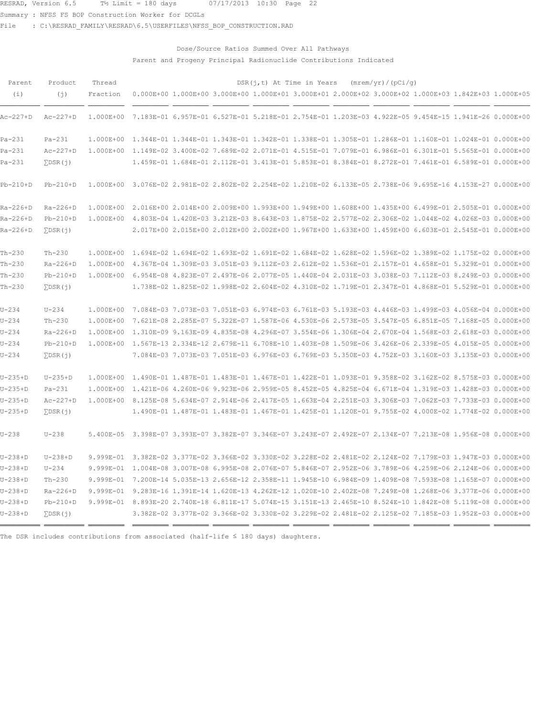Summary : NFSS FS BOP Construction Worker for DCGLs

File : C:\RESRAD\_FAMILY\RESRAD\6.5\USERFILES\NFSS\_BOP\_CONSTRUCTION.RAD

## Dose/Source Ratios Summed Over All Pathways Parent and Progeny Principal Radionuclide Contributions Indicated

| Parent     | Product            | Thread                                                                                                        |                                                                                                               |  |  | $DSR(j, t)$ At Time in Years (mrem/yr)/(pCi/g) |                                                                                                     |  |
|------------|--------------------|---------------------------------------------------------------------------------------------------------------|---------------------------------------------------------------------------------------------------------------|--|--|------------------------------------------------|-----------------------------------------------------------------------------------------------------|--|
| (i)        | (i)                | Fraction                                                                                                      | 0.000E+00 1.000E+00 3.000E+00 1.000E+01 3.000E+01 2.000E+02 3.000E+02 1.000E+03 1.842E+03 1.000E+05           |  |  |                                                |                                                                                                     |  |
| Ac-227+D   | $Ac-227+D$         | 1.000E+00                                                                                                     | 7.183E-01 6.957E-01 6.527E-01 5.218E-01 2.754E-01 1.203E-03 4.922E-05 9.454E-15 1.941E-26 0.000E+00           |  |  |                                                |                                                                                                     |  |
| $Pa-231$   | $Pa-231$           |                                                                                                               | 1.000E+00 1.344E-01 1.344E-01 1.343E-01 1.342E-01 1.338E-01 1.305E-01 1.286E-01 1.160E-01 1.024E-01 0.000E+00 |  |  |                                                |                                                                                                     |  |
| $Pa-231$   | $Ac-227+D$         | 1.000E+00 1.149E-02 3.400E-02 7.689E-02 2.071E-01 4.515E-01 7.079E-01 6.986E-01 6.301E-01 5.565E-01 0.000E+00 |                                                                                                               |  |  |                                                |                                                                                                     |  |
| $Pa-231$   | $\Sigma$ DSR $(j)$ |                                                                                                               |                                                                                                               |  |  |                                                | 1.459E-01 1.684E-01 2.112E-01 3.413E-01 5.853E-01 8.384E-01 8.272E-01 7.461E-01 6.589E-01 0.000E+00 |  |
| $Pb-210+D$ | $Pb-210+D$         |                                                                                                               | 1.000E+00 3.076E-02 2.981E-02 2.802E-02 2.254E-02 1.210E-02 6.133E-05 2.738E-06 9.695E-16 4.153E-27 0.000E+00 |  |  |                                                |                                                                                                     |  |
| Ra-226+D   | $Ra-226+D$         |                                                                                                               | 1.000E+00 2.016E+00 2.014E+00 2.009E+00 1.993E+00 1.949E+00 1.608E+00 1.435E+00 6.499E-01 2.505E-01 0.000E+00 |  |  |                                                |                                                                                                     |  |
| Ra-226+D   | $Pb-210+D$         |                                                                                                               | 1.000E+00 4.803E-04 1.420E-03 3.212E-03 8.643E-03 1.875E-02 2.577E-02 2.306E-02 1.044E-02 4.026E-03 0.000E+00 |  |  |                                                |                                                                                                     |  |
| Ra-226+D   | $\Sigma$ DSR $(j)$ |                                                                                                               |                                                                                                               |  |  |                                                | 2.017E+00 2.015E+00 2.012E+00 2.002E+00 1.967E+00 1.633E+00 1.459E+00 6.603E-01 2.545E-01 0.000E+00 |  |
| $Th-230$   | $Th-230$           |                                                                                                               | 1.000E+00 1.694E-02 1.694E-02 1.693E-02 1.691E-02 1.684E-02 1.628E-02 1.596E-02 1.389E-02 1.175E-02 0.000E+00 |  |  |                                                |                                                                                                     |  |
| $Th-230$   | $Ra-226+D$         |                                                                                                               | 1.000E+00 4.367E-04 1.309E-03 3.051E-03 9.112E-03 2.612E-02 1.536E-01 2.157E-01 4.658E-01 5.329E-01 0.000E+00 |  |  |                                                |                                                                                                     |  |
| $Th-230$   | $Pb-210+D$         |                                                                                                               | 1.000E+00 6.954E-08 4.823E-07 2.497E-06 2.077E-05 1.440E-04 2.031E-03 3.038E-03 7.112E-03 8.249E-03 0.000E+00 |  |  |                                                |                                                                                                     |  |
| $Th-230$   | $\Sigma$ DSR $(i)$ |                                                                                                               |                                                                                                               |  |  |                                                | 1.738E-02 1.825E-02 1.998E-02 2.604E-02 4.310E-02 1.719E-01 2.347E-01 4.868E-01 5.529E-01 0.000E+00 |  |
| $U - 234$  | $U - 234$          |                                                                                                               | 1.000E+00 7.084E-03 7.073E-03 7.051E-03 6.974E-03 6.761E-03 5.193E-03 4.446E-03 1.499E-03 4.056E-04 0.000E+00 |  |  |                                                |                                                                                                     |  |
| $U - 234$  | $Th-230$           |                                                                                                               | 1.000E+00 7.621E-08 2.285E-07 5.322E-07 1.587E-06 4.530E-06 2.573E-05 3.547E-05 6.851E-05 7.168E-05 0.000E+00 |  |  |                                                |                                                                                                     |  |
| $U - 234$  | $Ra-226+D$         |                                                                                                               | 1.000E+00 1.310E-09 9.163E-09 4.835E-08 4.296E-07 3.554E-06 1.306E-04 2.670E-04 1.568E-03 2.618E-03 0.000E+00 |  |  |                                                |                                                                                                     |  |
| $U - 234$  | $Pb-210+D$         |                                                                                                               | 1.000E+00 1.567E-13 2.334E-12 2.679E-11 6.708E-10 1.403E-08 1.509E-06 3.426E-06 2.339E-05 4.015E-05 0.000E+00 |  |  |                                                |                                                                                                     |  |
| $U - 234$  | $\Sigma$ DSR $(j)$ |                                                                                                               |                                                                                                               |  |  |                                                | 7.084E-03 7.073E-03 7.051E-03 6.976E-03 6.769E-03 5.350E-03 4.752E-03 3.160E-03 3.135E-03 0.000E+00 |  |
| $U-235+D$  | $U-235+D$          |                                                                                                               | 1.000E+00 1.490E-01 1.487E-01 1.483E-01 1.467E-01 1.422E-01 1.093E-01 9.358E-02 3.162E-02 8.575E-03 0.000E+00 |  |  |                                                |                                                                                                     |  |
| $U-235+D$  | $Pa-231$           |                                                                                                               | 1.000E+00 1.421E-06 4.260E-06 9.923E-06 2.959E-05 8.452E-05 4.825E-04 6.671E-04 1.319E-03 1.428E-03 0.000E+00 |  |  |                                                |                                                                                                     |  |
| $U-235+D$  | $Ac-227+D$         |                                                                                                               | 1.000E+00 8.125E-08 5.634E-07 2.914E-06 2.417E-05 1.663E-04 2.251E-03 3.306E-03 7.062E-03 7.733E-03 0.000E+00 |  |  |                                                |                                                                                                     |  |
| $U-235+D$  | $\Sigma$ DSR $(j)$ |                                                                                                               |                                                                                                               |  |  |                                                | 1.490E-01 1.487E-01 1.483E-01 1.467E-01 1.425E-01 1.120E-01 9.755E-02 4.000E-02 1.774E-02 0.000E+00 |  |
| $U - 238$  | $U - 238$          |                                                                                                               | 5.400E-05 3.398E-07 3.393E-07 3.382E-07 3.346E-07 3.243E-07 2.492E-07 2.134E-07 7.213E-08 1.956E-08 0.000E+00 |  |  |                                                |                                                                                                     |  |
| $U-238+D$  | $U-238+D$          |                                                                                                               | 9.999E-01 3.382E-02 3.377E-02 3.366E-02 3.330E-02 3.228E-02 2.481E-02 2.124E-02 7.179E-03 1.947E-03 0.000E+00 |  |  |                                                |                                                                                                     |  |
| $U-238+D$  | $U - 234$          |                                                                                                               | 9.999E-01 1.004E-08 3.007E-08 6.995E-08 2.076E-07 5.846E-07 2.952E-06 3.789E-06 4.259E-06 2.124E-06 0.000E+00 |  |  |                                                |                                                                                                     |  |
| $U-238+D$  | $Th-230$           |                                                                                                               | 9.999E-01 7.200E-14 5.035E-13 2.656E-12 2.358E-11 1.945E-10 6.984E-09 1.409E-08 7.593E-08 1.165E-07 0.000E+00 |  |  |                                                |                                                                                                     |  |
| $U-238+D$  | $Ra-226+D$         |                                                                                                               | 9.999E-01 9.283E-16 1.391E-14 1.620E-13 4.262E-12 1.020E-10 2.402E-08 7.249E-08 1.268E-06 3.377E-06 0.000E+00 |  |  |                                                |                                                                                                     |  |
| $U-238+D$  | $Pb-210+D$         |                                                                                                               | 9.999E-01 8.893E-20 2.740E-18 6.811E-17 5.074E-15 3.151E-13 2.465E-10 8.524E-10 1.842E-08 5.119E-08 0.000E+00 |  |  |                                                |                                                                                                     |  |
| $U-238+D$  | $\Sigma$ DSR $(1)$ |                                                                                                               |                                                                                                               |  |  |                                                | 3.382E-02 3.377E-02 3.366E-02 3.330E-02 3.229E-02 2.481E-02 2.125E-02 7.185E-03 1.952E-03 0.000E+00 |  |
|            |                    |                                                                                                               |                                                                                                               |  |  |                                                |                                                                                                     |  |

The DSR includes contributions from associated (half-life  $\leq$  180 days) daughters.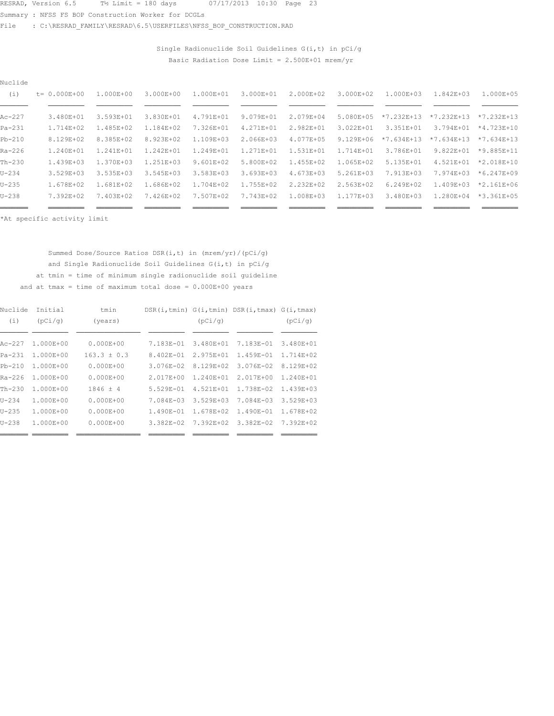Summary : NFSS FS BOP Construction Worker for DCGLs

File : C:\RESRAD\_FAMILY\RESRAD\6.5\USERFILES\NFSS\_BOP\_CONSTRUCTION.RAD

Single Radionuclide Soil Guidelines  $G(i, t)$  in  $pCi/g$ Basic Radiation Dose Limit =  $2.500E+01$  mrem/yr

| Nuclide    |                   |           |               |               |               |               |               |                |                |                |  |
|------------|-------------------|-----------|---------------|---------------|---------------|---------------|---------------|----------------|----------------|----------------|--|
| (i)        | $t = 0.000E + 00$ | 1.000E+00 | 3.000E+00     | 1.000E+01     | 3.000E+01     | $2.000E + 02$ | 3.000E+02     | $1.000E + 0.3$ | $1.842E + 0.3$ | 1.000E+05      |  |
|            |                   |           |               |               |               |               |               |                |                |                |  |
| $Ac-227$   | 3.480E+01         | 3.593E+01 | 3.830E+01     | 4.791E+01     | 9.079E+01     | 2.079E+04     | 5.080E+05     | $*7.232E+13$   | $*7.232E+13$   | $*7.232E+13$   |  |
| $Pa-231$   | 1.714E+02         | 1.485E+02 | 1.184E+02     | 7.326E+01     | 4.271E+01     | 2.982E+01     | 3.022E+01     | 3.351E+01      | 3.794E+01      | $*4.723E+10$   |  |
| $Pb-210$   | 8.129E+02         | 8.385E+02 | 8.923E+02     | 1.109E+03     | 2.066E+03     | 4.077E+05     | $9.129E + 06$ | $*7.634E+13$   | $*7.634E+13$   | $*7.634E+13$   |  |
| $Ra - 226$ | 1.240E+01         | 1.241E+01 | 1.242E+01     | 1.249E+01     | 1.271E+01     | 1.531E+01     | 1.714E+01     | 3.786E+01      | $9.822E + 01$  | $*9.885E+11$   |  |
| $Th-230$   | 1.439E+03         | 1.370E+03 | $1.251E + 03$ | $9.601E + 02$ | 5.800E+02     | $1.455E + 02$ | 1.065E+02     | 5.135E+01      | 4.521E+01      | $*2.018E+10$   |  |
| $U - 234$  | $3.529E + 03$     | 3.535E+03 | 3.545E+03     | 3.583E+03     | $3.693E + 03$ | 4.673E+03     | $5.261E + 03$ | 7.913E+03      | 7.974E+03      | $*6.247E+09$   |  |
| $U - 235$  | 1.678E+02         | 1.681E+02 | 1.686E+02     | 1.704E+02     | 1.755E+02     | 2.232E+02     | 2.563E+02     | $6.249E + 02$  | 1.409E+03      | $*2.161E + 06$ |  |
| $U - 238$  | 7.392E+02         | 7.403E+02 | 7.426E+02     | 7.507E+02     | 7.743E+02     | 1.008E+03     | 1.177E+03     | 3.480E+03      | 1.280E+04      | $*3.361E+05$   |  |
| ____       |                   |           |               |               |               |               |               |                |                |                |  |

\*At specific activity limit

Summed Dose/Source Ratios DSR(i,t) in (mrem/yr)/(pCi/g) and Single Radionuclide Soil Guidelines  $G(i, t)$  in  $pCi/g$ at tmin = time of minimum single radionuclide soil guideline and at tmax = time of maximum total dose =  $0.000E+00$  years

| Nuclide   | Tnitial       | tmin          |               |               | DSR(i, tmin) G(i, tmin) DSR(i, tmax) G(i, tmax) |                |
|-----------|---------------|---------------|---------------|---------------|-------------------------------------------------|----------------|
| (i)       | (pCi/q)       | (years)       |               | (pCi/q)       |                                                 | (pCi/q)        |
|           |               |               |               |               |                                                 |                |
| $Ac-227$  | $1.000E + 00$ | $0.000E + 00$ | $7.183E - 01$ | 3.480E+01     | 7.183E-01                                       | $3.480E + 01$  |
| $Pa-231$  | $1.000E + 00$ | $163.3 + 0.3$ | $8.402E - 01$ | $2.975E + 01$ | $1.459E - 01$                                   | $1.714E + 02$  |
| $Pb-210$  | $1.000E + 00$ | $0.000E + 00$ | $3.076E - 02$ | 8.129E+02     | $3.076E - 02$                                   | $8.129E + 02$  |
| Ra-226    | 1.000E+00     | $0.000E + 00$ | $2.017E + 00$ | 1.240E+01     | $2.017E + 00$                                   | $1.240E + 01$  |
| $Th-230$  | $1.000E + 00$ | $1846 \pm 4$  | $5.529E - 01$ | $4.521E + 01$ | 1.738E-02                                       | $1.439E + 0.3$ |
| $U - 234$ | $1.000E + 00$ | $0.000E + 00$ | 7.084E-03     | $3.529E + 03$ | 7.084E-03                                       | $3.529E + 03$  |
| $U - 235$ | $1.000E + 00$ | $0.000E + 00$ | $1.490E - 01$ | 1.678E+02     | $1.490E - 01$                                   | 1.678E+02      |
| $U - 238$ | $1.000E + 00$ | $0.000E + 00$ | $3.382E - 02$ | 7.392E+02     | $3.382E - 02$                                   | 7.392E+02      |
|           |               |               |               |               |                                                 |                |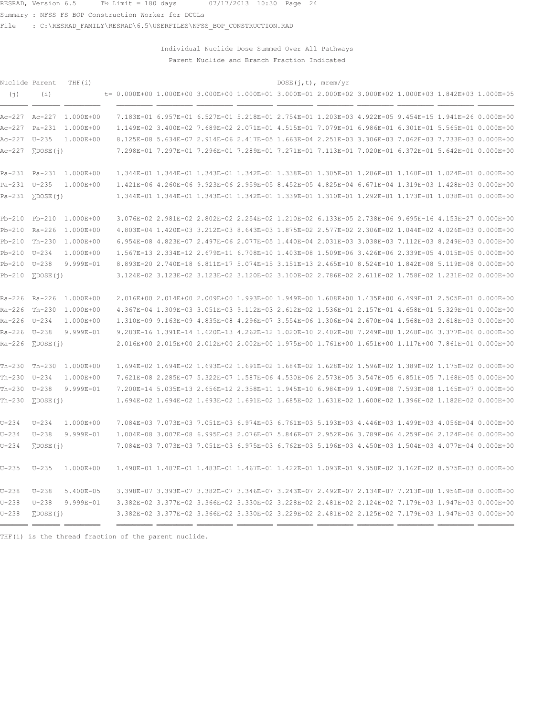Summary : NFSS FS BOP Construction Worker for DCGLs

File : C:\RESRAD\_FAMILY\RESRAD\6.5\USERFILES\NFSS\_BOP\_CONSTRUCTION.RAD

Individual Nuclide Dose Summed Over All Pathways Parent Nuclide and Branch Fraction Indicated

| Nuclide Parent   |                           | THF $(i)$               |  |  | DOSE(j, t), mrem/yr |  |                                                                                                        |  |
|------------------|---------------------------|-------------------------|--|--|---------------------|--|--------------------------------------------------------------------------------------------------------|--|
| (i)              | (i)                       |                         |  |  |                     |  | t= 0.000E+00 1.000E+00 3.000E+00 1.000E+01 3.000E+01 2.000E+02 3.000E+02 1.000E+03 1.842E+03 1.000E+05 |  |
|                  |                           | Ac-227 Ac-227 1.000E+00 |  |  |                     |  | 7.183E-01 6.957E-01 6.527E-01 5.218E-01 2.754E-01 1.203E-03 4.922E-05 9.454E-15 1.941E-26 0.000E+00    |  |
| Ac-227 Pa-231    |                           | 1.000E+00               |  |  |                     |  | 1.149E-02 3.400E-02 7.689E-02 2.071E-01 4.515E-01 7.079E-01 6.986E-01 6.301E-01 5.565E-01 0.000E+00    |  |
| Ac-227 U-235     |                           | 1.000E+00               |  |  |                     |  | 8.125E-08 5.634E-07 2.914E-06 2.417E-05 1.663E-04 2.251E-03 3.306E-03 7.062E-03 7.733E-03 0.000E+00    |  |
| $Ac-227$         | $\Sigma$ DOSE $(i)$       |                         |  |  |                     |  | 7.298E-01 7.297E-01 7.296E-01 7.289E-01 7.271E-01 7.113E-01 7.020E-01 6.372E-01 5.642E-01 0.000E+00    |  |
|                  |                           | Pa-231 Pa-231 1.000E+00 |  |  |                     |  | 1.344E-01 1.344E-01 1.343E-01 1.342E-01 1.338E-01 1.305E-01 1.286E-01 1.160E-01 1.024E-01 0.000E+00    |  |
| Pa-231 U-235     |                           | 1.000E+00               |  |  |                     |  | 1.421E-06 4.260E-06 9.923E-06 2.959E-05 8.452E-05 4.825E-04 6.671E-04 1.319E-03 1.428E-03 0.000E+00    |  |
|                  | $Pa-231$ $\Sigma$ DOSE(i) |                         |  |  |                     |  | 1.344E-01 1.344E-01 1.343E-01 1.342E-01 1.339E-01 1.310E-01 1.292E-01 1.173E-01 1.038E-01 0.000E+00    |  |
|                  |                           | Pb-210 Pb-210 1.000E+00 |  |  |                     |  | 3.076E-02 2.981E-02 2.802E-02 2.254E-02 1.210E-02 6.133E-05 2.738E-06 9.695E-16 4.153E-27 0.000E+00    |  |
| Pb-210 Ra-226    |                           | 1.000E+00               |  |  |                     |  | 4.803E-04 1.420E-03 3.212E-03 8.643E-03 1.875E-02 2.577E-02 2.306E-02 1.044E-02 4.026E-03 0.000E+00    |  |
| Pb-210 Th-230    |                           | 1.000E+00               |  |  |                     |  | 6.954E-08 4.823E-07 2.497E-06 2.077E-05 1.440E-04 2.031E-03 3.038E-03 7.112E-03 8.249E-03 0.000E+00    |  |
| Pb-210 U-234     |                           | 1.000E+00               |  |  |                     |  | 1.567E-13 2.334E-12 2.679E-11 6.708E-10 1.403E-08 1.509E-06 3.426E-06 2.339E-05 4.015E-05 0.000E+00    |  |
| $Pb-210$         | U-238                     | 9.999E-01               |  |  |                     |  | 8.893E-20 2.740E-18 6.811E-17 5.074E-15 3.151E-13 2.465E-10 8.524E-10 1.842E-08 5.119E-08 0.000E+00    |  |
| $Pb-210$         | $\Sigma$ DOSE $(i)$       |                         |  |  |                     |  | 3.123E-02 3.123E-02 3.123E-02 3.120E-02 3.100E-02 2.786E-02 2.611E-02 1.758E-02 1.231E-02 0.000E+00    |  |
| Ra-226 Ra-226    |                           | 1.000E+00               |  |  |                     |  | 2.016E+00 2.014E+00 2.009E+00 1.993E+00 1.949E+00 1.608E+00 1.435E+00 6.499E-01 2.505E-01 0.000E+00    |  |
| Ra-226 Th-230    |                           | 1.000E+00               |  |  |                     |  | 4.367E-04 1.309E-03 3.051E-03 9.112E-03 2.612E-02 1.536E-01 2.157E-01 4.658E-01 5.329E-01 0.000E+00    |  |
| Ra-226 U-234     |                           | 1.000E+00               |  |  |                     |  | 1.310E-09 9.163E-09 4.835E-08 4.296E-07 3.554E-06 1.306E-04 2.670E-04 1.568E-03 2.618E-03 0.000E+00    |  |
| Ra-226 U-238     |                           | 9.999E-01               |  |  |                     |  | 9.283E-16 1.391E-14 1.620E-13 4.262E-12 1.020E-10 2.402E-08 7.249E-08 1.268E-06 3.377E-06 0.000E+00    |  |
| $Ra-226$         | $\Sigma$ DOSE $(i)$       |                         |  |  |                     |  | 2.016E+00 2.015E+00 2.012E+00 2.002E+00 1.975E+00 1.761E+00 1.651E+00 1.117E+00 7.861E-01 0.000E+00    |  |
| $Th-230$         | Th-230                    | 1.000E+00               |  |  |                     |  | 1.694E-02 1.694E-02 1.693E-02 1.691E-02 1.684E-02 1.628E-02 1.596E-02 1.389E-02 1.175E-02 0.000E+00    |  |
| Th-230 U-234     |                           | 1.000E+00               |  |  |                     |  | 7.621E-08 2.285E-07 5.322E-07 1.587E-06 4.530E-06 2.573E-05 3.547E-05 6.851E-05 7.168E-05 0.000E+00    |  |
| $Th-230$ $U-238$ |                           | 9.999E-01               |  |  |                     |  | 7.200E-14 5.035E-13 2.656E-12 2.358E-11 1.945E-10 6.984E-09 1.409E-08 7.593E-08 1.165E-07 0.000E+00    |  |
| $Th-230$         | $\Sigma$ DOSE $(i)$       |                         |  |  |                     |  | 1.694E-02 1.694E-02 1.693E-02 1.691E-02 1.685E-02 1.631E-02 1.600E-02 1.396E-02 1.182E-02 0.000E+00    |  |
| $U - 234$        | $U - 234$                 | 1.000E+00               |  |  |                     |  | 7.084E-03 7.073E-03 7.051E-03 6.974E-03 6.761E-03 5.193E-03 4.446E-03 1.499E-03 4.056E-04 0.000E+00    |  |
| $U - 234$        | $U - 238$                 | 9.999E-01               |  |  |                     |  | 1.004E-08 3.007E-08 6.995E-08 2.076E-07 5.846E-07 2.952E-06 3.789E-06 4.259E-06 2.124E-06 0.000E+00    |  |
| $U - 234$        | $\Sigma$ DOSE $(j)$       |                         |  |  |                     |  | 7.084E-03 7.073E-03 7.051E-03 6.975E-03 6.762E-03 5.196E-03 4.450E-03 1.504E-03 4.077E-04 0.000E+00    |  |
| $U - 235$        | $U - 235$                 | 1.000E+00               |  |  |                     |  | 1.490E-01 1.487E-01 1.483E-01 1.467E-01 1.422E-01 1.093E-01 9.358E-02 3.162E-02 8.575E-03 0.000E+00    |  |
| $U - 238$        | $U - 238$                 | 5.400E-05               |  |  |                     |  | 3.398E-07 3.393E-07 3.382E-07 3.346E-07 3.243E-07 2.492E-07 2.134E-07 7.213E-08 1.956E-08 0.000E+00    |  |
| $U - 238$        | $U-238$                   | 9.999E-01               |  |  |                     |  | 3.382E-02 3.377E-02 3.366E-02 3.330E-02 3.228E-02 2.481E-02 2.124E-02 7.179E-03 1.947E-03 0.000E+00    |  |
| $U - 238$        | $\Sigma$ DOSE $(i)$       |                         |  |  |                     |  | 3.382E-02 3.377E-02 3.366E-02 3.330E-02 3.229E-02 2.481E-02 2.125E-02 7.179E-03 1.947E-03 0.000E+00    |  |

THF(i) is the thread fraction of the parent nuclide.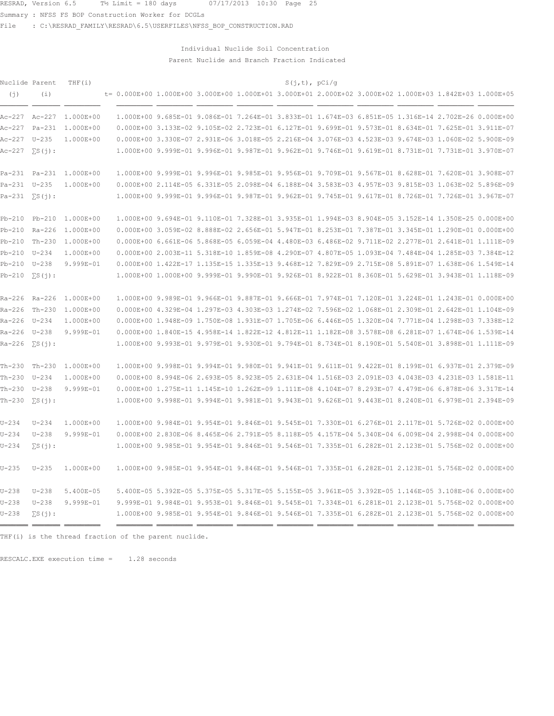Summary : NFSS FS BOP Construction Worker for DCGLs

File : C:\RESRAD FAMILY\RESRAD\6.5\USERFILES\NFSS BOP CONSTRUCTION.RAD

### Individual Nuclide Soil Concentration Parent Nuclide and Branch Fraction Indicated

| Nuclide Parent<br>(j)       | (i)           | THF(i)                  |  |  | S(j,t), pCi/g |  | t= 0.000E+00 1.000E+00 3.000E+00 1.000E+01 3.000E+01 2.000E+02 3.000E+02 1.000E+03 1.842E+03 1.000E+05 |  |
|-----------------------------|---------------|-------------------------|--|--|---------------|--|--------------------------------------------------------------------------------------------------------|--|
|                             |               | Ac-227 Ac-227 1.000E+00 |  |  |               |  | 1.000E+00 9.685E-01 9.086E-01 7.264E-01 3.833E-01 1.674E-03 6.851E-05 1.316E-14 2.702E-26 0.000E+00    |  |
|                             |               | Ac-227 Pa-231 1.000E+00 |  |  |               |  | 0.000E+00 3.133E-02 9.105E-02 2.723E-01 6.127E-01 9.699E-01 9.573E-01 8.634E-01 7.625E-01 3.911E-07    |  |
| Ac-227 U-235                |               | 1.000E+00               |  |  |               |  | 0.000E+00 3.330E-07 2.931E-06 3.018E-05 2.216E-04 3.076E-03 4.523E-03 9.674E-03 1.060E-02 5.900E-09    |  |
|                             |               |                         |  |  |               |  | 1.000E+00 9.999E-01 9.996E-01 9.987E-01 9.962E-01 9.746E-01 9.619E-01 8.731E-01 7.731E-01 3.970E-07    |  |
| Pa-231 Pa-231               |               | 1.000E+00               |  |  |               |  | 1.000E+00 9.999E-01 9.996E-01 9.985E-01 9.956E-01 9.709E-01 9.567E-01 8.628E-01 7.620E-01 3.908E-07    |  |
| Pa-231 U-235                |               | 1.000E+00               |  |  |               |  | 0.000E+00 2.114E-05 6.331E-05 2.098E-04 6.188E-04 3.583E-03 4.957E-03 9.815E-03 1.063E-02 5.896E-09    |  |
| $Pa-231 \quad \Sigma S(j):$ |               |                         |  |  |               |  | 1.000E+00 9.999E-01 9.996E-01 9.987E-01 9.962E-01 9.745E-01 9.617E-01 8.726E-01 7.726E-01 3.967E-07    |  |
| $Pb-210$                    | Pb-210        | 1.000E+00               |  |  |               |  | 1.000E+00 9.694E-01 9.110E-01 7.328E-01 3.935E-01 1.994E-03 8.904E-05 3.152E-14 1.350E-25 0.000E+00    |  |
| Pb-210 Ra-226               |               | 1.000E+00               |  |  |               |  | 0.000E+00 3.059E-02 8.888E-02 2.656E-01 5.947E-01 8.253E-01 7.387E-01 3.345E-01 1.290E-01 0.000E+00    |  |
| Pb-210 Th-230               |               | 1.000E+00               |  |  |               |  | 0.000E+00 6.661E-06 5.868E-05 6.059E-04 4.480E-03 6.486E-02 9.711E-02 2.277E-01 2.641E-01 1.111E-09    |  |
| Pb-210 U-234                |               | 1.000E+00               |  |  |               |  | 0.000E+00 2.003E-11 5.318E-10 1.859E-08 4.290E-07 4.807E-05 1.093E-04 7.484E-04 1.285E-03 7.384E-12    |  |
| Pb-210 U-238                |               | 9.999E-01               |  |  |               |  | 0.000E+00 1.422E-17 1.135E-15 1.335E-13 9.468E-12 7.829E-09 2.715E-08 5.891E-07 1.638E-06 1.549E-14    |  |
| $Pb-210$                    | $\sum S(i)$ : |                         |  |  |               |  | 1.000E+00 1.000E+00 9.999E-01 9.990E-01 9.926E-01 8.922E-01 8.360E-01 5.629E-01 3.943E-01 1.118E-09    |  |
|                             |               | Ra-226 Ra-226 1.000E+00 |  |  |               |  | 1.000E+00 9.989E-01 9.966E-01 9.887E-01 9.666E-01 7.974E-01 7.120E-01 3.224E-01 1.243E-01 0.000E+00    |  |
| $Ra-226$                    | $Th-230$      | $1.000E + 00$           |  |  |               |  | 0.000E+00 4.329E-04 1.297E-03 4.303E-03 1.274E-02 7.596E-02 1.068E-01 2.309E-01 2.642E-01 1.104E-09    |  |
| Ra-226 U-234                |               | 1.000E+00               |  |  |               |  | 0.000E+00 1.948E-09 1.750E-08 1.931E-07 1.705E-06 6.446E-05 1.320E-04 7.771E-04 1.298E-03 7.338E-12    |  |
| Ra-226 U-238                |               | 9.999E-01               |  |  |               |  | 0.000E+00 1.840E-15 4.958E-14 1.822E-12 4.812E-11 1.182E-08 3.578E-08 6.281E-07 1.674E-06 1.539E-14    |  |
| Ra-226                      | $\sum S(i)$ : |                         |  |  |               |  | 1.000E+00 9.993E-01 9.979E-01 9.930E-01 9.794E-01 8.734E-01 8.190E-01 5.540E-01 3.898E-01 1.111E-09    |  |
| Th-230 Th-230               |               | 1.000E+00               |  |  |               |  | 1.000E+00 9.998E-01 9.994E-01 9.980E-01 9.941E-01 9.611E-01 9.422E-01 8.199E-01 6.937E-01 2.379E-09    |  |
| $Th-230$ $U-234$            |               | 1.000E+00               |  |  |               |  | 0.000E+00 8.994E-06 2.693E-05 8.923E-05 2.631E-04 1.516E-03 2.091E-03 4.043E-03 4.231E-03 1.581E-11    |  |
| Th-230 U-238                |               | 9.999E-01               |  |  |               |  | 0.000E+00 1.275E-11 1.145E-10 1.262E-09 1.111E-08 4.104E-07 8.293E-07 4.479E-06 6.878E-06 3.317E-14    |  |
| Th-230                      | $\sum S(i)$ : |                         |  |  |               |  | 1.000E+00 9.998E-01 9.994E-01 9.981E-01 9.943E-01 9.626E-01 9.443E-01 8.240E-01 6.979E-01 2.394E-09    |  |
| $U - 234$                   | $U - 234$     | 1.000E+00               |  |  |               |  | 1.000E+00 9.984E-01 9.954E-01 9.846E-01 9.545E-01 7.330E-01 6.276E-01 2.117E-01 5.726E-02 0.000E+00    |  |
| $U - 234$                   | $U - 238$     | 9.999E-01               |  |  |               |  | 0.000E+00 2.830E-06 8.465E-06 2.791E-05 8.118E-05 4.157E-04 5.340E-04 6.009E-04 2.998E-04 0.000E+00    |  |
| $U - 234$                   | $\sum S(i)$ : |                         |  |  |               |  | 1.000E+00 9.985E-01 9.954E-01 9.846E-01 9.546E-01 7.335E-01 6.282E-01 2.123E-01 5.756E-02 0.000E+00    |  |
| $U - 235$                   | $U - 235$     | 1.000E+00               |  |  |               |  | 1.000E+00 9.985E-01 9.954E-01 9.846E-01 9.546E-01 7.335E-01 6.282E-01 2.123E-01 5.756E-02 0.000E+00    |  |
| $U - 238$                   | $U - 238$     | 5.400E-05               |  |  |               |  | 5.400E-05 5.392E-05 5.375E-05 5.317E-05 5.155E-05 3.961E-05 3.392E-05 1.146E-05 3.108E-06 0.000E+00    |  |
| $U - 238$                   | $U-238$       | 9.999E-01               |  |  |               |  | 9.999E-01 9.984E-01 9.953E-01 9.846E-01 9.545E-01 7.334E-01 6.281E-01 2.123E-01 5.756E-02 0.000E+00    |  |
| $U - 238$                   | $\sum S(i)$ : |                         |  |  |               |  | 1.000E+00 9.985E-01 9.954E-01 9.846E-01 9.546E-01 7.335E-01 6.282E-01 2.123E-01 5.756E-02 0.000E+00    |  |

Á<del>ÁÁÁÁ ÁÁÁÁÁÁ</del> – <del>AÁÁÁÁ – AZAÉLA</del> <del>AZAÉLA AZAÉLA</del> <del>azaéla azaéla azaéla azaéla azaéla azaéla az</del>

THF(i) is the thread fraction of the parent nuclide.

RESCALC. EXE execution time =  $1.28$  seconds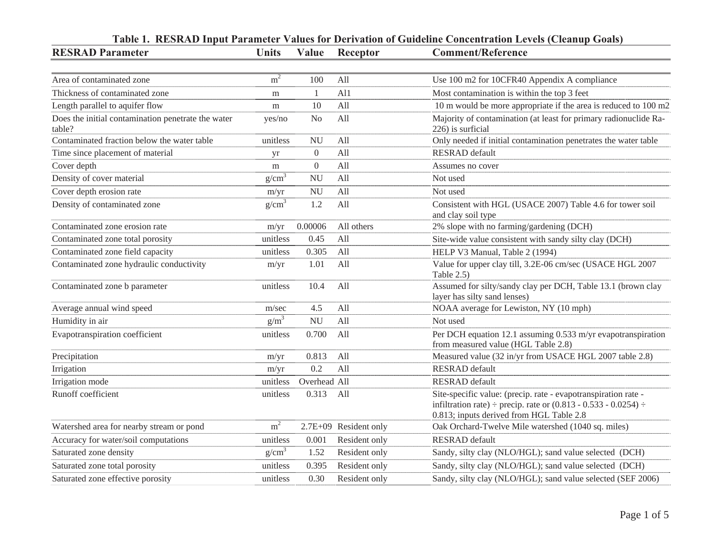| <b>RESRAD Parameter</b>                                      | <b>Units</b>      | Value          | Receptor              | <b>Comment/Reference</b>                                                                                                                                                                |
|--------------------------------------------------------------|-------------------|----------------|-----------------------|-----------------------------------------------------------------------------------------------------------------------------------------------------------------------------------------|
|                                                              |                   |                |                       |                                                                                                                                                                                         |
| Area of contaminated zone                                    | m <sup>2</sup>    | 100            | All                   | Use 100 m2 for 10CFR40 Appendix A compliance                                                                                                                                            |
| Thickness of contaminated zone                               | m                 | 1              | A11                   | Most contamination is within the top 3 feet                                                                                                                                             |
| Length parallel to aquifer flow                              | m                 | 10             | All                   | 10 m would be more appropriate if the area is reduced to 100 m2                                                                                                                         |
| Does the initial contamination penetrate the water<br>table? | yes/no            | N <sub>0</sub> | All                   | Majority of contamination (at least for primary radionuclide Ra-<br>226) is surficial                                                                                                   |
| Contaminated fraction below the water table                  | unitless          | <b>NU</b>      | All                   | Only needed if initial contamination penetrates the water table                                                                                                                         |
| Time since placement of material                             | yr                | $\overline{0}$ | All                   | <b>RESRAD</b> default                                                                                                                                                                   |
| Cover depth                                                  | m                 | $\mathbf{0}$   | All                   | Assumes no cover                                                                                                                                                                        |
| Density of cover material                                    | $g/cm^3$          | <b>NU</b>      | All                   | Not used                                                                                                                                                                                |
| Cover depth erosion rate                                     | m/yr              | <b>NU</b>      | All                   | Not used                                                                                                                                                                                |
| Density of contaminated zone                                 | g/cm <sup>3</sup> | 1.2            | All                   | Consistent with HGL (USACE 2007) Table 4.6 for tower soil<br>and clay soil type                                                                                                         |
| Contaminated zone erosion rate                               | m/yr              | 0.00006        | All others            | 2% slope with no farming/gardening (DCH)                                                                                                                                                |
| Contaminated zone total porosity                             | unitless          | 0.45           | All                   | Site-wide value consistent with sandy silty clay (DCH)                                                                                                                                  |
| Contaminated zone field capacity                             | unitless          | 0.305          | All                   | HELP V3 Manual, Table 2 (1994)                                                                                                                                                          |
| Contaminated zone hydraulic conductivity                     | m/yr              | 1.01           | All                   | Value for upper clay till, 3.2E-06 cm/sec (USACE HGL 2007<br>Table 2.5)                                                                                                                 |
| Contaminated zone b parameter                                | unitless          | 10.4           | All                   | Assumed for silty/sandy clay per DCH, Table 13.1 (brown clay<br>layer has silty sand lenses)                                                                                            |
| Average annual wind speed                                    | m/sec             | 4.5            | All                   | NOAA average for Lewiston, NY (10 mph)                                                                                                                                                  |
| Humidity in air                                              | $g/m^3$           | <b>NU</b>      | All                   | Not used                                                                                                                                                                                |
| Evapotranspiration coefficient                               | unitless          | 0.700          | All                   | Per DCH equation 12.1 assuming 0.533 m/yr evapotranspiration<br>from measured value (HGL Table 2.8)                                                                                     |
| Precipitation                                                | m/yr              | 0.813          | All                   | Measured value (32 in/yr from USACE HGL 2007 table 2.8)                                                                                                                                 |
| Irrigation                                                   | m/yr              | 0.2            | All                   | <b>RESRAD</b> default                                                                                                                                                                   |
| Irrigation mode                                              | unitless          | Overhead All   |                       | <b>RESRAD</b> default                                                                                                                                                                   |
| Runoff coefficient                                           | unitless          | 0.313          | All                   | Site-specific value: (precip. rate - evapotranspiration rate -<br>infiltration rate) $\div$ precip. rate or (0.813 - 0.533 - 0.0254) $\div$<br>0.813; inputs derived from HGL Table 2.8 |
| Watershed area for nearby stream or pond                     | m <sup>2</sup>    |                | 2.7E+09 Resident only | Oak Orchard-Twelve Mile watershed (1040 sq. miles)                                                                                                                                      |
| Accuracy for water/soil computations                         | unitless          | 0.001          | Resident only         | <b>RESRAD</b> default                                                                                                                                                                   |
| Saturated zone density                                       | g/cm <sup>3</sup> | 1.52           | Resident only         | Sandy, silty clay (NLO/HGL); sand value selected (DCH)                                                                                                                                  |
| Saturated zone total porosity                                | unitless          | 0.395          | Resident only         | Sandy, silty clay (NLO/HGL); sand value selected (DCH)                                                                                                                                  |
| Saturated zone effective porosity                            | unitless          | 0.30           | Resident only         | Sandy, silty clay (NLO/HGL); sand value selected (SEF 2006)                                                                                                                             |

# Table 1. RESRAD Input Parameter Values for Derivation of Guideline Concentration Levels (Cleanup Goals)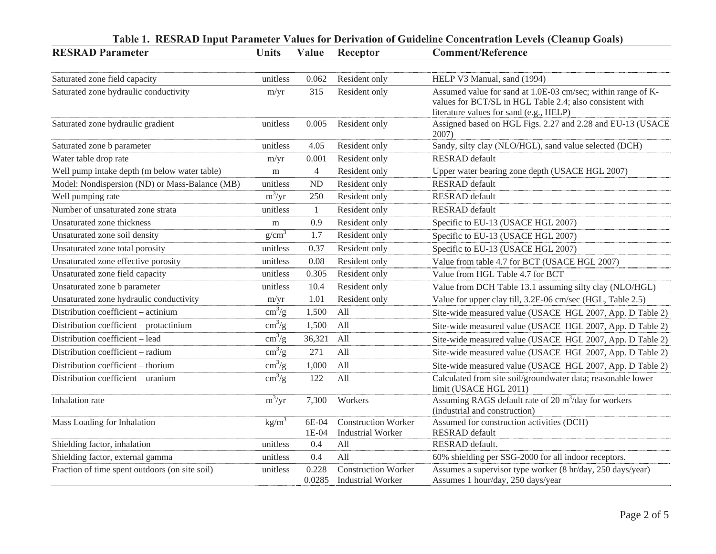| <b>RESRAD Parameter</b>                        | <b>Units</b>           | Value            | Receptor                                               | Table 1.  KESKAD Input Parameter Values for Derivation of Guideline Concentration Levels (Cleanup Goals)<br><b>Comment/Reference</b>                                |
|------------------------------------------------|------------------------|------------------|--------------------------------------------------------|---------------------------------------------------------------------------------------------------------------------------------------------------------------------|
|                                                |                        |                  |                                                        |                                                                                                                                                                     |
| Saturated zone field capacity                  | unitless               | 0.062            | Resident only                                          | HELP V3 Manual, sand (1994)                                                                                                                                         |
| Saturated zone hydraulic conductivity          | m/yr                   | 315              | Resident only                                          | Assumed value for sand at 1.0E-03 cm/sec; within range of K-<br>values for BCT/SL in HGL Table 2.4; also consistent with<br>literature values for sand (e.g., HELP) |
| Saturated zone hydraulic gradient              | unitless               | 0.005            | Resident only                                          | Assigned based on HGL Figs. 2.27 and 2.28 and EU-13 (USACE<br>2007)                                                                                                 |
| Saturated zone b parameter                     | unitless               | 4.05             | Resident only                                          | Sandy, silty clay (NLO/HGL), sand value selected (DCH)                                                                                                              |
| Water table drop rate                          | m/yr                   | 0.001            | Resident only                                          | <b>RESRAD</b> default                                                                                                                                               |
| Well pump intake depth (m below water table)   | m                      | $\overline{4}$   | Resident only                                          | Upper water bearing zone depth (USACE HGL 2007)                                                                                                                     |
| Model: Nondispersion (ND) or Mass-Balance (MB) | unitless               | <b>ND</b>        | Resident only                                          | <b>RESRAD</b> default                                                                                                                                               |
| Well pumping rate                              | $m^3/yr$               | 250              | Resident only                                          | <b>RESRAD</b> default                                                                                                                                               |
| Number of unsaturated zone strata              | unitless               | $\mathbf{1}$     | Resident only                                          | <b>RESRAD</b> default                                                                                                                                               |
| Unsaturated zone thickness                     | m                      | 0.9              | Resident only                                          | Specific to EU-13 (USACE HGL 2007)                                                                                                                                  |
| Unsaturated zone soil density                  | g/cm <sup>3</sup>      | 1.7              | Resident only                                          | Specific to EU-13 (USACE HGL 2007)                                                                                                                                  |
| Unsaturated zone total porosity                | unitless               | 0.37             | Resident only                                          | Specific to EU-13 (USACE HGL 2007)                                                                                                                                  |
| Unsaturated zone effective porosity            | unitless               | 0.08             | Resident only                                          | Value from table 4.7 for BCT (USACE HGL 2007)                                                                                                                       |
| Unsaturated zone field capacity                | unitless               | 0.305            | Resident only                                          | Value from HGL Table 4.7 for BCT                                                                                                                                    |
| Unsaturated zone b parameter                   | unitless               | 10.4             | Resident only                                          | Value from DCH Table 13.1 assuming silty clay (NLO/HGL)                                                                                                             |
| Unsaturated zone hydraulic conductivity        | m/yr                   | 1.01             | Resident only                                          | Value for upper clay till, 3.2E-06 cm/sec (HGL, Table 2.5)                                                                                                          |
| Distribution coefficient - actinium            | $\text{cm}^3/\text{g}$ | 1,500            | All                                                    | Site-wide measured value (USACE HGL 2007, App. D Table 2)                                                                                                           |
| Distribution coefficient - protactinium        | $\text{cm}^3/\text{g}$ | 1,500            | All                                                    | Site-wide measured value (USACE HGL 2007, App. D Table 2)                                                                                                           |
| Distribution coefficient - lead                | $\text{cm}^3/\text{g}$ | 36,321           | All                                                    | Site-wide measured value (USACE HGL 2007, App. D Table 2)                                                                                                           |
| Distribution coefficient - radium              | $\text{cm}^3/\text{g}$ | 271              | All                                                    | Site-wide measured value (USACE HGL 2007, App. D Table 2)                                                                                                           |
| Distribution coefficient - thorium             | $\text{cm}^3/\text{g}$ | 1,000            | All                                                    | Site-wide measured value (USACE HGL 2007, App. D Table 2)                                                                                                           |
| Distribution coefficient - uranium             | $\text{cm}^3/\text{g}$ | 122              | All                                                    | Calculated from site soil/groundwater data; reasonable lower<br>limit (USACE HGL 2011)                                                                              |
| Inhalation rate                                | $m^3/yr$               | 7,300            | Workers                                                | Assuming RAGS default rate of 20 m <sup>3</sup> /day for workers<br>(industrial and construction)                                                                   |
| Mass Loading for Inhalation                    | kg/m <sup>3</sup>      | 6E-04<br>$1E-04$ | <b>Construction Worker</b><br><b>Industrial Worker</b> | Assumed for construction activities (DCH)<br><b>RESRAD</b> default                                                                                                  |
| Shielding factor, inhalation                   | unitless               | 0.4              | All                                                    | RESRAD default.                                                                                                                                                     |
| Shielding factor, external gamma               | unitless               | 0.4              | All                                                    | 60% shielding per SSG-2000 for all indoor receptors.                                                                                                                |
| Fraction of time spent outdoors (on site soil) | unitless               | 0.228<br>0.0285  | <b>Construction Worker</b><br><b>Industrial Worker</b> | Assumes a supervisor type worker (8 hr/day, 250 days/year)<br>Assumes 1 hour/day, 250 days/year                                                                     |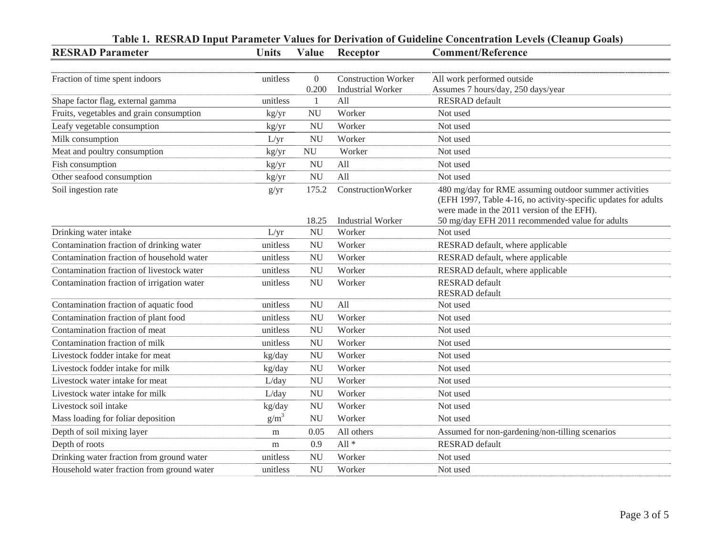| <b>RESRAD Parameter</b>                    | <b>Units</b> | Value                   | Receptor                                               | Table 1. RESRAD Input Parameter Values for Derivation of Guideline Concentration Levels (Cleanup Goals)<br><b>Comment/Reference</b>                                   |
|--------------------------------------------|--------------|-------------------------|--------------------------------------------------------|-----------------------------------------------------------------------------------------------------------------------------------------------------------------------|
|                                            |              |                         |                                                        |                                                                                                                                                                       |
| Fraction of time spent indoors             | unitless     | $\overline{0}$<br>0.200 | <b>Construction Worker</b><br><b>Industrial Worker</b> | All work performed outside<br>Assumes 7 hours/day, 250 days/year                                                                                                      |
| Shape factor flag, external gamma          | unitless     | $\mathbf{1}$            | All                                                    | <b>RESRAD</b> default                                                                                                                                                 |
| Fruits, vegetables and grain consumption   | kg/yr        | <b>NU</b>               | Worker                                                 | Not used                                                                                                                                                              |
| Leafy vegetable consumption                | kg/yr        | <b>NU</b>               | Worker                                                 | Not used                                                                                                                                                              |
| Milk consumption                           | L/yr         | <b>NU</b>               | Worker                                                 | Not used                                                                                                                                                              |
| Meat and poultry consumption               | kg/yr        | <b>NU</b>               | Worker                                                 | Not used                                                                                                                                                              |
| Fish consumption                           | kg/yr        | <b>NU</b>               | All                                                    | Not used                                                                                                                                                              |
| Other seafood consumption                  | kg/yr        | <b>NU</b>               | All                                                    | Not used                                                                                                                                                              |
| Soil ingestion rate                        | g/yr         | 175.2                   | ConstructionWorker                                     | 480 mg/day for RME assuming outdoor summer activities<br>(EFH 1997, Table 4-16, no activity-specific updates for adults<br>were made in the 2011 version of the EFH). |
|                                            |              | 18.25                   | <b>Industrial Worker</b>                               | 50 mg/day EFH 2011 recommended value for adults                                                                                                                       |
| Drinking water intake                      | L/yr         | <b>NU</b>               | Worker                                                 | Not used                                                                                                                                                              |
| Contamination fraction of drinking water   | unitless     | <b>NU</b>               | Worker                                                 | RESRAD default, where applicable                                                                                                                                      |
| Contamination fraction of household water  | unitless     | <b>NU</b>               | Worker                                                 | RESRAD default, where applicable                                                                                                                                      |
| Contamination fraction of livestock water  | unitless     | <b>NU</b>               | Worker                                                 | RESRAD default, where applicable                                                                                                                                      |
| Contamination fraction of irrigation water | unitless     | <b>NU</b>               | Worker                                                 | <b>RESRAD</b> default<br><b>RESRAD</b> default                                                                                                                        |
| Contamination fraction of aquatic food     | unitless     | <b>NU</b>               | All                                                    | Not used                                                                                                                                                              |
| Contamination fraction of plant food       | unitless     | <b>NU</b>               | Worker                                                 | Not used                                                                                                                                                              |
| Contamination fraction of meat             | unitless     | <b>NU</b>               | Worker                                                 | Not used                                                                                                                                                              |
| Contamination fraction of milk             | unitless     | <b>NU</b>               | Worker                                                 | Not used                                                                                                                                                              |
| Livestock fodder intake for meat           | kg/day       | <b>NU</b>               | Worker                                                 | Not used                                                                                                                                                              |
| Livestock fodder intake for milk           | kg/day       | <b>NU</b>               | Worker                                                 | Not used                                                                                                                                                              |
| Livestock water intake for meat            | L/day        | <b>NU</b>               | Worker                                                 | Not used                                                                                                                                                              |
| Livestock water intake for milk            | L/day        | <b>NU</b>               | Worker                                                 | Not used                                                                                                                                                              |
| Livestock soil intake                      | kg/day       | <b>NU</b>               | Worker                                                 | Not used                                                                                                                                                              |
| Mass loading for foliar deposition         | $g/m^3$      | <b>NU</b>               | Worker                                                 | Not used                                                                                                                                                              |
| Depth of soil mixing layer                 | m            | 0.05                    | All others                                             | Assumed for non-gardening/non-tilling scenarios                                                                                                                       |
| Depth of roots                             | m            | 0.9                     | All $*$                                                | <b>RESRAD</b> default                                                                                                                                                 |
| Drinking water fraction from ground water  | unitless     | <b>NU</b>               | Worker                                                 | Not used                                                                                                                                                              |
| Household water fraction from ground water | unitless     | <b>NU</b>               | Worker                                                 | Not used                                                                                                                                                              |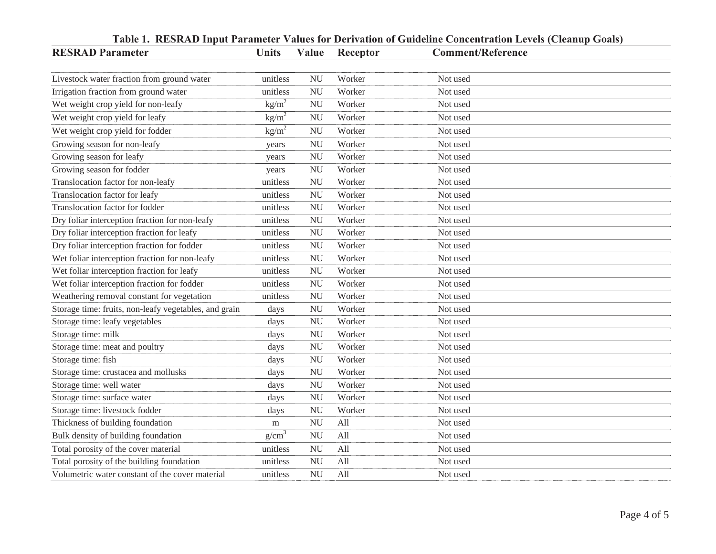| <b>RESRAD Parameter</b>                               | <b>Units</b>      | Value     | Receptor | <b>Comment/Reference</b> |
|-------------------------------------------------------|-------------------|-----------|----------|--------------------------|
|                                                       |                   |           |          |                          |
| Livestock water fraction from ground water            | unitless          | <b>NU</b> | Worker   | Not used                 |
| Irrigation fraction from ground water                 | unitless          | <b>NU</b> | Worker   | Not used                 |
| Wet weight crop yield for non-leafy                   | $\text{kg/m}^2$   | <b>NU</b> | Worker   | Not used                 |
| Wet weight crop yield for leafy                       | kg/m <sup>2</sup> | <b>NU</b> | Worker   | Not used                 |
| Wet weight crop yield for fodder                      | kg/m <sup>2</sup> | <b>NU</b> | Worker   | Not used                 |
| Growing season for non-leafy                          | years             | <b>NU</b> | Worker   | Not used                 |
| Growing season for leafy                              | years             | <b>NU</b> | Worker   | Not used                 |
| Growing season for fodder                             | years             | <b>NU</b> | Worker   | Not used                 |
| Translocation factor for non-leafy                    | unitless          | <b>NU</b> | Worker   | Not used                 |
| Translocation factor for leafy                        | unitless          | <b>NU</b> | Worker   | Not used                 |
| Translocation factor for fodder                       | unitless          | <b>NU</b> | Worker   | Not used                 |
| Dry foliar interception fraction for non-leafy        | unitless          | <b>NU</b> | Worker   | Not used                 |
| Dry foliar interception fraction for leafy            | unitless          | <b>NU</b> | Worker   | Not used                 |
| Dry foliar interception fraction for fodder           | unitless          | <b>NU</b> | Worker   | Not used                 |
| Wet foliar interception fraction for non-leafy        | unitless          | <b>NU</b> | Worker   | Not used                 |
| Wet foliar interception fraction for leafy            | unitless          | <b>NU</b> | Worker   | Not used                 |
| Wet foliar interception fraction for fodder           | unitless          | <b>NU</b> | Worker   | Not used                 |
| Weathering removal constant for vegetation            | unitless          | <b>NU</b> | Worker   | Not used                 |
| Storage time: fruits, non-leafy vegetables, and grain | days              | <b>NU</b> | Worker   | Not used                 |
| Storage time: leafy vegetables                        | days              | <b>NU</b> | Worker   | Not used                 |
| Storage time: milk                                    | days              | <b>NU</b> | Worker   | Not used                 |
| Storage time: meat and poultry                        | days              | <b>NU</b> | Worker   | Not used                 |
| Storage time: fish                                    | days              | <b>NU</b> | Worker   | Not used                 |
| Storage time: crustacea and mollusks                  | days              | <b>NU</b> | Worker   | Not used                 |
| Storage time: well water                              | days              | <b>NU</b> | Worker   | Not used                 |
| Storage time: surface water                           | days              | <b>NU</b> | Worker   | Not used                 |
| Storage time: livestock fodder                        | days              | <b>NU</b> | Worker   | Not used                 |
| Thickness of building foundation                      | m                 | <b>NU</b> | All      | Not used                 |
| Bulk density of building foundation                   | g/cm <sup>3</sup> | <b>NU</b> | All      | Not used                 |
| Total porosity of the cover material                  | unitless          | <b>NU</b> | All      | Not used                 |
| Total porosity of the building foundation             | unitless          | <b>NU</b> | All      | Not used                 |
| Volumetric water constant of the cover material       | unitless          | <b>NU</b> | All      | Not used                 |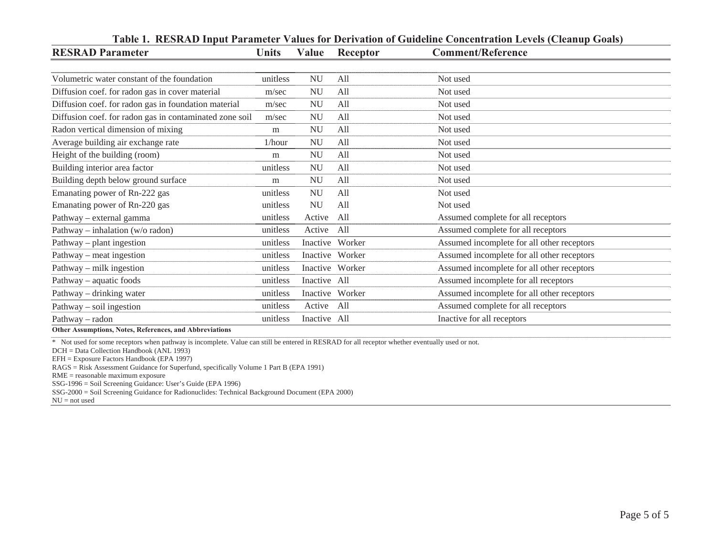| <b>RESRAD Parameter</b>                                 | <b>Units</b> | Value         |                 | Table 1. RESRAD Input Parameter Values for Derivation of Guideline Concentration Levels (Cleanup Goals)<br><b>Comment/Reference</b> |
|---------------------------------------------------------|--------------|---------------|-----------------|-------------------------------------------------------------------------------------------------------------------------------------|
|                                                         |              |               | Receptor        |                                                                                                                                     |
| Volumetric water constant of the foundation             | unitless     | <b>NU</b>     | All             | Not used                                                                                                                            |
| Diffusion coef. for radon gas in cover material         | m/sec        | <b>NU</b>     | All             | Not used                                                                                                                            |
| Diffusion coef. for radon gas in foundation material    | m/sec        | $\mathrm{NU}$ | All             | Not used                                                                                                                            |
| Diffusion coef. for radon gas in contaminated zone soil | m/sec        | <b>NU</b>     | All             | Not used                                                                                                                            |
| Radon vertical dimension of mixing                      | m            | <b>NU</b>     | All             | Not used                                                                                                                            |
| Average building air exchange rate                      | $1/h$ our    | <b>NU</b>     | All             | Not used                                                                                                                            |
| Height of the building (room)                           | m            | <b>NU</b>     | All             | Not used                                                                                                                            |
| Building interior area factor                           | unitless     | $\mathrm{NU}$ | All             | Not used                                                                                                                            |
| Building depth below ground surface                     | m            | $\mathrm{NU}$ | All             | Not used                                                                                                                            |
| Emanating power of Rn-222 gas                           | unitless     | <b>NU</b>     | All             | Not used                                                                                                                            |
| Emanating power of Rn-220 gas                           | unitless     | $\mathrm{NU}$ | All             | Not used                                                                                                                            |
| Pathway – external gamma                                | unitless     | Active        | All             | Assumed complete for all receptors                                                                                                  |
| Pathway – inhalation (w/o radon)                        | unitless     | Active        | All             | Assumed complete for all receptors                                                                                                  |
| Pathway – plant ingestion                               | unitless     |               | Inactive Worker | Assumed incomplete for all other receptors                                                                                          |
| Pathway – meat ingestion                                | unitless     |               | Inactive Worker | Assumed incomplete for all other receptors                                                                                          |
| Pathway – milk ingestion                                | unitless     |               | Inactive Worker | Assumed incomplete for all other receptors                                                                                          |
| Pathway – aquatic foods                                 | unitless     | Inactive All  |                 | Assumed incomplete for all receptors                                                                                                |
| Pathway – drinking water                                | unitless     |               | Inactive Worker | Assumed incomplete for all other receptors                                                                                          |
| Pathway – soil ingestion                                | unitless     | Active        | All             | Assumed complete for all receptors                                                                                                  |
| Pathway – radon                                         | unitless     | Inactive All  |                 | Inactive for all receptors                                                                                                          |
| Other Assumptions, Notes, References, and Abbreviations |              |               |                 |                                                                                                                                     |

## **Table 1. RESRAD Input Parameter Values for Derivation of Guideline Concentration Levels (Cleanup Goals)**

\* Not used for some receptors when pathway is incomplete. Value can still be entered in RESRAD for all receptor whether eventually used or not.

DCH = Data Collection Handbook (ANL 1993)

EFH = Exposure Factors Handbook (EPA 1997)

RAGS = Risk Assessment Guidance for Superfund, specifically Volume 1 Part B (EPA 1991)

RME = reasonable maximum exposure

SSG-1996 = Soil Screening Guidance: User's Guide (EPA 1996)

SSG-2000 = Soil Screening Guidance for Radionuclides: Technical Background Document (EPA 2000)

NU = not used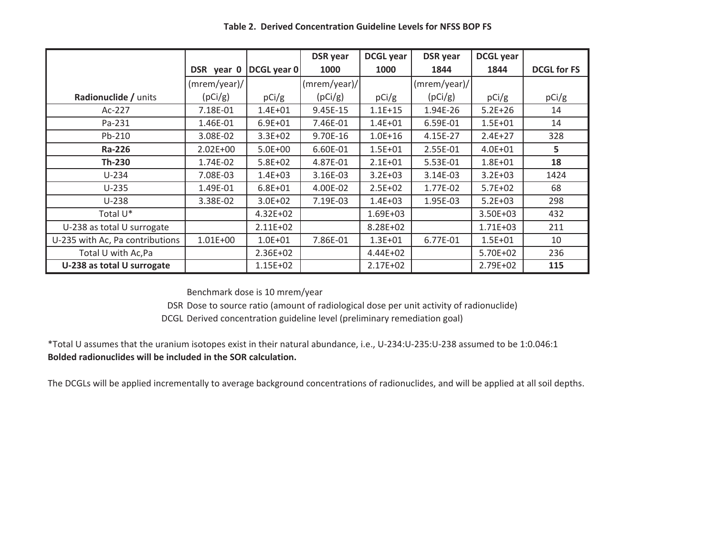|                                 |                 |              | <b>DSR</b> year            | <b>DCGL</b> year | <b>DSR</b> year | <b>DCGL</b> year |                    |
|---------------------------------|-----------------|--------------|----------------------------|------------------|-----------------|------------------|--------------------|
|                                 | DSR year 0      | DCGL year 0  | 1000                       | 1000             | 1844            | 1844             | <b>DCGL for FS</b> |
|                                 | $(mrem/year)$ / |              | $\frac{1}{2}$ (mrem/year)/ |                  | $(mrem/year)$ / |                  |                    |
| Radionuclide / units            | (pCi/g)         | pCi/g        | (pCi/g)                    | pCi/g            | (pCi/g)         | pCi/g            | pCi/g              |
| $Ac-227$                        | 7.18E-01        | $1.4E + 01$  | 9.45E-15                   | $1.1E + 15$      | 1.94E-26        | $5.2E + 26$      | 14                 |
| Pa-231                          | 1.46E-01        | $6.9E + 01$  | 7.46E-01                   | $1.4E + 01$      | 6.59E-01        | $1.5E + 01$      | 14                 |
| Pb-210                          | 3.08E-02        | $3.3E + 02$  | 9.70E-16                   | $1.0E + 16$      | 4.15E-27        | $2.4E + 27$      | 328                |
| Ra-226                          | $2.02E + 00$    | $5.0E + 00$  | 6.60E-01                   | $1.5E + 01$      | 2.55E-01        | $4.0E + 01$      | 5                  |
| Th-230                          | 1.74E-02        | $5.8E + 02$  | 4.87E-01                   | $2.1E + 01$      | 5.53E-01        | $1.8E + 01$      | 18                 |
| $U-234$                         | 7.08E-03        | $1.4E + 03$  | 3.16E-03                   | $3.2E + 03$      | 3.14E-03        | $3.2E + 03$      | 1424               |
| $U-235$                         | 1.49E-01        | $6.8E + 01$  | 4.00E-02                   | $2.5E + 02$      | 1.77E-02        | $5.7E + 02$      | 68                 |
| $U-238$                         | 3.38E-02        | $3.0E + 02$  | 7.19E-03                   | $1.4E + 03$      | 1.95E-03        | $5.2E + 03$      | 298                |
| Total U <sup>*</sup>            |                 | $4.32E + 02$ |                            | 1.69E+03         |                 | 3.50E+03         | 432                |
| U-238 as total U surrogate      |                 | $2.11E+02$   |                            | 8.28E+02         |                 | $1.71E + 03$     | 211                |
| U-235 with Ac, Pa contributions | $1.01E + 00$    | $1.0E + 01$  | 7.86E-01                   | $1.3E + 01$      | 6.77E-01        | $1.5E + 01$      | 10                 |
| Total U with Ac, Pa             |                 | 2.36E+02     |                            | $4.44E + 02$     |                 | 5.70E+02         | 236                |
| U-238 as total U surrogate      |                 | $1.15E + 02$ |                            | $2.17E + 02$     |                 | 2.79E+02         | 115                |

Table 2. Derived Concentration Guideline Levels for NFSS BOP FS

Benchmark dose is 10 mrem/year

DSR Dose to source ratio (amount of radiological dose per unit activity of radionuclide)

DCGL Derived concentration guideline level (preliminary remediation goal)

\*Total U assumes that the uranium isotopes exist in their natural abundance, i.e., U-234:U-235:U-238 assumed to be 1:0.046:1 Bolded radionuclides will be included in the SOR calculation.

The DCGLs will be applied incrementally to average background concentrations of radionuclides, and will be applied at all soil depths.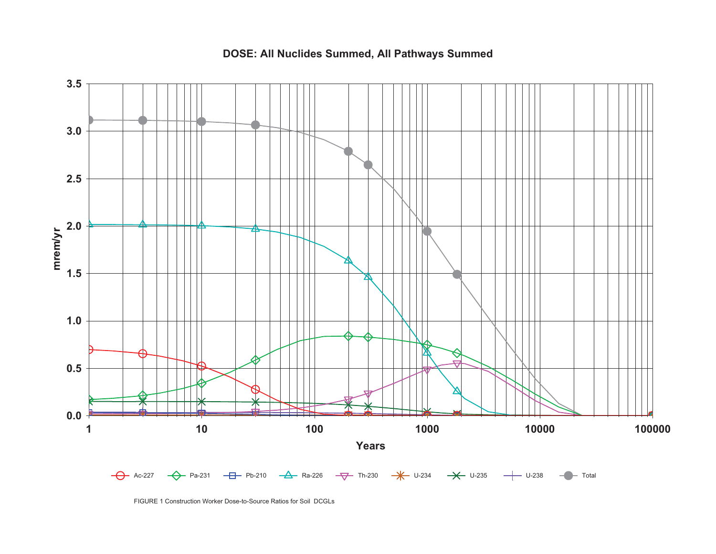# DOSE: All Nuclides Summed, All Pathways Summed



FIGURE 1 Construction Worker Dose-to-Source Ratios for Soil DCGLs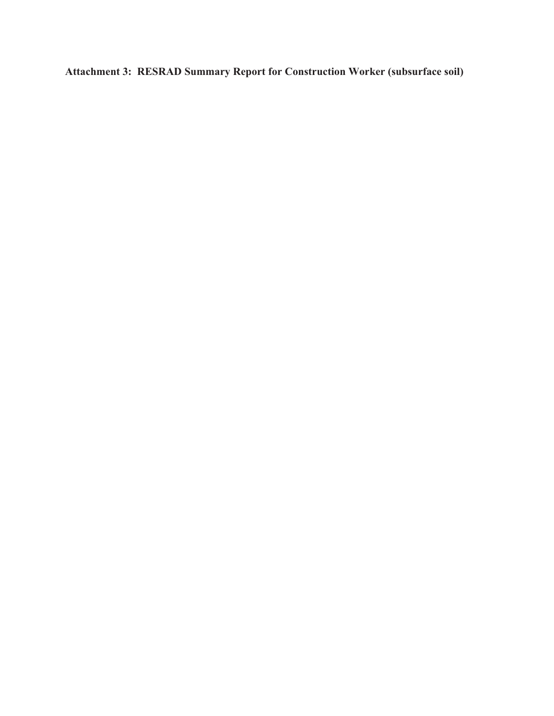Attachment 3: RESRAD Summary Report for Construction Worker (subsurface soil)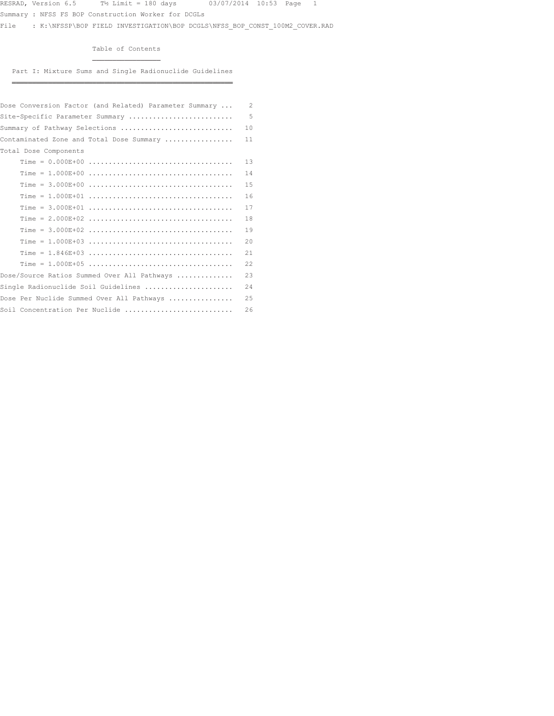Summary : NFSS FS BOP Construction Worker for DCGLs

¶¶¶¶¶¶¶¶¶¶¶¶¶¶¶¶¶

File : K:\NFSSP\BOP FIELD INVESTIGATION\BOP DCGLS\NFSS\_BOP\_CONST\_100M2\_COVER.RAD

Table of Contents

Part I: Mixture Sums and Single Radionuclide Guidelines ÁÁÁÁÁÁÁÁÁÁÁÁÁÁÁÁÁÁÁÁÁÁÁÁÁÁÁÁÁÁÁÁÁÁÁÁÁÁÁÁÁÁÁÁÁÁÁÁÁÁÁÁÁÁÁ

| Dose Conversion Factor (and Related) Parameter Summary | $\overline{c}$ |
|--------------------------------------------------------|----------------|
| Site-Specific Parameter Summary                        | 5              |
| Summary of Pathway Selections                          | 10             |
| Contaminated Zone and Total Dose Summary               | 11             |
| Total Dose Components                                  |                |
|                                                        | 13             |
|                                                        | 14             |
|                                                        | 15             |
|                                                        | 16             |
|                                                        | 17             |
|                                                        | 18             |
|                                                        | 19             |
|                                                        | 20             |
|                                                        | 21             |
|                                                        | 22             |
| Dose/Source Ratios Summed Over All Pathways            | 23             |
| Single Radionuclide Soil Guidelines                    | 24             |
| Dose Per Nuclide Summed Over All Pathways              | 25             |
| Soil Concentration Per Nuclide                         | 26             |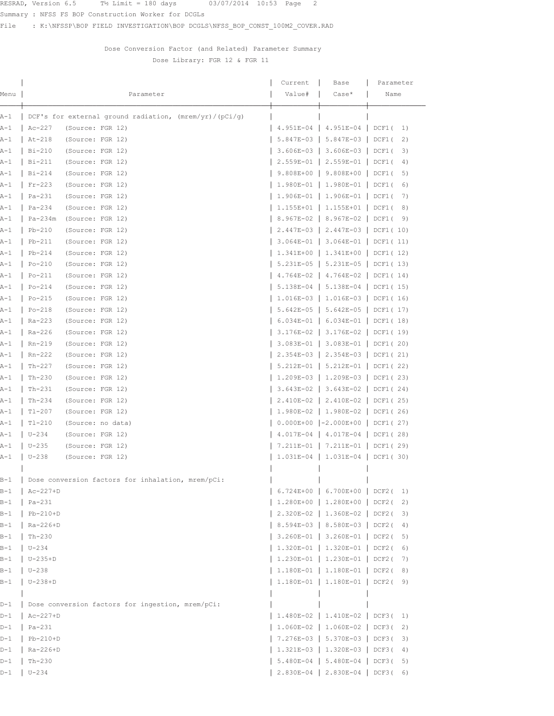RESRAD, Version 6.5  $T\frac{1}{2}$  Limit = 180 days  $03/07/2014$  10:53 Page 2

Summary : NFSS FS BOP Construction Worker for DCGLs

File : K:\NFSSP\BOP FIELD INVESTIGATION\BOP DCGLS\NFSS\_BOP\_CONST\_100M2\_COVER.RAD

## Dose Conversion Factor (and Related) Parameter Summary Dose Library: FGR 12 & FGR 11

|       |                                                          | Current                           | Base                                 | Parameter   |
|-------|----------------------------------------------------------|-----------------------------------|--------------------------------------|-------------|
| Menu  | Parameter                                                | Value#                            | $Case*$                              | Name        |
|       |                                                          |                                   |                                      |             |
| A-1   | DCF's for external ground radiation, $(mrem/yr)/(pCi/q)$ |                                   |                                      |             |
| A-1   | (Source: FGR 12)<br>$Ac-227$                             |                                   | $4.951E-04$   $4.951E-04$   DCF1(    | 1)          |
| A-1   | At-218<br>(Source: FGR 12)                               |                                   | $5.847E-03$   $5.847E-03$   DCF1(    | 2)          |
| $A-1$ | (Source: FGR 12)<br>Bi-210                               |                                   | 3.606E-03   3.606E-03   DCF1(        | 3)          |
| $A-1$ | Bi-211<br>(Source: FGR 12)                               |                                   | 2.559E-01   2.559E-01   DCF1(        | 4)          |
| A-1   | Bi-214<br>(Source: FGR 12)                               |                                   | $9.808E+00$   9.808E+00              | DCF1(<br>5) |
| A-1   | (Source: FGR 12)<br>$Fr-223$                             |                                   | $1.980E-01$   1.980E-01   DCF1(      | 6)          |
| A-1   | Pa-231<br>(Source: FGR 12)                               |                                   | $1.906E-01$   1.906E-01   DCF1(      | 7)          |
| A-1   | $Pa-234$<br>(Source: FGR 12)                             | 1.155E+01   1.155E+01   DCF1(     |                                      | 8)          |
| A-1   | (Source: FGR 12)<br>Pa-234m                              | 8.967E-02   8.967E-02   DCF1(     |                                      | 9)          |
| $A-1$ | $Pb-210$<br>(Source: FGR 12)                             |                                   | 2.447E-03   2.447E-03   DCF1(10)     |             |
| A-1   | $Pb-211$<br>(Source: FGR 12)                             |                                   | 3.064E-01   3.064E-01   DCF1(11)     |             |
| A-1   | (Source: FGR 12)<br>$Pb-214$                             |                                   | $1.341E+00$   $1.341E+00$   DCF1(12) |             |
| $A-1$ | (Source: FGR 12)<br>$Po-210$                             | 5.231E-05   5.231E-05   DCF1(13)  |                                      |             |
| $A-1$ | (Source: FGR 12)<br>Po-211                               | 4.764E-02   4.764E-02   DCF1(14)  |                                      |             |
| $A-1$ | $Po-214$<br>(Source: FGR 12)                             |                                   | $5.138E-04$   $5.138E-04$   DCF1(15) |             |
| A-1   | (Source: FGR 12)<br>$Po-215$                             |                                   | $1.016E-03$   1.016E-03   DCF1(16)   |             |
| A-1   | (Source: FGR 12)<br>$Po-218$                             |                                   | $5.642E-05$   $5.642E-05$   DCF1(17) |             |
| A-1   | Ra-223<br>(Source: FGR 12)                               |                                   | $6.034E-01$   $6.034E-01$   DCF1(18) |             |
| A-1   | Ra-226<br>(Source: FGR 12)                               |                                   | $3.176E-02$   3.176E-02   DCF1(19)   |             |
| $A-1$ | (Source: FGR 12)<br>Rn-219                               |                                   | 3.083E-01   3.083E-01   DCF1(20)     |             |
| $A-1$ | $Rn-222$<br>(Source: FGR 12)                             |                                   | 2.354E-03   2.354E-03   DCF1(21)     |             |
| A-1   | $Th-227$<br>(Source: FGR 12)                             |                                   | 5.212E-01   5.212E-01   DCF1(22)     |             |
| A-1   | (Source: FGR 12)<br>$Th-230$                             |                                   | 1.209E-03   1.209E-03   DCF1(23)     |             |
| A-1   | (Source: FGR 12)<br>Th-231                               |                                   | 3.643E-02   3.643E-02   DCF1(24)     |             |
| $A-1$ | (Source: FGR 12)<br>Th-234                               | 2.410E-02   2.410E-02   DCF1( 25) |                                      |             |
| A-1   | $T1-207$<br>(Source: FGR 12)                             |                                   | $1.980E-02$   1.980E-02   DCF1(26)   |             |
| A-1   | $T1-210$<br>(Source: no data)                            |                                   | $0.000E+00$  -2.000E+00   DCF1(27)   |             |
| A-1   | $U - 234$<br>(Source: FGR 12)                            |                                   | $4.017E-04$   $4.017E-04$   DCF1(28) |             |
| A-1   | $U - 235$<br>(Source: FGR 12)                            |                                   | 7.211E-01   7.211E-01   DCF1(29)     |             |
| A-1   | $U - 238$<br>(Source: FGR 12)                            |                                   | $1.031E-04$   1.031E-04   DCF1(30)   |             |
|       |                                                          |                                   |                                      |             |
| $B-1$ | Dose conversion factors for inhalation, mrem/pCi:        |                                   |                                      |             |
| $B-1$ | $Ac-227+D$                                               | 6.724E+00   6.700E+00   DCF2(     |                                      | 1)          |
| $B-1$ | $Pa-231$                                                 |                                   | 1.280E+00   1.280E+00   DCF2(        | 2)          |
| $B-1$ | $Pb-210+D$                                               | 2.320E-02   1.360E-02   DCF2(     |                                      | 3)          |
| $B-1$ | Ra-226+D                                                 | 8.594E-03   8.580E-03   DCF2(     |                                      | 4)          |
| $B-1$ | $Th-230$                                                 |                                   | $3.260E-01$   3.260E-01   DCF2(      | 5)          |
| $B-1$ | $U - 234$                                                |                                   | 1.320E-01   1.320E-01   DCF2(        | 6)          |
| $B-1$ | $U-235+D$                                                |                                   | 1.230E-01   1.230E-01   DCF2(        | 7)          |
| $B-1$ | $U - 238$                                                |                                   | 1.180E-01   1.180E-01   DCF2(        | 8)          |
| $B-1$ | $U-238+D$                                                |                                   | $1.180E-01$   $1.180E-01$   DCF2( 9) |             |
|       |                                                          |                                   |                                      |             |
| $D-1$ | Dose conversion factors for ingestion, mrem/pCi:         |                                   |                                      |             |
| $D-1$ | $Ac-227+D$                                               |                                   | 1.480E-02   1.410E-02   DCF3(        | 1)          |
| $D-1$ | $Pa-231$                                                 | 1.060E-02   1.060E-02   DCF3(     |                                      | 2)          |
| $D-1$ | $Pb-210+D$                                               |                                   | 7.276E-03   5.370E-03   DCF3(        | 3)          |
| $D-1$ | $Ra-226+D$                                               | 1.321E-03   1.320E-03   DCF3(     |                                      | 4)          |
| $D-1$ | $Th-230$                                                 |                                   | 5.480E-04   5.480E-04   DCF3(        | 5)          |
| $D-1$ | $U - 234$                                                |                                   | $2.830E-04$   2.830E-04   DCF3(6)    |             |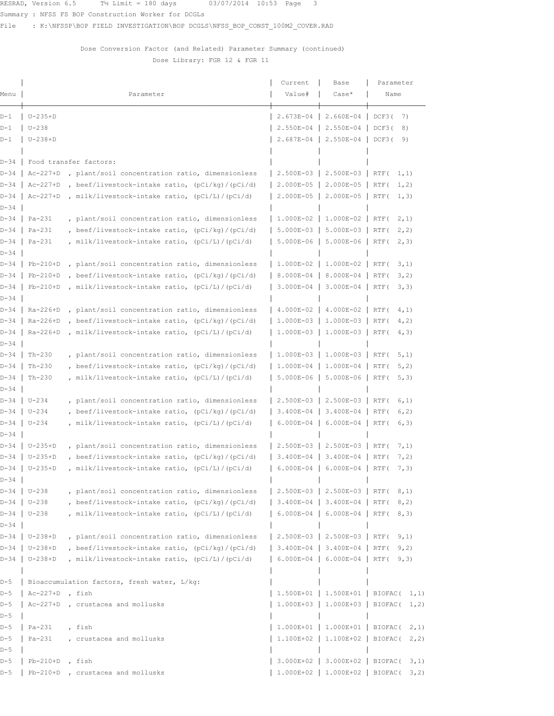Summary : NFSS FS BOP Construction Worker for DCGLs

File : K:\NFSSP\BOP FIELD INVESTIGATION\BOP DCGLS\NFSS\_BOP\_CONST\_100M2\_COVER.RAD

Dose Conversion Factor (and Related) Parameter Summary (continued) Dose Library: FGR 12 & FGR 11

| Menu           |                   | Parameter                                         | Current<br>Value#                   | Base<br>$Case*$                     | Parameter<br>Name                      |
|----------------|-------------------|---------------------------------------------------|-------------------------------------|-------------------------------------|----------------------------------------|
|                |                   |                                                   |                                     |                                     |                                        |
| D-1            | $ U-235+D $       |                                                   |                                     | 2.673E-04   2.660E-04   DCF3(       | 7)                                     |
| D-1            | $U-238$           |                                                   | 2.550E-04 2.550E-04                 |                                     | DCF3(<br>8)                            |
| D-1            | $U-238+D$         |                                                   |                                     | 2.687E-04   2.550E-04               | DCF3(<br>9)                            |
|                |                   | D-34   Food transfer factors:                     |                                     |                                     |                                        |
| D-34           | $Ac-227+D$        | , plant/soil concentration ratio, dimensionless   |                                     | 2.500E-03   2.500E-03   RTF(        | 1, 1)                                  |
| D-34 I         | $Ac-227+D$        | , beef/livestock-intake ratio, (pCi/kg)/(pCi/d)   | $\vert$ 2.000E-05 $\vert$ 2.000E-05 |                                     | RTF (<br>1, 2)                         |
| D-34 I         | $Ac-227+D$        | , milk/livestock-intake ratio, $(pCi/L)/(pCi/d)$  |                                     | 2.000E-05   2.000E-05               | RTF (<br>1, 3)                         |
| D-34           |                   |                                                   |                                     |                                     |                                        |
|                | $D-34$   Pa-231   | , plant/soil concentration ratio, dimensionless   | 1.000E-02   1.000E-02   RTF(        |                                     | 2, 1)                                  |
|                | D-34   Pa-231     | , beef/livestock-intake ratio, $(pCi/kg)/(pCi/d)$ |                                     | $5.000E-03$   $5.000E-03$   RTF(    | 2, 2)                                  |
| D-34           | D-34   Pa-231     | , milk/livestock-intake ratio, (pCi/L)/(pCi/d)    |                                     | 5.000E-06   5.000E-06   RTF(        | 2, 3)                                  |
| D-34           | $Pb-210+D$        | , plant/soil concentration ratio, dimensionless   |                                     | $1.000E-02$   1.000E-02             | RTF (<br>3,1)                          |
| D-34           | $Pb-210+D$        | , beef/livestock-intake ratio, $(pCi/kg)/(pCi/d)$ |                                     | 8.000E-04   8.000E-04               | RTF (<br>3, 2)                         |
| D-34           | $Pb-210+D$        | , milk/livestock-intake ratio, $(pCi/L)/(pCi/d)$  |                                     | $3.000E-04$   3.000E-04             | RTF (<br>3, 3)                         |
| D-34           |                   |                                                   |                                     |                                     |                                        |
| D-34 I         | $Ra-226+D$        | , plant/soil concentration ratio, dimensionless   |                                     | $4.000E-02$   $4.000E-02$           | RTF (<br>4, 1)                         |
| D-34 I         | $Ra-226+D$        | , beef/livestock-intake ratio, $(pCi/kg)/(pCi/d)$ |                                     | $1.000E-03$   1.000E-03             | $ $ RTF $($<br>4, 2)                   |
| D-34 I         | $Ra-226+D$        | , milk/livestock-intake ratio, (pCi/L)/(pCi/d)    |                                     | 1.000E-03   1.000E-03   RTF(        | 4, 3)                                  |
| D-34           |                   |                                                   |                                     |                                     |                                        |
| $D-34$         | $Th-230$          | plant/soil concentration ratio, dimensionless     |                                     | 1.000E-03   1.000E-03               | $ $ RTF $($<br>5, 1)                   |
| D-34           | $Th-230$          | beef/livestock-intake ratio, (pCi/kg)/(pCi/d)     |                                     | 1.000E-04   1.000E-04               | RTF (<br>5, 2)                         |
| D-34 I<br>D-34 | $Th-230$          | , milk/livestock-intake ratio, (pCi/L)/(pCi/d)    |                                     | 5.000E-06   5.000E-06   RTF(        | 5, 3)                                  |
| D-34           | $U - 234$         | , plant/soil concentration ratio, dimensionless   |                                     | 2.500E-03   2.500E-03               | RTF (<br>6, 1)                         |
|                | D-34   U-234      | , beef/livestock-intake ratio, $(pCi/kg)/(pCi/d)$ |                                     | 3.400E-04   3.400E-04               | $ $ RTF (<br>6, 2)                     |
|                | D-34   U-234      | , milk/livestock-intake ratio, (pCi/L)/(pCi/d)    |                                     | $6.000E-04$   6.000E-04             | RTF (<br>6,3)                          |
| D-34           |                   |                                                   |                                     |                                     |                                        |
| D-34           | $U-235+D$         | plant/soil concentration ratio, dimensionless,    |                                     | 2.500E-03   2.500E-03               | RTF (<br>7, 1)                         |
| D-34           | $U-235+D$         | , beef/livestock-intake ratio, (pCi/kg)/(pCi/d)   |                                     | 3.400E-04   3.400E-04               | RTF (<br>7,2)                          |
|                | D-34   U-235+D    | , milk/livestock-intake ratio, $(pCi/L)/(pCi/d)$  |                                     | $6.000E-04$   6.000E-04             | RTF (<br>7, 3)                         |
| D-34           | D-34   U-238      | , plant/soil concentration ratio, dimensionless   |                                     | $2.500E-03$   2.500E-03   RTF( 8,1) |                                        |
|                | $D-34$   $U-238$  | , beef/livestock-intake ratio, (pCi/kg)/(pCi/d)   |                                     | 3.400E-04   3.400E-04   RTF(        | 8, 2)                                  |
|                | D-34   U-238      | , milk/livestock-intake ratio, (pCi/L)/(pCi/d)    |                                     | $6.000E-04$   6.000E-04   RTF(      | 8, 3)                                  |
| $D-34$         |                   |                                                   |                                     |                                     |                                        |
|                | D-34   U-238+D    | , plant/soil concentration ratio, dimensionless   | 2.500E-03   2.500E-03   RTF(        |                                     | 9,1)                                   |
|                | D-34   U-238+D    | , beef/livestock-intake ratio, (pCi/kg)/(pCi/d)   |                                     | 3.400E-04   3.400E-04   RTF(        | 9, 2)                                  |
| $D-34$         | $U-238+D$         | , milk/livestock-intake ratio, (pCi/L)/(pCi/d)    |                                     | $6.000E-04$   6.000E-04   RTF(      | 9, 3)                                  |
|                |                   |                                                   |                                     |                                     |                                        |
| $D-5$          |                   | Bioaccumulation factors, fresh water, L/kg:       |                                     |                                     |                                        |
| $D-5$          | $Ac-227+D$ , fish |                                                   |                                     |                                     | $1.500E+01$   1.500E+01   BIOFAC( 1,1) |
| $D-5$          |                   | Ac-227+D , crustacea and mollusks                 |                                     |                                     | $1.000E+03$   1.000E+03   BIOFAC( 1,2) |
| $D-5$<br>$D-5$ | Pa-231            | , fish                                            |                                     | $1.000E+01$   1.000E+01   BIOFAC(   |                                        |
| $D-5$          | $Pa-231$          | , crustacea and mollusks                          |                                     | $1.100E+02$   1.100E+02   BIOFAC(   | 2, 1)<br>2, 2)                         |
| $D-5$          |                   |                                                   |                                     |                                     |                                        |
| $D-5$          | $Pb-210+D$        | , fish                                            |                                     | 3.000E+02   3.000E+02   BIOFAC(     | 3,1)                                   |
| $D-5$          |                   | Pb-210+D, crustacea and mollusks                  |                                     |                                     | $1.000E+02$   1.000E+02   BIOFAC( 3,2) |
|                |                   |                                                   |                                     |                                     |                                        |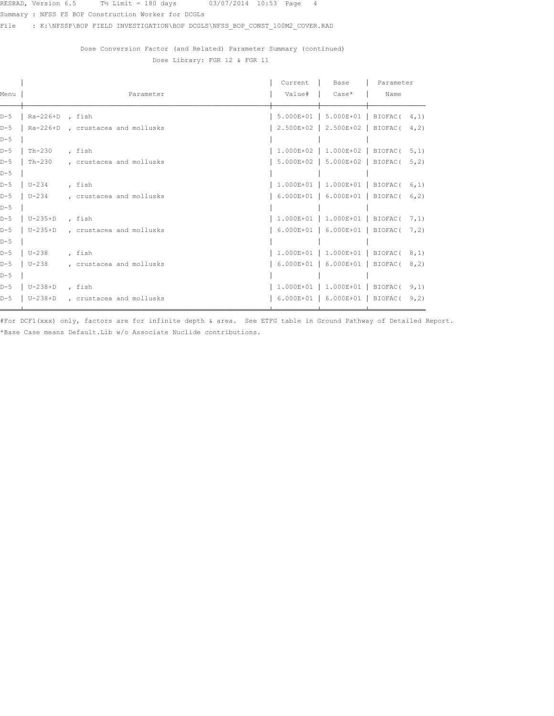Summary : NFSS FS BOP Construction Worker for DCGLs

File : K:\NFSSP\BOP FIELD INVESTIGATION\BOP DCGLS\NFSS\_BOP\_CONST\_100M2\_COVER.RAD

Dose Conversion Factor (and Related) Parameter Summary (continued) Dose Library: FGR 12 & FGR 11

|       |                 |                                  | Current | Base                                     | Parameter        |       |
|-------|-----------------|----------------------------------|---------|------------------------------------------|------------------|-------|
| Menu  |                 | Parameter                        | Value#  | l Case*                                  | Name             |       |
| $D-5$ | Ra-226+D , fish |                                  |         | $5.000E+01$   $5.000E+01$   BIOFAC( 4,1) |                  |       |
| $D-5$ |                 | Ra-226+D, crustacea and mollusks |         | 2.500E+02 2.500E+02                      | $BIOFAC$ ( 4, 2) |       |
| $D-5$ |                 |                                  |         |                                          |                  |       |
| $D-5$ | $Th-230$        | , fish                           |         | $1.000E+02$   1.000E+02   BIOFAC( 5,1)   |                  |       |
| $D-5$ | Th-230          | , crustacea and mollusks         |         | 5.000E+02   5.000E+02   BIOFAC(          |                  | 5, 2) |
| $D-5$ |                 |                                  |         |                                          |                  |       |
| $D-5$ | U-234           | , fish                           |         | $1.000E+01$   1.000E+01   BIOFAC( 6,1)   |                  |       |
| $D-5$ | $U - 234$       | , crustacea and mollusks         |         | 6.000E+01   6.000E+01   BIOFAC( 6,2)     |                  |       |
| $D-5$ |                 |                                  |         |                                          |                  |       |
| $D-5$ | $U-235+D$       | , fish                           |         | $1.000E+01$   1.000E+01   BIOFAC( 7,1)   |                  |       |
| $D-5$ | U-235+D         | , crustacea and mollusks         |         | 6.000E+01   6.000E+01   BIOFAC( 7,2)     |                  |       |
| $D-5$ |                 |                                  |         |                                          |                  |       |
| $D-5$ | $U - 238$       | , fish                           |         | $1.000E+01$   1.000E+01   BIOFAC( 8,1)   |                  |       |
| $D-5$ | $U-238$         | , crustacea and mollusks         |         | 6.000E+01   6.000E+01   BIOFAC( 8,2)     |                  |       |
| $D-5$ |                 |                                  |         |                                          |                  |       |
| $D-5$ | $U-238+D$       | , fish                           |         | $1.000E+01$   1.000E+01   BIOFAC( 9,1)   |                  |       |
| $D-5$ | $U-238+D$       | , crustacea and mollusks         |         | $6.000E+01$   $6.000E+01$   BIOFAC(      |                  | 9, 2) |
|       |                 |                                  |         |                                          |                  |       |

.<br>#For DCF1(xxx) only, factors are for infinite depth & area. See ETFG table in Ground Pathway of Detailed Report. \*Base Case means Default. Lib w/o Associate Nuclide contributions.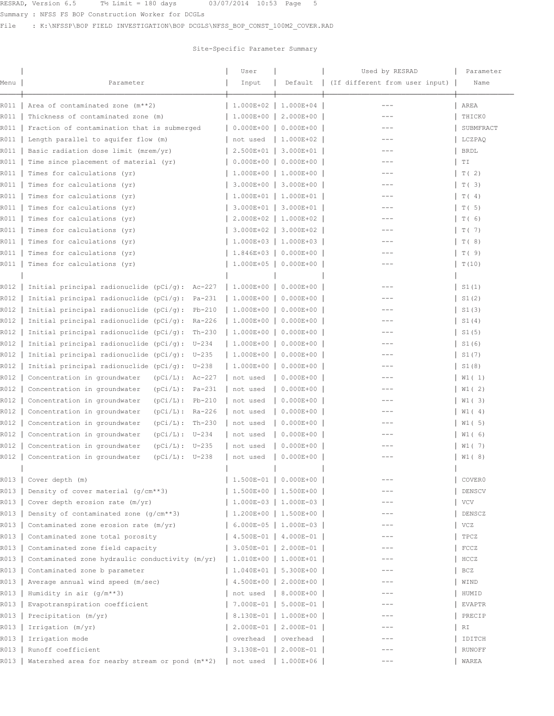RESRAD, Version 6.5  $T\frac{1}{2}$  Limit = 180 days  $03/07/2014$  10:53 Page 5

Summary : NFSS FS BOP Construction Worker for DCGLs

File : K:\NFSSP\BOP FIELD INVESTIGATION\BOP DCGLS\NFSS\_BOP\_CONST\_100M2\_COVER.RAD

## Site-Specific Parameter Summary

|      |                                                         | User          |                           | Used by RESRAD                 | Parameter     |
|------|---------------------------------------------------------|---------------|---------------------------|--------------------------------|---------------|
| Menu | Parameter                                               | Input         | Default                   | (If different from user input) | Name          |
| R011 | Area of contaminated zone (m**2)                        | 1.000E+02     | $1.000E + 04$             | $---$                          | AREA          |
| R011 | Thickness of contaminated zone (m)                      | 1.000E+00     | 2.000E+00                 |                                | THICK0        |
| R011 | Fraction of contamination that is submerged             | $0.000E + 00$ | $0.000E + 00$             |                                | SUBMFRACT     |
| R011 | Length parallel to aquifer flow (m)                     | not used      | 1.000E+02                 | $---$                          | LCZPAQ        |
| R011 | Basic radiation dose limit (mrem/yr)                    | 2.500E+01     | 3.000E+01                 | $---$                          | <b>BRDL</b>   |
| R011 | Time since placement of material (yr)                   | $0.000E + 00$ | $0.000E + 00$             |                                | TI            |
| R011 | Times for calculations (yr)                             | 1.000E+00     | 1.000E+00                 | $---$                          | T(2)          |
| R011 | Times for calculations (yr)                             | 3.000E+00     | $3.000E + 00$             | $- - -$                        | T(3)          |
| R011 | Times for calculations (yr)                             |               | $1.000E+01$   1.000E+01   | $---$                          | T(4)          |
| R011 | Times for calculations (yr)                             |               | 3.000E+01   3.000E+01     | $---$                          | $\vert$ T( 5) |
| R011 | Times for calculations (yr)                             | $2.000E+02$   | 1.000E+02                 |                                | T(6)          |
| R011 | Times for calculations (yr)                             | 3.000E+02     | 3.000E+02                 | ---                            | T (7)         |
| R011 | Times for calculations (yr)                             |               | 1.000E+03   1.000E+03     | ---                            |               |
| R011 |                                                         | $1.846E+03$   |                           |                                | T(8)          |
|      | Times for calculations (yr)                             |               | $0.000E + 00$             |                                | T(9)          |
| R011 | Times for calculations (yr)                             |               | $1.000E+05$ 0.000E+00     | $---$                          | T(10)         |
| R012 | Initial principal radionuclide ( $pCi/q$ ): Ac-227      | 1.000E+00     | $0.000E + 00$             |                                | S1(1)         |
|      |                                                         |               | $0.000E + 00$             |                                |               |
| R012 | Initial principal radionuclide $(pCi/q)$ :<br>$Pa-231$  | 1.000E+00     |                           |                                | S1(2)         |
| R012 | Initial principal radionuclide $(pCi/g)$ :<br>$Pb-210$  | 1.000E+00     | $0.000E + 00$             |                                | S1(3)         |
| R012 | Initial principal radionuclide $(pCi/q)$ :<br>Ra-226    | 1.000E+00     | $0.000E + 00$             |                                | $\vert$ S1(4) |
| R012 | Initial principal radionuclide $(pCi/g)$ :<br>$Th-230$  | $1.000E+00$   | $0.000E + 00$             |                                | $\vert$ S1(5) |
| R012 | Initial principal radionuclide $(pCi/q)$ :<br>$U - 234$ | 1.000E+00     | $0.000E + 00$             |                                | S1 (6)        |
| R012 | Initial principal radionuclide $(pCi/g)$ :<br>U-235     | 1.000E+00     | $0.000E + 00$             | ---                            | S1(7)         |
| R012 | Initial principal radionuclide $(pCi/q)$ :<br>U-238     | 1.000E+00     | $0.000E + 00$             |                                | S1(8)         |
| R012 | Concentration in groundwater<br>$(pCi/L): Ac-227$       | not used      | $0.000E + 00$             |                                | W1 ( 1)       |
| R012 | Concentration in groundwater<br>$(pCi/L)$ :<br>Pa-231   | not used      | $0.000E + 00$             | $\qquad \qquad -$              | W1 (2)        |
| R012 | Concentration in groundwater<br>$(pCi/L)$ :<br>$Pb-210$ | not used      | $0.000E + 00$             | $---$                          | W1 ( 3)       |
| R012 | Concentration in groundwater<br>$(pCi/L): Ra-226$       | not used      | $0.000E + 00$             | $---$                          | W1 (4)        |
| R012 | Concentration in groundwater<br>$(pCi/L)$ :<br>$Th-230$ | not used      | $0.000E + 00$             | $---$                          | W1 ( 5)       |
| R012 | Concentration in groundwater<br>$(pCi/L): U-234$        | not used      | $0.000E + 00$             |                                | W1 ( 6)       |
| R012 | Concentration in groundwater<br>$(pCi/L): U-235$        | not used      | $0.000E + 00$             |                                | W1(7)         |
| R012 | Concentration in groundwater<br>$(pCi/L): U-238$        | not used      | $0.000E + 00$             | $- - -$                        | $  W1 (8)$    |
| R013 | Cover depth (m)                                         |               | 1.500E-01   0.000E+00     |                                | COVER0        |
| R013 | Density of cover material $(q/cm**3)$                   |               | 1.500E+00   1.500E+00     |                                | DENSCV        |
| R013 | Cover depth erosion rate (m/yr)                         |               | $1.000E-03$   $1.000E-03$ |                                | VCV           |
| R013 | Density of contaminated zone $(q/cm**3)$                |               | 1.200E+00   1.500E+00     | $\qquad \qquad -$              | DENSCZ        |
| R013 | Contaminated zone erosion rate (m/yr)                   |               | $6.000E-05$   1.000E-03   | $---$                          | VCZ           |
| R013 | Contaminated zone total porosity                        | $4.500E-01$   | 4.000E-01                 | $---$                          | TPCZ          |
| R013 | Contaminated zone field capacity                        |               | 3.050E-01   2.000E-01     | $---$                          | FCCZ          |
| R013 | Contaminated zone hydraulic conductivity (m/yr)         |               | 1.010E+00   1.000E+01     |                                | HCCZ          |
| R013 | Contaminated zone b parameter                           |               | $1.040E+01$   5.300E+00   | $---$                          | BCZ           |
| R013 | Average annual wind speed (m/sec)                       |               | 4.500E+00   2.000E+00     | $- - -$                        | WIND          |
| R013 | Humidity in air $(g/m**3)$                              | not used      | 8.000E+00                 |                                | HUMID         |
| R013 | Evapotranspiration coefficient                          | $7.000E-01$   | $5.000E-01$               | ---                            | EVAPTR        |
| R013 | Precipitation (m/yr)                                    |               | 8.130E-01   1.000E+00     |                                | PRECIP        |
| R013 | Irrigation (m/yr)                                       | $2.000E-01$   | 2.000E-01                 |                                | RI            |
| R013 | Irrigation mode                                         | overhead      | overhead                  | ---                            | IDITCH        |
| R013 | Runoff coefficient                                      | 3.130E-01     | 2.000E-01                 |                                | <b>RUNOFF</b> |
|      |                                                         |               | 1.000E+06                 | $---$                          |               |
| R013 | Watershed area for nearby stream or pond (m**2)         | not used      |                           |                                | WAREA         |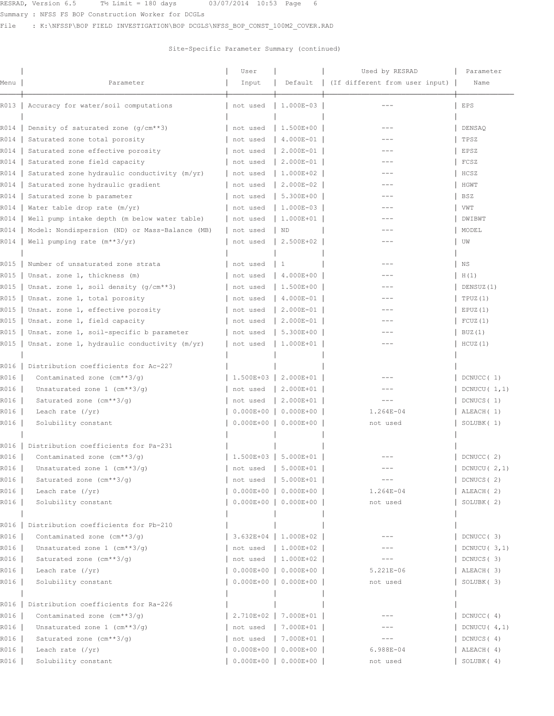Summary : NFSS FS BOP Construction Worker for DCGLs

File : K:\NFSSP\BOP FIELD INVESTIGATION\BOP DCGLS\NFSS\_BOP\_CONST\_100M2\_COVER.RAD

|      |                                                | User        |                         | Used by RESRAD                 | Parameter                                    |
|------|------------------------------------------------|-------------|-------------------------|--------------------------------|----------------------------------------------|
| Menu | Parameter                                      | Input       | Default                 | (If different from user input) | Name                                         |
|      | R013   Accuracy for water/soil computations    | not used    | 1.000E-03               |                                | EPS                                          |
| R014 | Density of saturated zone $(q/cm**3)$          | not used    | 1.500E+00               |                                | DENSAQ                                       |
| R014 | Saturated zone total porosity                  | not used    | 4.000E-01               | $---$                          | TPSZ                                         |
| R014 | Saturated zone effective porosity              | not used    | $2.000E-01$             | $---$                          | EPSZ                                         |
| R014 | Saturated zone field capacity                  | not used    | 2.000E-01               | $---$                          | FCSZ                                         |
| R014 | Saturated zone hydraulic conductivity (m/yr)   | not used    | 1.000E+02               | $---$                          | HCSZ                                         |
| R014 | Saturated zone hydraulic gradient              | not used    | 2.000E-02               | ---                            | HGWT                                         |
| R014 | Saturated zone b parameter                     | not used    | $5.300E+00$             | $---$                          | BSZ                                          |
| R014 | Water table drop rate (m/yr)                   | not used    | $1.000E-03$             | $---$                          | VWT                                          |
| R014 | Well pump intake depth (m below water table)   | not used    | 1.000E+01               |                                | DWIBWT                                       |
| R014 | Model: Nondispersion (ND) or Mass-Balance (MB) | not used    | <b>ND</b>               | ---                            | MODEL                                        |
| R014 | Well pumping rate $(m**3/yr)$                  | not used    | 2.500E+02               | ---                            | UW                                           |
|      |                                                |             |                         |                                |                                              |
| R015 | Number of unsaturated zone strata              | not used    | 1                       | $---$                          | ΝS                                           |
| R015 | Unsat. zone 1, thickness (m)                   | not used    | 4.000E+00               | $---$                          | H(1)                                         |
| R015 | Unsat. zone 1, soil density $(g/cm**3)$        | not used    | 1.500E+00               |                                | DENSUZ(1)                                    |
| R015 | Unsat. zone 1, total porosity                  | not used    | 4.000E-01               |                                | TPUZ(1)                                      |
| R015 | Unsat. zone 1, effective porosity              | not used    | $  2.000E - 01  $       |                                | EPUZ(1)                                      |
| R015 | Unsat. zone 1, field capacity                  | not used    | $  2.000E - 01  $       |                                | FCUZ(1)                                      |
| R015 | Unsat. zone 1, soil-specific b parameter       | not used    | $5.300E+00$             |                                | BUZ(1)                                       |
| R015 | Unsat. zone 1, hydraulic conductivity (m/yr)   | not used    | 1.000E+01               | $- - -$                        | HCUZ(1)                                      |
|      |                                                |             |                         |                                |                                              |
| R016 | Distribution coefficients for Ac-227           |             |                         |                                |                                              |
| R016 | Contaminated zone (cm**3/g)                    | $1.500E+03$ | 2.000E+01               |                                | DCNUCC(1)                                    |
| R016 | Unsaturated zone $1$ (cm**3/q)                 | not used    | 2.000E+01               | $---$                          | DCNUCU $(1,1)$                               |
| R016 | Saturated zone (cm**3/g)                       | not used    | $2.000E + 01$           | $---$                          | DCNUCS (1)                                   |
| R016 | Leach rate $(\frac{yr}{r})$                    | $0.000E+00$ | $0.000E + 00$           | $1.264E - 04$                  | ALEACH (1)                                   |
| R016 | Solubility constant                            |             | $0.000E+00$ 0.000E+00   | not used                       | SOLUBK (1)                                   |
|      |                                                |             |                         |                                |                                              |
| R016 | Distribution coefficients for Pa-231           |             |                         |                                |                                              |
| R016 | Contaminated zone $(\text{cm}^{**}3/q)$        |             | $1.500E+03$   5.000E+01 |                                | DCNUCC (2)                                   |
| R016 | Unsaturated zone 1 (cm**3/g)                   |             | not used   5.000E+01    |                                | $\begin{bmatrix} DCNUCU & 2,1 \end{bmatrix}$ |
| R016 | Saturated zone (cm**3/q)                       |             | not used   5.000E+01    | $---$                          | DCNUCS (2)                                   |
| R016 | Leach rate $(\sqrt{yr})$                       |             | $0.000E+00$ 0.000E+00   | $1.264E - 04$                  | ALEACH (2)                                   |
| R016 | Solubility constant                            |             | $0.000E+00$ 0.000E+00   | not used                       | SOLUBK (2)                                   |
| R016 | Distribution coefficients for Pb-210           |             |                         |                                |                                              |
| R016 | Contaminated zone $(cm**3/q)$                  |             | $3.632E+04$   1.000E+02 |                                | DCNUCC (3)                                   |
| R016 | Unsaturated zone $1$ (cm**3/q)                 | not used    | $1.000E+02$             | ---                            | DCNUCU $(3,1)$                               |
| R016 | Saturated zone (cm**3/g)                       |             | not used   1.000E+02    | $---$                          | DCNUCS (3)                                   |
| R016 | Leach rate $(\sqrt{yr})$                       |             | $0.000E+00$ 0.000E+00   | 5.221E-06                      | ALEACH (3)                                   |
| R016 | Solubility constant                            |             | $0.000E+00$   0.000E+00 | not used                       | SOLUBK (3)                                   |
|      |                                                |             |                         |                                |                                              |
| R016 | Distribution coefficients for Ra-226           |             |                         |                                |                                              |
| R016 | Contaminated zone $(cm**3/q)$                  |             | 2.710E+02   7.000E+01   |                                | DCNUCC (4)                                   |
| R016 | Unsaturated zone $1$ (cm**3/g)                 |             | not used   7.000E+01    |                                | DCNUCU $(4,1)$                               |
| R016 | Saturated zone (cm**3/q)                       |             | not used   7.000E+01    | $\qquad \qquad -$              | DCNUCS (4)                                   |
| R016 | Leach rate $(\gamma r)$                        |             | $0.000E+00$ 0.000E+00   | 6.988E-04                      | ALEACH (4)                                   |
| R016 | Solubility constant                            |             | $0.000E+00$ 0.000E+00   | not used                       | SOLUBK (4)                                   |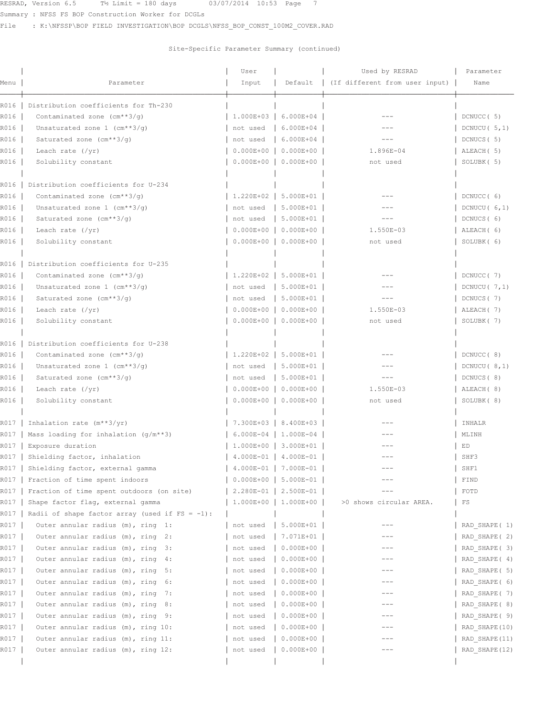Summary : NFSS FS BOP Construction Worker for DCGLs

File : K:\NFSSP\BOP FIELD INVESTIGATION\BOP DCGLS\NFSS BOP CONST 100M2 COVER.RAD

|      |                                                   | User                            |                           | Used by RESRAD                 | Parameter       |
|------|---------------------------------------------------|---------------------------------|---------------------------|--------------------------------|-----------------|
| Menu | Parameter                                         | Input                           | Default                   | (If different from user input) | Name            |
| R016 | Distribution coefficients for Th-230              |                                 |                           |                                |                 |
| R016 | Contaminated zone $(\text{cm}^{**}3/q)$           | $1.000E + 03$                   | 6.000E+04                 |                                | DCNUCC (5)      |
| R016 | Unsaturated zone $1$ (cm**3/q)                    | not used                        | 6.000E+04                 |                                | DCNUCU $(5,1)$  |
| R016 | Saturated zone $(cm**3/q)$                        | not used                        | 6.000E+04                 | $---$                          | DCNUCS (5)      |
| R016 | Leach rate $(\sqrt{yr})$                          | $0.000E + 00$                   | $0.000E + 00$             | $1.896E - 04$                  | ALEACH (5)      |
| R016 | Solubility constant                               | $0.000E + 00$                   | $0.000E + 00$             | not used                       | SOLUBK (5)      |
| R016 | Distribution coefficients for U-234               |                                 |                           |                                |                 |
| R016 | Contaminated zone $(\text{cm}^{**}3/q)$           | 1.220E+02                       | 5.000E+01                 |                                | DCNUCC (6)      |
| R016 | Unsaturated zone $1$ (cm**3/g)                    | not used                        | 5.000E+01                 |                                | DCNUCU $(6, 1)$ |
| R016 | Saturated zone (cm**3/q)                          | not used                        | 5.000E+01                 | ---                            | DCNUCS (6)      |
| R016 | Leach rate $(\sqrt{yr})$                          | $0.000E + 00$                   | $0.000E + 00$             | 1.550E-03                      | ALEACH (6)      |
| R016 | Solubility constant                               | $0.000E + 00$                   | $0.000E + 00$             | not used                       | SOLUBK (6)      |
| R016 | Distribution coefficients for U-235               |                                 |                           |                                |                 |
| R016 | Contaminated zone $(\text{cm}^{**}3/q)$           | $1.220E+02$                     | 5.000E+01                 | ---                            | DCNUCC (7)      |
| R016 | Unsaturated zone $1$ (cm**3/q)                    | not used                        | 5.000E+01                 |                                | DCNUCU $(7, 1)$ |
| R016 | Saturated zone $(cm**3/q)$                        | not used                        | 5.000E+01                 | $- - -$                        | DCNUCS (7)      |
| R016 | Leach rate $(\gamma r)$                           | $0.000E + 00$                   | $0.000E + 00$             | 1.550E-03                      | ALEACH (7)      |
| R016 | Solubility constant                               | $0.000E + 00$                   | $0.000E + 00$             | not used                       | SOLUBK (7)      |
| R016 | Distribution coefficients for U-238               |                                 |                           |                                |                 |
| R016 | Contaminated zone $(\text{cm}^{**}3/q)$           |                                 | $1.220E+02$   5.000E+01   |                                | DCNUCC (8)      |
| R016 | Unsaturated zone $1$ (cm**3/q)                    | not used                        | 5.000E+01                 |                                | DCNUCU $(8,1)$  |
| R016 | Saturated zone (cm**3/g)                          | not used                        | 5.000E+01                 | $---$                          | DCNUCS (8)      |
| R016 | Leach rate $(\sqrt{yr})$                          | $0.000E + 00$                   | $0.000E + 00$             | 1.550E-03                      | ALEACH (8)      |
| R016 | Solubility constant                               | $0.000E + 00$                   | $0.000E + 00$             | not used                       | SOLUBK (8)      |
| R017 | Inhalation rate $(m**3/yr)$                       | 7.300E+03                       | 8.400E+03                 |                                | INHALR          |
| R017 | Mass loading for inhalation $(g/m**3)$            |                                 | $6.000E-04$   1.000E-04   | ---                            | MLINH           |
| R017 | Exposure duration                                 |                                 | 1.000E+00   3.000E+01     |                                | ED              |
| R017 | Shielding factor, inhalation                      |                                 | $4.000E-01$   $4.000E-01$ |                                | SHF3            |
|      | R017   Shielding factor, external gamma           | $  4.000E - 01   7.000E - 01  $ |                           | $---$                          | SHF1            |
| R017 | Fraction of time spent indoors                    | $0.000E+00$                     | $5.000E-01$               |                                | FIND            |
| R017 | Fraction of time spent outdoors (on site)         | $2.280E-01$                     | $2.500E-01$               |                                | FOTD            |
| R017 | Shape factor flag, external gamma                 | $1.000E+00$                     | $1.000E + 00$             | >0 shows circular AREA.        | FS              |
| R017 | Radii of shape factor array (used if $FS = -1$ ): |                                 |                           |                                |                 |
| R017 | Outer annular radius (m), ring 1:                 | not used                        | $5.000E+01$               |                                | RAD SHAPE (1)   |
| R017 | Outer annular radius (m), ring 2:                 | not used                        | $7.071E+01$               |                                | RAD SHAPE (2)   |
| R017 | Outer annular radius (m), ring 3:                 | not used                        | $0.000E + 00$             |                                | RAD SHAPE (3)   |
| R017 | Outer annular radius (m), ring 4:                 | not used                        | $0.000E + 00$             | $---$                          | RAD SHAPE (4)   |
| R017 | Outer annular radius (m), ring 5:                 | not used                        | $0.000E + 00$             |                                | RAD SHAPE ( 5)  |
| R017 | Outer annular radius (m), ring 6:                 | not used                        | $0.000E + 00$             | ---                            | RAD SHAPE ( 6)  |
| R017 | Outer annular radius (m), ring<br>7:              | not used                        | $0.000E+00$               | $---$                          | RAD SHAPE (7)   |
| R017 | Outer annular radius (m), ring<br>- 8 :           | not used                        | $0.000E+00$               |                                | RAD SHAPE ( 8)  |
| R017 | Outer annular radius (m), ring 9:                 | not used                        | $0.000E + 00$             | ---                            | RAD SHAPE ( 9)  |
| R017 | Outer annular radius (m), ring 10:                | not used                        | $0.000E + 00$             |                                | RAD SHAPE (10)  |
| R017 | Outer annular radius (m), ring 11:                | not used                        | $0.000E + 00$             |                                | RAD SHAPE (11)  |
| R017 | Outer annular radius (m), ring 12:                | not used                        | $0.000E + 00$             |                                | RAD SHAPE (12)  |
|      |                                                   |                                 |                           |                                |                 |
|      |                                                   |                                 |                           |                                |                 |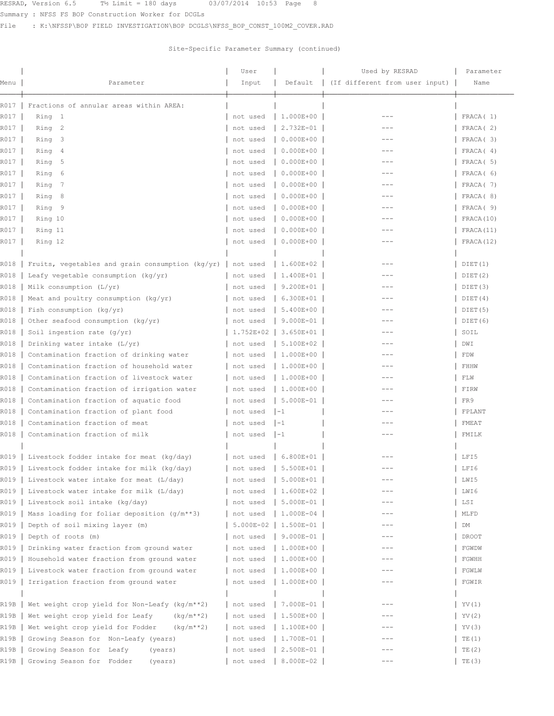Summary : NFSS FS BOP Construction Worker for DCGLs

File : K:\NFSSP\BOP FIELD INVESTIGATION\BOP DCGLS\NFSS\_BOP\_CONST\_100M2\_COVER.RAD

|              |                                                      | User                 |                                | Used by RESRAD                 | Parameter            |
|--------------|------------------------------------------------------|----------------------|--------------------------------|--------------------------------|----------------------|
| Menu         | Parameter                                            | Input                | Default                        | (If different from user input) | Name                 |
|              |                                                      |                      |                                |                                |                      |
| R017<br>R017 | Fractions of annular areas within AREA:<br>Ring 1    |                      | 1.000E+00                      |                                | FRACA(1)             |
| R017         | Ring 2                                               | not used             | 2.732E-01                      | $- - -$                        | FRACA(2)             |
|              |                                                      | not used             |                                | ---                            |                      |
| R017         | Ring 3                                               | not used             | $0.000E + 00$                  | $---$                          | FRACA(3)             |
| R017<br>R017 | Ring 4                                               | not used             | $0.000E + 00$<br>$0.000E + 00$ | $---$                          | FRACA(4)<br>FRACA(5) |
|              | Ring<br>5                                            | not used             | $0.000E + 00$                  | $---$                          | FRACA ( 6)           |
| R017         | Ring<br>-6                                           | not used             | $0.000E + 00$                  | $---$                          |                      |
| R017         | Ring<br>-7                                           | not used             | $0.000E + 00$                  |                                | FRACA (7)            |
| R017         | Ring<br>8                                            | not used             |                                | $---$                          | FRACA (8)            |
| R017         | Ring 9                                               | not used             | $0.000E + 00$                  |                                | FRACA (9)            |
| R017         | Ring 10                                              | not used             | $0.000E + 00$                  | $---$                          | FRACA(10)            |
| R017         | Ring 11                                              | not used             | $0.000E + 00$                  | $---$                          | FRACA(11)            |
| R017         | Ring 12                                              | not used             | $0.000E + 00$                  | $---$                          | FRACA(12)            |
| R018         | Fruits, vegetables and grain consumption ( $kg/yr$ ) | not used             | 1.600E+02                      |                                | DIET(1)              |
| R018         | Leafy vegetable consumption (kg/yr)                  | not used             | 1.400E+01                      | ---                            | DIET(2)              |
| R018         | Milk consumption (L/yr)                              | not used             | 9.200E+01                      | ---                            | DIET(3)              |
| R018         | Meat and poultry consumption $(kq/yr)$               | not used             | 6.300E+01                      |                                | DIET(4)              |
| R018         | Fish consumption (kg/yr)                             | not used             | 5.400E+00                      | $---$                          | DIET(5)              |
| R018         | Other seafood consumption (kg/yr)                    | not used             | $9.000E - 01$                  |                                | DIET(6)              |
| R018         | Soil ingestion rate $(g/yr)$                         | 1.752E+02            | 3.650E+01                      |                                | SOIL                 |
| R018         | Drinking water intake (L/yr)                         | not used             | 5.100E+02                      | $- - -$                        | DWI                  |
| R018         | Contamination fraction of drinking water             | not used             | 1.000E+00                      | $- - -$                        | FDW                  |
| R018         | Contamination fraction of household water            |                      | 1.000E+00                      | ---                            | FHHW                 |
| R018         | Contamination fraction of livestock water            | not used<br>not used | 1.000E+00                      | ---                            | FLW                  |
| R018         |                                                      |                      | 1.000E+00                      |                                |                      |
|              | Contamination fraction of irrigation water           | not used             |                                |                                | FIRW                 |
| R018         | Contamination fraction of aquatic food               | not used             | $5.000E-01$                    | $---$                          | FR9                  |
| R018         | Contamination fraction of plant food                 | not used             | $1 - 1$                        | $- - -$                        | FPLANT               |
| R018         | Contamination fraction of meat                       | not used             | $1 - 1$                        | $---$                          | FMEAT                |
| R018         | Contamination fraction of milk                       | not used             | $1 - 1$                        | $---$                          | FMILK                |
|              | R019   Livestock fodder intake for meat (kg/day)     | not used             | $6.800E+01$                    |                                | LFI5                 |
|              | R019   Livestock fodder intake for milk (kg/day)     |                      | $ $ not used $ $ 5.500E+01 $ $ | ---                            | LFT6                 |
| R019         | Livestock water intake for meat (L/day)              | not used             | 5.000E+01                      |                                | LWI5                 |
| R019         | Livestock water intake for milk (L/day)              | not used             | 1.600E+02                      |                                | LWI 6                |
| R019         | Livestock soil intake (kg/day)                       | not used             | 5.000E-01                      |                                | LSI                  |
| R019         | Mass loading for foliar deposition (g/m**3)          | not used             | 1.000E-04                      |                                | MLFD                 |
| R019         | Depth of soil mixing layer (m)                       | 5.000E-02            | 1.500E-01                      | $---$                          | DM                   |
| R019         | Depth of roots (m)                                   | not used             | 9.000E-01                      | $---$                          | DROOT                |
| R019         | Drinking water fraction from ground water            | not used             | 1.000E+00                      |                                | FGWDW                |
| R019         | Household water fraction from ground water           |                      | 1.000E+00                      | ---                            | FGWHH                |
|              |                                                      | not used             |                                |                                |                      |
| R019         | Livestock water fraction from ground water           | not used             | 1.000E+00                      |                                | FGWLW                |
| R019         | Irrigation fraction from ground water                | not used             | 1.000E+00                      | $---$                          | FGWIR                |
| R19B         | Wet weight crop yield for Non-Leafy (kg/m**2)        | not used             | 7.000E-01                      |                                | YV (1)               |
| R19B         | Wet weight crop yield for Leafy<br>$(kq/m**2)$       | not used             | 1.500E+00                      | ---                            | YV (2)               |
| R19B         | Wet weight crop yield for Fodder<br>$(kq/m**2)$      | not used             | 1.100E+00                      |                                | YV (3)               |
| R19B         | Growing Season for Non-Leafy (years)                 | not used             | 1.700E-01                      |                                | TE(1)                |
| R19B         | Growing Season for Leafy<br>(years)                  | not used             | 2.500E-01                      |                                | TE(2)                |
| R19B         | Growing Season for Fodder<br>(years)                 | not used             | 8.000E-02                      | $---$                          | TE(3)                |
|              |                                                      |                      |                                |                                |                      |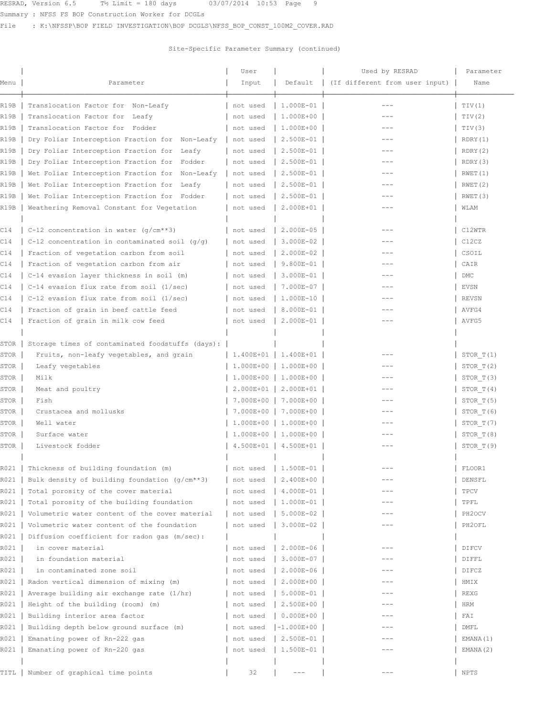Summary : NFSS FS BOP Construction Worker for DCGLs

File : K:\NFSSP\BOP FIELD INVESTIGATION\BOP DCGLS\NFSS\_BOP\_CONST\_100M2\_COVER.RAD

| Menu | Parameter                                        | User<br>Input        | Default               | Used by RESRAD<br>(If different from user input) | Parameter<br>Name |
|------|--------------------------------------------------|----------------------|-----------------------|--------------------------------------------------|-------------------|
|      |                                                  |                      |                       |                                                  |                   |
| R19B | Translocation Factor for Non-Leafy               | not used             | 1.000E-01             | $- - -$                                          | TIV(1)            |
| R19B | Translocation Factor for Leafy                   | not used             | 1.000E+00             | ---                                              | TIV(2)            |
| R19B | Translocation Factor for Fodder                  | not used             | 1.000E+00             | $---$                                            | TIV(3)            |
| R19B | Dry Foliar Interception Fraction for Non-Leafy   | not used             | 2.500E-01             | ---                                              | RDRY(1)           |
| R19B | Dry Foliar Interception Fraction for Leafy       | not used             | 2.500E-01             | $---$                                            | RDRY(2)           |
| R19B | Dry Foliar Interception Fraction for Fodder      | not used             | 2.500E-01             | ---                                              | RDRY (3)          |
| R19B | Wet Foliar Interception Fraction for Non-Leafy   | not used             | 2.500E-01             |                                                  | RWET(1)           |
| R19B | Wet Foliar Interception Fraction for Leafy       | not used             | 2.500E-01             | ---                                              | RWET(2)           |
| R19B | Wet Foliar Interception Fraction for Fodder      | not used             | 2.500E-01             | ---                                              | RWET(3)           |
| R19B | Weathering Removal Constant for Vegetation       | not used             | 2.000E+01             |                                                  | WLAM              |
| C14  | C-12 concentration in water $(q/cm**3)$          | not used             | 2.000E-05             | $- - -$                                          | C12WTR            |
| C14  | C-12 concentration in contaminated soil $(q/q)$  | not used             | 3.000E-02             | ---                                              | C12CZ             |
| C14  | Fraction of vegetation carbon from soil          | not used             | 2.000E-02             | $---$                                            | CSOIL             |
| C14  | Fraction of vegetation carbon from air           | not used             | 9.800E-01             |                                                  | CAIR              |
| C14  | C-14 evasion layer thickness in soil (m)         | not used             | 3.000E-01             |                                                  | DMC               |
| C14  | C-14 evasion flux rate from soil (1/sec)         | not used             | 7.000E-07             |                                                  | EVSN              |
|      |                                                  |                      | 1.000E-10             |                                                  |                   |
| C14  | C-12 evasion flux rate from soil (1/sec)         | not used             |                       |                                                  | <b>REVSN</b>      |
| C14  | Fraction of grain in beef cattle feed            | not used             | 8.000E-01             |                                                  | AVFG4             |
| C14  | Fraction of grain in milk cow feed               | not used             | 2.000E-01             | ---                                              | AVFG5             |
| STOR | Storage times of contaminated foodstuffs (days): |                      |                       |                                                  |                   |
| STOR | Fruits, non-leafy vegetables, and grain          |                      | 1.400E+01   1.400E+01 |                                                  | STOR T(1)         |
| STOR | Leafy vegetables                                 | $1.000E + 00$        | 1.000E+00             | $---$                                            | STOR T(2)         |
| STOR | Milk                                             |                      | 1.000E+00   1.000E+00 | $---$                                            | STOR T(3)         |
| STOR | Meat and poultry                                 | $2.000E+01$          | 2.000E+01             | $- - -$                                          | STOR T(4)         |
| STOR | Fish                                             | 7.000E+00            | 7.000E+00             | $- - -$                                          | STOR T(5)         |
| STOR | Crustacea and mollusks                           |                      | 7.000E+00   7.000E+00 | ---                                              | STOR T(6)         |
| STOR | Well water                                       |                      | 1.000E+00   1.000E+00 |                                                  | STOR T(7)         |
| STOR | Surface water                                    |                      | 1.000E+00   1.000E+00 | ---                                              | STOR T(8)         |
| STOR | Livestock fodder                                 |                      | 4.500E+01   4.500E+01 | ---                                              | STOR T(9)         |
|      |                                                  |                      |                       |                                                  |                   |
|      | R021   Thickness of building foundation (m)      | not used   1.500E-01 |                       |                                                  | FLOOR1            |
| R021 | Bulk density of building foundation $(g/cm**3)$  | not used             | 2.400E+00             |                                                  | DENSFL            |
| R021 | Total porosity of the cover material             | not used             | 4.000E-01             | ---                                              | TPCV              |
| R021 | Total porosity of the building foundation        | not used             | 1.000E-01             | ---                                              | TPFL              |
| R021 | Volumetric water content of the cover material   | not used             | 5.000E-02             |                                                  | PH2OCV            |
| R021 | Volumetric water content of the foundation       | not used             | 3.000E-02             | $--$                                             | PH2OFL            |
| R021 | Diffusion coefficient for radon gas (m/sec):     |                      |                       |                                                  |                   |
| R021 | in cover material                                | not used             | 2.000E-06             |                                                  | DIFCV             |
| R021 | in foundation material                           | not used             | 3.000E-07             | ---                                              | DIFFL             |
| R021 | in contaminated zone soil                        | not used             | 2.000E-06             |                                                  | DIFCZ             |
| R021 | Radon vertical dimension of mixing (m)           | not used             | 2.000E+00             | ---                                              | HMIX              |
| R021 | Average building air exchange rate (1/hr)        | not used             | 5.000E-01             | ---                                              | REXG              |
| R021 | Height of the building (room) (m)                | not used             | 2.500E+00             |                                                  | HRM               |
| R021 | Building interior area factor                    | not used             | $0.000E + 00$         | ---                                              | FAI               |
| R021 | Building depth below ground surface (m)          | not used             | $-1.000E + 00$        | ---                                              | DMFL              |
| R021 |                                                  |                      | 2.500E-01             |                                                  |                   |
| R021 | Emanating power of Rn-222 gas                    | not used             |                       |                                                  | EMANA (1)         |
|      | Emanating power of Rn-220 gas                    | not used             | 1.500E-01             |                                                  | EMANA (2)         |
|      |                                                  |                      |                       | $---$                                            |                   |
| TITL | Number of graphical time points                  | 32                   | $--\,$                |                                                  | NPTS              |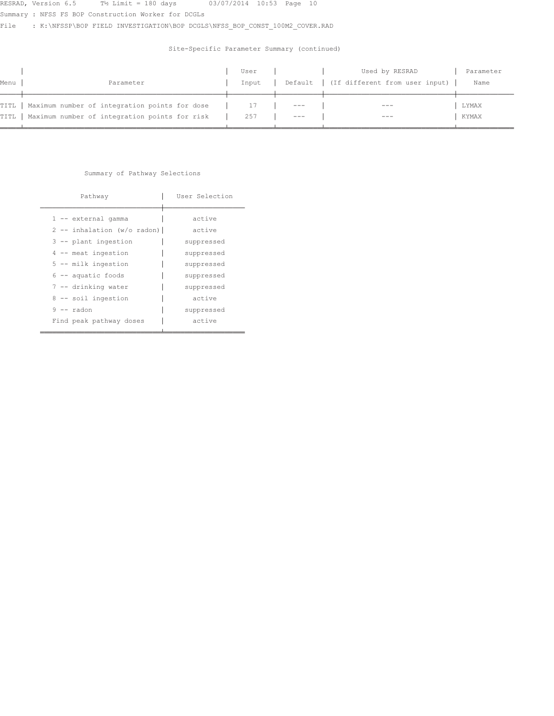Summary : NFSS FS BOP Construction Worker for DCGLs

File : K:\NFSSP\BOP FIELD INVESTIGATION\BOP DCGLS\NFSS\_BOP\_CONST\_100M2\_COVER.RAD

## Site-Specific Parameter Summary (continued)

|        |                                                      | User  |       | Used by RESRAD                           | Parameter |
|--------|------------------------------------------------------|-------|-------|------------------------------------------|-----------|
| Menu   | Parameter                                            | Input |       | Default   (If different from user input) | Name      |
|        |                                                      |       |       |                                          |           |
|        | TITL   Maximum number of integration points for dose |       | $---$ | $---$                                    | LYMAX     |
| TITL 1 | Maximum number of integration points for risk        | 257   |       | $- - -$                                  | KYMAX     |
|        |                                                      |       |       |                                          |           |

### Summary of Pathway Selections

| Pathway                                                                                                                                                                                                             | User Selection                                                                                                 |
|---------------------------------------------------------------------------------------------------------------------------------------------------------------------------------------------------------------------|----------------------------------------------------------------------------------------------------------------|
| 1 -- external gamma<br>$2$ -- inhalation (w/o radon)  <br>3 -- plant ingestion<br>$4$ -- meat ingestion<br>5 -- milk ingestion<br>$6$ -- aquatic foods<br>7 -- drinking water<br>8 -- soil ingestion<br>$9 -$ radon | active<br>active<br>suppressed<br>suppressed<br>suppressed<br>suppressed<br>suppressed<br>active<br>suppressed |
| Find peak pathway doses                                                                                                                                                                                             | active                                                                                                         |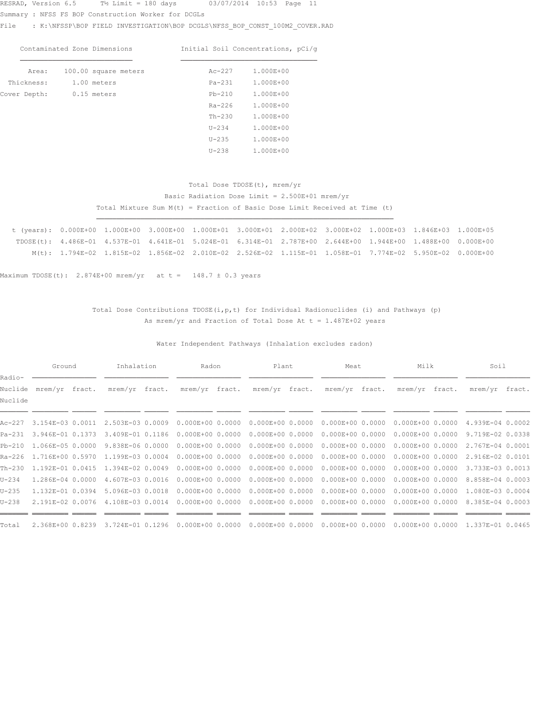Summary : NFSS FS BOP Construction Worker for DCGLs

File : K:\NFSSP\BOP\_FIELD\_INVESTIGATION\BOP\_DCGLS\NFSS\_BOP\_CONST\_100M2\_COVER.RAD

|              | Contaminated Zone Dimensions |           | Initial Soil Concentrations, pCi/q |
|--------------|------------------------------|-----------|------------------------------------|
| Area:        | 100.00 square meters         | $Ac-227$  | 1.000E+00                          |
| Thickness:   | 1.00 meters                  | $Pa-231$  | 1.000E+00                          |
| Cover Depth: | 0.15 meters                  | $Pb-210$  | 1.000E+00                          |
|              |                              | $Ra-226$  | 1.000E+00                          |
|              |                              | $Th-230$  | 1.000E+00                          |
|              |                              | $U - 234$ | 1.000E+00                          |
|              |                              | $U-235$   | 1.000E+00                          |

## Total Dose TDOSE(t), mrem/yr Basic Radiation Dose Limit =  $2.500E+01$  mrem/yr Total Mixture Sum M(t) = Fraction of Basic Dose Limit Received at Time (t)

 $U-238$  1.000E+00

|  | t (years): 0.000E+00 1.000E+00 3.000E+00 1.000E+01 3.000E+01 2.000E+02 3.000E+02 1.000E+03 1.846E+03 1.000E+05 |  |  |  |  |  |
|--|----------------------------------------------------------------------------------------------------------------|--|--|--|--|--|
|  | TDOSE(t): 4.486E-01 4.537E-01 4.641E-01 5.024E-01 6.314E-01 2.787E+00 2.644E+00 1.944E+00 1.488E+00 0.000E+00  |  |  |  |  |  |
|  | M(t): 1.794E-02 1.815E-02 1.856E-02 2.010E-02 2.526E-02 1.115E-01 1.058E-01 7.774E-02 5.950E-02 0.000E+00      |  |  |  |  |  |

¶¶¶¶¶¶¶¶¶¶¶¶¶¶¶¶¶¶¶¶¶¶¶¶¶¶¶¶¶¶¶¶¶¶¶¶¶¶¶¶¶¶¶¶¶¶¶¶¶¶¶¶¶¶¶¶¶¶¶¶¶¶¶¶¶¶¶¶¶¶¶¶¶¶

Maximum TDOSE(t): 2.874E+00 mrem/yr at t = 148.7  $\pm$  0.3 years

### Total Dose Contributions TDOSE(i, p, t) for Individual Radionuclides (i) and Pathways (p) As mrem/yr and Fraction of Total Dose At  $t = 1.487E+02$  years

Water Independent Pathways (Inhalation excludes radon)

|           | Ground                  |  | Inhalation                               |                               | Plant<br>Radon |                      | Meat                                                                  | Milk                 | Soil             |  |
|-----------|-------------------------|--|------------------------------------------|-------------------------------|----------------|----------------------|-----------------------------------------------------------------------|----------------------|------------------|--|
| Radio-    |                         |  |                                          |                               |                |                      |                                                                       |                      |                  |  |
| Nuclide   | mrem/yr fract.          |  |                                          | mrem/yr fract. mrem/yr fract. |                | mrem/yr fract.       | mrem/yr fract.                                                        | mrem/yr fract.       | mrem/yr fract.   |  |
| Nuclide   |                         |  |                                          |                               |                |                      |                                                                       |                      |                  |  |
|           |                         |  |                                          |                               |                |                      |                                                                       |                      |                  |  |
| Ac-227    | 3.154E-03 0.0011        |  | 2.503E-03 0.0009                         |                               |                |                      | $0.000E+00$ 0.0000 0.000E+00 0.0000 0.000E+00 0.0000 0.000E+00 0.0000 |                      | 4.939E-04 0.0002 |  |
| Pa-231    | 3.946E-01 0.1373        |  | 3.409E-01 0.1186                         | $0.000E + 00 0.0000$          |                | $0.000E + 0000.0000$ | $0.000E + 00 0.0000$                                                  | $0.000E + 00 0.0000$ | 9.719E-02 0.0338 |  |
|           | Pb-210 1.066E-05 0.0000 |  | 9.838E-06 0.0000                         | $0.000E + 0000.0000$          |                |                      | $0.000E+000.0000000000E+00000000$                                     | $0.000E+000.0000$    | 2.767E-04 0.0001 |  |
|           | Ra-226 1.716E+00 0.5970 |  | 1.199E-03 0.0004                         | $0.000E + 00 0.0000$          |                | $0.000E + 00 0.0000$ | $0.000E + 00 0.0000$                                                  | $0.000E + 00 0.0000$ | 2.916E-02 0.0101 |  |
|           |                         |  | Th-230 1.192E-01 0.0415 1.394E-02 0.0049 | $0.000E + 0000.0000$          |                |                      | $0.000E+00$ 0.0000 0.000E+00 0.0000 0.000E+00 0.0000                  |                      | 3.733E-03 0.0013 |  |
| $U - 234$ | 1.286E-04 0.0000        |  | 4.607E-03 0.0016                         | $0.000E + 00 0.0000$          |                | $0.000E + 0000.0000$ | $0.000E + 0000.0000$                                                  | $0.000E + 00 0.0000$ | 8.858E-04 0.0003 |  |
| $U - 235$ | 1.132E-01 0.0394        |  | 5.096E-03 0.0018                         | $0.000E + 00 0.0000$          |                |                      | $0.000E+000.000000000E+00000000$                                      | $0.000E + 0000.0000$ | 1.080E-03 0.0004 |  |
| $U-238$   | 2.191E-02 0.0076        |  | 4.108E-03 0.0014                         | $0.000E + 00 0.0000$          |                |                      | $0.000E+000.0000000000E+00000000$                                     | $0.000E+000.0000$    | 8.385E-04 0.0003 |  |
|           |                         |  |                                          |                               |                |                      |                                                                       |                      |                  |  |
| Total     | 2.368E+00 0.8239        |  | 3.724E-01 0.1296                         | $0.000E + 0000.0000$          |                | $0.000E + 0000.0000$ | $0.000E + 0000.0000$                                                  | $0.000E+000.0000$    | 1.337E-01 0.0465 |  |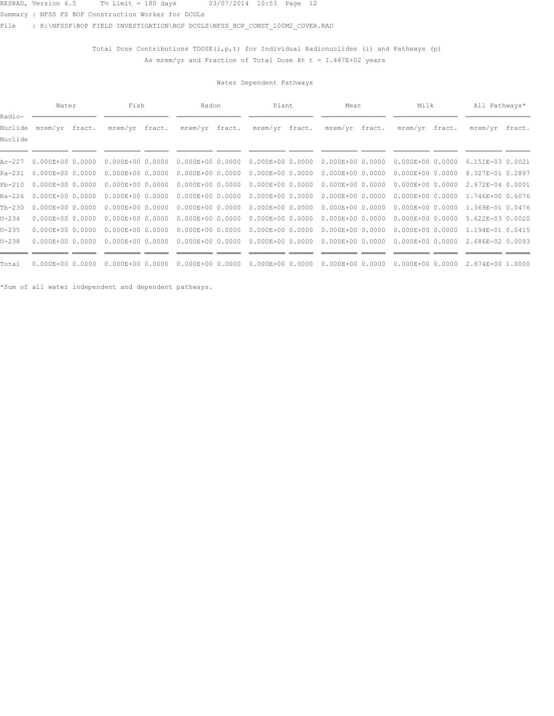Summary : NFSS FS BOP Construction Worker for DCGLs

File : K:\NFSSP\BOP FIELD INVESTIGATION\BOP DCGLS\NFSS BOP CONST 100M2 COVER.RAD

Total Dose Contributions TDOSE(i,  $p$ , t) for Individual Radionuclides (i) and Pathways (p) As mrem/yr and Fraction of Total Dose At  $t = 1.487E+02$  years

### Water Dependent Pathways

|                              | Water                |  | Fish                 |        | Radon                |  |                      | Plant |                      | Meat | Milk                 | All Pathways*    |  |
|------------------------------|----------------------|--|----------------------|--------|----------------------|--|----------------------|-------|----------------------|------|----------------------|------------------|--|
| Radio-<br>Nuclide<br>Nuclide | mrem/yr fract.       |  | mrem/yr              | fract. | mrem/yr fract.       |  | mrem/yr fract.       |       | mrem/yr fract.       |      | mrem/yr fract.       | mrem/yr fract.   |  |
|                              |                      |  |                      |        |                      |  |                      |       |                      |      |                      |                  |  |
| Ac-227                       | $0.000E + 0000.0000$ |  | $0.000E+0000.0000$   |        | $0.000E + 00 0.0000$ |  | $0.000E + 0000.0000$ |       | $0.000E + 00 0.0000$ |      | $0.000E + 00 0.0000$ | 6.151E-03 0.0021 |  |
| Pa-231                       | $0.000E + 0000.0000$ |  | $0.000E+0000.0000$   |        | $0.000E+000.0000$    |  | $0.000E + 0000.0000$ |       | $0.000E + 00 0.0000$ |      | $0.000E + 0000.0000$ | 8.327E-01 0.2897 |  |
| Pb-210                       | $0.000E + 0000.0000$ |  | $0.000E+0000.0000$   |        | $0.000E+0000.0000$   |  | $0.000E + 0000.0000$ |       | $0.000E + 00 0.0000$ |      | $0.000E+000.0000$    | 2.972E-04 0.0001 |  |
| Ra-226                       | $0.000E + 0000.0000$ |  | $0.000E+0000.0000$   |        | $0.000E+000.0000$    |  | $0.000E + 0000.0000$ |       | $0.000E + 00 0.0000$ |      | $0.000E + 00 0.0000$ | 1.746E+00 0.6076 |  |
| Th-230                       | $0.000E+0000.0000$   |  | $0.000E+0000.0000$   |        | $0.000E+000.0000$    |  | $0.000E + 0000.0000$ |       | $0.000E + 00 0.0000$ |      | $0.000E + 00 0.0000$ | 1.369E-01 0.0476 |  |
| U-234                        | $0.000E + 0000.0000$ |  | $0.000E+0000.0000$   |        | $0.000E+000.0000$    |  | $0.000E + 0000.0000$ |       | $0.000E + 00 0.0000$ |      | $0.000E + 00 0.0000$ | 5.622E-03 0.0020 |  |
| $U - 235$                    | $0.000E + 0000.0000$ |  | $0.000E+0000.0000$   |        | $0.000E+000.0000$    |  | $0.000E + 0000.0000$ |       | $0.000E + 00 0.0000$ |      | $0.000E + 0000.0000$ | 1.194E-01 0.0415 |  |
| $U - 238$                    | $0.000E + 0000.0000$ |  | $0.000E+0000.0000$   |        | $0.000E+0000.0000$   |  | $0.000E+0000.0000$   |       | $0.000E+0000.0000$   |      | $0.000E+0000.0000$   | 2.686E-02 0.0093 |  |
|                              |                      |  |                      |        |                      |  |                      |       |                      |      |                      |                  |  |
| Total                        | $0.000E + 0000.0000$ |  | $0.000E + 00 0.0000$ |        | $0.000E + 00 0.0000$ |  | $0.000E + 0000.0000$ |       | $0.000E + 00 0.0000$ |      | $0.000E + 00 0.0000$ | 2.874E+00 1.0000 |  |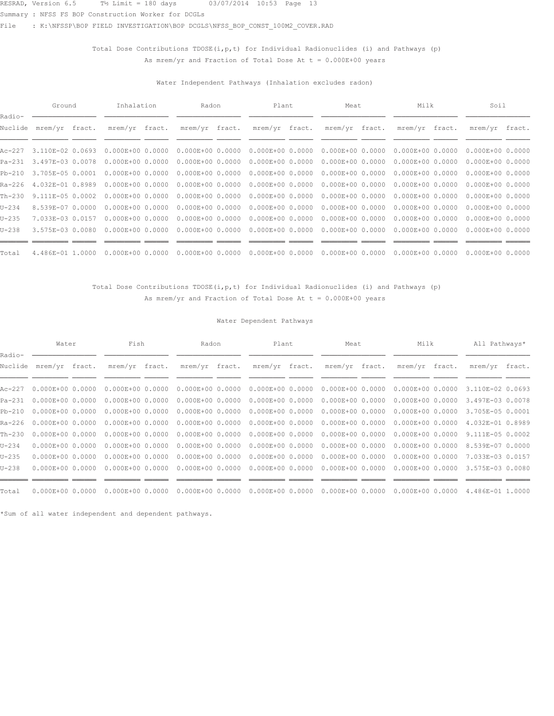Summary : NFSS FS BOP Construction Worker for DCGLs

File : K:\NFSSP\BOP FIELD INVESTIGATION\BOP DCGLS\NFSS\_BOP\_CONST\_100M2\_COVER.RAD

## Total Dose Contributions  $TDOSE(i, p, t)$  for Individual Radionuclides (i) and Pathways (p) As mrem/yr and Fraction of Total Dose At  $t = 0.000E+00$  years

### Water Independent Pathways (Inhalation excludes radon)

|                   | Ground           |  | Inhalation           |  |                      | Radon |                      | Plant | Meat                 | Milk                              | Soil                 |  |
|-------------------|------------------|--|----------------------|--|----------------------|-------|----------------------|-------|----------------------|-----------------------------------|----------------------|--|
| Radio-<br>Nuclide | mrem/yr fract.   |  | mrem/yr fract.       |  | mrem/yr fract.       |       | mrem/yr fract.       |       | mrem/yr fract.       | mrem/yr fract.                    | mrem/yr fract.       |  |
| Ac-227            | 3.110E-02 0.0693 |  | $0.000E + 00 0.0000$ |  | $0.000E + 00 0.0000$ |       | $0.000E + 0000.0000$ |       | $0.000E + 0000.0000$ | $0.000E + 0000.0000$              | $0.000E+0000.0000$   |  |
| Pa-231            | 3.497E-03 0.0078 |  | $0.000E + 00 0.0000$ |  | $0.000E + 0000.0000$ |       | $0.000E + 0000.0000$ |       |                      | $0.000E+000.0000000000E+00000000$ | $0.000E+000.0000$    |  |
| Pb-210            | 3.705E-05 0.0001 |  | $0.000E + 0000.0000$ |  | $0.000E + 0000.0000$ |       | $0.000E + 0000.0000$ |       |                      | $0.000E+000.0000000000E+00000000$ | $0.000E+000.0000$    |  |
| Ra-226            | 4.032E-01 0.8989 |  | $0.000E + 0000.0000$ |  | $0.000E + 00 0.0000$ |       | $0.000E + 0000.0000$ |       |                      | $0.000E+000.0000000000E+00000000$ | $0.000E+0000.0000$   |  |
| Th-230            | 9.111E-05 0.0002 |  | $0.000E + 00 0.0000$ |  | $0.000E + 0000.0000$ |       | $0.000E + 0000.0000$ |       | $0.000E+0000.0000$   | 0.000E+00 0.0000                  | $0.000E + 00 0.0000$ |  |
| U-234             | 8.539E-07 0.0000 |  | $0.000E + 0000.0000$ |  | $0.000E + 0000.0000$ |       | $0.000E + 0000.0000$ |       |                      | $0.000E+000.0000000000E+00000000$ | $0.000E+0000.0000$   |  |
| $U - 235$         | 7.033E-03 0.0157 |  | $0.000E + 00 0.0000$ |  | $0.000E + 0000.0000$ |       | $0.000E + 0000.0000$ |       |                      | $0.000E+000.0000000000E+00000000$ | $0.000E + 00 0.0000$ |  |
| U-238             | 3.575E-03 0.0080 |  | $0.000E + 00 0.0000$ |  | $0.000E + 0000.0000$ |       | $0.000E + 0000.0000$ |       | $0.000E+000.0000$    | $0.000E + 0000.0000$              | $0.000E+0000.0000$   |  |
| Total             | 4.486E-01 1.0000 |  | $0.000E+000.0000$    |  | $0.000E + 0000.0000$ |       | $0.000E + 0000.0000$ |       | $0.000E+000.0000$    | $0.000E + 0000.0000$              | $0.000E+000.0000$    |  |

### Total Dose Contributions TDOSE(i, p, t) for Individual Radionuclides (i) and Pathways (p) As mrem/yr and Fraction of Total Dose At  $t = 0.000E+00$  years

### Water Dependent Pathways

|                   | Water                     | Fish                 | Radon                | Plant                | Meat                 | Milk                 | All Pathways*    |  |
|-------------------|---------------------------|----------------------|----------------------|----------------------|----------------------|----------------------|------------------|--|
| Radio-<br>Nuclide | mrem/yr fract.            | mrem/yr fract.       | mrem/yr fract.       | mrem/yr fract.       | mrem/yr fract.       | mrem/yr fract.       | mrem/yr fract.   |  |
|                   | Ac-227  0.000E+00  0.0000 | $0.000E + 0000.0000$ | $0.000E + 00 0.0000$ | $0.000E + 0000.0000$ | $0.000E + 0000.0000$ | $0.000E + 00 0.0000$ | 3.110E-02 0.0693 |  |
| Pa-231            | $0.000E + 0000.0000$      | $0.000E+0000.0000$   | $0.000E + 00 0.0000$ | $0.000E + 00 0.0000$ | $0.000E + 0000.0000$ | $0.000E + 00 0.0000$ | 3.497E-03 0.0078 |  |
| Pb-210            | $0.000E + 0000.0000$      | $0.000E + 0000.0000$ | $0.000E + 00 0.0000$ | $0.000E + 0000.0000$ | $0.000E + 0000.0000$ | $0.000E + 00 0.0000$ | 3.705E-05 0.0001 |  |
|                   | Ra-226 0.000E+00 0.0000   | $0.000E + 0000.0000$ | $0.000E + 00 0.0000$ | $0.000E + 0000.0000$ | $0.000E + 00 0.0000$ | $0.000E + 0000.0000$ | 4.032E-01 0.8989 |  |
| Th-230            | $0.000E + 0000.0000$      | $0.000E + 0000.0000$ | $0.000E + 00 0.0000$ | $0.000E + 00 0.0000$ | $0.000E + 00 0.0000$ | $0.000E + 00 0.0000$ | 9.111E-05 0.0002 |  |
| $U - 234$         | $0.000E + 00 0.0000$      | $0.000E+0000.0000$   | $0.000E + 00 0.0000$ | $0.000E + 0000.0000$ | $0.000E + 00 0.0000$ | $0.000E + 00 0.0000$ | 8.539E-07 0.0000 |  |
| $U - 235$         | $0.000E + 00 0.0000$      | $0.000E + 0000.0000$ | $0.000E + 00 0.0000$ | $0.000E + 0000.0000$ | $0.000E + 0000.0000$ | $0.000E + 0000.0000$ | 7.033E-03 0.0157 |  |
| $U - 238$         | $0.000E + 00 0.0000$      | $0.000E + 00 0.0000$ | $0.000E + 00 0.0000$ | $0.000E + 0000.0000$ | $0.000E + 0000.0000$ | $0.000E + 00 0.0000$ | 3.575E-03 0.0080 |  |
|                   |                           |                      |                      |                      |                      |                      |                  |  |
| Total             | $0.000E + 0000.0000$      | $0.000E + 0000.0000$ | $0.000E+000.0000$    | $0.000E + 00 0.0000$ | $0.000E + 0000.0000$ | $0.000E + 0000.0000$ | 4.486E-01 1.0000 |  |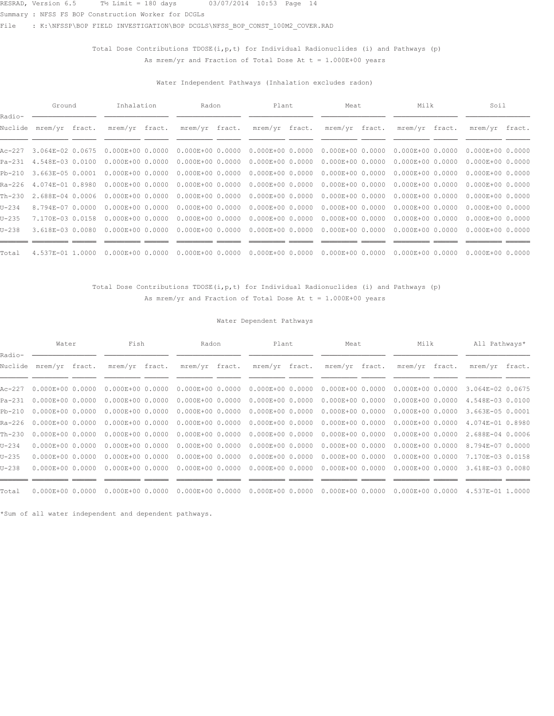Summary : NFSS FS BOP Construction Worker for DCGLs

File : K:\NFSSP\BOP FIELD INVESTIGATION\BOP DCGLS\NFSS\_BOP\_CONST\_100M2\_COVER.RAD

## Total Dose Contributions  $TDOSE(i, p, t)$  for Individual Radionuclides (i) and Pathways (p) As mrem/yr and Fraction of Total Dose At  $t = 1.000E+00$  years

### Water Independent Pathways (Inhalation excludes radon)

|                   | Ground           | Inhalation           | Radon                | Plant                | Meat                 | Milk                              | Soil                 |  |
|-------------------|------------------|----------------------|----------------------|----------------------|----------------------|-----------------------------------|----------------------|--|
| Radio-<br>Nuclide | mrem/yr fract.   | mrem/yr fract.       | mrem/yr fract.       | mrem/yr fract.       | mrem/yr fract.       | mrem/yr fract.                    | mrem/yr fract.       |  |
| Ac-227            | 3.064E-02 0.0675 | $0.000E + 00 0.0000$ | $0.000E + 0000.0000$ | $0.000E + 0000.0000$ | $0.000E + 0000.0000$ | $0.000E + 0000.0000$              | $0.000E+0000.0000$   |  |
| Pa-231            | 4.548E-03 0.0100 | $0.000E + 00 0.0000$ | $0.000E + 0000.0000$ | $0.000E + 0000.0000$ |                      | $0.000E+000.0000000000E+00000000$ | $0.000E+000.0000$    |  |
| Pb-210            | 3.663E-05 0.0001 | $0.000E + 00 0.0000$ | $0.000E + 0000.0000$ | $0.000E + 0000.0000$ |                      | $0.000E+000.0000000000E+00000000$ | $0.000E+000.0000$    |  |
| Ra-226            | 4.074E-01 0.8980 | $0.000E + 00 0.0000$ | $0.000E + 00 0.0000$ | $0.000E + 0000.0000$ |                      | $0.000E+000.0000000000E+00000000$ | $0.000E+0000.0000$   |  |
| Th-230            | 2.688E-04 0.0006 | $0.000E + 0000.0000$ | $0.000E + 0000.0000$ | $0.000E + 0000.0000$ | $0.000E+0000.0000$   | 0.000E+00 0.0000                  | $0.000E + 00 0.0000$ |  |
| U-234             | 8.794E-07 0.0000 | $0.000E + 00 0.0000$ | $0.000E + 0000.0000$ | $0.000E + 0000.0000$ |                      | $0.000E+000.0000000000E+00000000$ | $0.000E+0000.0000$   |  |
| U-235             | 7.170E-03 0.0158 | $0.000E + 00 0.0000$ | $0.000E + 0000.0000$ | $0.000E + 0000.0000$ |                      | $0.000E+000.0000000000E+00000000$ | $0.000E + 00 0.0000$ |  |
| U-238             | 3.618E-03 0.0080 | $0.000E + 00 0.0000$ | $0.000E + 0000.0000$ | $0.000E + 0000.0000$ | $0.000E+000.0000$    | $0.000E + 0000.0000$              | $0.000E+0000.0000$   |  |
| Total             | 4.537E-01 1.0000 | $0.000E+000.0000$    | $0.000E + 0000.0000$ | $0.000E + 0000.0000$ | $0.000E+000.0000$    | $0.000E + 0000.0000$              | $0.000E+000.0000$    |  |

### Total Dose Contributions TDOSE(i, p, t) for Individual Radionuclides (i) and Pathways (p) As mrem/yr and Fraction of Total Dose At  $t = 1.000E+00$  years

### Water Dependent Pathways

|                   | Water                     | Fish                 | Radon                | Plant                | Meat                 | Milk                 | All Pathways*    |  |
|-------------------|---------------------------|----------------------|----------------------|----------------------|----------------------|----------------------|------------------|--|
| Radio-<br>Nuclide | mrem/yr fract.            | mrem/yr fract.       | mrem/yr fract.       | mrem/yr fract.       | mrem/yr fract.       | mrem/yr fract.       | mrem/yr fract.   |  |
|                   | Ac-227  0.000E+00  0.0000 | $0.000E + 0000.0000$ | $0.000E + 00 0.0000$ | $0.000E + 0000.0000$ | $0.000E+000.0000$    | $0.000E + 00 0.0000$ | 3.064E-02 0.0675 |  |
| Pa-231            | $0.000E + 0000.0000$      | $0.000E+0000.0000$   | $0.000E + 00 0.0000$ | $0.000E + 00 0.0000$ | $0.000E + 0000.0000$ | $0.000E + 00 0.0000$ | 4.548E-03 0.0100 |  |
| Pb-210            | $0.000E + 0000.0000$      | $0.000E + 0000.0000$ | $0.000E + 00 0.0000$ | $0.000E + 0000.0000$ | $0.000E + 00 0.0000$ | $0.000E + 00 0.0000$ | 3.663E-05 0.0001 |  |
|                   | Ra-226 0.000E+00 0.0000   | $0.000E + 0000.0000$ | $0.000E + 00 0.0000$ | $0.000E + 00 0.0000$ | $0.000E + 00 0.0000$ | $0.000E + 0000.0000$ | 4.074E-01 0.8980 |  |
| Th-230            | $0.000E + 0000.0000$      | $0.000E + 0000.0000$ | $0.000E + 00 0.0000$ | $0.000E + 00 0.0000$ | $0.000E + 00 0.0000$ | $0.000E + 00 0.0000$ | 2.688E-04 0.0006 |  |
| $U - 234$         | $0.000E + 00 0.0000$      | $0.000E + 0000.0000$ | $0.000E + 00 0.0000$ | $0.000E + 0000.0000$ | $0.000E + 00 0.0000$ | $0.000E + 00 0.0000$ | 8.794E-07 0.0000 |  |
| $U - 235$         | $0.000E + 00 0.0000$      | $0.000E + 0000.0000$ | $0.000E + 00 0.0000$ | $0.000E + 0000.0000$ | $0.000E + 0000.0000$ | $0.000E + 0000.0000$ | 7.170E-03 0.0158 |  |
| $U - 238$         | $0.000E + 00 0.0000$      | $0.000E + 00 0.0000$ | $0.000E + 00 0.0000$ | $0.000E + 0000.0000$ | $0.000E + 0000.0000$ | $0.000E + 00 0.0000$ | 3.618E-03 0.0080 |  |
|                   |                           |                      |                      |                      |                      |                      |                  |  |
| Total             | $0.000E + 0000.0000$      | $0.000E + 0000.0000$ | $0.000E+000.0000$    | $0.000E + 0000.0000$ | $0.000E + 0000.0000$ | $0.000E + 0000.0000$ | 4.537E-01 1.0000 |  |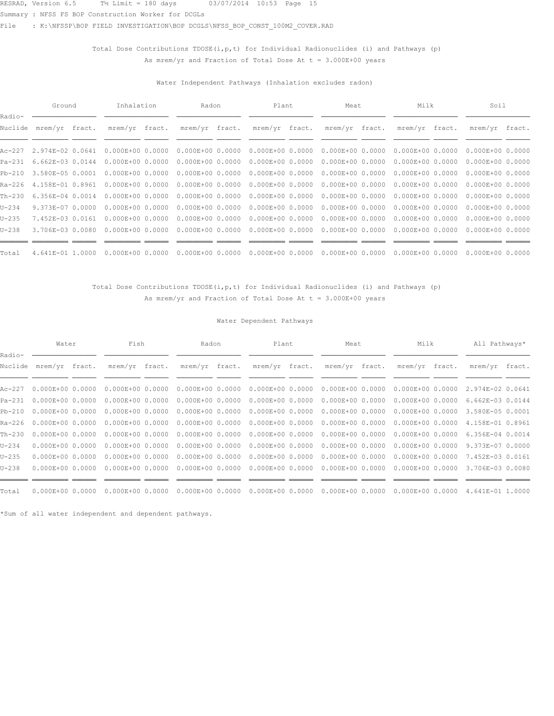Summary : NFSS FS BOP Construction Worker for DCGLs

File : K:\NFSSP\BOP FIELD INVESTIGATION\BOP DCGLS\NFSS\_BOP\_CONST\_100M2\_COVER.RAD

## Total Dose Contributions  $TDOSE(i, p, t)$  for Individual Radionuclides (i) and Pathways (p) As mrem/yr and Fraction of Total Dose At  $t = 3.000E+00$  years

### Water Independent Pathways (Inhalation excludes radon)

|                   | Ground                  | Inhalation           | Radon                | Plant                | Meat                 | Milk                              | Soil                 |  |
|-------------------|-------------------------|----------------------|----------------------|----------------------|----------------------|-----------------------------------|----------------------|--|
| Radio-<br>Nuclide | mrem/yr fract.          | mrem/yr fract.       | mrem/yr fract.       | mrem/yr fract.       | mrem/yr fract.       | mrem/yr fract.                    | mrem/yr fract.       |  |
|                   | Ac-227 2.974E-02 0.0641 | $0.000E + 00 0.0000$ | $0.000E + 0000.0000$ | $0.000E + 0000.0000$ | $0.000E + 0000.0000$ | $0.000E + 0000.0000$              | $0.000E+0000.0000$   |  |
| Pa-231            | $6.662E - 0.3000144$    | $0.000E + 00 0.0000$ | $0.000E + 0000.0000$ | $0.000E + 0000.0000$ |                      | $0.000E+000.0000000000E+00000000$ | $0.000E+000.0000$    |  |
| Pb-210            | 3.580E-05 0.0001        | $0.000E + 00 0.0000$ | $0.000E + 0000.0000$ | $0.000E + 0000.0000$ |                      | $0.000E+000.0000000000E+00000000$ | $0.000E+000.0000$    |  |
| Ra-226            | 4.158E-01 0.8961        | $0.000E + 00 0.0000$ | $0.000E + 00 0.0000$ | $0.000E + 0000.0000$ |                      | $0.000E+000.0000000000E+00000000$ | $0.000E+0000.0000$   |  |
| Th-230            | $6.356E - 04$ 0.0014    | $0.000E + 0000.0000$ | $0.000E + 0000.0000$ | $0.000E + 0000.0000$ | $0.000E+0000.0000$   | 0.000E+00 0.0000                  | $0.000E + 00 0.0000$ |  |
| U-234             | 9.373E-07 0.0000        | $0.000E + 00 0.0000$ | $0.000E + 0000.0000$ | $0.000E + 0000.0000$ |                      | $0.000E+000.0000000000E+00000000$ | $0.000E+0000.0000$   |  |
| $U - 235$         | 7.452E-03 0.0161        | $0.000E + 00 0.0000$ | $0.000E + 0000.0000$ | $0.000E + 0000.0000$ |                      | $0.000E+000.0000000000E+00000000$ | $0.000E + 00 0.0000$ |  |
| U-238             | 3.706E-03 0.0080        | $0.000E + 00 0.0000$ | $0.000E + 0000.0000$ | $0.000E + 0000.0000$ | $0.000E+000.0000$    | $0.000E + 0000.0000$              | $0.000E+0000.0000$   |  |
| Total             | 4.641E-01 1.0000        | $0.000E+000.0000$    | $0.000E + 0000.0000$ | $0.000E + 0000.0000$ | $0.000E+000.0000$    | $0.000E + 0000.0000$              | $0.000E+000.0000$    |  |

### Total Dose Contributions TDOSE(i, p, t) for Individual Radionuclides (i) and Pathways (p) As mrem/yr and Fraction of Total Dose At  $t = 3.000E+00$  years

### Water Dependent Pathways

|                   | Water                     | Fish                 | Radon                | Plant                | Meat                 | Milk                 | All Pathways*    |  |
|-------------------|---------------------------|----------------------|----------------------|----------------------|----------------------|----------------------|------------------|--|
| Radio-<br>Nuclide | mrem/yr fract.            | mrem/yr fract.       | mrem/yr fract.       | mrem/yr fract.       | mrem/yr fract.       | mrem/yr fract.       | mrem/yr fract.   |  |
|                   | Ac-227  0.000E+00  0.0000 | $0.000E + 0000.0000$ | $0.000E + 00 0.0000$ | $0.000E + 0000.0000$ | $0.000E+000.0000$    | $0.000E + 00 0.0000$ | 2.974E-02 0.0641 |  |
| Pa-231            | $0.000E + 0000.0000$      | $0.000E+0000.0000$   | $0.000E + 00 0.0000$ | $0.000E + 00 0.0000$ | $0.000E + 00 0.0000$ | $0.000E + 00 0.0000$ | 6.662E-03 0.0144 |  |
| Pb-210            | $0.000E + 0000.0000$      | $0.000E + 0000.0000$ | $0.000E + 00 0.0000$ | $0.000E + 0000.0000$ | $0.000E + 00 0.0000$ | $0.000E + 00 0.0000$ | 3.580E-05 0.0001 |  |
|                   | Ra-226 0.000E+00 0.0000   | $0.000E + 0000.0000$ | $0.000E + 00 0.0000$ | $0.000E + 00 0.0000$ | $0.000E + 00 0.0000$ | $0.000E + 0000.0000$ | 4.158E-01 0.8961 |  |
| Th-230            | $0.000E + 0000.0000$      | $0.000E + 0000.0000$ | $0.000E + 00 0.0000$ | $0.000E + 00 0.0000$ | $0.000E + 00 0.0000$ | $0.000E + 00 0.0000$ | 6.356E-04 0.0014 |  |
| $U - 234$         | $0.000E + 0000.0000$      | $0.000E + 0000.0000$ | $0.000E + 00 0.0000$ | $0.000E + 0000.0000$ | $0.000E + 00 0.0000$ | $0.000E + 00 0.0000$ | 9.373E-07 0.0000 |  |
| $U - 235$         | $0.000E + 0000.0000$      | $0.000E + 0000.0000$ | $0.000E + 00 0.0000$ | $0.000E + 0000.0000$ | $0.000E + 00 0.0000$ | $0.000E + 0000.0000$ | 7.452E-03 0.0161 |  |
| $U - 238$         | $0.000E + 0000.0000$      | $0.000E + 00 0.0000$ | $0.000E + 00 0.0000$ | $0.000E + 0000.0000$ | $0.000E + 0000.0000$ | $0.000E + 00 0.0000$ | 3.706E-03 0.0080 |  |
|                   |                           |                      |                      |                      |                      |                      |                  |  |
| Total             | $0.000E + 0000.0000$      | $0.000E + 0000.0000$ | $0.000E+000.0000$    | $0.000E + 0000.0000$ | $0.000E+000.0000$    | $0.000E + 0000.0000$ | 4.641E-01 1.0000 |  |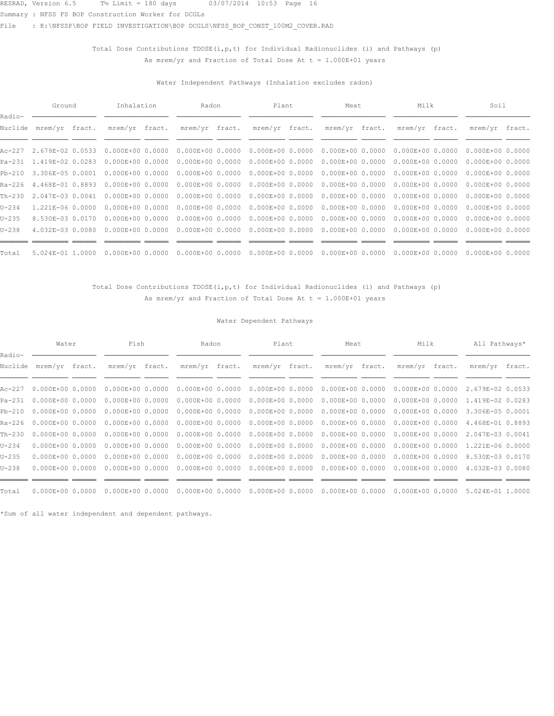Summary : NFSS FS BOP Construction Worker for DCGLs

File : K:\NFSSP\BOP FIELD INVESTIGATION\BOP DCGLS\NFSS\_BOP\_CONST\_100M2\_COVER.RAD

## Total Dose Contributions  $TDOSE(i, p, t)$  for Individual Radionuclides (i) and Pathways (p) As mrem/yr and Fraction of Total Dose At  $t = 1.000E+01$  years

### Water Independent Pathways (Inhalation excludes radon)

|                   | Ground                  | Inhalation           | Radon                | Plant                | Meat                 | Milk                              | Soil                 |  |
|-------------------|-------------------------|----------------------|----------------------|----------------------|----------------------|-----------------------------------|----------------------|--|
| Radio-<br>Nuclide | mrem/yr fract.          | mrem/yr fract.       | mrem/yr fract.       | mrem/yr fract.       | mrem/yr fract.       | mrem/yr fract.                    | mrem/yr fract.       |  |
|                   | Ac-227 2.679E-02 0.0533 | $0.000E + 00 0.0000$ | $0.000E + 00 0.0000$ | $0.000E + 0000.0000$ | $0.000E + 0000.0000$ | $0.000E + 0000.0000$              | $0.000E+0000.0000$   |  |
|                   | Pa-231 1.419E-02 0.0283 | $0.000E+000.0000$    | $0.000E+0000.0000$   | $0.000E + 0000.0000$ | $0.000E + 0000.0000$ | $0.000E + 0000.0000$              | $0.000E+0000.0000$   |  |
| Pb-210            | 3.306E-05 0.0001        | $0.000E + 00 0.0000$ | $0.000E + 0000.0000$ | $0.000E + 0000.0000$ | $0.000E + 0000.0000$ | $0.000E + 0000.0000$              | $0.000E+0000.0000$   |  |
| Ra-226            | 4.468E-01 0.8893        | $0.000E + 00 0.0000$ | $0.000E + 00 0.0000$ | $0.000E + 0000.0000$ | $0.000E + 0000.0000$ | $0.000E + 0000.0000$              | $0.000E+0000.0000$   |  |
| Th-230            | 2.047E-03 0.0041        | $0.000E + 00 0.0000$ | $0.000E + 00 0.0000$ | $0.000E + 0000.0000$ | $0.000E + 0000.0000$ | $0.000E + 0000.0000$              | $0.000E + 00 0.0000$ |  |
| U-234             | 1.221E-06 0.0000        | $0.000E + 00 0.0000$ | $0.000E + 0000.0000$ | $0.000E + 0000.0000$ |                      | $0.000E+000.0000000000E+00000000$ | $0.000E+0000.0000$   |  |
| U-235             | 8.530E-03 0.0170        | $0.000E + 00 0.0000$ | $0.000E + 00 0.0000$ | $0.000E + 0000.0000$ | $0.000E+0000.0000$   | $0.000E + 0000.0000$              | $0.000E+0000.0000$   |  |
| $U - 238$         | 4.032E-03 0.0080        | $0.000E + 00 0.0000$ | $0.000E + 0000.0000$ | $0.000E + 0000.0000$ | $0.000E + 0000.0000$ | $0.000E + 0000.0000$              | $0.000E+0000.0000$   |  |
| Total             | 5.024E-01 1.0000        | $0.000E + 0000.0000$ | $0.000E + 0000.0000$ | $0.000E + 0000.0000$ | $0.000E + 0000.0000$ | $0.000E + 0000.0000$              | $0.000E + 00 0.0000$ |  |

### Total Dose Contributions TDOSE(i, p, t) for Individual Radionuclides (i) and Pathways (p) As mrem/yr and Fraction of Total Dose At  $t = 1.000E+01$  years

### Water Dependent Pathways

|                   | Water                     | Fish                 | Radon                | Plant                | Meat                 | Milk                 | All Pathways*    |  |
|-------------------|---------------------------|----------------------|----------------------|----------------------|----------------------|----------------------|------------------|--|
| Radio-<br>Nuclide | mrem/yr fract.            | mrem/yr fract.       | mrem/yr fract.       | mrem/yr fract.       | mrem/yr fract.       | mrem/yr fract.       | mrem/yr fract.   |  |
|                   | Ac-227  0.000E+00  0.0000 | $0.000E + 0000.0000$ | $0.000E + 00 0.0000$ | $0.000E + 0000.0000$ | $0.000E + 0000.0000$ | $0.000E + 0000.0000$ | 2.679E-02 0.0533 |  |
| Pa-231            | $0.000E + 0000.0000$      | $0.000E+0000.0000$   | $0.000E + 00 0.0000$ | $0.000E + 0000.0000$ | $0.000E + 00 0.0000$ | $0.000E + 0000.0000$ | 1.419E-02 0.0283 |  |
| Pb-210            | $0.000E + 0000.0000$      | $0.000E + 0000.0000$ | $0.000E + 00 0.0000$ | $0.000E + 0000.0000$ | $0.000E+000.0000$    | $0.000E + 00 0.0000$ | 3.306E-05 0.0001 |  |
|                   | Ra-226 0.000E+00 0.0000   | $0.000E + 0000.0000$ | $0.000E + 00 0.0000$ | $0.000E + 0000.0000$ | $0.000E + 0000.0000$ | $0.000E + 0000.0000$ | 4.468E-01 0.8893 |  |
| Th-230            | $0.000E + 0000.0000$      | $0.000E + 0000.0000$ | $0.000E + 00 0.0000$ | $0.000E + 00 0.0000$ | $0.000E + 00 0.0000$ | $0.000E + 00 0.0000$ | 2.047E-03 0.0041 |  |
| $U - 234$         | $0.000E + 0000.0000$      | $0.000E+0000.0000$   | $0.000E + 00 0.0000$ | $0.000E + 0000.0000$ | $0.000E+0000.0000$   | $0.000E+0000.0000$   | 1.221E-06 0.0000 |  |
| $U - 235$         | $0.000E + 0000.0000$      | $0.000E + 0000.0000$ | $0.000E + 00 0.0000$ | $0.000E + 0000.0000$ | $0.000E + 0000.0000$ | $0.000E + 00 0.0000$ | 8.530E-03 0.0170 |  |
| $U - 238$         | $0.000E + 0000.0000$      | $0.000E + 00 0.0000$ | $0.000E + 00 0.0000$ | $0.000E + 0000.0000$ | $0.000E + 0000.0000$ | $0.000E + 00 0.0000$ | 4.032E-03 0.0080 |  |
|                   |                           |                      |                      |                      |                      |                      |                  |  |
| Total             | $0.000E + 0000.0000$      | $0.000E + 0000.0000$ | $0.000E+000.0000$    | $0.000E + 00 0.0000$ | $0.000E + 0000.0000$ | $0.000E + 0000.0000$ | 5.024E-01 1.0000 |  |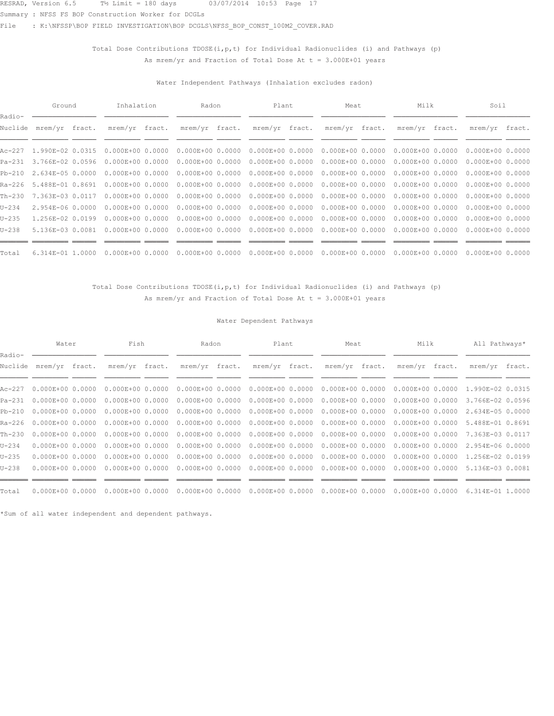Summary : NFSS FS BOP Construction Worker for DCGLs

File : K:\NFSSP\BOP FIELD INVESTIGATION\BOP DCGLS\NFSS\_BOP\_CONST\_100M2\_COVER.RAD

## Total Dose Contributions  $TDOSE(i, p, t)$  for Individual Radionuclides (i) and Pathways (p) As mrem/yr and Fraction of Total Dose At  $t = 3.000E+01$  years

### Water Independent Pathways (Inhalation excludes radon)

|                   | Ground                  | Inhalation           | Radon                | Plant                | Meat                 | Milk                              | Soil                 |  |
|-------------------|-------------------------|----------------------|----------------------|----------------------|----------------------|-----------------------------------|----------------------|--|
| Radio-<br>Nuclide | mrem/yr fract.          | mrem/yr fract.       | mrem/yr fract.       | mrem/yr fract.       | mrem/yr fract.       | mrem/yr fract.                    | mrem/yr fract.       |  |
|                   | Ac-227 1.990E-02 0.0315 | $0.000E + 00 0.0000$ | $0.000E + 00 0.0000$ | $0.000E + 0000.0000$ | $0.000E + 0000.0000$ | $0.000E + 0000.0000$              | $0.000E+0000.0000$   |  |
|                   | Pa-231 3.766E-02 0.0596 | $0.000E + 00 0.0000$ | $0.000E+0000.0000$   | $0.000E + 0000.0000$ | $0.000E + 0000.0000$ | $0.000E + 0000.0000$              | $0.000E+0000.0000$   |  |
|                   | Pb-210 2.634E-05 0.0000 | $0.000E + 00 0.0000$ | $0.000E + 0000.0000$ | $0.000E + 0000.0000$ | $0.000E + 000.0000$  | $0.000E + 0000.0000$              | $0.000E+0000.0000$   |  |
| Ra-226            | 5.488E-01 0.8691        | $0.000E + 00 0.0000$ | $0.000E + 00 0.0000$ | $0.000E + 0000.0000$ | $0.000E + 0000.0000$ | $0.000E + 0000.0000$              | $0.000E+0000.0000$   |  |
| Th-230            | 7.363E-03 0.0117        | $0.000E + 00 0.0000$ | $0.000E + 00 0.0000$ | $0.000E + 0000.0000$ | $0.000E + 0000.0000$ | $0.000E + 0000.0000$              | $0.000E + 00 0.0000$ |  |
| U-234             | 2.954E-06 0.0000        | $0.000E + 00 0.0000$ | $0.000E+0000.0000$   | $0.000E + 0000.0000$ |                      | $0.000E+000.0000000000E+00000000$ | $0.000E+0000.0000$   |  |
| U-235             | 1.256E-02 0.0199        | $0.000E + 00 0.0000$ | $0.000E + 00 0.0000$ | $0.000E + 0000.0000$ | $0.000E+000.0000$    | $0.000E + 0000.0000$              | $0.000E+0000.0000$   |  |
| $U - 238$         | 5.136E-03 0.0081        | $0.000E + 00 0.0000$ | $0.000E + 0000.0000$ | $0.000E + 0000.0000$ | $0.000E + 0000.0000$ | $0.000E + 0000.0000$              | $0.000E+0000.0000$   |  |
| Total             | $6.314E-01$ 1.0000      | $0.000E + 0000.0000$ | $0.000E + 0000.0000$ | $0.000E + 0000.0000$ | $0.000E + 0000.0000$ | $0.000E + 0000.0000$              | $0.000E + 00 0.0000$ |  |

### Total Dose Contributions TDOSE(i, p, t) for Individual Radionuclides (i) and Pathways (p) As mrem/yr and Fraction of Total Dose At  $t = 3.000E+01$  years

### Water Dependent Pathways

|                   | Water                     | Fish                 | Radon                | Plant                | Meat                              | Milk                 | All Pathways*    |  |
|-------------------|---------------------------|----------------------|----------------------|----------------------|-----------------------------------|----------------------|------------------|--|
| Radio-<br>Nuclide | mrem/yr fract.            | mrem/yr fract.       | mrem/yr fract.       | mrem/yr fract.       | mrem/yr fract.                    | mrem/yr fract.       | mrem/yr fract.   |  |
|                   | Ac-227  0.000E+00  0.0000 | $0.000E+0000.0000$   | $0.000E+000.0000$    | $0.000E + 0000.0000$ | $0.000E + 0000.0000$              | $0.000E+000.0000$    | 1.990E-02 0.0315 |  |
|                   | Pa-231 0.000E+00 0.0000   | $0.000E + 0000.0000$ | $0.000E + 00 0.0000$ | $0.000E + 0000.0000$ | $0.000E + 0000.0000$              | $0.000E + 00 0.0000$ | 3.766E-02 0.0596 |  |
|                   | Pb-210 0.000E+00 0.0000   | $0.000E + 0000.0000$ | $0.000E+000.0000$    | $0.000E+000.0000$    | $0.000E+000.0000000000E+00000000$ |                      | 2.634E-05 0.0000 |  |
|                   | Ra-226 0.000E+00 0.0000   | $0.000E+0000.0000$   | $0.000E + 00 0.0000$ | $0.000E + 0000.0000$ | $0.000E + 0000.0000$              | $0.000E + 00 0.0000$ | 5.488E-01 0.8691 |  |
| Th-230            | $0.000E + 0000.0000$      | $0.000E + 0000.0000$ | $0.000E + 00 0.0000$ | $0.000E + 00 0.0000$ | $0.000E + 00 0.0000$              | $0.000E + 0000.0000$ | 7.363E-03 0.0117 |  |
| $U - 234$         | $0.000E + 0000.0000$      | $0.000E + 0000.0000$ | $0.000E + 00 0.0000$ | $0.000E + 0000.0000$ | $0.000E + 0000.0000$              | $0.000E + 0000.0000$ | 2.954E-06 0.0000 |  |
| $U - 235$         | $0.000E + 0000.0000$      | $0.000E + 0000.0000$ | $0.000E + 00 0.0000$ | $0.000E + 0000.0000$ | $0.000E+000.0000$                 | $0.000E + 0000.0000$ | 1.256E-02 0.0199 |  |
| $U - 238$         | $0.000E + 0000.0000$      | $0.000E + 00 0.0000$ | $0.000E + 00 0.0000$ | $0.000E + 0000.0000$ | $0.000E + 0000.0000$              | $0.000E + 00 0.0000$ | 5.136E-03 0.0081 |  |
|                   |                           |                      |                      |                      |                                   |                      |                  |  |
| Total             | $0.000E + 0000.0000$      | $0.000E + 0000.0000$ | $0.000E + 0000.0000$ | $0.000E + 0000.0000$ | $0.000E + 0000.0000$              | $0.000E + 0000.0000$ | 6.314E-01 1.0000 |  |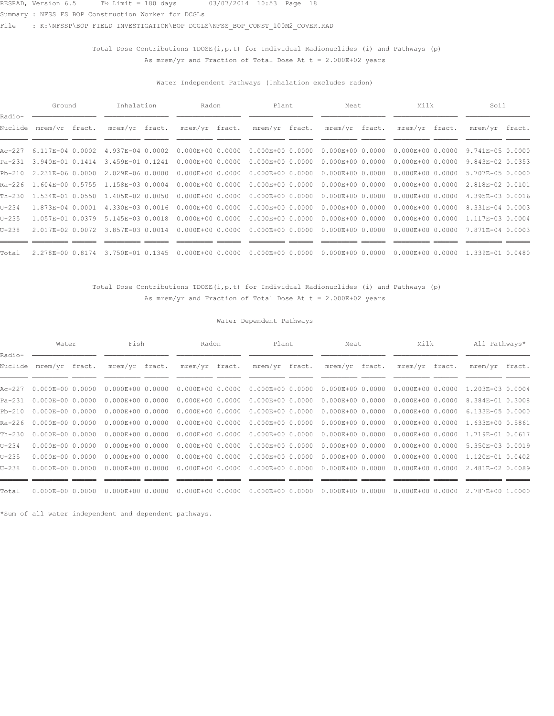Summary : NFSS FS BOP Construction Worker for DCGLs

File : K:\NFSSP\BOP FIELD INVESTIGATION\BOP DCGLS\NFSS\_BOP\_CONST\_100M2\_COVER.RAD

## Total Dose Contributions  $TDOSE(i, p, t)$  for Individual Radionuclides (i) and Pathways (p) As mrem/yr and Fraction of Total Dose At  $t = 2.000E+02$  years

### Water Independent Pathways (Inhalation excludes radon)

|                   | Ground                  | Inhalation                               | Radon                | Plant                | Meat                              | Milk                 | Soil             |  |
|-------------------|-------------------------|------------------------------------------|----------------------|----------------------|-----------------------------------|----------------------|------------------|--|
| Radio-<br>Nuclide | mrem/yr fract.          | mrem/yr fract.                           | mrem/yr fract.       | mrem/yr fract.       | mrem/yr fract.                    | mrem/yr fract.       | mrem/yr fract.   |  |
|                   | Ac-227 6.117E-04 0.0002 | 4.937E-04 0.0002                         | $0.000E + 0000.0000$ | $0.000E + 0000.0000$ | $0.000E + 0000.0000$              | $0.000E + 0000.0000$ | 9.741E-05 0.0000 |  |
|                   | Pa-231 3.940E-01 0.1414 | 3.459E-01 0.1241                         | $0.000E+0000.0000$   | $0.000E + 0000.0000$ | $0.000E + 0000.0000$              | $0.000E + 0000.0000$ | 9.843E-02 0.0353 |  |
|                   | Pb-210 2.231E-06 0.0000 | 2.029E-06 0.0000                         | $0.000E + 0000.0000$ | $0.000E + 0000.0000$ | $0.000E+000.0000000000E+00000000$ |                      | 5.707E-05 0.0000 |  |
|                   |                         | Ra-226 1.604E+00 0.5755 1.158E-03 0.0004 | $0.000E+0000.0000$   | $0.000E + 0000.0000$ | $0.000E + 0000.0000$              | $0.000E+000.0000$    | 2.818E-02 0.0101 |  |
|                   | Th-230 1.534E-01 0.0550 | 1.405E-02 0.0050                         | $0.000E+0000.0000$   | $0.000E + 0000.0000$ | $0.000E + 0000.0000$              | $0.000E + 0000.0000$ | 4.395E-03 0.0016 |  |
| $U - 234$         | 1.873E-04 0.0001        | 4.330E-03 0.0016                         | $0.000E+0000.0000$   | $0.000E + 0000.0000$ | $0.000E+000.0000000000E+00000000$ |                      | 8.331E-04 0.0003 |  |
| $U - 235$         | 1.057E-01 0.0379        | 5.145E-03 0.0018                         | $0.000E + 0000.0000$ | $0.000E+000.0000$    | $0.000E + 0000.0000$              | $0.000E+000.0000$    | 1.117E-03 0.0004 |  |
| $U - 238$         | 2.017E-02 0.0072        | 3.857E-03 0.0014                         | $0.000E+0000.0000$   | $0.000E + 0000.0000$ | $0.000E + 0000.0000$              | $0.000E + 0000.0000$ | 7.871E-04 0.0003 |  |
| Total             | 2.278E+00 0.8174        | 3.750E-01 0.1345                         | $0.000E + 0000.0000$ | $0.000E + 0000.0000$ | $0.000E + 0000.0000$              | $0.000E + 0000.0000$ | 1.339E-01 0.0480 |  |

### Total Dose Contributions TDOSE(i, p, t) for Individual Radionuclides (i) and Pathways (p) As mrem/yr and Fraction of Total Dose At  $t = 2.000E+02$  years

### Water Dependent Pathways

|                   | Water                     | Fish                 | Radon                | Plant                | Meat                 | Milk                 | All Pathways*    |  |
|-------------------|---------------------------|----------------------|----------------------|----------------------|----------------------|----------------------|------------------|--|
| Radio-<br>Nuclide | mrem/yr fract.            | mrem/yr fract.       | mrem/yr fract.       | mrem/yr fract.       | mrem/yr fract.       | mrem/yr fract.       | mrem/yr fract.   |  |
|                   | Ac-227  0.000E+00  0.0000 | $0.000E + 0000.0000$ | $0.000E + 00 0.0000$ | $0.000E + 0000.0000$ | $0.000E + 0000.0000$ | $0.000E + 0000.0000$ | 1.203E-03 0.0004 |  |
| Pa-231            | $0.000E + 0000.0000$      | $0.000E+0000.0000$   | $0.000E + 00 0.0000$ | $0.000E + 0000.0000$ | $0.000E+000.0000$    | $0.000E + 00 0.0000$ | 8.384E-01 0.3008 |  |
| Pb-210            | $0.000E + 0000.0000$      | $0.000E + 0000.0000$ | $0.000E + 00 0.0000$ | $0.000E + 0000.0000$ | $0.000E+000.0000$    | $0.000E + 00 0.0000$ | 6.133E-05 0.0000 |  |
|                   | Ra-226 0.000E+00 0.0000   | $0.000E + 0000.0000$ | $0.000E + 00 0.0000$ | $0.000E + 0000.0000$ | $0.000E + 0000.0000$ | $0.000E+000.0000$    | 1.633E+00 0.5861 |  |
| Th-230            | $0.000E + 0000.0000$      | $0.000E + 0000.0000$ | $0.000E + 00 0.0000$ | $0.000E + 00 0.0000$ | $0.000E + 00 0.0000$ | $0.000E + 00 0.0000$ | 1.719E-01 0.0617 |  |
| $U - 234$         | $0.000E + 0000.0000$      | $0.000E+0000.0000$   | $0.000E + 00 0.0000$ | $0.000E + 0000.0000$ | $0.000E + 0000.0000$ | $0.000E + 00 0.0000$ | 5.350E-03 0.0019 |  |
| $U - 235$         | $0.000E + 0000.0000$      | $0.000E + 0000.0000$ | $0.000E + 00 0.0000$ | $0.000E + 0000.0000$ | $0.000E + 0000.0000$ | $0.000E + 0000.0000$ | 1.120E-01 0.0402 |  |
| $U - 238$         | $0.000E + 0000.0000$      | $0.000E + 00 0.0000$ | $0.000E + 00 0.0000$ | $0.000E + 0000.0000$ | $0.000E + 0000.0000$ | $0.000E + 00 0.0000$ | 2.481E-02 0.0089 |  |
|                   |                           |                      |                      |                      |                      |                      |                  |  |
| Total             | $0.000E + 0000.0000$      | $0.000E + 0000.0000$ | $0.000E+000.0000$    | $0.000E + 0000.0000$ | $0.000E + 0000.0000$ | $0.000E+000.0000$    | 2.787E+00 1.0000 |  |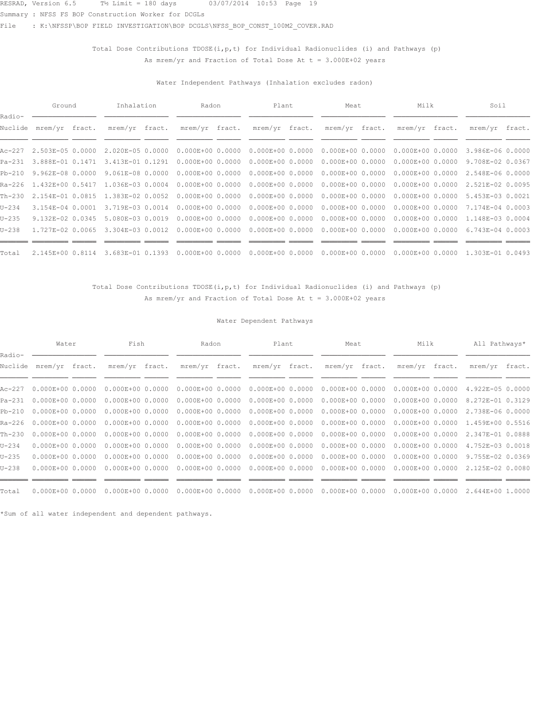Summary : NFSS FS BOP Construction Worker for DCGLs

File : K:\NFSSP\BOP FIELD INVESTIGATION\BOP DCGLS\NFSS\_BOP\_CONST\_100M2\_COVER.RAD

## Total Dose Contributions  $TDOSE(i, p, t)$  for Individual Radionuclides (i) and Pathways (p) As mrem/yr and Fraction of Total Dose At  $t = 3.000E+02$  years

### Water Independent Pathways (Inhalation excludes radon)

|                   | Ground                  | Inhalation       | Radon                | Plant                | Meat                              | Milk                              | Soil             |  |
|-------------------|-------------------------|------------------|----------------------|----------------------|-----------------------------------|-----------------------------------|------------------|--|
| Radio-<br>Nuclide | mrem/yr fract.          | mrem/yr fract.   | mrem/yr fract.       | mrem/yr fract.       | mrem/yr fract.                    | mrem/yr fract.                    | mrem/yr fract.   |  |
|                   | Ac-227 2.503E-05 0.0000 | 2.020E-05 0.0000 | $0.000E + 00 0.0000$ | $0.000E + 0000.0000$ | $0.000E + 0000.0000$              | $0.000E + 0000.0000$              | 3.986E-06 0.0000 |  |
|                   | Pa-231 3.888E-01 0.1471 | 3.413E-01 0.1291 | $0.000E+0000.0000$   | $0.000E + 0000.0000$ | $0.000E + 0000.0000$              | $0.000E + 0000.0000$              | 9.708E-02 0.0367 |  |
| Pb-210            | 9.962E-08 0.0000        | 9.061E-08 0.0000 | $0.000E + 0000.0000$ | $0.000E + 0000.0000$ |                                   | $0.000E+000.0000000000E+00000000$ | 2.548E-06 0.0000 |  |
|                   | Ra-226 1.432E+00 0.5417 | 1.036E-03 0.0004 | $0.000E + 0000.0000$ | $0.000E + 0000.0000$ | $0.000E+0000.0000$                | $0.000E + 0000.0000$              | 2.521E-02 0.0095 |  |
| Th-230            | 2.154E-01 0.0815        | 1.383E-02 0.0052 | $0.000E + 0000.0000$ | $0.000E + 0000.0000$ | $0.000E + 0000.0000$              | $0.000E + 000.0000$               | 5.453E-03 0.0021 |  |
| U-234             | 3.154E-04 0.0001        | 3.719E-03 0.0014 | $0.000E + 0000.0000$ | $0.000E + 0000.0000$ | $0.000E+000.0000000000E+00000000$ |                                   | 7.174E-04 0.0003 |  |
| U-235             | $9.132E - 020.0345$     | 5.080E-03 0.0019 | $0.000E + 0000.0000$ | $0.000E+000.0000$    | $0.000E + 0000.0000$              | $0.000E+000.0000$                 | 1.148E-03 0.0004 |  |
| $U - 238$         | 1.727E-02 0.0065        | 3.304E-03 0.0012 | $0.000E + 0000.0000$ | $0.000E+000.0000$    | $0.000E + 0000.0000$              | $0.000E + 0000.0000$              | 6.743E-04 0.0003 |  |
|                   |                         |                  |                      |                      |                                   |                                   |                  |  |
| Total             | 2.145E+00 0.8114        | 3.683E-01 0.1393 | $0.000E + 0000.0000$ | $0.000E + 000.0000$  | $0.000E + 0000.0000$              | $0.000E + 0000.0000$              | 1.303E-01 0.0493 |  |

### Total Dose Contributions TDOSE(i, p, t) for Individual Radionuclides (i) and Pathways (p) As mrem/yr and Fraction of Total Dose At  $t = 3.000E+02$  years

### Water Dependent Pathways

|                   | Water                     | Fish                 | Radon                | Plant                | Meat                 | Milk                 | All Pathways*    |  |
|-------------------|---------------------------|----------------------|----------------------|----------------------|----------------------|----------------------|------------------|--|
| Radio-<br>Nuclide | mrem/yr fract.            | mrem/yr fract.       | mrem/yr fract.       | mrem/yr fract.       | mrem/yr fract.       | mrem/yr fract.       | mrem/yr fract.   |  |
|                   | Ac-227  0.000E+00  0.0000 | $0.000E + 0000.0000$ | $0.000E + 00 0.0000$ | $0.000E + 0000.0000$ | $0.000E+0000.0000$   | $0.000E + 0000.0000$ | 4.922E-05 0.0000 |  |
| Pa-231            | $0.000E + 0000.0000$      | $0.000E+0000.0000$   | $0.000E + 00 0.0000$ | $0.000E + 0000.0000$ | $0.000E + 0000.0000$ | $0.000E + 00 0.0000$ | 8.272E-01 0.3129 |  |
| Pb-210            | $0.000E + 0000.0000$      | $0.000E + 0000.0000$ | $0.000E + 00 0.0000$ | $0.000E + 0000.0000$ | $0.000E + 0000.0000$ | $0.000E + 00 0.0000$ | 2.738E-06 0.0000 |  |
|                   | Ra-226 0.000E+00 0.0000   | $0.000E + 0000.0000$ | $0.000E + 00 0.0000$ | $0.000E + 0000.0000$ | $0.000E + 0000.0000$ | $0.000E + 00 0.0000$ | 1.459E+00 0.5516 |  |
| Th-230            | $0.000E + 0000.0000$      | $0.000E + 0000.0000$ | $0.000E + 00 0.0000$ | $0.000E + 00 0.0000$ | $0.000E + 0000.0000$ | $0.000E + 00 0.0000$ | 2.347E-01 0.0888 |  |
| $U - 234$         | $0.000E + 0000.0000$      | $0.000E+0000.0000$   | $0.000E + 00 0.0000$ | $0.000E + 0000.0000$ | $0.000E + 00 0.0000$ | $0.000E + 00 0.0000$ | 4.752E-03 0.0018 |  |
| $U - 235$         | $0.000E + 00 0.0000$      | $0.000E + 0000.0000$ | $0.000E + 00 0.0000$ | $0.000E + 0000.0000$ | $0.000E + 0000.0000$ | $0.000E + 0000.0000$ | 9.755E-02 0.0369 |  |
| $U - 238$         | $0.000E + 00 0.0000$      | $0.000E + 00 0.0000$ | $0.000E + 00 0.0000$ | $0.000E + 0000.0000$ | $0.000E + 0000.0000$ | $0.000E + 00 0.0000$ | 2.125E-02 0.0080 |  |
|                   |                           |                      |                      |                      |                      |                      |                  |  |
| Total             | $0.000E + 0000.0000$      | $0.000E + 0000.0000$ | $0.000E+000.0000$    | $0.000E + 0000.0000$ | $0.000E + 0000.0000$ | $0.000E + 0000.0000$ | 2.644E+00 1.0000 |  |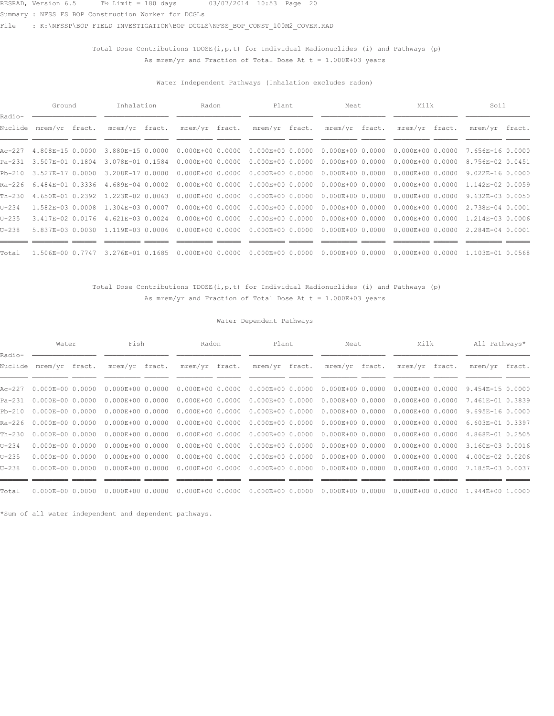Summary : NFSS FS BOP Construction Worker for DCGLs

File : K:\NFSSP\BOP FIELD INVESTIGATION\BOP DCGLS\NFSS\_BOP\_CONST\_100M2\_COVER.RAD

## Total Dose Contributions  $TDOSE(i, p, t)$  for Individual Radionuclides (i) and Pathways (p) As mrem/yr and Fraction of Total Dose At  $t = 1.000E+03$  years

### Water Independent Pathways (Inhalation excludes radon)

|                   | Ground                  | Inhalation       | Radon                | Plant                | Meat                              | Milk                              | Soil             |  |
|-------------------|-------------------------|------------------|----------------------|----------------------|-----------------------------------|-----------------------------------|------------------|--|
| Radio-<br>Nuclide | mrem/yr fract.          | mrem/yr fract.   | mrem/yr fract.       | mrem/yr fract.       | mrem/yr fract.                    | mrem/yr fract.                    | mrem/yr fract.   |  |
|                   | Ac-227 4.808E-15 0.0000 | 3.880E-15 0.0000 | $0.000E + 0000.0000$ | $0.000E + 0000.0000$ | $0.000E+000.0000$                 | $0.000E + 0000.0000$              | 7.656E-16 0.0000 |  |
|                   | Pa-231 3.507E-01 0.1804 | 3.078E-01 0.1584 | $0.000E+0000.0000$   | $0.000E + 0000.0000$ | $0.000E+0000.0000$                | $0.000E + 0000.0000$              | 8.756E-02 0.0451 |  |
| Pb-210            | 3.527E-17 0.0000        | 3.208E-17 0.0000 | $0.000E + 0000.0000$ | $0.000E + 0000.0000$ |                                   | $0.000E+000.0000000000E+00000000$ | 9.022E-16 0.0000 |  |
|                   | Ra-226 6.484E-01 0.3336 | 4.689E-04 0.0002 | $0.000E + 0000.0000$ | $0.000E + 0000.0000$ | $0.000E+000.0000$                 | $0.000E + 0000.0000$              | 1.142E-02 0.0059 |  |
| Th-230            | 4.650E-01 0.2392        | 1.223E-02 0.0063 | $0.000E + 0000.0000$ | $0.000E + 0000.0000$ | $0.000E + 0000.0000$              | $0.000E + 0000.0000$              | 9.632E-03 0.0050 |  |
| U-234             | 1.582E-03 0.0008        | 1.304E-03 0.0007 | $0.000E + 0000.0000$ | $0.000E + 0000.0000$ | $0.000E+000.0000000000E+00000000$ |                                   | 2.738E-04 0.0001 |  |
| U-235             | 3.417E-02 0.0176        | 4.621E-03 0.0024 | $0.000E + 0000.0000$ | $0.000E + 0000.0000$ |                                   |                                   | 1.214E-03 0.0006 |  |
| $U-238$           | 5.837E-03 0.0030        | 1.119E-03 0.0006 | $0.000E + 0000.0000$ | $0.000E + 0000.0000$ | $0.000E + 0000.0000$              | $0.000E + 0000.0000$              | 2.284E-04 0.0001 |  |
|                   |                         |                  |                      |                      |                                   |                                   |                  |  |
| Total             | 1.506E+00 0.7747        | 3.276E-01 0.1685 | $0.000E + 0000.0000$ | $0.000E + 000.0000$  | $0.000E + 0000.0000$              | $0.000E + 0000.0000$              | 1.103E-01 0.0568 |  |

### Total Dose Contributions TDOSE(i, p, t) for Individual Radionuclides (i) and Pathways (p) As mrem/yr and Fraction of Total Dose At  $t = 1.000E+03$  years

### Water Dependent Pathways

|                   | Water                     | Fish                 | Radon                | Plant                | Meat                 | Milk                 | All Pathways*    |  |
|-------------------|---------------------------|----------------------|----------------------|----------------------|----------------------|----------------------|------------------|--|
| Radio-<br>Nuclide | mrem/yr fract.            | mrem/yr fract.       | mrem/yr fract.       | mrem/yr fract.       | mrem/yr fract.       | mrem/yr fract.       | mrem/yr fract.   |  |
|                   | Ac-227  0.000E+00  0.0000 | $0.000E + 0000.0000$ | $0.000E + 00 0.0000$ | $0.000E + 0000.0000$ | $0.000E+000.0000$    | $0.000E + 00 0.0000$ | 9.454E-15 0.0000 |  |
| Pa-231            | $0.000E + 0000.0000$      | $0.000E+0000.0000$   | $0.000E + 00 0.0000$ | $0.000E + 00 0.0000$ | $0.000E + 0000.0000$ | $0.000E + 00 0.0000$ | 7.461E-01 0.3839 |  |
| Pb-210            | $0.000E + 0000.0000$      | $0.000E + 0000.0000$ | $0.000E + 00 0.0000$ | $0.000E + 0000.0000$ | $0.000E+000.0000$    | $0.000E + 0000.0000$ | 9.695E-16 0.0000 |  |
|                   | Ra-226 0.000E+00 0.0000   | $0.000E + 0000.0000$ | $0.000E + 00 0.0000$ | $0.000E + 0000.0000$ | $0.000E + 00 0.0000$ | $0.000E + 00 0.0000$ | 6.603E-01 0.3397 |  |
| Th-230            | $0.000E + 0000.0000$      | $0.000E + 0000.0000$ | $0.000E + 00 0.0000$ | $0.000E + 00 0.0000$ | $0.000E + 00 0.0000$ | $0.000E + 00 0.0000$ | 4.868E-01 0.2505 |  |
| $U - 234$         | $0.000E + 00 0.0000$      | $0.000E+0000.0000$   | $0.000E + 00 0.0000$ | $0.000E + 0000.0000$ | $0.000E + 00 0.0000$ | $0.000E + 00 0.0000$ | 3.160E-03 0.0016 |  |
| $U - 235$         | $0.000E + 00 0.0000$      | $0.000E + 0000.0000$ | $0.000E + 00 0.0000$ | $0.000E + 0000.0000$ | $0.000E + 00 0.0000$ | $0.000E + 0000.0000$ | 4.000E-02 0.0206 |  |
| $U - 238$         | $0.000E + 00 0.0000$      | $0.000E + 00 0.0000$ | $0.000E + 00 0.0000$ | $0.000E + 0000.0000$ | $0.000E + 0000.0000$ | $0.000E + 00 0.0000$ | 7.185E-03 0.0037 |  |
|                   |                           |                      |                      |                      |                      |                      |                  |  |
| Total             | $0.000E + 0000.0000$      | $0.000E + 0000.0000$ | $0.000E+000.0000$    | $0.000E + 0000.0000$ | $0.000E+000.0000$    | $0.000E+000.0000$    | 1.944E+00 1.0000 |  |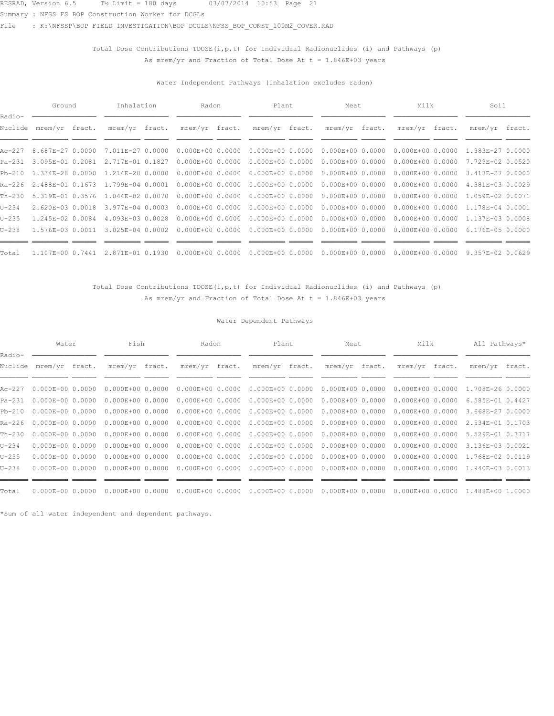Summary : NFSS FS BOP Construction Worker for DCGLs

File : K:\NFSSP\BOP FIELD INVESTIGATION\BOP DCGLS\NFSS\_BOP\_CONST\_100M2\_COVER.RAD

## Total Dose Contributions  $TDOSE(i, p, t)$  for Individual Radionuclides (i) and Pathways (p) As mrem/yr and Fraction of Total Dose At  $t = 1.846E+03$  years

### Water Independent Pathways (Inhalation excludes radon)

|                   | Ground                  | Inhalation                               | Radon                | Plant                | Meat                                                                           | Milk                              | Soil             |  |
|-------------------|-------------------------|------------------------------------------|----------------------|----------------------|--------------------------------------------------------------------------------|-----------------------------------|------------------|--|
| Radio-<br>Nuclide | mrem/yr fract.          | mrem/yr fract.                           | mrem/yr fract.       | mrem/yr fract.       | mrem/yr fract.                                                                 | mrem/yr fract.                    | mrem/yr fract.   |  |
|                   |                         |                                          |                      |                      |                                                                                |                                   |                  |  |
|                   | Ac-227 8.687E-27 0.0000 | 7.011E-27 0.0000                         | $0.000E + 0000.0000$ | $0.000E + 0000.0000$ | $0.000E + 0000.0000$                                                           | $0.000E + 0000.0000$              | 1.383E-27 0.0000 |  |
|                   | Pa-231 3.095E-01 0.2081 | 2.717E-01 0.1827                         | $0.000E + 0000.0000$ | $0.000E + 0000.0000$ | $0.000E + 0000.0000$                                                           | $0.000E + 0000.0000$              | 7.729E-02 0.0520 |  |
|                   | Pb-210 1.334E-28 0.0000 | 1.214E-28 0.0000                         | $0.000E + 0000.0000$ | $0.000E + 0000.0000$ | $0.000E+000.0000000000E+00000000$                                              |                                   | 3.413E-27 0.0000 |  |
|                   |                         | Ra-226 2.488E-01 0.1673 1.799E-04 0.0001 | $0.000E + 0000.0000$ | $0.000E + 0000.0000$ |                                                                                | $0.000E+000.0000000000E+00000000$ | 4.381E-03 0.0029 |  |
| Th-230            | 5.319E-01 0.3576        | 1.044E-02 0.0070                         | $0.000E + 0000.0000$ | $0.000E + 0000.0000$ | $0.000E + 0000.0000$                                                           | 0.000E+00 0.0000                  | 1.059E-02 0.0071 |  |
| $U - 234$         | 2.620E-03 0.0018        | 3.977E-04 0.0003                         | $0.000E + 0000.0000$ | $0.000E + 0000.0000$ | $0.000E+00$ 0.0000 0.000E+00 0.0000 1.178E-04 0.0001                           |                                   |                  |  |
| $U - 235$         | 1.245E-02 0.0084        | 4.093E-03 0.0028                         | $0.000E + 0000.0000$ |                      | $0.000E+00$ 0.0000 0.000 $E+00$ 0.0000 0.000 $E+00$ 0.0000 1.137 $E-03$ 0.0008 |                                   |                  |  |
| $U - 238$         | 1.576E-03 0.0011        | 3.025E-04 0.0002                         | $0.000E + 0000.0000$ | $0.000E + 0000.0000$ | $0.000E+000.0000$                                                              | $0.000E + 0000.0000$              | 6.176E-05 0.0000 |  |
|                   |                         |                                          |                      |                      |                                                                                |                                   |                  |  |
| Total             | 1.107E+00 0.7441        | 2.871E-01 0.1930                         | $0.000E + 0000.0000$ | $0.000E + 0000.0000$ | $0.000E + 00 0.0000$                                                           | $0.000E + 0000.0000$              | 9.357E-02 0.0629 |  |

### Total Dose Contributions TDOSE(i, p, t) for Individual Radionuclides (i) and Pathways (p) As mrem/yr and Fraction of Total Dose At  $t = 1.846E+03$  years

### Water Dependent Pathways

|                   | Water                     | Fish                 | Radon                | Plant                | Meat                 | Milk                 | All Pathways*    |  |
|-------------------|---------------------------|----------------------|----------------------|----------------------|----------------------|----------------------|------------------|--|
| Radio-<br>Nuclide | mrem/yr fract.            | mrem/yr fract.       | mrem/yr fract.       | mrem/yr fract.       | mrem/yr fract.       | mrem/yr fract.       | mrem/yr fract.   |  |
|                   | Ac-227  0.000E+00  0.0000 | $0.000E + 0000.0000$ | $0.000E + 00 0.0000$ | $0.000E + 0000.0000$ | $0.000E + 0000.0000$ | $0.000E + 0000.0000$ | 1.708E-26 0.0000 |  |
| Pa-231            | $0.000E + 0000.0000$      | $0.000E+0000.0000$   | $0.000E + 00 0.0000$ | $0.000E + 00 0.0000$ | $0.000E+000.0000$    | $0.000E + 00 0.0000$ | 6.585E-01 0.4427 |  |
| Pb-210            | $0.000E + 0000.0000$      | $0.000E + 0000.0000$ | $0.000E + 00 0.0000$ | $0.000E + 0000.0000$ | $0.000E + 0000.0000$ | $0.000E + 00 0.0000$ | 3.668E-27 0.0000 |  |
|                   | Ra-226 0.000E+00 0.0000   | $0.000E + 0000.0000$ | $0.000E + 00 0.0000$ | $0.000E + 0000.0000$ | $0.000E + 0000.0000$ | $0.000E + 00 0.0000$ | 2.534E-01 0.1703 |  |
| Th-230            | $0.000E + 0000.0000$      | $0.000E + 0000.0000$ | $0.000E + 00 0.0000$ | $0.000E + 00 0.0000$ | $0.000E + 00 0.0000$ | $0.000E + 00 0.0000$ | 5.529E-01 0.3717 |  |
| $U - 234$         | $0.000E + 00 0.0000$      | $0.000E+0000.0000$   | $0.000E + 00 0.0000$ | $0.000E + 0000.0000$ | $0.000E + 00 0.0000$ | $0.000E + 00 0.0000$ | 3.136E-03 0.0021 |  |
| $U - 235$         | $0.000E + 00 0.0000$      | $0.000E + 0000.0000$ | $0.000E + 00 0.0000$ | $0.000E + 0000.0000$ | $0.000E + 0000.0000$ | $0.000E+0000.0000$   | 1.768E-02 0.0119 |  |
| $U - 238$         | $0.000E + 0000.0000$      | $0.000E + 00 0.0000$ | $0.000E + 00 0.0000$ | $0.000E + 0000.0000$ | $0.000E + 0000.0000$ | $0.000E + 00 0.0000$ | 1.940E-03 0.0013 |  |
|                   |                           |                      |                      |                      |                      |                      |                  |  |
| Total             | $0.000E + 0000.0000$      | $0.000E + 0000.0000$ | $0.000E+000.0000$    | $0.000E + 0000.0000$ | $0.000E + 00 0.0000$ | $0.000E + 0000.0000$ | 1.488E+00 1.0000 |  |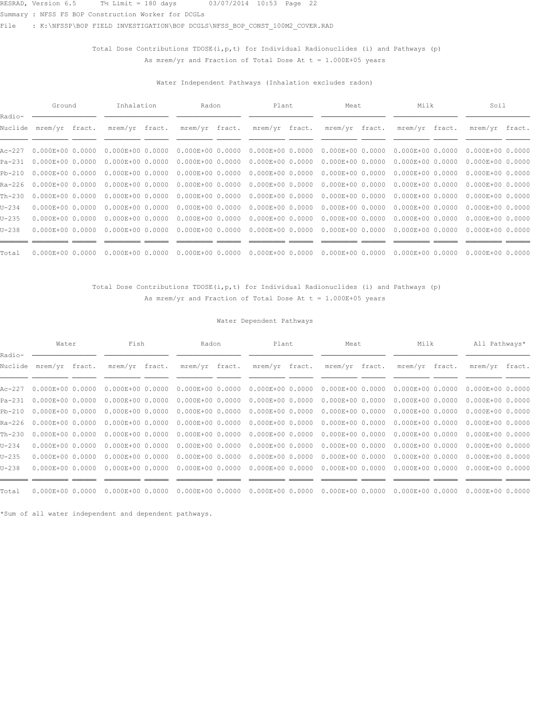Summary : NFSS FS BOP Construction Worker for DCGLs

File : K:\NFSSP\BOP FIELD INVESTIGATION\BOP DCGLS\NFSS\_BOP\_CONST\_100M2\_COVER.RAD

## Total Dose Contributions  $TDOSE(i, p, t)$  for Individual Radionuclides (i) and Pathways (p) As mrem/yr and Fraction of Total Dose At  $t = 1.000E+05$  years

### Water Independent Pathways (Inhalation excludes radon)

|                   | Ground               | Inhalation           | Radon                | Plant                | Meat                 | Milk                              | Soil                 |  |
|-------------------|----------------------|----------------------|----------------------|----------------------|----------------------|-----------------------------------|----------------------|--|
| Radio-<br>Nuclide | mrem/yr fract.       | mrem/yr fract.       | mrem/yr fract.       | mrem/yr fract.       | mrem/yr fract.       | mrem/yr fract.                    | mrem/yr fract.       |  |
| Ac-227            | $0.000E + 00 0.0000$ | $0.000E + 0000.0000$ | $0.000E + 00 0.0000$ | $0.000E + 0000.0000$ | $0.000E + 0000.0000$ | $0.000E + 0000.0000$              | $0.000E+0000.0000$   |  |
| Pa-231            | $0.000E + 00 0.0000$ | $0.000E + 00 0.0000$ | $0.000E + 0000.0000$ | $0.000E + 00 0.0000$ | $0.000E + 00 0.0000$ | $0.000E + 0000.0000$              | $0.000E+000.0000$    |  |
| Pb-210            | $0.000E + 0000.0000$ | $0.000E + 0000.0000$ | $0.000E + 0000.0000$ | $0.000E + 0000.0000$ |                      | $0.000E+000.0000000000E+00000000$ | $0.000E+0000.0000$   |  |
| Ra-226            | $0.000E + 0000.0000$ | $0.000E + 0000.0000$ | $0.000E + 00 0.0000$ | $0.000E + 00 0.0000$ |                      | $0.000E+0000.000000000E+00000000$ | $0.000E+0000.0000$   |  |
| Th-230            | $0.000E + 00 0.0000$ | $0.000E + 00 0.0000$ | $0.000E + 0000.0000$ | $0.000E + 0000.0000$ | $0.000E + 0000.0000$ | $0.000E + 000.0000$               | $0.000E + 00 0.0000$ |  |
| U-234             | $0.000E + 0000.0000$ | $0.000E + 0000.0000$ | $0.000E + 0000.0000$ | $0.000E + 0000.0000$ |                      | $0.000E+000.0000000000E+00000000$ | $0.000E+0000.0000$   |  |
| U-235             | $0.000E + 0000.0000$ | $0.000E + 00 0.0000$ | $0.000E + 0000.0000$ | $0.000E + 0000.0000$ | $0.000E + 0000.0000$ | $0.000E + 0000.0000$              | $0.000E+0000.0000$   |  |
| U-238             | $0.000E + 0000.0000$ | $0.000E + 00 0.0000$ | $0.000E + 0000.0000$ | $0.000E + 0000.0000$ | $0.000E + 0000.0000$ | $0.000E + 0000.0000$              | $0.000E+0000.0000$   |  |
| Total             | $0.000E + 0000.0000$ | $0.000E+000.0000$    | $0.000E + 0000.0000$ | $0.000E + 0000.0000$ | $0.000E + 00 0.0000$ | $0.000E + 0000.0000$              | $0.000E+000.0000$    |  |

### Total Dose Contributions TDOSE(i, p, t) for Individual Radionuclides (i) and Pathways (p) As mrem/yr and Fraction of Total Dose At  $t = 1.000E+05$  years

### Water Dependent Pathways

|                   | Water                   | Fish                 | Radon                | Plant                | Meat                 | Milk                 | All Pathways*        |  |
|-------------------|-------------------------|----------------------|----------------------|----------------------|----------------------|----------------------|----------------------|--|
| Radio-<br>Nuclide | mrem/yr fract.          | mrem/yr fract.       | mrem/yr fract.       | mrem/yr fract.       | mrem/yr fract.       | mrem/yr fract.       | mrem/yr fract.       |  |
| Ac-227            | $0.000E + 0000.0000$    | $0.000E + 0000.0000$ | $0.000E + 00 0.0000$ | $0.000E + 0000.0000$ | $0.000E + 0000.0000$ | $0.000E + 0000.0000$ | $0.000E+00 0.0000$   |  |
| Pa-231            | $0.000E + 0000.0000$    | $0.000E+0000.0000$   | $0.000E + 00 0.0000$ | $0.000E + 00 0.0000$ | $0.000E + 0000.0000$ | $0.000E + 00 0.0000$ | $0.000E + 0000.0000$ |  |
| Pb-210            | $0.000E + 0000.0000$    | $0.000E + 0000.0000$ | $0.000E + 00 0.0000$ | $0.000E + 0000.0000$ | $0.000E + 00 0.0000$ | $0.000E + 00 0.0000$ | $0.000E + 0000.0000$ |  |
|                   | Ra-226 0.000E+00 0.0000 | $0.000E + 0000.0000$ | $0.000E + 00 0.0000$ | $0.000E + 00 0.0000$ | $0.000E + 00 0.0000$ | $0.000E + 0000.0000$ | $0.000E+00 0.0000$   |  |
| Th-230            | $0.000E + 0000.0000$    | $0.000E + 0000.0000$ | $0.000E + 00 0.0000$ | $0.000E + 00 0.0000$ | $0.000E + 00 0.0000$ | $0.000E + 00 0.0000$ | $0.000E + 0000.0000$ |  |
| $U - 234$         | $0.000E + 0000.0000$    | $0.000E + 0000.0000$ | $0.000E + 00 0.0000$ | $0.000E + 0000.0000$ | $0.000E + 00 0.0000$ | $0.000E + 00 0.0000$ | $0.000E + 0000.0000$ |  |
| $U - 235$         | $0.000E + 0000.0000$    | $0.000E + 0000.0000$ | $0.000E + 00 0.0000$ | $0.000E + 0000.0000$ | $0.000E + 0000.0000$ | $0.000E + 0000.0000$ | $0.000E+00 0.0000$   |  |
| $U - 238$         | $0.000E + 0000.0000$    | $0.000E + 00 0.0000$ | $0.000E + 00 0.0000$ | $0.000E + 0000.0000$ | $0.000E + 0000.0000$ | $0.000E + 00 0.0000$ | $0.000E + 00 0.0000$ |  |
|                   |                         |                      |                      |                      |                      |                      |                      |  |
| Total             | $0.000E + 0000.0000$    | $0.000E + 0000.0000$ | $0.000E+000.0000$    | $0.000E + 0000.0000$ | $0.000E + 0000.0000$ | $0.000E + 0000.0000$ | $0.000E+000.0000$    |  |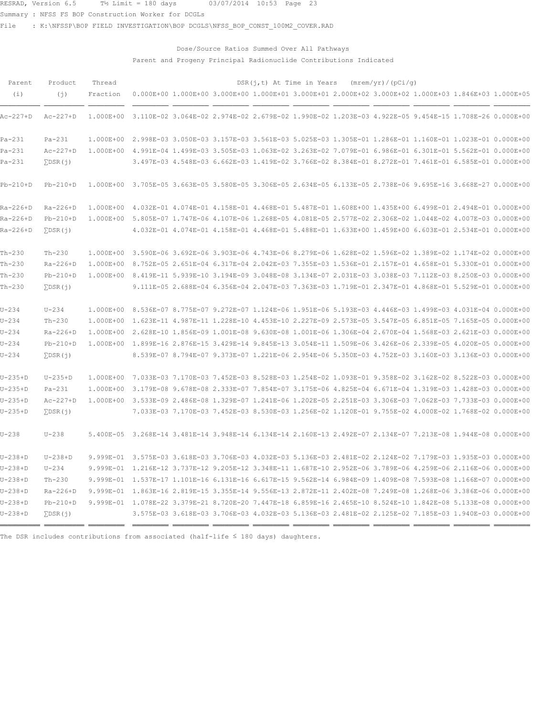Summary : NFSS FS BOP Construction Worker for DCGLs

File : K:\NFSSP\BOP FIELD INVESTIGATION\BOP DCGLS\NFSS\_BOP\_CONST\_100M2\_COVER.RAD

## Dose/Source Ratios Summed Over All Pathways Parent and Progeny Principal Radionuclide Contributions Indicated

| Parent        | Product            | Thread                                                                                                        |                                                                                                               |  |  | $DSR(j, t)$ At Time in Years (mrem/yr)/(pCi/q)                                                      |  |  |
|---------------|--------------------|---------------------------------------------------------------------------------------------------------------|---------------------------------------------------------------------------------------------------------------|--|--|-----------------------------------------------------------------------------------------------------|--|--|
| (i)           | (j)                | Fraction                                                                                                      | $0.000E+00$ 1.000E+00 3.000E+00 1.000E+01 3.000E+01 2.000E+02 3.000E+02 1.000E+03 1.846E+03 1.000E+05         |  |  |                                                                                                     |  |  |
| Ac-227+D      | $Ac-227+D$         | 1.000E+00                                                                                                     | 3.110E-02 3.064E-02 2.974E-02 2.679E-02 1.990E-02 1.203E-03 4.922E-05 9.454E-15 1.708E-26 0.000E+00           |  |  |                                                                                                     |  |  |
| $Pa-231$      | $Pa-231$           |                                                                                                               | 1.000E+00 2.998E-03 3.050E-03 3.157E-03 3.561E-03 5.025E-03 1.305E-01 1.286E-01 1.160E-01 1.023E-01 0.000E+00 |  |  |                                                                                                     |  |  |
| $Pa-231$      | $Ac-227+D$         | 1.000E+00 4.991E-04 1.499E-03 3.505E-03 1.063E-02 3.263E-02 7.079E-01 6.986E-01 6.301E-01 5.562E-01 0.000E+00 |                                                                                                               |  |  |                                                                                                     |  |  |
| $Pa-231$      | $\Sigma$ DSR $(j)$ |                                                                                                               |                                                                                                               |  |  | 3.497E-03 4.548E-03 6.662E-03 1.419E-02 3.766E-02 8.384E-01 8.272E-01 7.461E-01 6.585E-01 0.000E+00 |  |  |
| $Pb-210+D$    | $Pb-210+D$         |                                                                                                               | 1.000E+00 3.705E-05 3.663E-05 3.580E-05 3.306E-05 2.634E-05 6.133E-05 2.738E-06 9.695E-16 3.668E-27 0.000E+00 |  |  |                                                                                                     |  |  |
| Ra-226+D      | $Ra-226+D$         |                                                                                                               | 1.000E+00 4.032E-01 4.074E-01 4.158E-01 4.468E-01 5.487E-01 1.608E+00 1.435E+00 6.499E-01 2.494E-01 0.000E+00 |  |  |                                                                                                     |  |  |
| Ra-226+D      | $Pb-210+D$         |                                                                                                               | 1.000E+00 5.805E-07 1.747E-06 4.107E-06 1.268E-05 4.081E-05 2.577E-02 2.306E-02 1.044E-02 4.007E-03 0.000E+00 |  |  |                                                                                                     |  |  |
| $Ra-226+D$    | $\Sigma$ DSR $(j)$ |                                                                                                               |                                                                                                               |  |  | 4.032E-01 4.074E-01 4.158E-01 4.468E-01 5.488E-01 1.633E+00 1.459E+00 6.603E-01 2.534E-01 0.000E+00 |  |  |
| $Th-230$      | $Th-230$           |                                                                                                               | 1.000E+00 3.590E-06 3.692E-06 3.903E-06 4.743E-06 8.279E-06 1.628E-02 1.596E-02 1.389E-02 1.174E-02 0.000E+00 |  |  |                                                                                                     |  |  |
| $Th-230$      | $Ra-226+D$         |                                                                                                               | 1.000E+00 8.752E-05 2.651E-04 6.317E-04 2.042E-03 7.355E-03 1.536E-01 2.157E-01 4.658E-01 5.330E-01 0.000E+00 |  |  |                                                                                                     |  |  |
| $Th-230$      | $Pb-210+D$         |                                                                                                               | 1.000E+00 8.419E-11 5.939E-10 3.194E-09 3.048E-08 3.134E-07 2.031E-03 3.038E-03 7.112E-03 8.250E-03 0.000E+00 |  |  |                                                                                                     |  |  |
| $Th-230$      | $\Sigma$ DSR $(i)$ |                                                                                                               |                                                                                                               |  |  | 9.111E-05 2.688E-04 6.356E-04 2.047E-03 7.363E-03 1.719E-01 2.347E-01 4.868E-01 5.529E-01 0.000E+00 |  |  |
| $U - 234$     | $U - 234$          |                                                                                                               | 1.000E+00 8.536E-07 8.775E-07 9.272E-07 1.124E-06 1.951E-06 5.193E-03 4.446E-03 1.499E-03 4.031E-04 0.000E+00 |  |  |                                                                                                     |  |  |
| $U - 234$     | $Th-230$           |                                                                                                               | 1.000E+00 1.623E-11 4.987E-11 1.228E-10 4.453E-10 2.227E-09 2.573E-05 3.547E-05 6.851E-05 7.165E-05 0.000E+00 |  |  |                                                                                                     |  |  |
| $U - 234$     | $Ra-226+D$         |                                                                                                               | 1.000E+00 2.628E-10 1.856E-09 1.001E-08 9.630E-08 1.001E-06 1.306E-04 2.670E-04 1.568E-03 2.621E-03 0.000E+00 |  |  |                                                                                                     |  |  |
| $U - 234$     | $Pb-210+D$         |                                                                                                               | 1.000E+00 1.899E-16 2.876E-15 3.429E-14 9.845E-13 3.054E-11 1.509E-06 3.426E-06 2.339E-05 4.020E-05 0.000E+00 |  |  |                                                                                                     |  |  |
| $U - 234$     | $\Sigma$ DSR $(j)$ |                                                                                                               |                                                                                                               |  |  | 8.539E-07 8.794E-07 9.373E-07 1.221E-06 2.954E-06 5.350E-03 4.752E-03 3.160E-03 3.136E-03 0.000E+00 |  |  |
| $U-235+D$     | $U-235+D$          |                                                                                                               | 1.000E+00 7.033E-03 7.170E-03 7.452E-03 8.528E-03 1.254E-02 1.093E-01 9.358E-02 3.162E-02 8.522E-03 0.000E+00 |  |  |                                                                                                     |  |  |
| $U - 235 + D$ | $Pa-231$           |                                                                                                               | 1.000E+00 3.179E-08 9.678E-08 2.333E-07 7.854E-07 3.175E-06 4.825E-04 6.671E-04 1.319E-03 1.428E-03 0.000E+00 |  |  |                                                                                                     |  |  |
| $U-235+D$     | $Ac-227+D$         |                                                                                                               | 1.000E+00 3.533E-09 2.486E-08 1.329E-07 1.241E-06 1.202E-05 2.251E-03 3.306E-03 7.062E-03 7.733E-03 0.000E+00 |  |  |                                                                                                     |  |  |
| $U-235+D$     | $\Sigma$ DSR $(i)$ |                                                                                                               |                                                                                                               |  |  | 7.033E-03 7.170E-03 7.452E-03 8.530E-03 1.256E-02 1.120E-01 9.755E-02 4.000E-02 1.768E-02 0.000E+00 |  |  |
| $U - 238$     | $U - 238$          |                                                                                                               | 5.400E-05 3.268E-14 3.481E-14 3.948E-14 6.134E-14 2.160E-13 2.492E-07 2.134E-07 7.213E-08 1.944E-08 0.000E+00 |  |  |                                                                                                     |  |  |
| $U-238+D$     | $U-238+D$          |                                                                                                               | 9.999E-01 3.575E-03 3.618E-03 3.706E-03 4.032E-03 5.136E-03 2.481E-02 2.124E-02 7.179E-03 1.935E-03 0.000E+00 |  |  |                                                                                                     |  |  |
| $U-238+D$     | $U - 234$          |                                                                                                               | 9.999E-01 1.216E-12 3.737E-12 9.205E-12 3.348E-11 1.687E-10 2.952E-06 3.789E-06 4.259E-06 2.116E-06 0.000E+00 |  |  |                                                                                                     |  |  |
| $U-238+D$     | $Th-230$           |                                                                                                               | 9.999E-01 1.537E-17 1.101E-16 6.131E-16 6.617E-15 9.562E-14 6.984E-09 1.409E-08 7.593E-08 1.166E-07 0.000E+00 |  |  |                                                                                                     |  |  |
| $U-238+D$     | $Ra-226+D$         |                                                                                                               | 9.999E-01 1.863E-16 2.819E-15 3.355E-14 9.556E-13 2.872E-11 2.402E-08 7.249E-08 1.268E-06 3.386E-06 0.000E+00 |  |  |                                                                                                     |  |  |
| $U-238+D$     | $Pb-210+D$         |                                                                                                               | 9.999E-01 1.078E-22 3.379E-21 8.720E-20 7.447E-18 6.859E-16 2.465E-10 8.524E-10 1.842E-08 5.133E-08 0.000E+00 |  |  |                                                                                                     |  |  |
| U-238+D       | $\Sigma$ DSR $(i)$ |                                                                                                               |                                                                                                               |  |  | 3.575E-03 3.618E-03 3.706E-03 4.032E-03 5.136E-03 2.481E-02 2.125E-02 7.185E-03 1.940E-03 0.000E+00 |  |  |
|               |                    |                                                                                                               |                                                                                                               |  |  |                                                                                                     |  |  |

The DSR includes contributions from associated (half-life  $\leq$  180 days) daughters.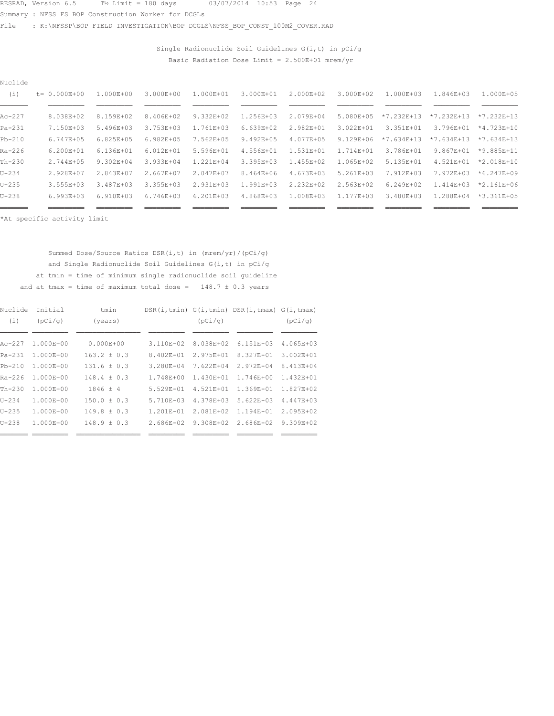Summary : NFSS FS BOP Construction Worker for DCGLs

File : K:\NFSSP\BOP FIELD INVESTIGATION\BOP DCGLS\NFSS\_BOP\_CONST\_100M2\_COVER.RAD

Single Radionuclide Soil Guidelines  $G(i, t)$  in  $pCi/g$ Basic Radiation Dose Limit =  $2.500E+01$  mrem/yr

| Nuclide  |                   |                |                |                |               |               |                |                |               |                        |  |
|----------|-------------------|----------------|----------------|----------------|---------------|---------------|----------------|----------------|---------------|------------------------|--|
| (i)      | $t = 0.000E + 00$ | 1.000E+00      | $3.000E + 00$  | 1.000E+01      | 3.000E+01     | $2.000E + 02$ | 3.000E+02      | $1.000E + 0.3$ | 1.846E+03     | $1.000E + 0.5$         |  |
|          |                   |                |                |                |               |               |                |                |               |                        |  |
| $Ac-227$ | 8.038E+02         | 8.159E+02      | 8.406E+02      | 9.332E+02      | 1.256E+03     | 2.079E+04     | 5.080E+05      | $*7.232E+13$   | $*7.232E+13$  | $*7.232E+13$           |  |
| Pa-231   | 7.150E+03         | 5.496E+03      | 3.753E+03      | 1.761E+03      | $6.639E + 02$ | 2.982E+01     | 3.022E+01      | 3.351E+01      | 3.796E+01     | $*4.723E+10$           |  |
| $Pb-210$ | 6.747E+05         | $6.825E + 05$  | $6.982E + 0.5$ | 7.562E+05      | 9.492E+05     | 4.077E+05     | $9.129E + 06$  | $*7.634E+13$   | $*7.634E+13$  | $*7.634F+13$           |  |
| $Ra-226$ | $6.200E + 01$     | $6.136E + 01$  | $6.012E + 01$  | 5.596E+01      | 4.556E+01     | 1.531E+01     | 1.714E+01      | 3.786E+01      | $9.867E + 01$ | $*9.885E+11$           |  |
| Th-230   | 2.744E+05         | 9.302E+04      | 3.933E+04      | 1.221E+04      | 3.395E+03     | 1.455E+02     | 1.065E+02      | 5.135E+01      | 4.521E+01     | $*2.018E+10$           |  |
| U-234    | 2.928E+07         | 2.843E+07      | 2.667E+07      | 2.047E+07      | 8.464E+06     | 4.673E+03     | 5.261E+03      | 7.912E+03      | 7.972E+03     | $*6.247E+09$           |  |
| U-235    | 3.555E+03         | 3.487E+03      | 3.355E+03      | 2.931E+03      | 1.991E+03     | 2.232E+02     | 2.563E+02      | $6.249E + 02$  |               | $1.414E+03$ *2.161E+06 |  |
| U-238    | $6.993E + 03$     | $6.910E + 0.3$ | 6.746E+03      | $6.201E + 0.3$ | 4.868E+03     | 1.008E+03     | $1.177E + 0.3$ | 3.480E+03      | 1.288E+04     | $*3.361E+05$           |  |
| ____     |                   |                |                |                |               |               |                |                |               |                        |  |

\*At specific activity limit

Summed Dose/Source Ratios DSR(i,t) in (mrem/yr)/(pCi/g) and Single Radionuclide Soil Guidelines  $G(i, t)$  in  $pCi/g$ at tmin = time of minimum single radionuclide soil guideline and at tmax = time of maximum total dose =  $148.7 \pm 0.3$  years

| Nuclide    | Initial       | tmin            |               |               | DSR(i,tmin) G(i,tmin) DSR(i,tmax) G(i,tmax) |                |
|------------|---------------|-----------------|---------------|---------------|---------------------------------------------|----------------|
| (i)        | (pCi/q)       | (years)         |               | (pCi/q)       |                                             | (pCi/q)        |
|            |               |                 |               |               |                                             |                |
| Ac-227     | 1.000E+00     | $0.000E + 00$   | $3.110E - 02$ | 8.038E+02     | $6.151F - 03$                               | $4.065E + 03$  |
| $Pa - 231$ | $1.000E + 00$ | $163.2 \pm 0.3$ | $8.402E - 01$ | $2.975E + 01$ | $8.327E - 01$                               | $3.002E + 01$  |
| $Pb-210$   | $1.000E + 00$ | $131.6 \pm 0.3$ | $3.280E - 04$ | 7.622E+04     | $2.972E - 04$                               | $8.413E + 04$  |
| Ra-226     | $1.000E + 00$ | $148.4 \pm 0.3$ | 1.748E+00     | 1.430E+01     | $1.746E + 00$                               | 1.432E+01      |
| $Th-230$   | $1.000E + 00$ | $1846 \pm 4$    | $5.529E - 01$ | 4.521E+01     | 1.369E-01                                   | $1.827E + 02$  |
| $U - 234$  | $1.000E + 00$ | $150.0 \pm 0.3$ | 5.710E-03     | 4.378E+03     | $5.622E - 03$                               | $4.447E + 0.3$ |
| $U - 235$  | $1.000E + 00$ | $149.8 + 0.3$   | 1.201E-01     | $2.081E + 02$ | $1.194E - 01$                               | $2.095E + 02$  |
| $U - 238$  | $1.000E + 00$ | $148.9 + 0.3$   | $2.686E - 02$ | 9.308E+02     | $2.686E - 02$                               | $9.309F + 02$  |
|            |               |                 |               |               |                                             |                |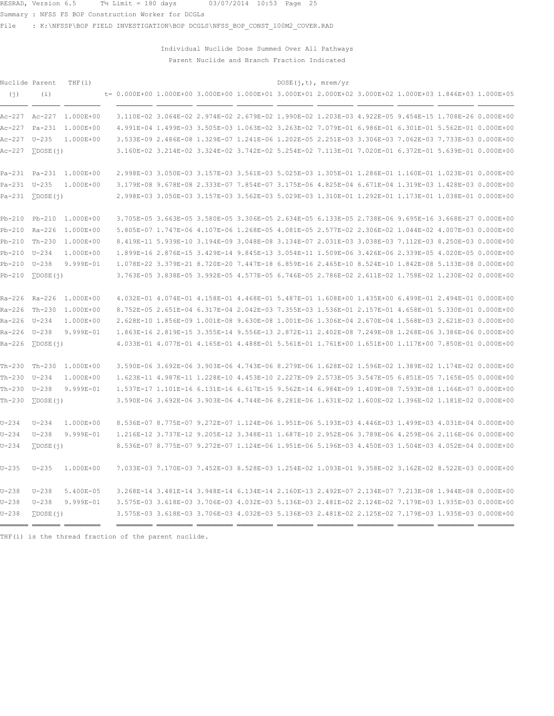Summary : NFSS FS BOP Construction Worker for DCGLs

File : K:\NFSSP\BOP FIELD INVESTIGATION\BOP DCGLS\NFSS\_BOP\_CONST\_100M2\_COVER.RAD

Individual Nuclide Dose Summed Over All Pathways Parent Nuclide and Branch Fraction Indicated

| Nuclide Parent   |                           | THF $(i)$               |                                                                                                        |                                                                                                     |  | DOSE(j, t), mrem/yr |  |  |  |
|------------------|---------------------------|-------------------------|--------------------------------------------------------------------------------------------------------|-----------------------------------------------------------------------------------------------------|--|---------------------|--|--|--|
| (j)              | (i)                       |                         | t= 0.000E+00 1.000E+00 3.000E+00 1.000E+01 3.000E+01 2.000E+02 3.000E+02 1.000E+03 1.846E+03 1.000E+05 |                                                                                                     |  |                     |  |  |  |
|                  |                           | Ac-227 Ac-227 1.000E+00 |                                                                                                        | 3.110E-02 3.064E-02 2.974E-02 2.679E-02 1.990E-02 1.203E-03 4.922E-05 9.454E-15 1.708E-26 0.000E+00 |  |                     |  |  |  |
|                  |                           | Ac-227 Pa-231 1.000E+00 |                                                                                                        | 4.991E-04 1.499E-03 3.505E-03 1.063E-02 3.263E-02 7.079E-01 6.986E-01 6.301E-01 5.562E-01 0.000E+00 |  |                     |  |  |  |
| Ac-227 U-235     |                           | 1.000E+00               |                                                                                                        | 3.533E-09 2.486E-08 1.329E-07 1.241E-06 1.202E-05 2.251E-03 3.306E-03 7.062E-03 7.733E-03 0.000E+00 |  |                     |  |  |  |
| Ac-227           | $\Sigma$ DOSE $(j)$       |                         |                                                                                                        | 3.160E-02 3.214E-02 3.324E-02 3.742E-02 5.254E-02 7.113E-01 7.020E-01 6.372E-01 5.639E-01 0.000E+00 |  |                     |  |  |  |
|                  |                           | Pa-231 Pa-231 1.000E+00 |                                                                                                        | 2.998E-03 3.050E-03 3.157E-03 3.561E-03 5.025E-03 1.305E-01 1.286E-01 1.160E-01 1.023E-01 0.000E+00 |  |                     |  |  |  |
| Pa-231 U-235     |                           | 1.000E+00               |                                                                                                        | 3.179E-08 9.678E-08 2.333E-07 7.854E-07 3.175E-06 4.825E-04 6.671E-04 1.319E-03 1.428E-03 0.000E+00 |  |                     |  |  |  |
|                  | $Pa-231$ $\Sigma$ DOSE(j) |                         |                                                                                                        | 2.998E-03 3.050E-03 3.157E-03 3.562E-03 5.029E-03 1.310E-01 1.292E-01 1.173E-01 1.038E-01 0.000E+00 |  |                     |  |  |  |
|                  |                           | Pb-210 Pb-210 1.000E+00 |                                                                                                        | 3.705E-05 3.663E-05 3.580E-05 3.306E-05 2.634E-05 6.133E-05 2.738E-06 9.695E-16 3.668E-27 0.000E+00 |  |                     |  |  |  |
|                  |                           | Pb-210 Ra-226 1.000E+00 |                                                                                                        | 5.805E-07 1.747E-06 4.107E-06 1.268E-05 4.081E-05 2.577E-02 2.306E-02 1.044E-02 4.007E-03 0.000E+00 |  |                     |  |  |  |
| Pb-210 Th-230    |                           | 1.000E+00               |                                                                                                        | 8.419E-11 5.939E-10 3.194E-09 3.048E-08 3.134E-07 2.031E-03 3.038E-03 7.112E-03 8.250E-03 0.000E+00 |  |                     |  |  |  |
| Pb-210 U-234     |                           | 1.000E+00               |                                                                                                        | 1.899E-16 2.876E-15 3.429E-14 9.845E-13 3.054E-11 1.509E-06 3.426E-06 2.339E-05 4.020E-05 0.000E+00 |  |                     |  |  |  |
| Pb-210 U-238     |                           | $9.999E - 01$           |                                                                                                        | 1.078E-22 3.379E-21 8.720E-20 7.447E-18 6.859E-16 2.465E-10 8.524E-10 1.842E-08 5.133E-08 0.000E+00 |  |                     |  |  |  |
| $Pb-210$         | $\Sigma$ DOSE $(i)$       |                         |                                                                                                        | 3.763E-05 3.838E-05 3.992E-05 4.577E-05 6.746E-05 2.786E-02 2.611E-02 1.758E-02 1.230E-02 0.000E+00 |  |                     |  |  |  |
| Ra-226 Ra-226    |                           | 1.000E+00               |                                                                                                        | 4.032E-01 4.074E-01 4.158E-01 4.468E-01 5.487E-01 1.608E+00 1.435E+00 6.499E-01 2.494E-01 0.000E+00 |  |                     |  |  |  |
| Ra-226 Th-230    |                           | 1.000E+00               |                                                                                                        | 8.752E-05 2.651E-04 6.317E-04 2.042E-03 7.355E-03 1.536E-01 2.157E-01 4.658E-01 5.330E-01 0.000E+00 |  |                     |  |  |  |
| Ra-226 U-234     |                           | 1.000E+00               |                                                                                                        | 2.628E-10 1.856E-09 1.001E-08 9.630E-08 1.001E-06 1.306E-04 2.670E-04 1.568E-03 2.621E-03 0.000E+00 |  |                     |  |  |  |
| Ra-226 U-238     |                           | $9.999E - 01$           |                                                                                                        | 1.863E-16 2.819E-15 3.355E-14 9.556E-13 2.872E-11 2.402E-08 7.249E-08 1.268E-06 3.386E-06 0.000E+00 |  |                     |  |  |  |
| $Ra-226$         | $\Sigma$ DOSE $(j)$       |                         |                                                                                                        | 4.033E-01 4.077E-01 4.165E-01 4.488E-01 5.561E-01 1.761E+00 1.651E+00 1.117E+00 7.850E-01 0.000E+00 |  |                     |  |  |  |
| $Th-230$         | Th-230                    | 1.000E+00               |                                                                                                        | 3.590E-06 3.692E-06 3.903E-06 4.743E-06 8.279E-06 1.628E-02 1.596E-02 1.389E-02 1.174E-02 0.000E+00 |  |                     |  |  |  |
| Th-230 U-234     |                           | 1.000E+00               |                                                                                                        | 1.623E-11 4.987E-11 1.228E-10 4.453E-10 2.227E-09 2.573E-05 3.547E-05 6.851E-05 7.165E-05 0.000E+00 |  |                     |  |  |  |
| $Th-230$ $U-238$ |                           | 9.999E-01               |                                                                                                        | 1.537E-17 1.101E-16 6.131E-16 6.617E-15 9.562E-14 6.984E-09 1.409E-08 7.593E-08 1.166E-07 0.000E+00 |  |                     |  |  |  |
| $Th-230$         | $\Sigma$ DOSE $(j)$       |                         |                                                                                                        | 3.590E-06 3.692E-06 3.903E-06 4.744E-06 8.281E-06 1.631E-02 1.600E-02 1.396E-02 1.181E-02 0.000E+00 |  |                     |  |  |  |
| $U - 234$        | $U-234$                   | 1.000E+00               |                                                                                                        | 8.536E-07 8.775E-07 9.272E-07 1.124E-06 1.951E-06 5.193E-03 4.446E-03 1.499E-03 4.031E-04 0.000E+00 |  |                     |  |  |  |
| $U - 234$        | $U - 238$                 | 9.999E-01               |                                                                                                        | 1.216E-12 3.737E-12 9.205E-12 3.348E-11 1.687E-10 2.952E-06 3.789E-06 4.259E-06 2.116E-06 0.000E+00 |  |                     |  |  |  |
| $U - 234$        | $\Sigma$ DOSE $(j)$       |                         |                                                                                                        | 8.536E-07 8.775E-07 9.272E-07 1.124E-06 1.951E-06 5.196E-03 4.450E-03 1.504E-03 4.052E-04 0.000E+00 |  |                     |  |  |  |
| $U - 235$        | $U - 235$                 | 1.000E+00               |                                                                                                        | 7.033E-03 7.170E-03 7.452E-03 8.528E-03 1.254E-02 1.093E-01 9.358E-02 3.162E-02 8.522E-03 0.000E+00 |  |                     |  |  |  |
| $U - 238$        | $U-238$                   | 5.400E-05               |                                                                                                        | 3.268E-14 3.481E-14 3.948E-14 6.134E-14 2.160E-13 2.492E-07 2.134E-07 7.213E-08 1.944E-08 0.000E+00 |  |                     |  |  |  |
| $U - 238$        | $U-238$                   | 9.999E-01               |                                                                                                        | 3.575E-03 3.618E-03 3.706E-03 4.032E-03 5.136E-03 2.481E-02 2.124E-02 7.179E-03 1.935E-03 0.000E+00 |  |                     |  |  |  |
| $U - 238$        | $\Sigma$ DOSE $(j)$       |                         |                                                                                                        | 3.575E-03 3.618E-03 3.706E-03 4.032E-03 5.136E-03 2.481E-02 2.125E-02 7.179E-03 1.935E-03 0.000E+00 |  |                     |  |  |  |

THF(i) is the thread fraction of the parent nuclide.